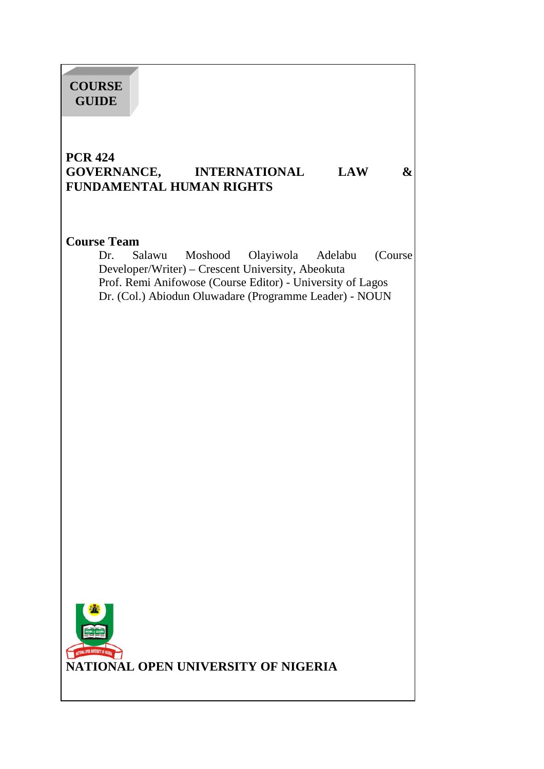# **PCR 424 GOVERNANCE, INTERNATIONAL LAW & FUNDAMENTAL HUMAN RIGHTS Course Team** Dr. Salawu Moshood Olayiwola Adelabu (Course Developer/Writer) – Crescent University, Abeokuta Prof. Remi Anifowose (Course Editor) - University of Lagos Dr. (Col.) Abiodun Oluwadare (Programme Leader) - NOUN I **NATIONAL OPEN UNIVERSITY OF NIGERIA COURSE GUIDE**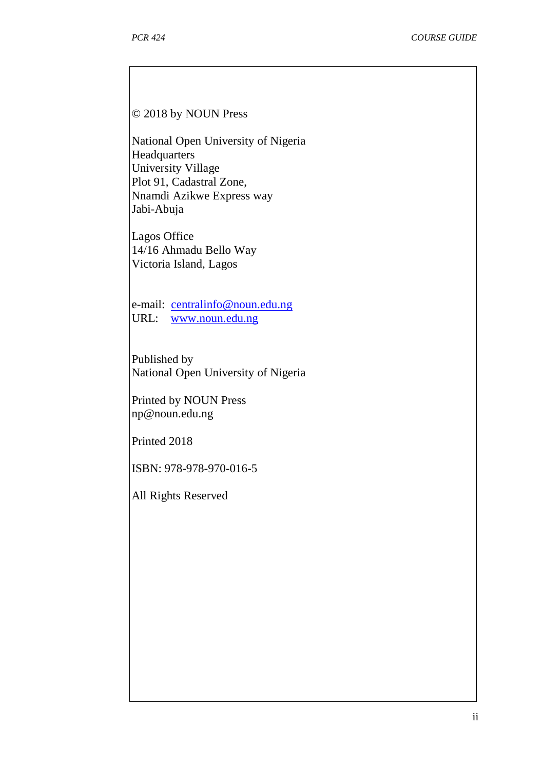#### © 2018 by NOUN Press

National Open University of Nigeria **Headquarters** University Village Plot 91, Cadastral Zone, Nnamdi Azikwe Express way Jabi-Abuja

Lagos Office 14/16 Ahmadu Bello Way Victoria Island, Lagos

e-mail: centralinfo@noun.edu.ng URL: www.noun.edu.ng

Published by National Open University of Nigeria

Printed by NOUN Press np@noun.edu.ng

Printed 2018

ISBN: 978-978-970-016-5

All Rights Reserved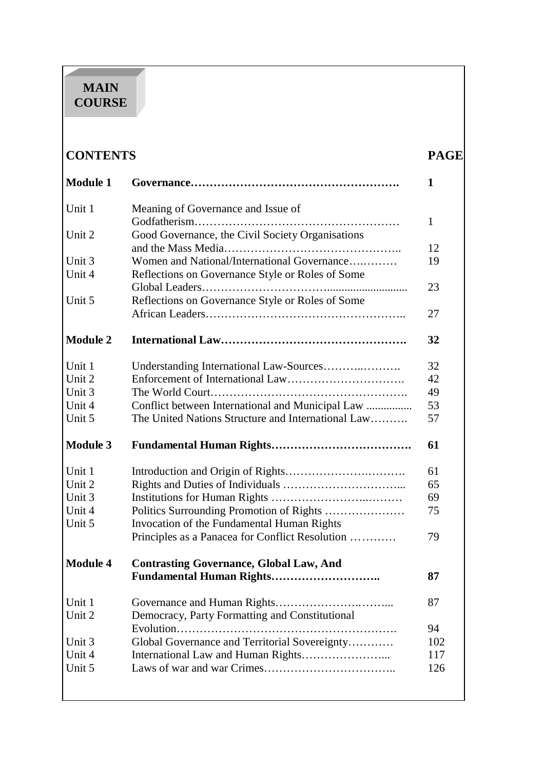# **MAIN COURSE**

| <b>CONTENTS</b>                                                            |                                                  |    |
|----------------------------------------------------------------------------|--------------------------------------------------|----|
| <b>Module 1</b>                                                            |                                                  | 1  |
| Unit 1                                                                     | Meaning of Governance and Issue of               |    |
|                                                                            |                                                  | 1  |
| Unit 2                                                                     | Good Governance, the Civil Society Organisations |    |
|                                                                            |                                                  | 12 |
| Unit 3                                                                     | Women and National/International Governance      | 19 |
| Unit 4                                                                     | Reflections on Governance Style or Roles of Some |    |
|                                                                            |                                                  | 23 |
| Unit 5                                                                     | Reflections on Governance Style or Roles of Some |    |
|                                                                            |                                                  | 27 |
| <b>Module 2</b>                                                            |                                                  | 32 |
| Unit 1                                                                     |                                                  | 32 |
| Unit 2                                                                     |                                                  | 42 |
| Unit 3                                                                     |                                                  | 49 |
| $\overline{1}$ $\overline{1}$ $\overline{2}$ $\overline{4}$ $\overline{4}$ | Conflict between International and Municipal Law | 52 |

| Unit 2          |                                                    | 42  |
|-----------------|----------------------------------------------------|-----|
| Unit 3          |                                                    | 49  |
| Unit 4          | Conflict between International and Municipal Law   | 53  |
| Unit 5          | The United Nations Structure and International Law | 57  |
|                 |                                                    |     |
| <b>Module 3</b> |                                                    | 61  |
|                 |                                                    |     |
| Unit 1          |                                                    | 61  |
| Unit 2          |                                                    | 65  |
| Unit 3          |                                                    | 69  |
| Unit 4          | Politics Surrounding Promotion of Rights           | 75  |
| Unit 5          | Invocation of the Fundamental Human Rights         |     |
|                 | Principles as a Panacea for Conflict Resolution    | 79  |
|                 |                                                    |     |
|                 |                                                    |     |
| <b>Module 4</b> | <b>Contrasting Governance, Global Law, And</b>     |     |
|                 |                                                    | 87  |
|                 |                                                    |     |
| Unit 1          | Governance and Human Rights                        | 87  |
| Unit 2          | Democracy, Party Formatting and Constitutional     |     |
|                 | Evolution<br>.                                     | 94  |
| Unit 3          | Global Governance and Territorial Sovereignty      | 102 |
| Unit 4          |                                                    | 117 |
| Unit 5          |                                                    | 126 |
|                 |                                                    |     |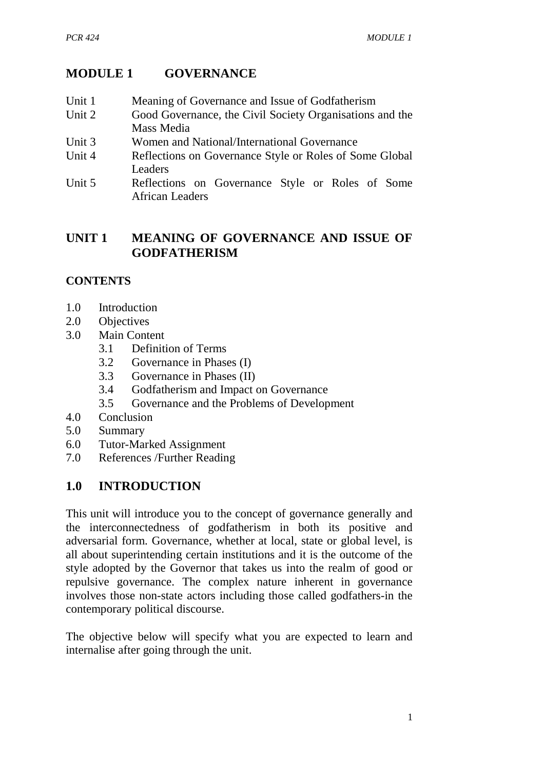# **MODULE 1 GOVERNANCE**

- Unit 1 Meaning of Governance and Issue of Godfatherism
- Unit 2 Good Governance, the Civil Society Organisations and the Mass Media
- Unit 3 Women and National/International Governance
- Unit 4 Reflections on Governance Style or Roles of Some Global Leaders
- Unit 5 Reflections on Governance Style or Roles of Some African Leaders

# **UNIT 1 MEANING OF GOVERNANCE AND ISSUE OF GODFATHERISM**

# **CONTENTS**

- 1.0 Introduction
- 2.0 Objectives
- 3.0 Main Content
	- 3.1 Definition of Terms
	- 3.2 Governance in Phases (I)
	- 3.3 Governance in Phases (II)
	- 3.4 Godfatherism and Impact on Governance
	- 3.5 Governance and the Problems of Development
- 4.0 Conclusion
- 5.0 Summary
- 6.0 Tutor-Marked Assignment
- 7.0 References /Further Reading

# **1.0 INTRODUCTION**

This unit will introduce you to the concept of governance generally and the interconnectedness of godfatherism in both its positive and adversarial form. Governance, whether at local, state or global level, is all about superintending certain institutions and it is the outcome of the style adopted by the Governor that takes us into the realm of good or repulsive governance. The complex nature inherent in governance involves those non-state actors including those called godfathers-in the contemporary political discourse.

The objective below will specify what you are expected to learn and internalise after going through the unit.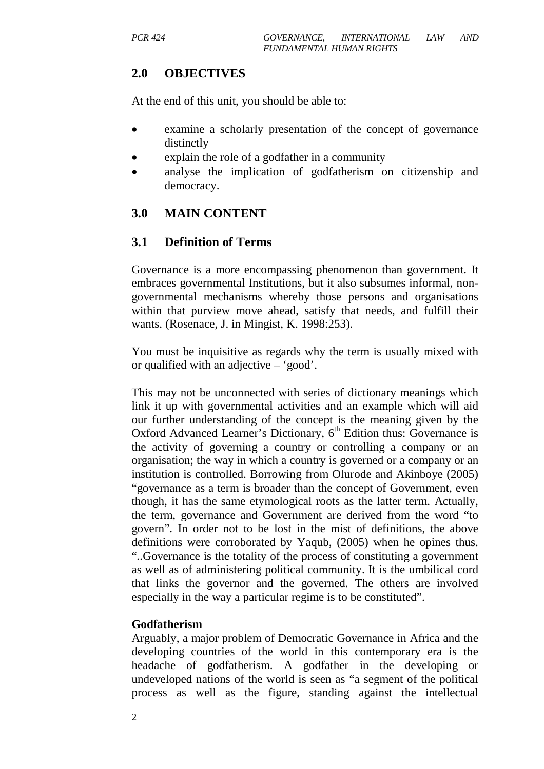# **2.0 OBJECTIVES**

At the end of this unit, you should be able to:

- examine a scholarly presentation of the concept of governance distinctly
- explain the role of a godfather in a community
- analyse the implication of godfatherism on citizenship and democracy.

# **3.0 MAIN CONTENT**

# **3.1 Definition of Terms**

Governance is a more encompassing phenomenon than government. It embraces governmental Institutions, but it also subsumes informal, nongovernmental mechanisms whereby those persons and organisations within that purview move ahead, satisfy that needs, and fulfill their wants. (Rosenace, J. in Mingist, K. 1998:253).

You must be inquisitive as regards why the term is usually mixed with or qualified with an adjective – 'good'.

This may not be unconnected with series of dictionary meanings which link it up with governmental activities and an example which will aid our further understanding of the concept is the meaning given by the Oxford Advanced Learner's Dictionary,  $6<sup>th</sup>$  Edition thus: Governance is the activity of governing a country or controlling a company or an organisation; the way in which a country is governed or a company or an institution is controlled. Borrowing from Olurode and Akinboye (2005) "governance as a term is broader than the concept of Government, even though, it has the same etymological roots as the latter term. Actually, the term, governance and Government are derived from the word "to govern". In order not to be lost in the mist of definitions, the above definitions were corroborated by Yaqub, (2005) when he opines thus. "..Governance is the totality of the process of constituting a government as well as of administering political community. It is the umbilical cord that links the governor and the governed. The others are involved especially in the way a particular regime is to be constituted".

#### **Godfatherism**

Arguably, a major problem of Democratic Governance in Africa and the developing countries of the world in this contemporary era is the headache of godfatherism. A godfather in the developing or undeveloped nations of the world is seen as "a segment of the political process as well as the figure, standing against the intellectual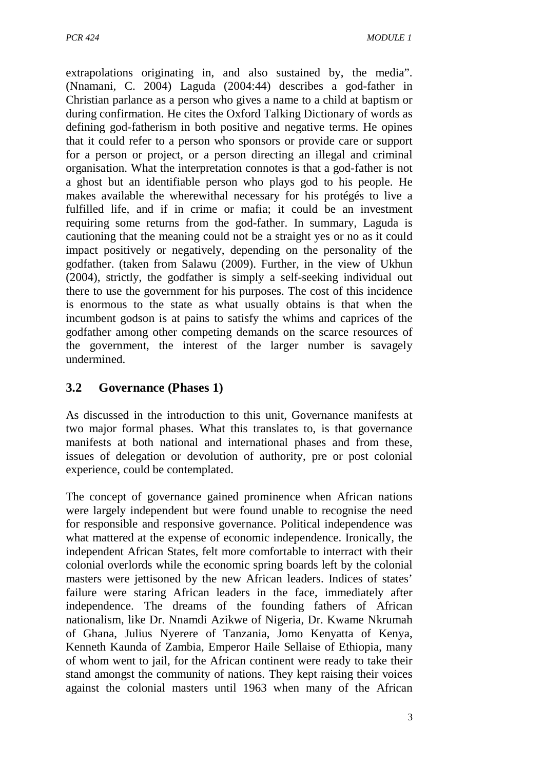extrapolations originating in, and also sustained by, the media". (Nnamani, C. 2004) Laguda (2004:44) describes a god-father in Christian parlance as a person who gives a name to a child at baptism or during confirmation. He cites the Oxford Talking Dictionary of words as defining god-fatherism in both positive and negative terms. He opines that it could refer to a person who sponsors or provide care or support for a person or project, or a person directing an illegal and criminal organisation. What the interpretation connotes is that a god-father is not a ghost but an identifiable person who plays god to his people. He makes available the wherewithal necessary for his protégés to live a fulfilled life, and if in crime or mafia; it could be an investment requiring some returns from the god-father. In summary, Laguda is cautioning that the meaning could not be a straight yes or no as it could impact positively or negatively, depending on the personality of the godfather. (taken from Salawu (2009). Further, in the view of Ukhun (2004), strictly, the godfather is simply a self-seeking individual out there to use the government for his purposes. The cost of this incidence is enormous to the state as what usually obtains is that when the incumbent godson is at pains to satisfy the whims and caprices of the godfather among other competing demands on the scarce resources of the government, the interest of the larger number is savagely undermined.

# **3.2 Governance (Phases 1)**

As discussed in the introduction to this unit, Governance manifests at two major formal phases. What this translates to, is that governance manifests at both national and international phases and from these, issues of delegation or devolution of authority, pre or post colonial experience, could be contemplated.

The concept of governance gained prominence when African nations were largely independent but were found unable to recognise the need for responsible and responsive governance. Political independence was what mattered at the expense of economic independence. Ironically, the independent African States, felt more comfortable to interract with their colonial overlords while the economic spring boards left by the colonial masters were jettisoned by the new African leaders. Indices of states' failure were staring African leaders in the face, immediately after independence. The dreams of the founding fathers of African nationalism, like Dr. Nnamdi Azikwe of Nigeria, Dr. Kwame Nkrumah of Ghana, Julius Nyerere of Tanzania, Jomo Kenyatta of Kenya, Kenneth Kaunda of Zambia, Emperor Haile Sellaise of Ethiopia, many of whom went to jail, for the African continent were ready to take their stand amongst the community of nations. They kept raising their voices against the colonial masters until 1963 when many of the African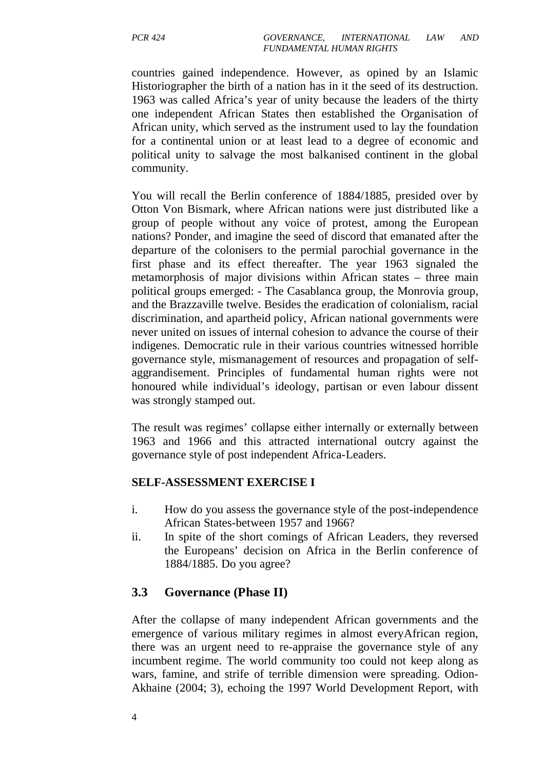countries gained independence. However, as opined by an Islamic Historiographer the birth of a nation has in it the seed of its destruction. 1963 was called Africa's year of unity because the leaders of the thirty one independent African States then established the Organisation of African unity, which served as the instrument used to lay the foundation for a continental union or at least lead to a degree of economic and political unity to salvage the most balkanised continent in the global community.

You will recall the Berlin conference of 1884/1885, presided over by Otton Von Bismark, where African nations were just distributed like a group of people without any voice of protest, among the European nations? Ponder, and imagine the seed of discord that emanated after the departure of the colonisers to the permial parochial governance in the first phase and its effect thereafter. The year 1963 signaled the metamorphosis of major divisions within African states – three main political groups emerged: - The Casablanca group, the Monrovia group, and the Brazzaville twelve. Besides the eradication of colonialism, racial discrimination, and apartheid policy, African national governments were never united on issues of internal cohesion to advance the course of their indigenes. Democratic rule in their various countries witnessed horrible governance style, mismanagement of resources and propagation of selfaggrandisement. Principles of fundamental human rights were not honoured while individual's ideology, partisan or even labour dissent was strongly stamped out.

The result was regimes' collapse either internally or externally between 1963 and 1966 and this attracted international outcry against the governance style of post independent Africa-Leaders.

#### **SELF-ASSESSMENT EXERCISE I**

- i. How do you assess the governance style of the post-independence African States-between 1957 and 1966?
- ii. In spite of the short comings of African Leaders, they reversed the Europeans' decision on Africa in the Berlin conference of 1884/1885. Do you agree?

# **3.3 Governance (Phase II)**

After the collapse of many independent African governments and the emergence of various military regimes in almost everyAfrican region, there was an urgent need to re-appraise the governance style of any incumbent regime. The world community too could not keep along as wars, famine, and strife of terrible dimension were spreading. Odion-Akhaine (2004; 3), echoing the 1997 World Development Report, with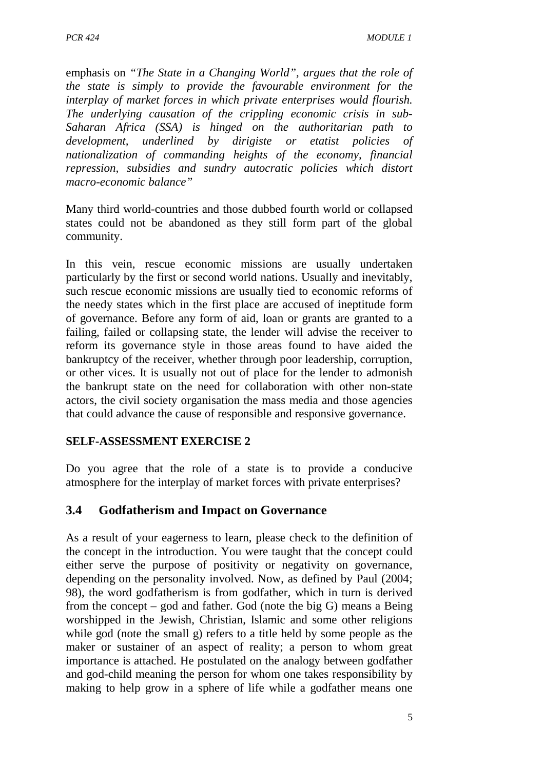emphasis on *"The State in a Changing World", argues that the role of the state is simply to provide the favourable environment for the interplay of market forces in which private enterprises would flourish. The underlying causation of the crippling economic crisis in sub-Saharan Africa (SSA) is hinged on the authoritarian path to development, underlined by dirigiste or etatist policies of nationalization of commanding heights of the economy, financial repression, subsidies and sundry autocratic policies which distort macro-economic balance"*

Many third world-countries and those dubbed fourth world or collapsed states could not be abandoned as they still form part of the global community.

In this vein, rescue economic missions are usually undertaken particularly by the first or second world nations. Usually and inevitably, such rescue economic missions are usually tied to economic reforms of the needy states which in the first place are accused of ineptitude form of governance. Before any form of aid, loan or grants are granted to a failing, failed or collapsing state, the lender will advise the receiver to reform its governance style in those areas found to have aided the bankruptcy of the receiver, whether through poor leadership, corruption, or other vices. It is usually not out of place for the lender to admonish the bankrupt state on the need for collaboration with other non-state actors, the civil society organisation the mass media and those agencies that could advance the cause of responsible and responsive governance.

#### **SELF-ASSESSMENT EXERCISE 2**

Do you agree that the role of a state is to provide a conducive atmosphere for the interplay of market forces with private enterprises?

# **3.4 Godfatherism and Impact on Governance**

As a result of your eagerness to learn, please check to the definition of the concept in the introduction. You were taught that the concept could either serve the purpose of positivity or negativity on governance, depending on the personality involved. Now, as defined by Paul (2004; 98), the word godfatherism is from godfather, which in turn is derived from the concept – god and father. God (note the big G) means a Being worshipped in the Jewish, Christian, Islamic and some other religions while god (note the small g) refers to a title held by some people as the maker or sustainer of an aspect of reality; a person to whom great importance is attached. He postulated on the analogy between godfather and god-child meaning the person for whom one takes responsibility by making to help grow in a sphere of life while a godfather means one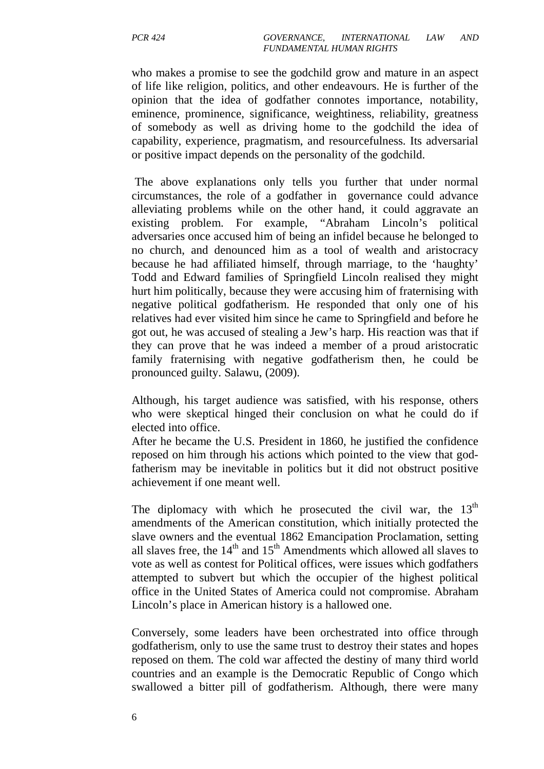who makes a promise to see the godchild grow and mature in an aspect of life like religion, politics, and other endeavours. He is further of the opinion that the idea of godfather connotes importance, notability, eminence, prominence, significance, weightiness, reliability, greatness of somebody as well as driving home to the godchild the idea of capability, experience, pragmatism, and resourcefulness. Its adversarial or positive impact depends on the personality of the godchild.

 The above explanations only tells you further that under normal circumstances, the role of a godfather in governance could advance alleviating problems while on the other hand, it could aggravate an existing problem. For example, "Abraham Lincoln's political adversaries once accused him of being an infidel because he belonged to no church, and denounced him as a tool of wealth and aristocracy because he had affiliated himself, through marriage, to the 'haughty' Todd and Edward families of Springfield Lincoln realised they might hurt him politically, because they were accusing him of fraternising with negative political godfatherism. He responded that only one of his relatives had ever visited him since he came to Springfield and before he got out, he was accused of stealing a Jew's harp. His reaction was that if they can prove that he was indeed a member of a proud aristocratic family fraternising with negative godfatherism then, he could be pronounced guilty. Salawu, (2009).

Although, his target audience was satisfied, with his response, others who were skeptical hinged their conclusion on what he could do if elected into office.

After he became the U.S. President in 1860, he justified the confidence reposed on him through his actions which pointed to the view that godfatherism may be inevitable in politics but it did not obstruct positive achievement if one meant well.

The diplomacy with which he prosecuted the civil war, the  $13<sup>th</sup>$ amendments of the American constitution, which initially protected the slave owners and the eventual 1862 Emancipation Proclamation, setting all slaves free, the  $14<sup>th</sup>$  and  $15<sup>th</sup>$  Amendments which allowed all slaves to vote as well as contest for Political offices, were issues which godfathers attempted to subvert but which the occupier of the highest political office in the United States of America could not compromise. Abraham Lincoln's place in American history is a hallowed one.

Conversely, some leaders have been orchestrated into office through godfatherism, only to use the same trust to destroy their states and hopes reposed on them. The cold war affected the destiny of many third world countries and an example is the Democratic Republic of Congo which swallowed a bitter pill of godfatherism. Although, there were many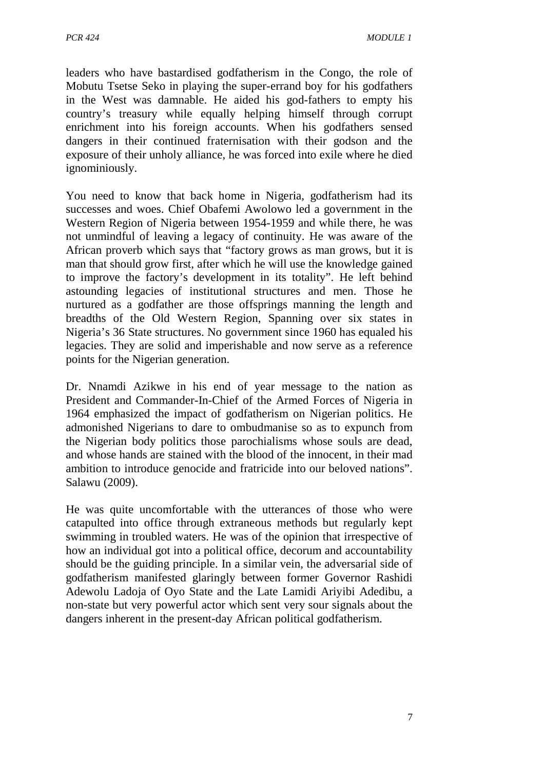leaders who have bastardised godfatherism in the Congo, the role of Mobutu Tsetse Seko in playing the super-errand boy for his godfathers in the West was damnable. He aided his god-fathers to empty his country's treasury while equally helping himself through corrupt enrichment into his foreign accounts. When his godfathers sensed dangers in their continued fraternisation with their godson and the exposure of their unholy alliance, he was forced into exile where he died ignominiously.

You need to know that back home in Nigeria, godfatherism had its successes and woes. Chief Obafemi Awolowo led a government in the Western Region of Nigeria between 1954-1959 and while there, he was not unmindful of leaving a legacy of continuity. He was aware of the African proverb which says that "factory grows as man grows, but it is man that should grow first, after which he will use the knowledge gained to improve the factory's development in its totality". He left behind astounding legacies of institutional structures and men. Those he nurtured as a godfather are those offsprings manning the length and breadths of the Old Western Region, Spanning over six states in Nigeria's 36 State structures. No government since 1960 has equaled his legacies. They are solid and imperishable and now serve as a reference points for the Nigerian generation.

Dr. Nnamdi Azikwe in his end of year message to the nation as President and Commander-In-Chief of the Armed Forces of Nigeria in 1964 emphasized the impact of godfatherism on Nigerian politics. He admonished Nigerians to dare to ombudmanise so as to expunch from the Nigerian body politics those parochialisms whose souls are dead, and whose hands are stained with the blood of the innocent, in their mad ambition to introduce genocide and fratricide into our beloved nations". Salawu (2009).

He was quite uncomfortable with the utterances of those who were catapulted into office through extraneous methods but regularly kept swimming in troubled waters. He was of the opinion that irrespective of how an individual got into a political office, decorum and accountability should be the guiding principle. In a similar vein, the adversarial side of godfatherism manifested glaringly between former Governor Rashidi Adewolu Ladoja of Oyo State and the Late Lamidi Ariyibi Adedibu, a non-state but very powerful actor which sent very sour signals about the dangers inherent in the present-day African political godfatherism.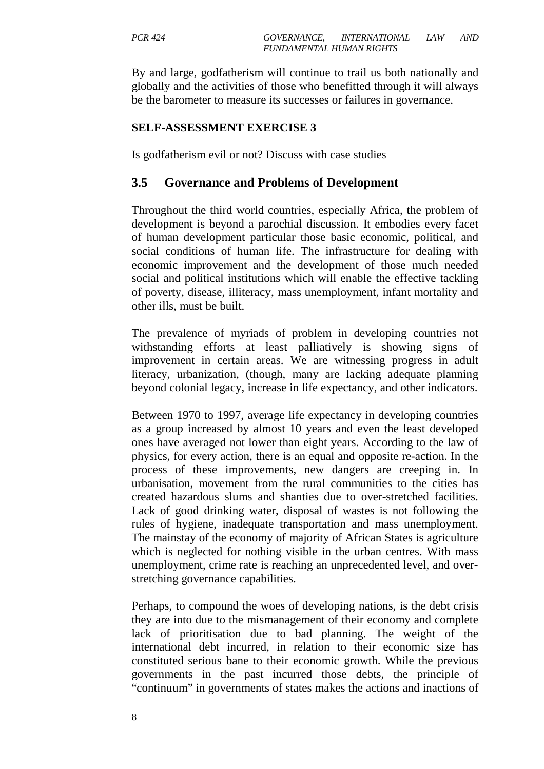By and large, godfatherism will continue to trail us both nationally and globally and the activities of those who benefitted through it will always be the barometer to measure its successes or failures in governance.

#### **SELF-ASSESSMENT EXERCISE 3**

Is godfatherism evil or not? Discuss with case studies

#### **3.5 Governance and Problems of Development**

Throughout the third world countries, especially Africa, the problem of development is beyond a parochial discussion. It embodies every facet of human development particular those basic economic, political, and social conditions of human life. The infrastructure for dealing with economic improvement and the development of those much needed social and political institutions which will enable the effective tackling of poverty, disease, illiteracy, mass unemployment, infant mortality and other ills, must be built.

The prevalence of myriads of problem in developing countries not withstanding efforts at least palliatively is showing signs of improvement in certain areas. We are witnessing progress in adult literacy, urbanization, (though, many are lacking adequate planning beyond colonial legacy, increase in life expectancy, and other indicators.

Between 1970 to 1997, average life expectancy in developing countries as a group increased by almost 10 years and even the least developed ones have averaged not lower than eight years. According to the law of physics, for every action, there is an equal and opposite re-action. In the process of these improvements, new dangers are creeping in. In urbanisation, movement from the rural communities to the cities has created hazardous slums and shanties due to over-stretched facilities. Lack of good drinking water, disposal of wastes is not following the rules of hygiene, inadequate transportation and mass unemployment. The mainstay of the economy of majority of African States is agriculture which is neglected for nothing visible in the urban centres. With mass unemployment, crime rate is reaching an unprecedented level, and overstretching governance capabilities.

Perhaps, to compound the woes of developing nations, is the debt crisis they are into due to the mismanagement of their economy and complete lack of prioritisation due to bad planning. The weight of the international debt incurred, in relation to their economic size has constituted serious bane to their economic growth. While the previous governments in the past incurred those debts, the principle of "continuum" in governments of states makes the actions and inactions of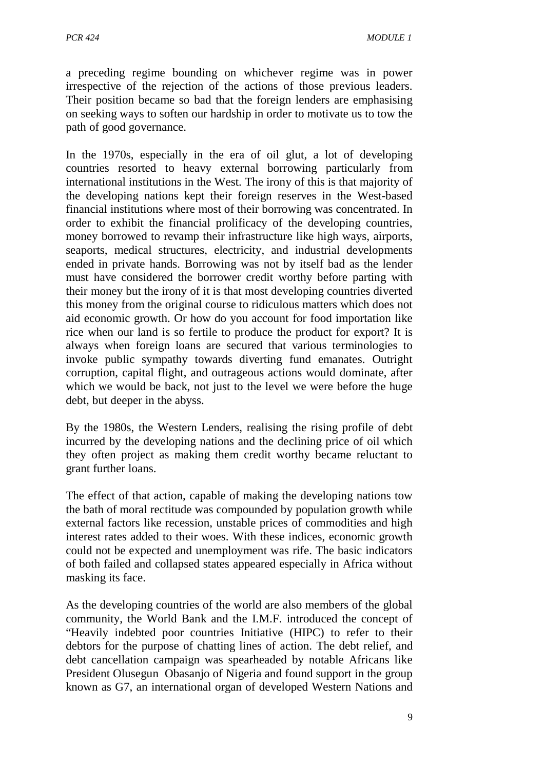a preceding regime bounding on whichever regime was in power irrespective of the rejection of the actions of those previous leaders. Their position became so bad that the foreign lenders are emphasising on seeking ways to soften our hardship in order to motivate us to tow the path of good governance.

In the 1970s, especially in the era of oil glut, a lot of developing countries resorted to heavy external borrowing particularly from international institutions in the West. The irony of this is that majority of the developing nations kept their foreign reserves in the West-based financial institutions where most of their borrowing was concentrated. In order to exhibit the financial prolificacy of the developing countries, money borrowed to revamp their infrastructure like high ways, airports, seaports, medical structures, electricity, and industrial developments ended in private hands. Borrowing was not by itself bad as the lender must have considered the borrower credit worthy before parting with their money but the irony of it is that most developing countries diverted this money from the original course to ridiculous matters which does not aid economic growth. Or how do you account for food importation like rice when our land is so fertile to produce the product for export? It is always when foreign loans are secured that various terminologies to invoke public sympathy towards diverting fund emanates. Outright corruption, capital flight, and outrageous actions would dominate, after which we would be back, not just to the level we were before the huge debt, but deeper in the abyss.

By the 1980s, the Western Lenders, realising the rising profile of debt incurred by the developing nations and the declining price of oil which they often project as making them credit worthy became reluctant to grant further loans.

The effect of that action, capable of making the developing nations tow the bath of moral rectitude was compounded by population growth while external factors like recession, unstable prices of commodities and high interest rates added to their woes. With these indices, economic growth could not be expected and unemployment was rife. The basic indicators of both failed and collapsed states appeared especially in Africa without masking its face.

As the developing countries of the world are also members of the global community, the World Bank and the I.M.F. introduced the concept of "Heavily indebted poor countries Initiative (HIPC) to refer to their debtors for the purpose of chatting lines of action. The debt relief, and debt cancellation campaign was spearheaded by notable Africans like President Olusegun Obasanjo of Nigeria and found support in the group known as G7, an international organ of developed Western Nations and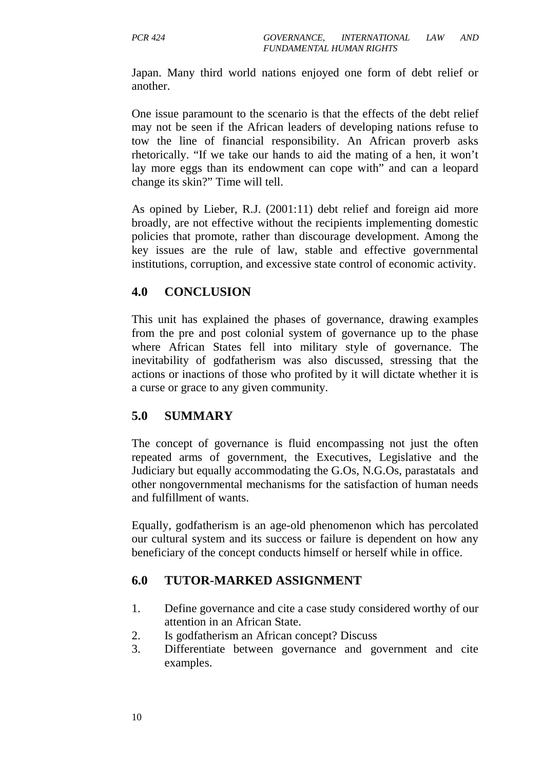Japan. Many third world nations enjoyed one form of debt relief or another.

One issue paramount to the scenario is that the effects of the debt relief may not be seen if the African leaders of developing nations refuse to tow the line of financial responsibility. An African proverb asks rhetorically. "If we take our hands to aid the mating of a hen, it won't lay more eggs than its endowment can cope with" and can a leopard change its skin?" Time will tell.

As opined by Lieber, R.J. (2001:11) debt relief and foreign aid more broadly, are not effective without the recipients implementing domestic policies that promote, rather than discourage development. Among the key issues are the rule of law, stable and effective governmental institutions, corruption, and excessive state control of economic activity.

# **4.0 CONCLUSION**

This unit has explained the phases of governance, drawing examples from the pre and post colonial system of governance up to the phase where African States fell into military style of governance. The inevitability of godfatherism was also discussed, stressing that the actions or inactions of those who profited by it will dictate whether it is a curse or grace to any given community.

# **5.0 SUMMARY**

The concept of governance is fluid encompassing not just the often repeated arms of government, the Executives, Legislative and the Judiciary but equally accommodating the G.Os, N.G.Os, parastatals and other nongovernmental mechanisms for the satisfaction of human needs and fulfillment of wants.

Equally, godfatherism is an age-old phenomenon which has percolated our cultural system and its success or failure is dependent on how any beneficiary of the concept conducts himself or herself while in office.

# **6.0 TUTOR-MARKED ASSIGNMENT**

- 1. Define governance and cite a case study considered worthy of our attention in an African State.
- 2. Is godfatherism an African concept? Discuss
- 3. Differentiate between governance and government and cite examples.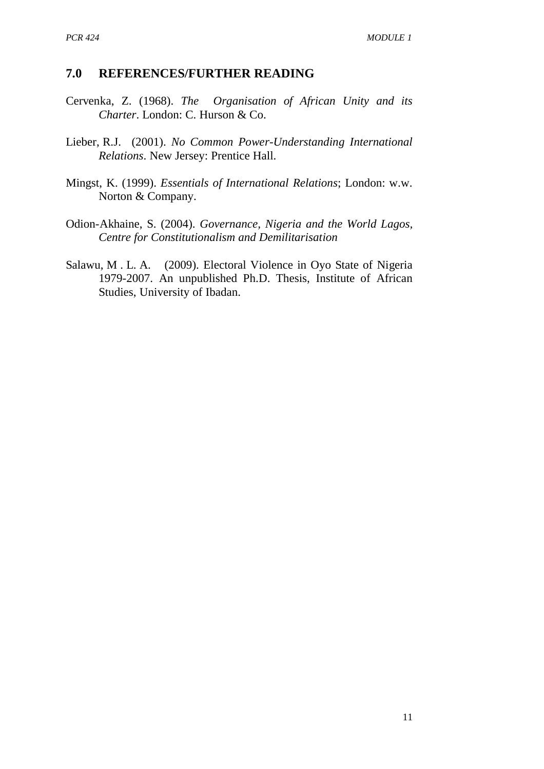# **7.0 REFERENCES/FURTHER READING**

- Cervenka, Z. (1968). *The Organisation of African Unity and its Charter*. London: C. Hurson & Co.
- Lieber, R.J. (2001). *No Common Power-Understanding International Relations*. New Jersey: Prentice Hall.
- Mingst, K. (1999). *Essentials of International Relations*; London: w.w. Norton & Company.
- Odion-Akhaine, S. (2004). *Governance, Nigeria and the World Lagos, Centre for Constitutionalism and Demilitarisation*
- Salawu, M . L. A. (2009). Electoral Violence in Oyo State of Nigeria 1979-2007. An unpublished Ph.D. Thesis, Institute of African Studies, University of Ibadan.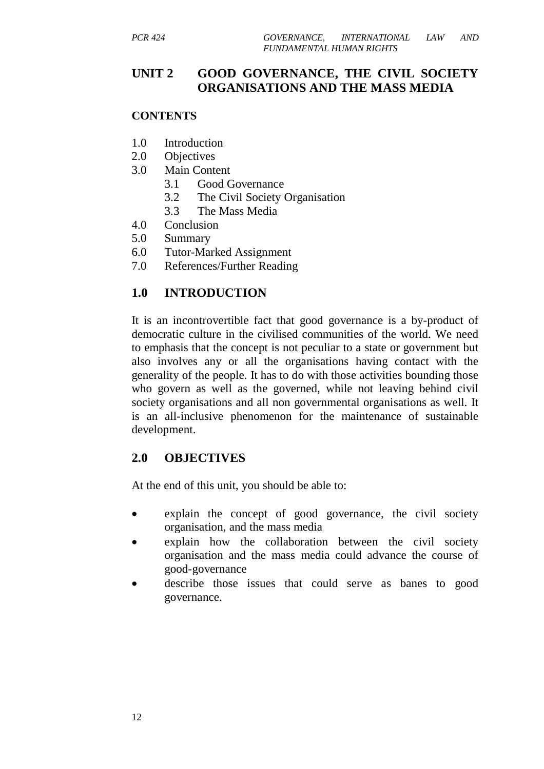# **UNIT 2 GOOD GOVERNANCE, THE CIVIL SOCIETY ORGANISATIONS AND THE MASS MEDIA**

#### **CONTENTS**

- 1.0 Introduction
- 2.0 Objectives
- 3.0 Main Content
	- 3.1 Good Governance
	- 3.2 The Civil Society Organisation
	- 3.3 The Mass Media
- 4.0 Conclusion
- 5.0 Summary
- 6.0 Tutor-Marked Assignment
- 7.0 References/Further Reading

# **1.0 INTRODUCTION**

It is an incontrovertible fact that good governance is a by-product of democratic culture in the civilised communities of the world. We need to emphasis that the concept is not peculiar to a state or government but also involves any or all the organisations having contact with the generality of the people. It has to do with those activities bounding those who govern as well as the governed, while not leaving behind civil society organisations and all non governmental organisations as well. It is an all-inclusive phenomenon for the maintenance of sustainable development.

# **2.0 OBJECTIVES**

At the end of this unit, you should be able to:

- explain the concept of good governance, the civil society organisation, and the mass media
- explain how the collaboration between the civil society organisation and the mass media could advance the course of good-governance
- describe those issues that could serve as banes to good governance.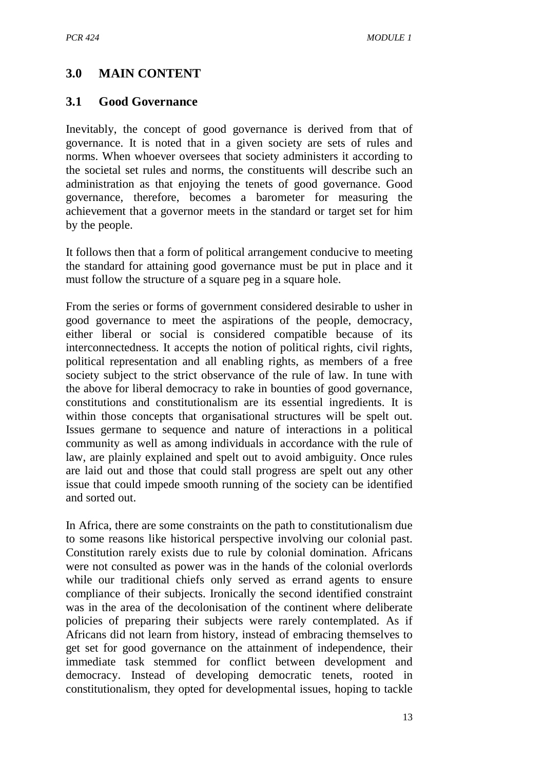# **3.0 MAIN CONTENT**

#### **3.1 Good Governance**

Inevitably, the concept of good governance is derived from that of governance. It is noted that in a given society are sets of rules and norms. When whoever oversees that society administers it according to the societal set rules and norms, the constituents will describe such an administration as that enjoying the tenets of good governance. Good governance, therefore, becomes a barometer for measuring the achievement that a governor meets in the standard or target set for him by the people.

It follows then that a form of political arrangement conducive to meeting the standard for attaining good governance must be put in place and it must follow the structure of a square peg in a square hole.

From the series or forms of government considered desirable to usher in good governance to meet the aspirations of the people, democracy, either liberal or social is considered compatible because of its interconnectedness. It accepts the notion of political rights, civil rights, political representation and all enabling rights, as members of a free society subject to the strict observance of the rule of law. In tune with the above for liberal democracy to rake in bounties of good governance, constitutions and constitutionalism are its essential ingredients. It is within those concepts that organisational structures will be spelt out. Issues germane to sequence and nature of interactions in a political community as well as among individuals in accordance with the rule of law, are plainly explained and spelt out to avoid ambiguity. Once rules are laid out and those that could stall progress are spelt out any other issue that could impede smooth running of the society can be identified and sorted out.

In Africa, there are some constraints on the path to constitutionalism due to some reasons like historical perspective involving our colonial past. Constitution rarely exists due to rule by colonial domination. Africans were not consulted as power was in the hands of the colonial overlords while our traditional chiefs only served as errand agents to ensure compliance of their subjects. Ironically the second identified constraint was in the area of the decolonisation of the continent where deliberate policies of preparing their subjects were rarely contemplated. As if Africans did not learn from history, instead of embracing themselves to get set for good governance on the attainment of independence, their immediate task stemmed for conflict between development and democracy. Instead of developing democratic tenets, rooted in constitutionalism, they opted for developmental issues, hoping to tackle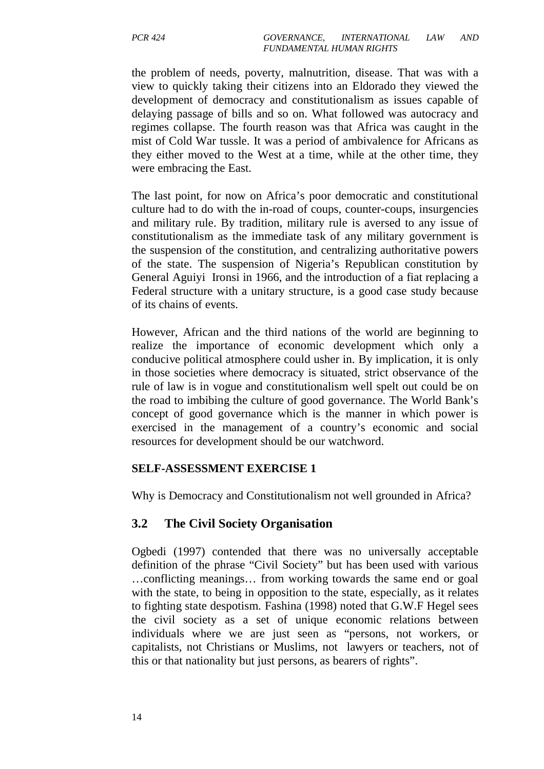the problem of needs, poverty, malnutrition, disease. That was with a view to quickly taking their citizens into an Eldorado they viewed the development of democracy and constitutionalism as issues capable of delaying passage of bills and so on. What followed was autocracy and regimes collapse. The fourth reason was that Africa was caught in the mist of Cold War tussle. It was a period of ambivalence for Africans as they either moved to the West at a time, while at the other time, they were embracing the East.

The last point, for now on Africa's poor democratic and constitutional culture had to do with the in-road of coups, counter-coups, insurgencies and military rule. By tradition, military rule is aversed to any issue of constitutionalism as the immediate task of any military government is the suspension of the constitution, and centralizing authoritative powers of the state. The suspension of Nigeria's Republican constitution by General Aguiyi Ironsi in 1966, and the introduction of a fiat replacing a Federal structure with a unitary structure, is a good case study because of its chains of events.

However, African and the third nations of the world are beginning to realize the importance of economic development which only a conducive political atmosphere could usher in. By implication, it is only in those societies where democracy is situated, strict observance of the rule of law is in vogue and constitutionalism well spelt out could be on the road to imbibing the culture of good governance. The World Bank's concept of good governance which is the manner in which power is exercised in the management of a country's economic and social resources for development should be our watchword.

#### **SELF-ASSESSMENT EXERCISE 1**

Why is Democracy and Constitutionalism not well grounded in Africa?

#### **3.2 The Civil Society Organisation**

Ogbedi (1997) contended that there was no universally acceptable definition of the phrase "Civil Society" but has been used with various …conflicting meanings… from working towards the same end or goal with the state, to being in opposition to the state, especially, as it relates to fighting state despotism. Fashina (1998) noted that G.W.F Hegel sees the civil society as a set of unique economic relations between individuals where we are just seen as "persons, not workers, or capitalists, not Christians or Muslims, not lawyers or teachers, not of this or that nationality but just persons, as bearers of rights".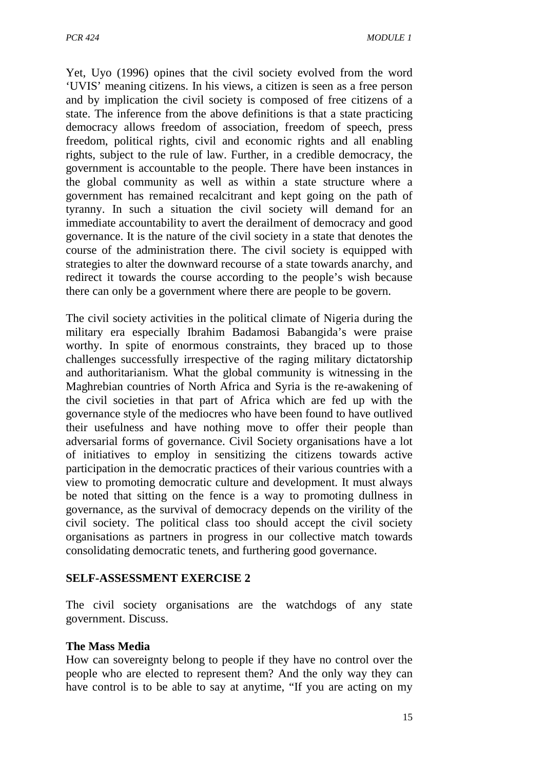Yet, Uyo (1996) opines that the civil society evolved from the word 'UVIS' meaning citizens. In his views, a citizen is seen as a free person and by implication the civil society is composed of free citizens of a state. The inference from the above definitions is that a state practicing democracy allows freedom of association, freedom of speech, press freedom, political rights, civil and economic rights and all enabling rights, subject to the rule of law. Further, in a credible democracy, the government is accountable to the people. There have been instances in the global community as well as within a state structure where a government has remained recalcitrant and kept going on the path of tyranny. In such a situation the civil society will demand for an immediate accountability to avert the derailment of democracy and good governance. It is the nature of the civil society in a state that denotes the course of the administration there. The civil society is equipped with strategies to alter the downward recourse of a state towards anarchy, and redirect it towards the course according to the people's wish because there can only be a government where there are people to be govern.

The civil society activities in the political climate of Nigeria during the military era especially Ibrahim Badamosi Babangida's were praise worthy. In spite of enormous constraints, they braced up to those challenges successfully irrespective of the raging military dictatorship and authoritarianism. What the global community is witnessing in the Maghrebian countries of North Africa and Syria is the re-awakening of the civil societies in that part of Africa which are fed up with the governance style of the mediocres who have been found to have outlived their usefulness and have nothing move to offer their people than adversarial forms of governance. Civil Society organisations have a lot of initiatives to employ in sensitizing the citizens towards active participation in the democratic practices of their various countries with a view to promoting democratic culture and development. It must always be noted that sitting on the fence is a way to promoting dullness in governance, as the survival of democracy depends on the virility of the civil society. The political class too should accept the civil society organisations as partners in progress in our collective match towards consolidating democratic tenets, and furthering good governance.

#### **SELF-ASSESSMENT EXERCISE 2**

The civil society organisations are the watchdogs of any state government. Discuss.

#### **The Mass Media**

How can sovereignty belong to people if they have no control over the people who are elected to represent them? And the only way they can have control is to be able to say at anytime, "If you are acting on my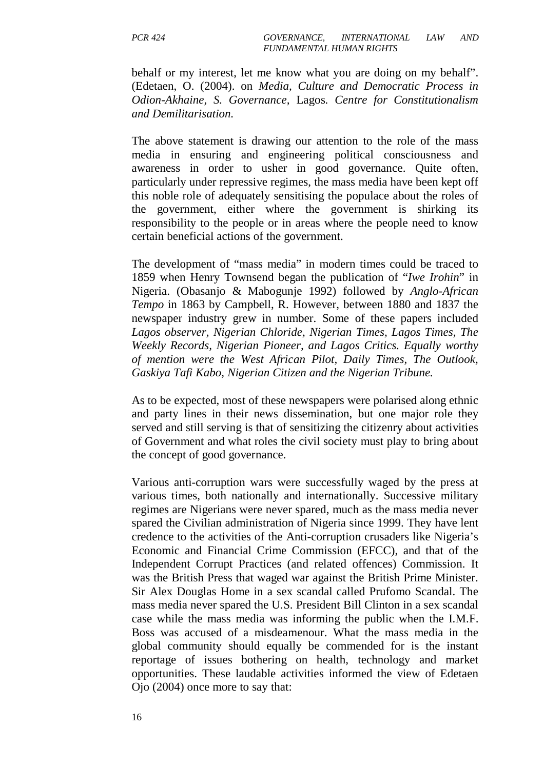behalf or my interest, let me know what you are doing on my behalf". (Edetaen, O. (2004). on *Media, Culture and Democratic Process in Odion-Akhaine, S. Governance,* Lagos*. Centre for Constitutionalism and Demilitarisation.*

The above statement is drawing our attention to the role of the mass media in ensuring and engineering political consciousness and awareness in order to usher in good governance. Quite often, particularly under repressive regimes, the mass media have been kept off this noble role of adequately sensitising the populace about the roles of the government, either where the government is shirking its responsibility to the people or in areas where the people need to know certain beneficial actions of the government.

The development of "mass media" in modern times could be traced to 1859 when Henry Townsend began the publication of "*Iwe Irohin*" in Nigeria. (Obasanjo & Mabogunje 1992) followed by *Anglo-African Tempo* in 1863 by Campbell, R. However, between 1880 and 1837 the newspaper industry grew in number. Some of these papers included *Lagos observer, Nigerian Chloride, Nigerian Times, Lagos Times, The Weekly Records, Nigerian Pioneer, and Lagos Critics. Equally worthy of mention were the West African Pilot, Daily Times, The Outlook, Gaskiya Tafi Kabo, Nigerian Citizen and the Nigerian Tribune.*

As to be expected, most of these newspapers were polarised along ethnic and party lines in their news dissemination, but one major role they served and still serving is that of sensitizing the citizenry about activities of Government and what roles the civil society must play to bring about the concept of good governance.

Various anti-corruption wars were successfully waged by the press at various times, both nationally and internationally. Successive military regimes are Nigerians were never spared, much as the mass media never spared the Civilian administration of Nigeria since 1999. They have lent credence to the activities of the Anti-corruption crusaders like Nigeria's Economic and Financial Crime Commission (EFCC), and that of the Independent Corrupt Practices (and related offences) Commission. It was the British Press that waged war against the British Prime Minister. Sir Alex Douglas Home in a sex scandal called Prufomo Scandal. The mass media never spared the U.S. President Bill Clinton in a sex scandal case while the mass media was informing the public when the I.M.F. Boss was accused of a misdeamenour. What the mass media in the global community should equally be commended for is the instant reportage of issues bothering on health, technology and market opportunities. These laudable activities informed the view of Edetaen Ojo (2004) once more to say that: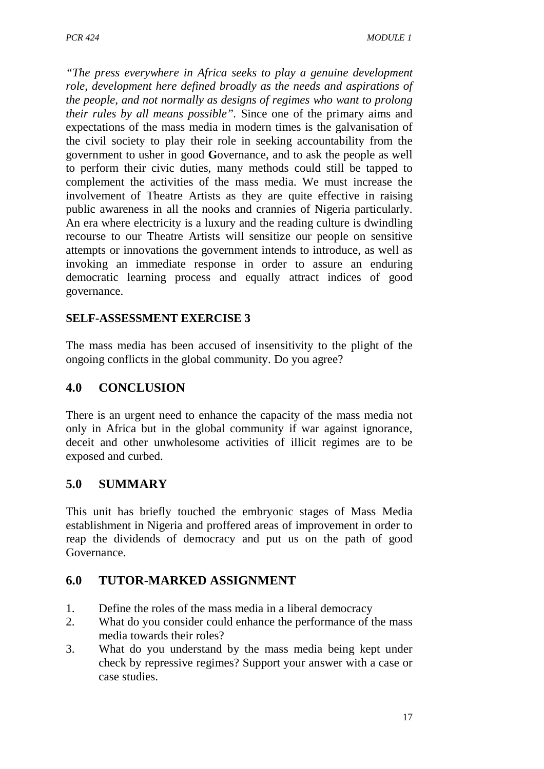*"The press everywhere in Africa seeks to play a genuine development role, development here defined broadly as the needs and aspirations of the people, and not normally as designs of regimes who want to prolong their rules by all means possible".* Since one of the primary aims and expectations of the mass media in modern times is the galvanisation of the civil society to play their role in seeking accountability from the government to usher in good **G**overnance, and to ask the people as well to perform their civic duties, many methods could still be tapped to complement the activities of the mass media. We must increase the involvement of Theatre Artists as they are quite effective in raising public awareness in all the nooks and crannies of Nigeria particularly. An era where electricity is a luxury and the reading culture is dwindling recourse to our Theatre Artists will sensitize our people on sensitive attempts or innovations the government intends to introduce, as well as invoking an immediate response in order to assure an enduring democratic learning process and equally attract indices of good governance.

# **SELF-ASSESSMENT EXERCISE 3**

The mass media has been accused of insensitivity to the plight of the ongoing conflicts in the global community. Do you agree?

# **4.0 CONCLUSION**

There is an urgent need to enhance the capacity of the mass media not only in Africa but in the global community if war against ignorance, deceit and other unwholesome activities of illicit regimes are to be exposed and curbed.

# **5.0 SUMMARY**

This unit has briefly touched the embryonic stages of Mass Media establishment in Nigeria and proffered areas of improvement in order to reap the dividends of democracy and put us on the path of good Governance.

# **6.0 TUTOR-MARKED ASSIGNMENT**

- 1. Define the roles of the mass media in a liberal democracy
- 2. What do you consider could enhance the performance of the mass media towards their roles?
- 3. What do you understand by the mass media being kept under check by repressive regimes? Support your answer with a case or case studies.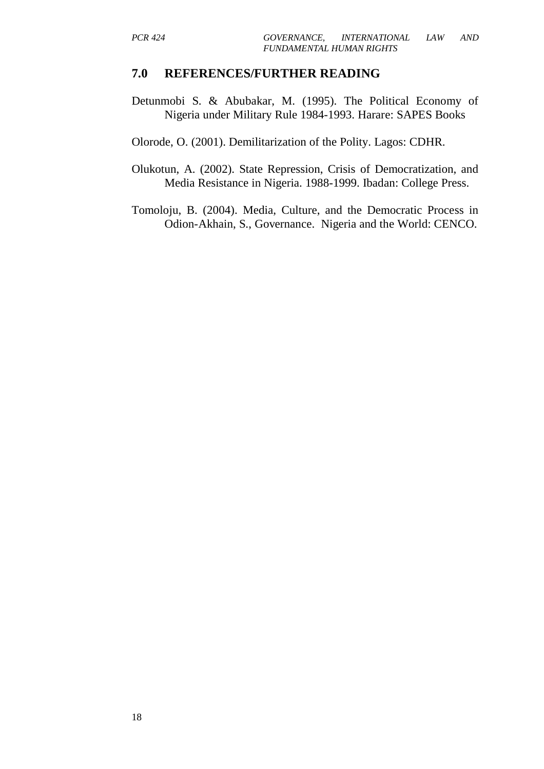#### **7.0 REFERENCES/FURTHER READING**

Detunmobi S. & Abubakar, M. (1995). The Political Economy of Nigeria under Military Rule 1984-1993. Harare: SAPES Books

Olorode, O. (2001). Demilitarization of the Polity. Lagos: CDHR.

- Olukotun, A. (2002). State Repression, Crisis of Democratization, and Media Resistance in Nigeria. 1988-1999. Ibadan: College Press.
- Tomoloju, B. (2004). Media, Culture, and the Democratic Process in Odion-Akhain, S., Governance. Nigeria and the World: CENCO.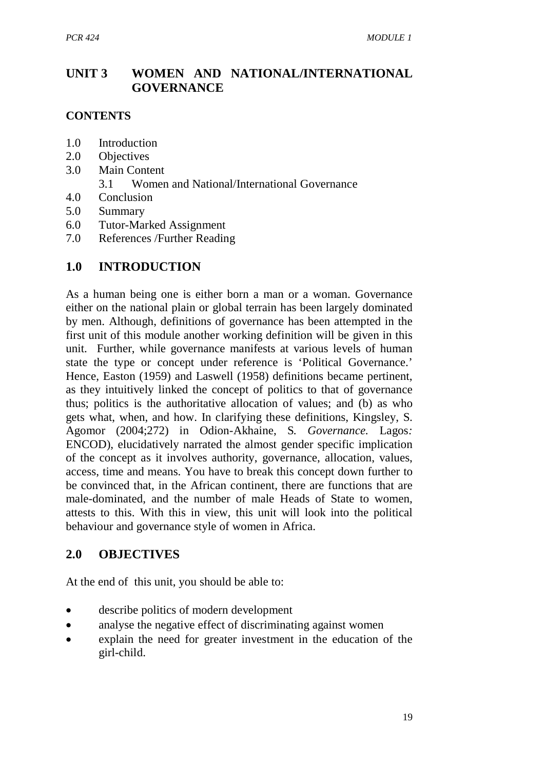# **UNIT 3 WOMEN AND NATIONAL/INTERNATIONAL GOVERNANCE**

# **CONTENTS**

- 1.0 Introduction
- 2.0 Objectives
- 3.0 Main Content
	- 3.1 Women and National/International Governance
- 4.0 Conclusion
- 5.0 Summary
- 6.0 Tutor-Marked Assignment
- 7.0 References /Further Reading

# **1.0 INTRODUCTION**

As a human being one is either born a man or a woman. Governance either on the national plain or global terrain has been largely dominated by men. Although, definitions of governance has been attempted in the first unit of this module another working definition will be given in this unit. Further, while governance manifests at various levels of human state the type or concept under reference is 'Political Governance.' Hence, Easton (1959) and Laswell (1958) definitions became pertinent, as they intuitively linked the concept of politics to that of governance thus; politics is the authoritative allocation of values; and (b) as who gets what, when, and how. In clarifying these definitions, Kingsley, S. Agomor (2004;272) in Odion-Akhaine, S*. Governance.* Lagos*:* ENCOD), elucidatively narrated the almost gender specific implication of the concept as it involves authority, governance, allocation, values, access, time and means. You have to break this concept down further to be convinced that, in the African continent, there are functions that are male-dominated, and the number of male Heads of State to women, attests to this. With this in view, this unit will look into the political behaviour and governance style of women in Africa.

# **2.0 OBJECTIVES**

At the end of this unit, you should be able to:

- describe politics of modern development
- analyse the negative effect of discriminating against women
- explain the need for greater investment in the education of the girl-child.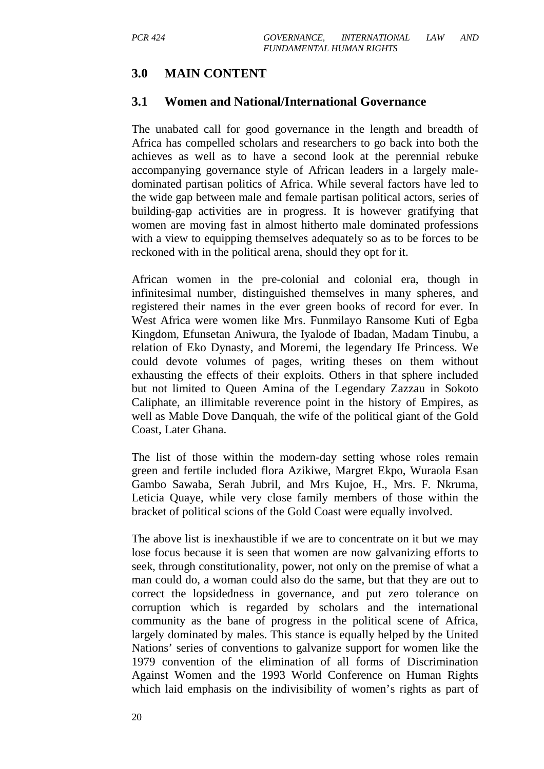# **3.0 MAIN CONTENT**

#### **3.1 Women and National/International Governance**

The unabated call for good governance in the length and breadth of Africa has compelled scholars and researchers to go back into both the achieves as well as to have a second look at the perennial rebuke accompanying governance style of African leaders in a largely maledominated partisan politics of Africa. While several factors have led to the wide gap between male and female partisan political actors, series of building-gap activities are in progress. It is however gratifying that women are moving fast in almost hitherto male dominated professions with a view to equipping themselves adequately so as to be forces to be reckoned with in the political arena, should they opt for it.

African women in the pre-colonial and colonial era, though in infinitesimal number, distinguished themselves in many spheres, and registered their names in the ever green books of record for ever. In West Africa were women like Mrs. Funmilayo Ransome Kuti of Egba Kingdom, Efunsetan Aniwura, the Iyalode of Ibadan, Madam Tinubu, a relation of Eko Dynasty, and Moremi, the legendary Ife Princess. We could devote volumes of pages, writing theses on them without exhausting the effects of their exploits. Others in that sphere included but not limited to Queen Amina of the Legendary Zazzau in Sokoto Caliphate, an illimitable reverence point in the history of Empires, as well as Mable Dove Danquah, the wife of the political giant of the Gold Coast, Later Ghana.

The list of those within the modern-day setting whose roles remain green and fertile included flora Azikiwe, Margret Ekpo, Wuraola Esan Gambo Sawaba, Serah Jubril, and Mrs Kujoe, H., Mrs. F. Nkruma, Leticia Quaye, while very close family members of those within the bracket of political scions of the Gold Coast were equally involved.

The above list is inexhaustible if we are to concentrate on it but we may lose focus because it is seen that women are now galvanizing efforts to seek, through constitutionality, power, not only on the premise of what a man could do, a woman could also do the same, but that they are out to correct the lopsidedness in governance, and put zero tolerance on corruption which is regarded by scholars and the international community as the bane of progress in the political scene of Africa, largely dominated by males. This stance is equally helped by the United Nations' series of conventions to galvanize support for women like the 1979 convention of the elimination of all forms of Discrimination Against Women and the 1993 World Conference on Human Rights which laid emphasis on the indivisibility of women's rights as part of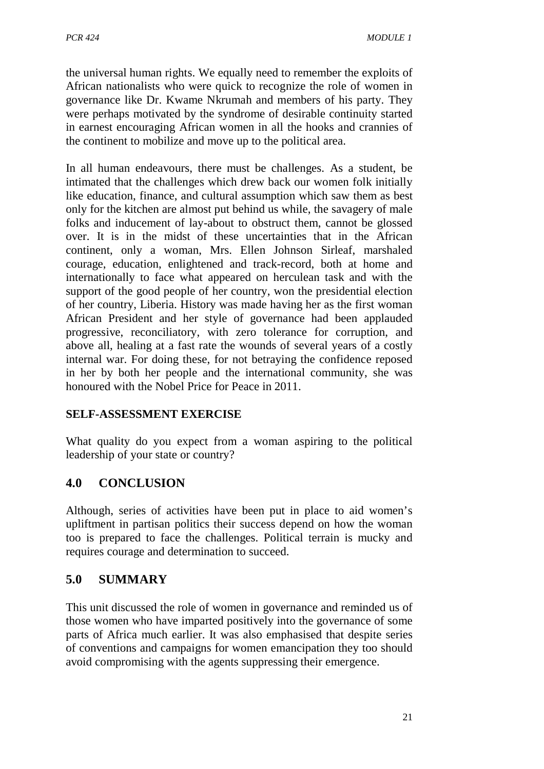the universal human rights. We equally need to remember the exploits of African nationalists who were quick to recognize the role of women in governance like Dr. Kwame Nkrumah and members of his party. They were perhaps motivated by the syndrome of desirable continuity started in earnest encouraging African women in all the hooks and crannies of the continent to mobilize and move up to the political area.

In all human endeavours, there must be challenges. As a student, be intimated that the challenges which drew back our women folk initially like education, finance, and cultural assumption which saw them as best only for the kitchen are almost put behind us while, the savagery of male folks and inducement of lay-about to obstruct them, cannot be glossed over. It is in the midst of these uncertainties that in the African continent, only a woman, Mrs. Ellen Johnson Sirleaf, marshaled courage, education, enlightened and track-record, both at home and internationally to face what appeared on herculean task and with the support of the good people of her country, won the presidential election of her country, Liberia. History was made having her as the first woman African President and her style of governance had been applauded progressive, reconciliatory, with zero tolerance for corruption, and above all, healing at a fast rate the wounds of several years of a costly internal war. For doing these, for not betraying the confidence reposed in her by both her people and the international community, she was honoured with the Nobel Price for Peace in 2011.

# **SELF-ASSESSMENT EXERCISE**

What quality do you expect from a woman aspiring to the political leadership of your state or country?

# **4.0 CONCLUSION**

Although, series of activities have been put in place to aid women's upliftment in partisan politics their success depend on how the woman too is prepared to face the challenges. Political terrain is mucky and requires courage and determination to succeed.

# **5.0 SUMMARY**

This unit discussed the role of women in governance and reminded us of those women who have imparted positively into the governance of some parts of Africa much earlier. It was also emphasised that despite series of conventions and campaigns for women emancipation they too should avoid compromising with the agents suppressing their emergence.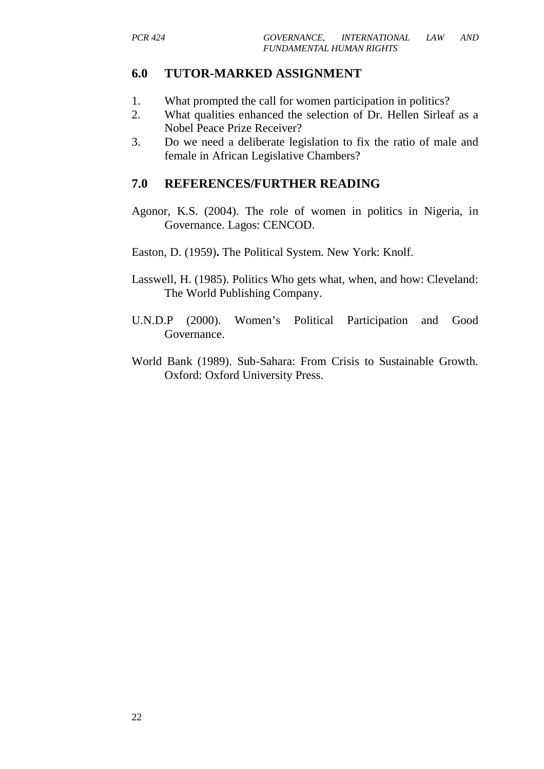#### **6.0 TUTOR-MARKED ASSIGNMENT**

- 1. What prompted the call for women participation in politics?
- 2. What qualities enhanced the selection of Dr. Hellen Sirleaf as a Nobel Peace Prize Receiver?
- 3. Do we need a deliberate legislation to fix the ratio of male and female in African Legislative Chambers?

### **7.0 REFERENCES/FURTHER READING**

- Agonor, K.S. (2004). The role of women in politics in Nigeria, in Governance. Lagos: CENCOD.
- Easton, D. (1959)**.** The Political System. New York: Knolf.
- Lasswell, H. (1985). Politics Who gets what, when, and how: Cleveland: The World Publishing Company.
- U.N.D.P (2000). Women's Political Participation and Good Governance.
- World Bank (1989). Sub-Sahara: From Crisis to Sustainable Growth. Oxford: Oxford University Press.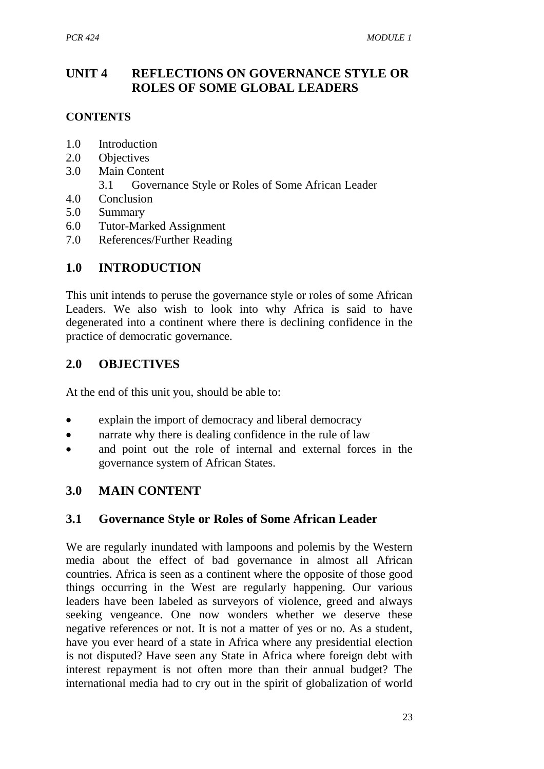# **UNIT 4 REFLECTIONS ON GOVERNANCE STYLE OR ROLES OF SOME GLOBAL LEADERS**

# **CONTENTS**

- 1.0 Introduction
- 2.0 Objectives
- 3.0 Main Content
	- 3.1 Governance Style or Roles of Some African Leader
- 4.0 Conclusion
- 5.0 Summary
- 6.0 Tutor-Marked Assignment
- 7.0 References/Further Reading

# **1.0 INTRODUCTION**

This unit intends to peruse the governance style or roles of some African Leaders. We also wish to look into why Africa is said to have degenerated into a continent where there is declining confidence in the practice of democratic governance.

# **2.0 OBJECTIVES**

At the end of this unit you, should be able to:

- explain the import of democracy and liberal democracy
- narrate why there is dealing confidence in the rule of law
- and point out the role of internal and external forces in the governance system of African States.

# **3.0 MAIN CONTENT**

# **3.1 Governance Style or Roles of Some African Leader**

We are regularly inundated with lampoons and polemis by the Western media about the effect of bad governance in almost all African countries. Africa is seen as a continent where the opposite of those good things occurring in the West are regularly happening. Our various leaders have been labeled as surveyors of violence, greed and always seeking vengeance. One now wonders whether we deserve these negative references or not. It is not a matter of yes or no. As a student, have you ever heard of a state in Africa where any presidential election is not disputed? Have seen any State in Africa where foreign debt with interest repayment is not often more than their annual budget? The international media had to cry out in the spirit of globalization of world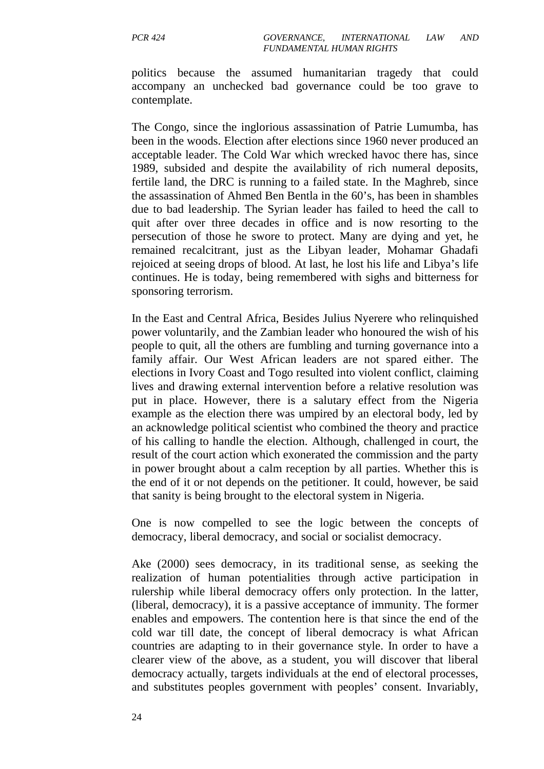politics because the assumed humanitarian tragedy that could accompany an unchecked bad governance could be too grave to contemplate.

The Congo, since the inglorious assassination of Patrie Lumumba, has been in the woods. Election after elections since 1960 never produced an acceptable leader. The Cold War which wrecked havoc there has, since 1989, subsided and despite the availability of rich numeral deposits, fertile land, the DRC is running to a failed state. In the Maghreb, since the assassination of Ahmed Ben Bentla in the 60's, has been in shambles due to bad leadership. The Syrian leader has failed to heed the call to quit after over three decades in office and is now resorting to the persecution of those he swore to protect. Many are dying and yet, he remained recalcitrant, just as the Libyan leader, Mohamar Ghadafi rejoiced at seeing drops of blood. At last, he lost his life and Libya's life continues. He is today, being remembered with sighs and bitterness for sponsoring terrorism.

In the East and Central Africa, Besides Julius Nyerere who relinquished power voluntarily, and the Zambian leader who honoured the wish of his people to quit, all the others are fumbling and turning governance into a family affair. Our West African leaders are not spared either. The elections in Ivory Coast and Togo resulted into violent conflict, claiming lives and drawing external intervention before a relative resolution was put in place. However, there is a salutary effect from the Nigeria example as the election there was umpired by an electoral body, led by an acknowledge political scientist who combined the theory and practice of his calling to handle the election. Although, challenged in court, the result of the court action which exonerated the commission and the party in power brought about a calm reception by all parties. Whether this is the end of it or not depends on the petitioner. It could, however, be said that sanity is being brought to the electoral system in Nigeria.

One is now compelled to see the logic between the concepts of democracy, liberal democracy, and social or socialist democracy.

Ake (2000) sees democracy, in its traditional sense, as seeking the realization of human potentialities through active participation in rulership while liberal democracy offers only protection. In the latter, (liberal, democracy), it is a passive acceptance of immunity. The former enables and empowers. The contention here is that since the end of the cold war till date, the concept of liberal democracy is what African countries are adapting to in their governance style. In order to have a clearer view of the above, as a student, you will discover that liberal democracy actually, targets individuals at the end of electoral processes, and substitutes peoples government with peoples' consent. Invariably,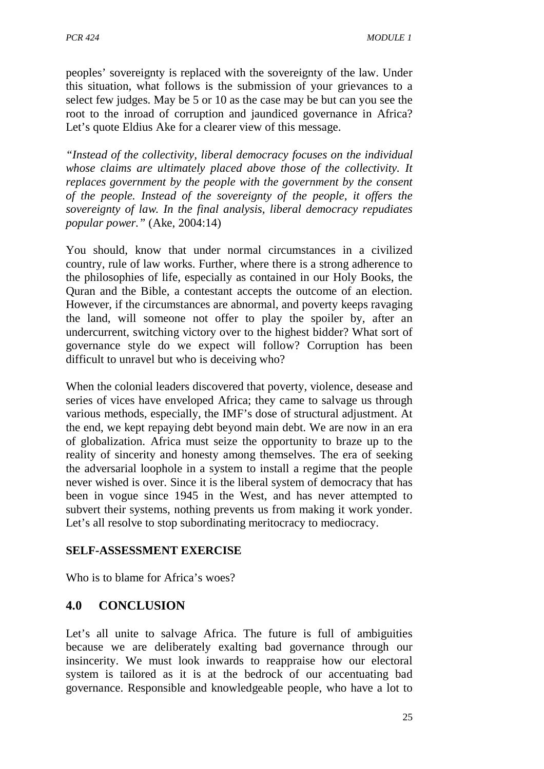peoples' sovereignty is replaced with the sovereignty of the law. Under this situation, what follows is the submission of your grievances to a select few judges. May be 5 or 10 as the case may be but can you see the root to the inroad of corruption and jaundiced governance in Africa? Let's quote Eldius Ake for a clearer view of this message.

*"Instead of the collectivity, liberal democracy focuses on the individual whose claims are ultimately placed above those of the collectivity. It replaces government by the people with the government by the consent of the people. Instead of the sovereignty of the people, it offers the sovereignty of law. In the final analysis, liberal democracy repudiates popular power."* (Ake, 2004:14)

You should, know that under normal circumstances in a civilized country, rule of law works. Further, where there is a strong adherence to the philosophies of life, especially as contained in our Holy Books, the Quran and the Bible, a contestant accepts the outcome of an election. However, if the circumstances are abnormal, and poverty keeps ravaging the land, will someone not offer to play the spoiler by, after an undercurrent, switching victory over to the highest bidder? What sort of governance style do we expect will follow? Corruption has been difficult to unravel but who is deceiving who?

When the colonial leaders discovered that poverty, violence, desease and series of vices have enveloped Africa; they came to salvage us through various methods, especially, the IMF's dose of structural adjustment. At the end, we kept repaying debt beyond main debt. We are now in an era of globalization. Africa must seize the opportunity to braze up to the reality of sincerity and honesty among themselves. The era of seeking the adversarial loophole in a system to install a regime that the people never wished is over. Since it is the liberal system of democracy that has been in vogue since 1945 in the West, and has never attempted to subvert their systems, nothing prevents us from making it work yonder. Let's all resolve to stop subordinating meritocracy to mediocracy.

#### **SELF-ASSESSMENT EXERCISE**

Who is to blame for Africa's woes?

# **4.0 CONCLUSION**

Let's all unite to salvage Africa. The future is full of ambiguities because we are deliberately exalting bad governance through our insincerity. We must look inwards to reappraise how our electoral system is tailored as it is at the bedrock of our accentuating bad governance. Responsible and knowledgeable people, who have a lot to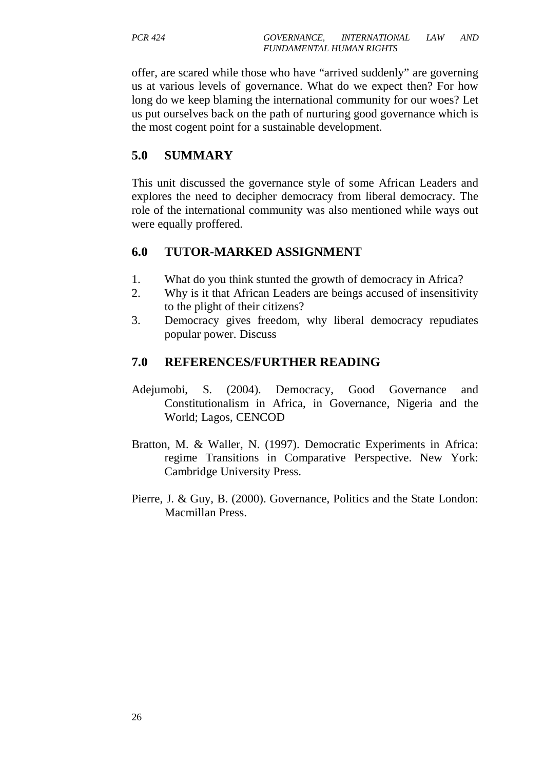offer, are scared while those who have "arrived suddenly" are governing us at various levels of governance. What do we expect then? For how long do we keep blaming the international community for our woes? Let us put ourselves back on the path of nurturing good governance which is the most cogent point for a sustainable development.

# **5.0 SUMMARY**

This unit discussed the governance style of some African Leaders and explores the need to decipher democracy from liberal democracy. The role of the international community was also mentioned while ways out were equally proffered.

# **6.0 TUTOR-MARKED ASSIGNMENT**

- 1. What do you think stunted the growth of democracy in Africa?
- 2. Why is it that African Leaders are beings accused of insensitivity to the plight of their citizens?
- 3. Democracy gives freedom, why liberal democracy repudiates popular power. Discuss

# **7.0 REFERENCES/FURTHER READING**

- Adejumobi, S. (2004). Democracy, Good Governance and Constitutionalism in Africa, in Governance, Nigeria and the World; Lagos, CENCOD
- Bratton, M. & Waller, N. (1997). Democratic Experiments in Africa: regime Transitions in Comparative Perspective. New York: Cambridge University Press.
- Pierre, J. & Guy, B. (2000). Governance, Politics and the State London: Macmillan Press.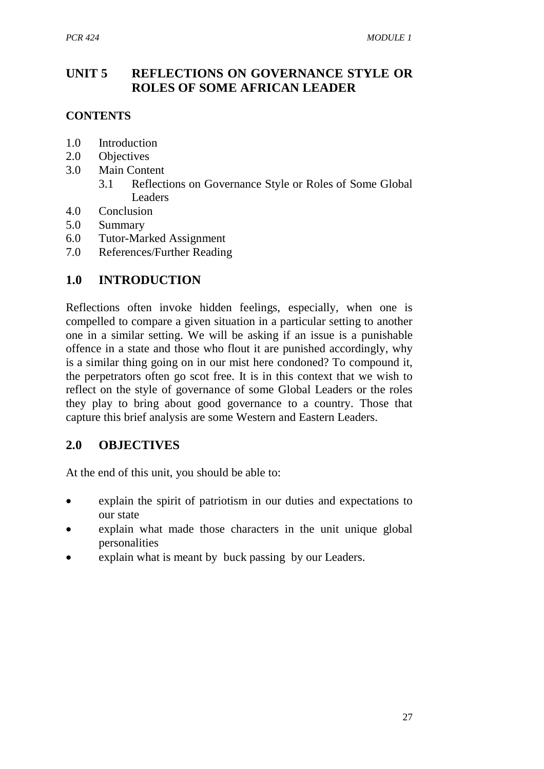# **UNIT 5 REFLECTIONS ON GOVERNANCE STYLE OR ROLES OF SOME AFRICAN LEADER**

# **CONTENTS**

- 1.0 Introduction
- 2.0 Objectives
- 3.0 Main Content
	- 3.1 Reflections on Governance Style or Roles of Some Global Leaders
- 4.0 Conclusion
- 5.0 Summary
- 6.0 Tutor-Marked Assignment
- 7.0 References/Further Reading

# **1.0 INTRODUCTION**

Reflections often invoke hidden feelings, especially, when one is compelled to compare a given situation in a particular setting to another one in a similar setting. We will be asking if an issue is a punishable offence in a state and those who flout it are punished accordingly, why is a similar thing going on in our mist here condoned? To compound it, the perpetrators often go scot free. It is in this context that we wish to reflect on the style of governance of some Global Leaders or the roles they play to bring about good governance to a country. Those that capture this brief analysis are some Western and Eastern Leaders.

# **2.0 OBJECTIVES**

At the end of this unit, you should be able to:

- explain the spirit of patriotism in our duties and expectations to our state
- explain what made those characters in the unit unique global personalities
- explain what is meant by buck passing by our Leaders.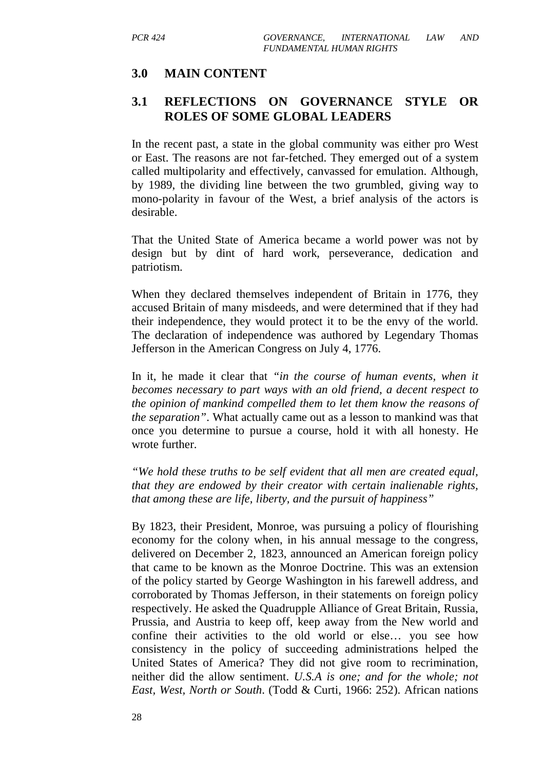# **3.0 MAIN CONTENT**

# **3.1 REFLECTIONS ON GOVERNANCE STYLE OR ROLES OF SOME GLOBAL LEADERS**

In the recent past, a state in the global community was either pro West or East. The reasons are not far-fetched. They emerged out of a system called multipolarity and effectively, canvassed for emulation. Although, by 1989, the dividing line between the two grumbled, giving way to mono-polarity in favour of the West, a brief analysis of the actors is desirable.

That the United State of America became a world power was not by design but by dint of hard work, perseverance, dedication and patriotism.

When they declared themselves independent of Britain in 1776, they accused Britain of many misdeeds, and were determined that if they had their independence, they would protect it to be the envy of the world. The declaration of independence was authored by Legendary Thomas Jefferson in the American Congress on July 4, 1776.

In it, he made it clear that *"in the course of human events, when it becomes necessary to part ways with an old friend, a decent respect to the opinion of mankind compelled them to let them know the reasons of the separation"*. What actually came out as a lesson to mankind was that once you determine to pursue a course, hold it with all honesty. He wrote further.

*"We hold these truths to be self evident that all men are created equal, that they are endowed by their creator with certain inalienable rights, that among these are life, liberty, and the pursuit of happiness"* 

By 1823, their President, Monroe, was pursuing a policy of flourishing economy for the colony when, in his annual message to the congress, delivered on December 2, 1823, announced an American foreign policy that came to be known as the Monroe Doctrine. This was an extension of the policy started by George Washington in his farewell address, and corroborated by Thomas Jefferson, in their statements on foreign policy respectively. He asked the Quadrupple Alliance of Great Britain, Russia, Prussia, and Austria to keep off, keep away from the New world and confine their activities to the old world or else… you see how consistency in the policy of succeeding administrations helped the United States of America? They did not give room to recrimination, neither did the allow sentiment. *U.S.A is one; and for the whole; not East, West, North or South*. (Todd & Curti, 1966: 252). African nations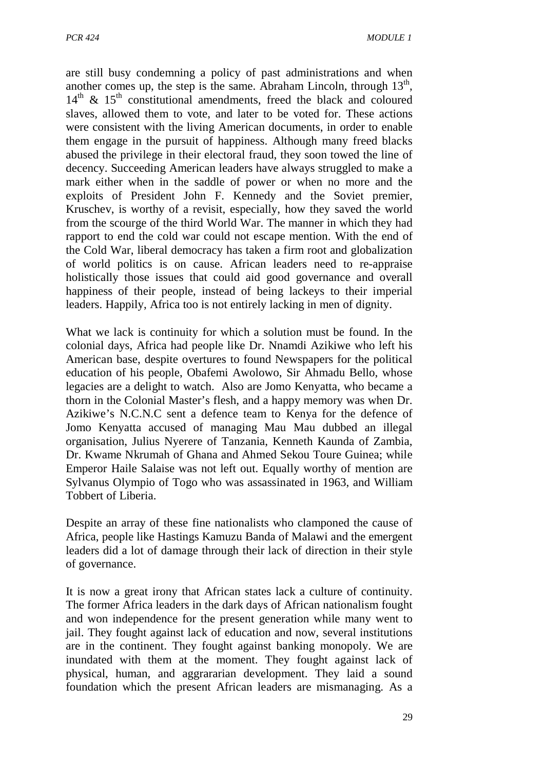are still busy condemning a policy of past administrations and when another comes up, the step is the same. Abraham Lincoln, through  $13<sup>th</sup>$ ,  $14<sup>th</sup>$  &  $15<sup>th</sup>$  constitutional amendments, freed the black and coloured slaves, allowed them to vote, and later to be voted for. These actions were consistent with the living American documents, in order to enable them engage in the pursuit of happiness. Although many freed blacks abused the privilege in their electoral fraud, they soon towed the line of decency. Succeeding American leaders have always struggled to make a mark either when in the saddle of power or when no more and the exploits of President John F. Kennedy and the Soviet premier, Kruschev, is worthy of a revisit, especially, how they saved the world from the scourge of the third World War. The manner in which they had rapport to end the cold war could not escape mention. With the end of the Cold War, liberal democracy has taken a firm root and globalization of world politics is on cause. African leaders need to re-appraise holistically those issues that could aid good governance and overall happiness of their people, instead of being lackeys to their imperial leaders. Happily, Africa too is not entirely lacking in men of dignity.

What we lack is continuity for which a solution must be found. In the colonial days, Africa had people like Dr. Nnamdi Azikiwe who left his American base, despite overtures to found Newspapers for the political education of his people, Obafemi Awolowo, Sir Ahmadu Bello, whose legacies are a delight to watch. Also are Jomo Kenyatta, who became a thorn in the Colonial Master's flesh, and a happy memory was when Dr. Azikiwe's N.C.N.C sent a defence team to Kenya for the defence of Jomo Kenyatta accused of managing Mau Mau dubbed an illegal organisation, Julius Nyerere of Tanzania, Kenneth Kaunda of Zambia, Dr. Kwame Nkrumah of Ghana and Ahmed Sekou Toure Guinea; while Emperor Haile Salaise was not left out. Equally worthy of mention are Sylvanus Olympio of Togo who was assassinated in 1963, and William Tobbert of Liberia.

Despite an array of these fine nationalists who clamponed the cause of Africa, people like Hastings Kamuzu Banda of Malawi and the emergent leaders did a lot of damage through their lack of direction in their style of governance.

It is now a great irony that African states lack a culture of continuity. The former Africa leaders in the dark days of African nationalism fought and won independence for the present generation while many went to jail. They fought against lack of education and now, several institutions are in the continent. They fought against banking monopoly. We are inundated with them at the moment. They fought against lack of physical, human, and aggrararian development. They laid a sound foundation which the present African leaders are mismanaging. As a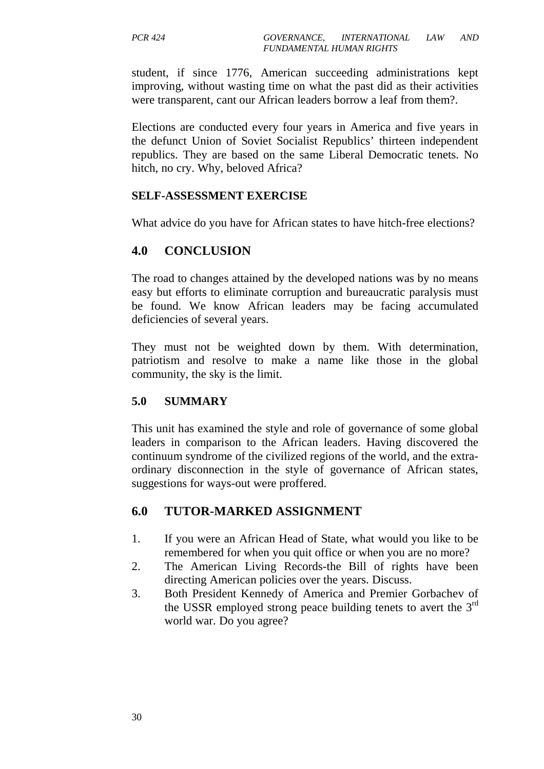student, if since 1776, American succeeding administrations kept improving, without wasting time on what the past did as their activities were transparent, cant our African leaders borrow a leaf from them?.

Elections are conducted every four years in America and five years in the defunct Union of Soviet Socialist Republics' thirteen independent republics. They are based on the same Liberal Democratic tenets. No hitch, no cry. Why, beloved Africa?

#### **SELF-ASSESSMENT EXERCISE**

What advice do you have for African states to have hitch-free elections?

# **4.0 CONCLUSION**

The road to changes attained by the developed nations was by no means easy but efforts to eliminate corruption and bureaucratic paralysis must be found. We know African leaders may be facing accumulated deficiencies of several years.

They must not be weighted down by them. With determination, patriotism and resolve to make a name like those in the global community, the sky is the limit.

#### **5.0 SUMMARY**

This unit has examined the style and role of governance of some global leaders in comparison to the African leaders. Having discovered the continuum syndrome of the civilized regions of the world, and the extraordinary disconnection in the style of governance of African states, suggestions for ways-out were proffered.

# **6.0 TUTOR-MARKED ASSIGNMENT**

- 1. If you were an African Head of State, what would you like to be remembered for when you quit office or when you are no more?
- 2. The American Living Records-the Bill of rights have been directing American policies over the years. Discuss.
- 3. Both President Kennedy of America and Premier Gorbachev of the USSR employed strong peace building tenets to avert the  $3<sup>rd</sup>$ world war. Do you agree?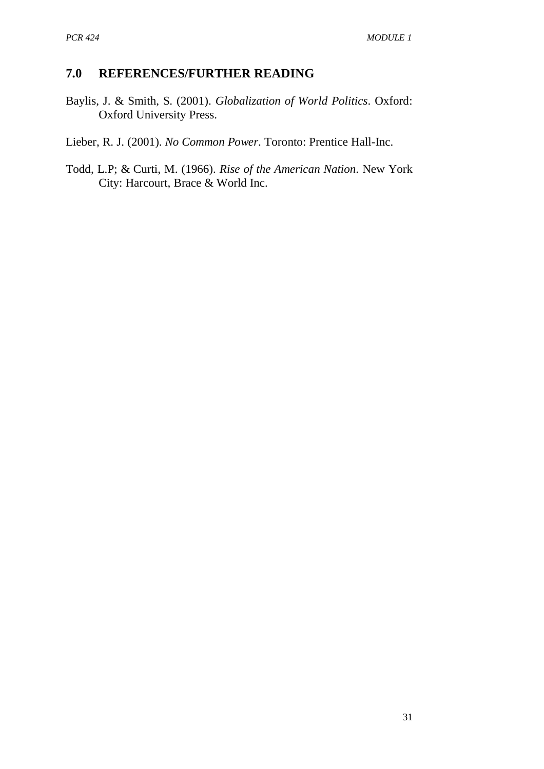# **7.0 REFERENCES/FURTHER READING**

- Baylis, J. & Smith, S. (2001). *Globalization of World Politics*. Oxford: Oxford University Press.
- Lieber, R. J. (2001). *No Common Power*. Toronto: Prentice Hall-Inc.
- Todd, L.P; & Curti, M. (1966). *Rise of the American Nation*. New York City: Harcourt, Brace & World Inc.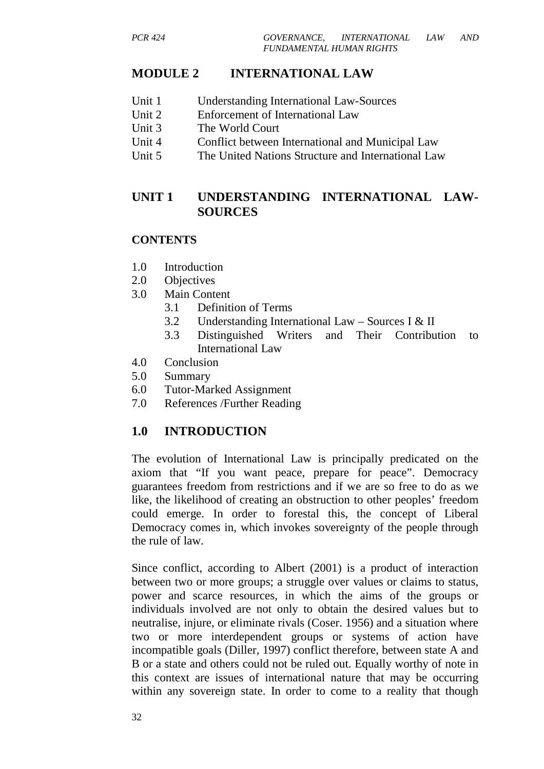# **MODULE 2 INTERNATIONAL LAW**

- Unit 1 Understanding International Law-Sources
- Unit 2 Enforcement of International Law
- Unit 3 The World Court
- Unit 4 Conflict between International and Municipal Law
- Unit 5 The United Nations Structure and International Law

# **UNIT 1 UNDERSTANDING INTERNATIONAL LAW-SOURCES**

#### **CONTENTS**

- 1.0 Introduction
- 2.0 Objectives
- 3.0 Main Content
	- 3.1 Definition of Terms
	- 3.2 Understanding International Law Sources I & II
	- 3.3 Distinguished Writers and Their Contribution to International Law
- 4.0 Conclusion
- 5.0 Summary
- 6.0 Tutor-Marked Assignment
- 7.0 References /Further Reading

# **1.0 INTRODUCTION**

The evolution of International Law is principally predicated on the axiom that "If you want peace, prepare for peace". Democracy guarantees freedom from restrictions and if we are so free to do as we like, the likelihood of creating an obstruction to other peoples' freedom could emerge. In order to forestal this, the concept of Liberal Democracy comes in, which invokes sovereignty of the people through the rule of law.

Since conflict, according to Albert (2001) is a product of interaction between two or more groups; a struggle over values or claims to status, power and scarce resources, in which the aims of the groups or individuals involved are not only to obtain the desired values but to neutralise, injure, or eliminate rivals (Coser. 1956) and a situation where two or more interdependent groups or systems of action have incompatible goals (Diller, 1997) conflict therefore, between state A and B or a state and others could not be ruled out. Equally worthy of note in this context are issues of international nature that may be occurring within any sovereign state. In order to come to a reality that though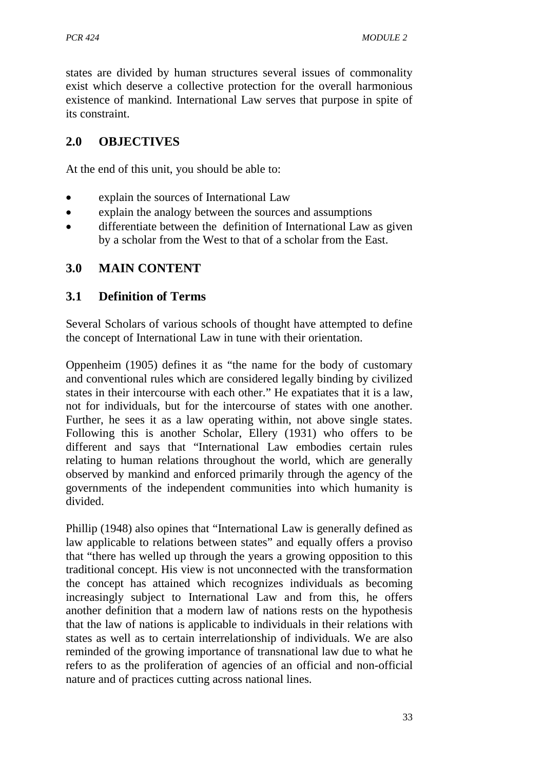states are divided by human structures several issues of commonality exist which deserve a collective protection for the overall harmonious existence of mankind. International Law serves that purpose in spite of its constraint.

# **2.0 OBJECTIVES**

At the end of this unit, you should be able to:

- explain the sources of International Law
- explain the analogy between the sources and assumptions
- differentiate between the definition of International Law as given by a scholar from the West to that of a scholar from the East.

# **3.0 MAIN CONTENT**

#### **3.1 Definition of Terms**

Several Scholars of various schools of thought have attempted to define the concept of International Law in tune with their orientation.

Oppenheim (1905) defines it as "the name for the body of customary and conventional rules which are considered legally binding by civilized states in their intercourse with each other." He expatiates that it is a law, not for individuals, but for the intercourse of states with one another. Further, he sees it as a law operating within, not above single states. Following this is another Scholar, Ellery (1931) who offers to be different and says that "International Law embodies certain rules relating to human relations throughout the world, which are generally observed by mankind and enforced primarily through the agency of the governments of the independent communities into which humanity is divided.

Phillip (1948) also opines that "International Law is generally defined as law applicable to relations between states" and equally offers a proviso that "there has welled up through the years a growing opposition to this traditional concept. His view is not unconnected with the transformation the concept has attained which recognizes individuals as becoming increasingly subject to International Law and from this, he offers another definition that a modern law of nations rests on the hypothesis that the law of nations is applicable to individuals in their relations with states as well as to certain interrelationship of individuals. We are also reminded of the growing importance of transnational law due to what he refers to as the proliferation of agencies of an official and non-official nature and of practices cutting across national lines.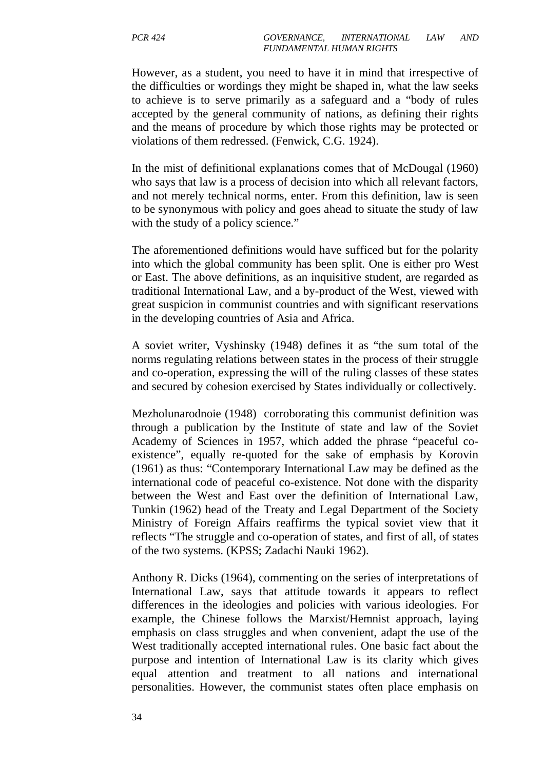However, as a student, you need to have it in mind that irrespective of the difficulties or wordings they might be shaped in, what the law seeks to achieve is to serve primarily as a safeguard and a "body of rules accepted by the general community of nations, as defining their rights and the means of procedure by which those rights may be protected or violations of them redressed. (Fenwick, C.G. 1924).

In the mist of definitional explanations comes that of McDougal (1960) who says that law is a process of decision into which all relevant factors, and not merely technical norms, enter. From this definition, law is seen to be synonymous with policy and goes ahead to situate the study of law with the study of a policy science."

The aforementioned definitions would have sufficed but for the polarity into which the global community has been split. One is either pro West or East. The above definitions, as an inquisitive student, are regarded as traditional International Law, and a by-product of the West, viewed with great suspicion in communist countries and with significant reservations in the developing countries of Asia and Africa.

A soviet writer, Vyshinsky (1948) defines it as "the sum total of the norms regulating relations between states in the process of their struggle and co-operation, expressing the will of the ruling classes of these states and secured by cohesion exercised by States individually or collectively.

Mezholunarodnoie (1948) corroborating this communist definition was through a publication by the Institute of state and law of the Soviet Academy of Sciences in 1957, which added the phrase "peaceful coexistence", equally re-quoted for the sake of emphasis by Korovin (1961) as thus: "Contemporary International Law may be defined as the international code of peaceful co-existence. Not done with the disparity between the West and East over the definition of International Law, Tunkin (1962) head of the Treaty and Legal Department of the Society Ministry of Foreign Affairs reaffirms the typical soviet view that it reflects "The struggle and co-operation of states, and first of all, of states of the two systems. (KPSS; Zadachi Nauki 1962).

Anthony R. Dicks (1964), commenting on the series of interpretations of International Law, says that attitude towards it appears to reflect differences in the ideologies and policies with various ideologies. For example, the Chinese follows the Marxist/Hemnist approach, laying emphasis on class struggles and when convenient, adapt the use of the West traditionally accepted international rules. One basic fact about the purpose and intention of International Law is its clarity which gives equal attention and treatment to all nations and international personalities. However, the communist states often place emphasis on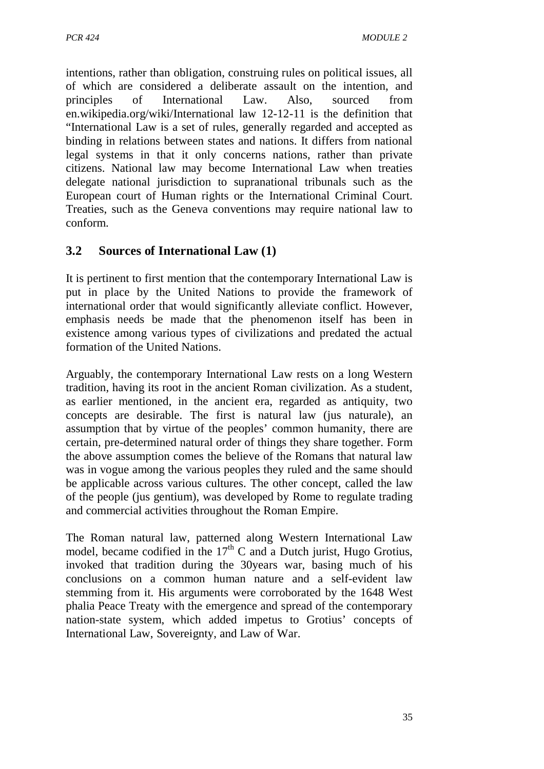intentions, rather than obligation, construing rules on political issues, all of which are considered a deliberate assault on the intention, and principles of International Law. Also, sourced from en.wikipedia.org/wiki/International law 12-12-11 is the definition that "International Law is a set of rules, generally regarded and accepted as binding in relations between states and nations. It differs from national legal systems in that it only concerns nations, rather than private citizens. National law may become International Law when treaties delegate national jurisdiction to supranational tribunals such as the European court of Human rights or the International Criminal Court. Treaties, such as the Geneva conventions may require national law to conform.

## **3.2 Sources of International Law (1)**

It is pertinent to first mention that the contemporary International Law is put in place by the United Nations to provide the framework of international order that would significantly alleviate conflict. However, emphasis needs be made that the phenomenon itself has been in existence among various types of civilizations and predated the actual formation of the United Nations.

Arguably, the contemporary International Law rests on a long Western tradition, having its root in the ancient Roman civilization. As a student, as earlier mentioned, in the ancient era, regarded as antiquity, two concepts are desirable. The first is natural law (jus naturale), an assumption that by virtue of the peoples' common humanity, there are certain, pre-determined natural order of things they share together. Form the above assumption comes the believe of the Romans that natural law was in vogue among the various peoples they ruled and the same should be applicable across various cultures. The other concept, called the law of the people (jus gentium), was developed by Rome to regulate trading and commercial activities throughout the Roman Empire.

The Roman natural law, patterned along Western International Law model, became codified in the  $17<sup>th</sup>$  C and a Dutch jurist, Hugo Grotius, invoked that tradition during the 30years war, basing much of his conclusions on a common human nature and a self-evident law stemming from it. His arguments were corroborated by the 1648 West phalia Peace Treaty with the emergence and spread of the contemporary nation-state system, which added impetus to Grotius' concepts of International Law, Sovereignty, and Law of War.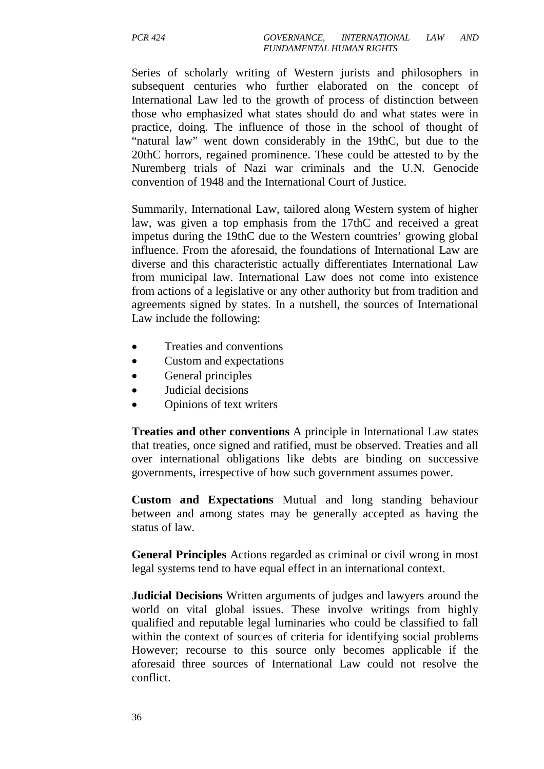Series of scholarly writing of Western jurists and philosophers in subsequent centuries who further elaborated on the concept of International Law led to the growth of process of distinction between those who emphasized what states should do and what states were in practice, doing. The influence of those in the school of thought of "natural law" went down considerably in the 19thC, but due to the 20thC horrors, regained prominence. These could be attested to by the Nuremberg trials of Nazi war criminals and the U.N. Genocide convention of 1948 and the International Court of Justice.

Summarily, International Law, tailored along Western system of higher law, was given a top emphasis from the 17thC and received a great impetus during the 19thC due to the Western countries' growing global influence. From the aforesaid, the foundations of International Law are diverse and this characteristic actually differentiates International Law from municipal law. International Law does not come into existence from actions of a legislative or any other authority but from tradition and agreements signed by states. In a nutshell, the sources of International Law include the following:

- Treaties and conventions
- Custom and expectations
- General principles
- Judicial decisions
- Opinions of text writers

**Treaties and other conventions** A principle in International Law states that treaties, once signed and ratified, must be observed. Treaties and all over international obligations like debts are binding on successive governments, irrespective of how such government assumes power.

**Custom and Expectations** Mutual and long standing behaviour between and among states may be generally accepted as having the status of law.

**General Principles** Actions regarded as criminal or civil wrong in most legal systems tend to have equal effect in an international context.

**Judicial Decisions** Written arguments of judges and lawyers around the world on vital global issues. These involve writings from highly qualified and reputable legal luminaries who could be classified to fall within the context of sources of criteria for identifying social problems However; recourse to this source only becomes applicable if the aforesaid three sources of International Law could not resolve the conflict.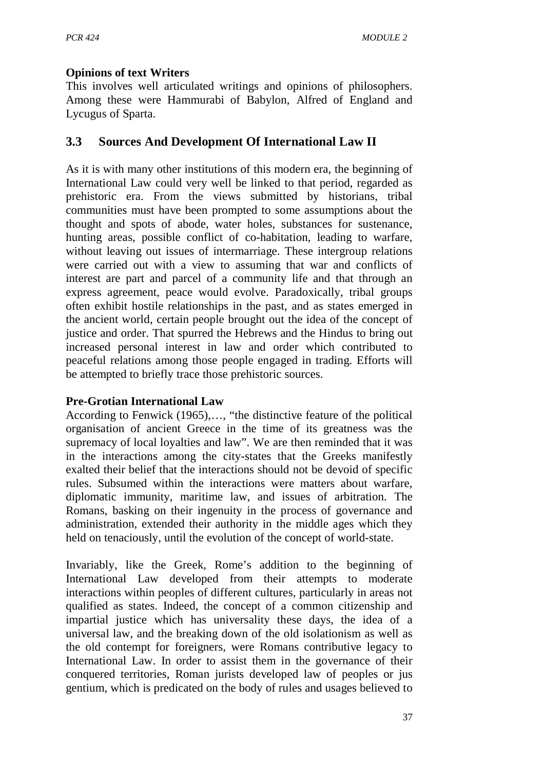#### **Opinions of text Writers**

This involves well articulated writings and opinions of philosophers. Among these were Hammurabi of Babylon, Alfred of England and Lycugus of Sparta.

### **3.3 Sources And Development Of International Law II**

As it is with many other institutions of this modern era, the beginning of International Law could very well be linked to that period, regarded as prehistoric era. From the views submitted by historians, tribal communities must have been prompted to some assumptions about the thought and spots of abode, water holes, substances for sustenance, hunting areas, possible conflict of co-habitation, leading to warfare, without leaving out issues of intermarriage. These intergroup relations were carried out with a view to assuming that war and conflicts of interest are part and parcel of a community life and that through an express agreement, peace would evolve. Paradoxically, tribal groups often exhibit hostile relationships in the past, and as states emerged in the ancient world, certain people brought out the idea of the concept of justice and order. That spurred the Hebrews and the Hindus to bring out increased personal interest in law and order which contributed to peaceful relations among those people engaged in trading. Efforts will be attempted to briefly trace those prehistoric sources.

#### **Pre-Grotian International Law**

According to Fenwick (1965),…, "the distinctive feature of the political organisation of ancient Greece in the time of its greatness was the supremacy of local loyalties and law". We are then reminded that it was in the interactions among the city-states that the Greeks manifestly exalted their belief that the interactions should not be devoid of specific rules. Subsumed within the interactions were matters about warfare, diplomatic immunity, maritime law, and issues of arbitration. The Romans, basking on their ingenuity in the process of governance and administration, extended their authority in the middle ages which they held on tenaciously, until the evolution of the concept of world-state.

Invariably, like the Greek, Rome's addition to the beginning of International Law developed from their attempts to moderate interactions within peoples of different cultures, particularly in areas not qualified as states. Indeed, the concept of a common citizenship and impartial justice which has universality these days, the idea of a universal law, and the breaking down of the old isolationism as well as the old contempt for foreigners, were Romans contributive legacy to International Law. In order to assist them in the governance of their conquered territories, Roman jurists developed law of peoples or jus gentium, which is predicated on the body of rules and usages believed to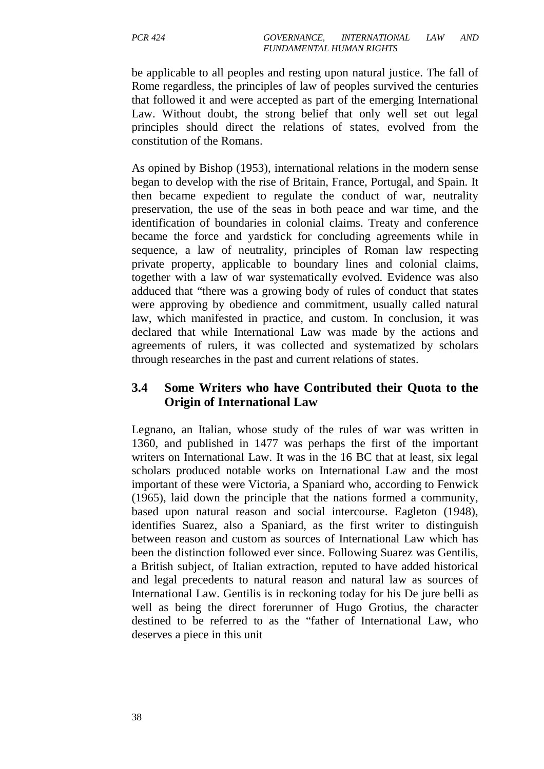be applicable to all peoples and resting upon natural justice. The fall of Rome regardless, the principles of law of peoples survived the centuries that followed it and were accepted as part of the emerging International Law. Without doubt, the strong belief that only well set out legal principles should direct the relations of states, evolved from the constitution of the Romans.

As opined by Bishop (1953), international relations in the modern sense began to develop with the rise of Britain, France, Portugal, and Spain. It then became expedient to regulate the conduct of war, neutrality preservation, the use of the seas in both peace and war time, and the identification of boundaries in colonial claims. Treaty and conference became the force and yardstick for concluding agreements while in sequence, a law of neutrality, principles of Roman law respecting private property, applicable to boundary lines and colonial claims, together with a law of war systematically evolved. Evidence was also adduced that "there was a growing body of rules of conduct that states were approving by obedience and commitment, usually called natural law, which manifested in practice, and custom. In conclusion, it was declared that while International Law was made by the actions and agreements of rulers, it was collected and systematized by scholars through researches in the past and current relations of states.

### **3.4 Some Writers who have Contributed their Quota to the Origin of International Law**

Legnano, an Italian, whose study of the rules of war was written in 1360, and published in 1477 was perhaps the first of the important writers on International Law. It was in the 16 BC that at least, six legal scholars produced notable works on International Law and the most important of these were Victoria, a Spaniard who, according to Fenwick (1965), laid down the principle that the nations formed a community, based upon natural reason and social intercourse. Eagleton (1948), identifies Suarez, also a Spaniard, as the first writer to distinguish between reason and custom as sources of International Law which has been the distinction followed ever since. Following Suarez was Gentilis, a British subject, of Italian extraction, reputed to have added historical and legal precedents to natural reason and natural law as sources of International Law. Gentilis is in reckoning today for his De jure belli as well as being the direct forerunner of Hugo Grotius, the character destined to be referred to as the "father of International Law, who deserves a piece in this unit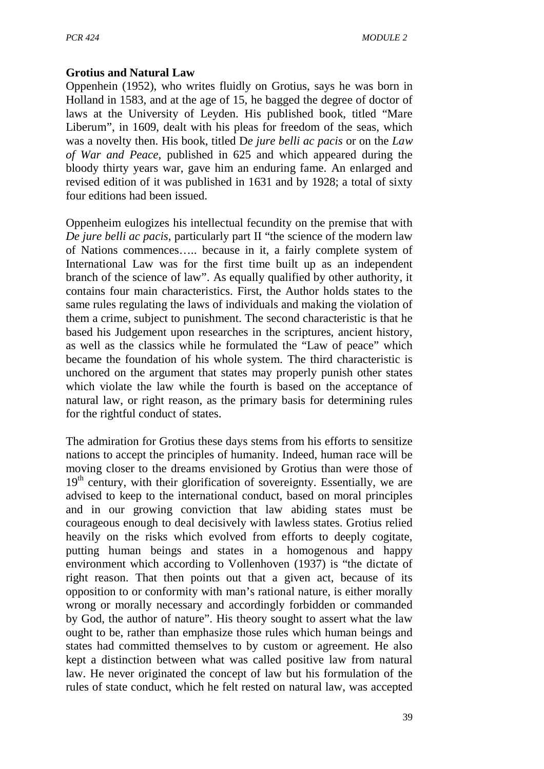#### **Grotius and Natural Law**

Oppenhein (1952), who writes fluidly on Grotius, says he was born in Holland in 1583, and at the age of 15, he bagged the degree of doctor of laws at the University of Leyden. His published book, titled "Mare Liberum", in 1609, dealt with his pleas for freedom of the seas, which was a novelty then. His book, titled D*e jure belli ac pacis* or on the *Law of War and Peace*, published in 625 and which appeared during the bloody thirty years war, gave him an enduring fame. An enlarged and revised edition of it was published in 1631 and by 1928; a total of sixty four editions had been issued.

Oppenheim eulogizes his intellectual fecundity on the premise that with *De jure belli ac pacis*, particularly part II "the science of the modern law of Nations commences….. because in it, a fairly complete system of International Law was for the first time built up as an independent branch of the science of law". As equally qualified by other authority, it contains four main characteristics. First, the Author holds states to the same rules regulating the laws of individuals and making the violation of them a crime, subject to punishment. The second characteristic is that he based his Judgement upon researches in the scriptures, ancient history, as well as the classics while he formulated the "Law of peace" which became the foundation of his whole system. The third characteristic is unchored on the argument that states may properly punish other states which violate the law while the fourth is based on the acceptance of natural law, or right reason, as the primary basis for determining rules for the rightful conduct of states.

The admiration for Grotius these days stems from his efforts to sensitize nations to accept the principles of humanity. Indeed, human race will be moving closer to the dreams envisioned by Grotius than were those of  $19<sup>th</sup>$  century, with their glorification of sovereignty. Essentially, we are advised to keep to the international conduct, based on moral principles and in our growing conviction that law abiding states must be courageous enough to deal decisively with lawless states. Grotius relied heavily on the risks which evolved from efforts to deeply cogitate, putting human beings and states in a homogenous and happy environment which according to Vollenhoven (1937) is "the dictate of right reason. That then points out that a given act, because of its opposition to or conformity with man's rational nature, is either morally wrong or morally necessary and accordingly forbidden or commanded by God, the author of nature". His theory sought to assert what the law ought to be, rather than emphasize those rules which human beings and states had committed themselves to by custom or agreement. He also kept a distinction between what was called positive law from natural law. He never originated the concept of law but his formulation of the rules of state conduct, which he felt rested on natural law, was accepted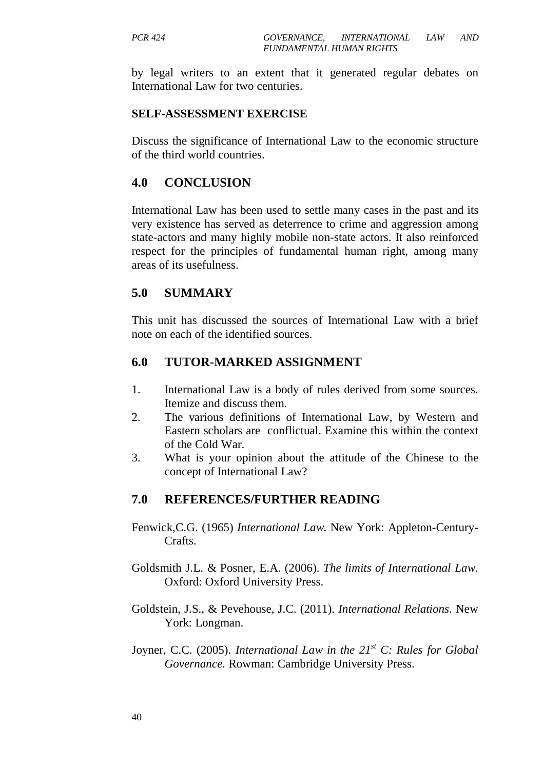by legal writers to an extent that it generated regular debates on International Law for two centuries.

#### **SELF-ASSESSMENT EXERCISE**

Discuss the significance of International Law to the economic structure of the third world countries.

#### **4.0 CONCLUSION**

International Law has been used to settle many cases in the past and its very existence has served as deterrence to crime and aggression among state-actors and many highly mobile non-state actors. It also reinforced respect for the principles of fundamental human right, among many areas of its usefulness.

#### **5.0 SUMMARY**

This unit has discussed the sources of International Law with a brief note on each of the identified sources.

#### **6.0 TUTOR-MARKED ASSIGNMENT**

- 1. International Law is a body of rules derived from some sources. Itemize and discuss them.
- 2. The various definitions of International Law, by Western and Eastern scholars are conflictual. Examine this within the context of the Cold War.
- 3. What is your opinion about the attitude of the Chinese to the concept of International Law?

- Fenwick,C.G. (1965) *International Law*. New York: Appleton-Century-Crafts.
- Goldsmith J.L. & Posner, E.A. (2006). *The limits of International Law*. Oxford: Oxford University Press.
- Goldstein, J.S., & Pevehouse, J.C. (2011). *International Relations*. New York: Longman.
- Joyner, C.C. (2005). *International Law in the 21st C: Rules for Global Governance.* Rowman: Cambridge University Press.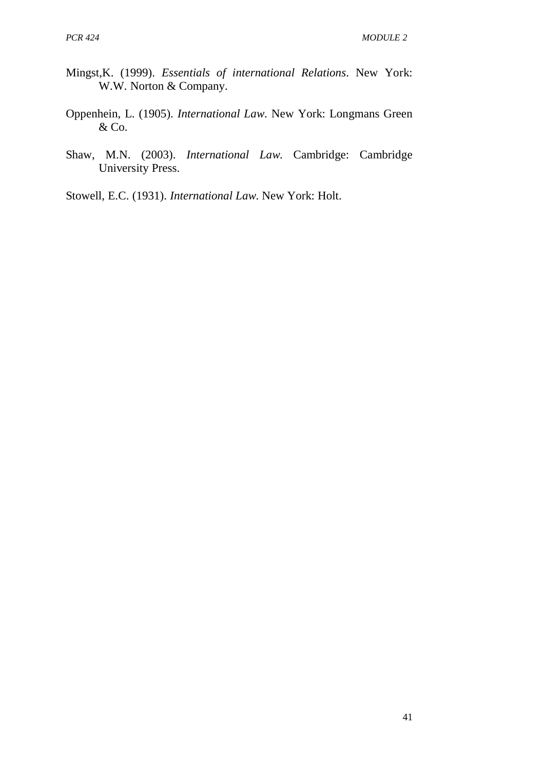- Mingst,K. (1999). *Essentials of international Relations*. New York: W.W. Norton & Company.
- Oppenhein, L. (1905). *International Law*. New York: Longmans Green & Co.
- Shaw, M.N. (2003). *International Law*. Cambridge: Cambridge University Press.
- Stowell, E.C. (1931). *International Law*. New York: Holt.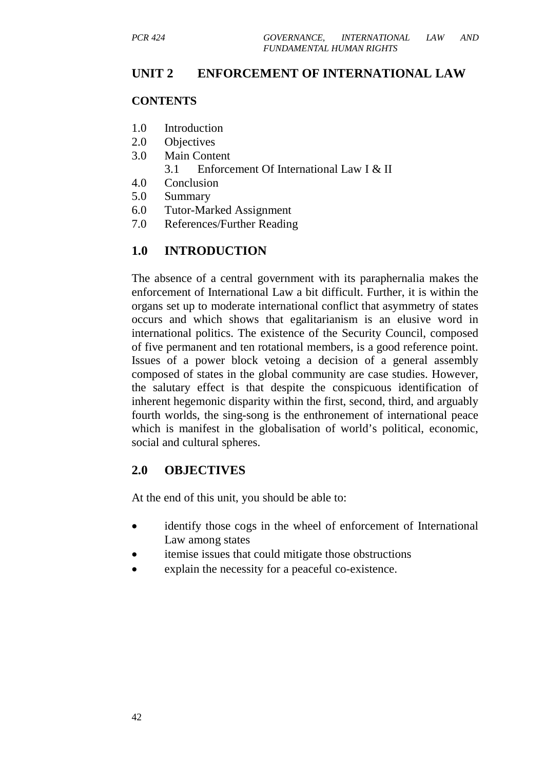#### **UNIT 2 ENFORCEMENT OF INTERNATIONAL LAW**

#### **CONTENTS**

- 1.0 Introduction
- 2.0 Objectives
- 3.0 Main Content
	- 3.1 Enforcement Of International Law I & II
- 4.0 Conclusion
- 5.0 Summary
- 6.0 Tutor-Marked Assignment
- 7.0 References/Further Reading

### **1.0 INTRODUCTION**

The absence of a central government with its paraphernalia makes the enforcement of International Law a bit difficult. Further, it is within the organs set up to moderate international conflict that asymmetry of states occurs and which shows that egalitarianism is an elusive word in international politics. The existence of the Security Council, composed of five permanent and ten rotational members, is a good reference point. Issues of a power block vetoing a decision of a general assembly composed of states in the global community are case studies. However, the salutary effect is that despite the conspicuous identification of inherent hegemonic disparity within the first, second, third, and arguably fourth worlds, the sing-song is the enthronement of international peace which is manifest in the globalisation of world's political, economic, social and cultural spheres.

### **2.0 OBJECTIVES**

At the end of this unit, you should be able to:

- identify those cogs in the wheel of enforcement of International Law among states
- itemise issues that could mitigate those obstructions
- explain the necessity for a peaceful co-existence.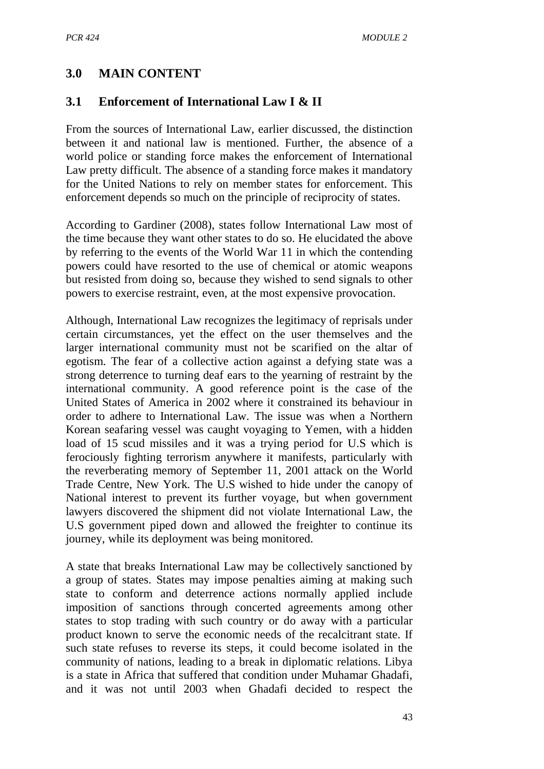### **3.0 MAIN CONTENT**

#### **3.1 Enforcement of International Law I & II**

From the sources of International Law, earlier discussed, the distinction between it and national law is mentioned. Further, the absence of a world police or standing force makes the enforcement of International Law pretty difficult. The absence of a standing force makes it mandatory for the United Nations to rely on member states for enforcement. This enforcement depends so much on the principle of reciprocity of states.

According to Gardiner (2008), states follow International Law most of the time because they want other states to do so. He elucidated the above by referring to the events of the World War 11 in which the contending powers could have resorted to the use of chemical or atomic weapons but resisted from doing so, because they wished to send signals to other powers to exercise restraint, even, at the most expensive provocation.

Although, International Law recognizes the legitimacy of reprisals under certain circumstances, yet the effect on the user themselves and the larger international community must not be scarified on the altar of egotism. The fear of a collective action against a defying state was a strong deterrence to turning deaf ears to the yearning of restraint by the international community. A good reference point is the case of the United States of America in 2002 where it constrained its behaviour in order to adhere to International Law. The issue was when a Northern Korean seafaring vessel was caught voyaging to Yemen, with a hidden load of 15 scud missiles and it was a trying period for U.S which is ferociously fighting terrorism anywhere it manifests, particularly with the reverberating memory of September 11, 2001 attack on the World Trade Centre, New York. The U.S wished to hide under the canopy of National interest to prevent its further voyage, but when government lawyers discovered the shipment did not violate International Law, the U.S government piped down and allowed the freighter to continue its journey, while its deployment was being monitored.

A state that breaks International Law may be collectively sanctioned by a group of states. States may impose penalties aiming at making such state to conform and deterrence actions normally applied include imposition of sanctions through concerted agreements among other states to stop trading with such country or do away with a particular product known to serve the economic needs of the recalcitrant state. If such state refuses to reverse its steps, it could become isolated in the community of nations, leading to a break in diplomatic relations. Libya is a state in Africa that suffered that condition under Muhamar Ghadafi, and it was not until 2003 when Ghadafi decided to respect the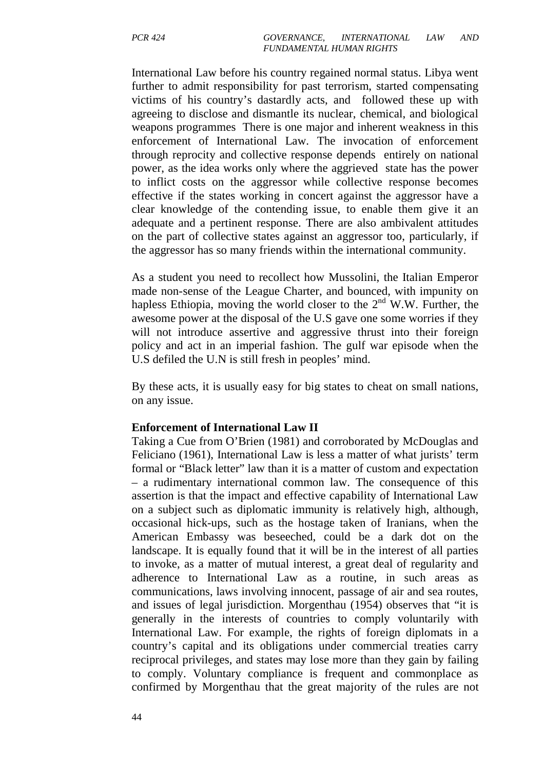International Law before his country regained normal status. Libya went further to admit responsibility for past terrorism, started compensating victims of his country's dastardly acts, and followed these up with agreeing to disclose and dismantle its nuclear, chemical, and biological weapons programmes There is one major and inherent weakness in this enforcement of International Law. The invocation of enforcement through reprocity and collective response depends entirely on national power, as the idea works only where the aggrieved state has the power to inflict costs on the aggressor while collective response becomes effective if the states working in concert against the aggressor have a clear knowledge of the contending issue, to enable them give it an adequate and a pertinent response. There are also ambivalent attitudes on the part of collective states against an aggressor too, particularly, if the aggressor has so many friends within the international community.

As a student you need to recollect how Mussolini, the Italian Emperor made non-sense of the League Charter, and bounced, with impunity on hapless Ethiopia, moving the world closer to the  $2<sup>nd</sup>$  W.W. Further, the awesome power at the disposal of the U.S gave one some worries if they will not introduce assertive and aggressive thrust into their foreign policy and act in an imperial fashion. The gulf war episode when the U.S defiled the U.N is still fresh in peoples' mind.

By these acts, it is usually easy for big states to cheat on small nations, on any issue.

#### **Enforcement of International Law II**

Taking a Cue from O'Brien (1981) and corroborated by McDouglas and Feliciano (1961), International Law is less a matter of what jurists' term formal or "Black letter" law than it is a matter of custom and expectation – a rudimentary international common law. The consequence of this assertion is that the impact and effective capability of International Law on a subject such as diplomatic immunity is relatively high, although, occasional hick-ups, such as the hostage taken of Iranians, when the American Embassy was beseeched, could be a dark dot on the landscape. It is equally found that it will be in the interest of all parties to invoke, as a matter of mutual interest, a great deal of regularity and adherence to International Law as a routine, in such areas as communications, laws involving innocent, passage of air and sea routes, and issues of legal jurisdiction. Morgenthau (1954) observes that "it is generally in the interests of countries to comply voluntarily with International Law. For example, the rights of foreign diplomats in a country's capital and its obligations under commercial treaties carry reciprocal privileges, and states may lose more than they gain by failing to comply. Voluntary compliance is frequent and commonplace as confirmed by Morgenthau that the great majority of the rules are not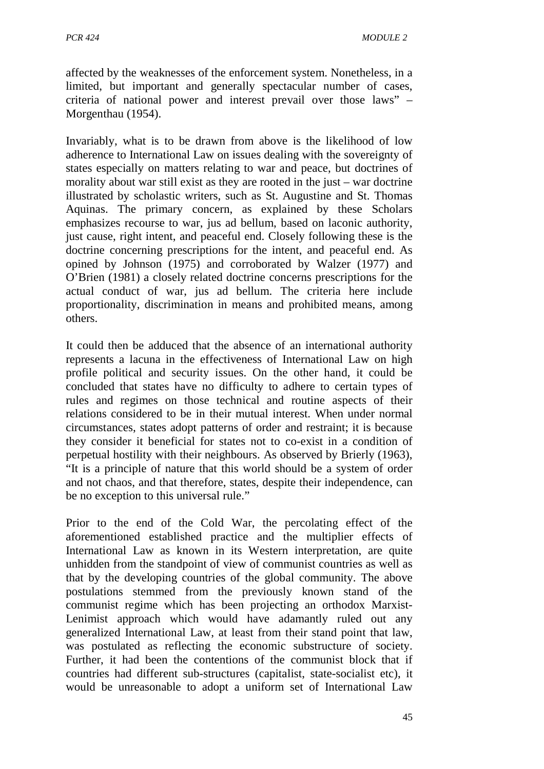affected by the weaknesses of the enforcement system. Nonetheless, in a limited, but important and generally spectacular number of cases, criteria of national power and interest prevail over those laws" – Morgenthau (1954).

Invariably, what is to be drawn from above is the likelihood of low adherence to International Law on issues dealing with the sovereignty of states especially on matters relating to war and peace, but doctrines of morality about war still exist as they are rooted in the just – war doctrine illustrated by scholastic writers, such as St. Augustine and St. Thomas Aquinas. The primary concern, as explained by these Scholars emphasizes recourse to war, jus ad bellum, based on laconic authority, just cause, right intent, and peaceful end. Closely following these is the doctrine concerning prescriptions for the intent, and peaceful end. As opined by Johnson (1975) and corroborated by Walzer (1977) and O'Brien (1981) a closely related doctrine concerns prescriptions for the actual conduct of war, jus ad bellum. The criteria here include proportionality, discrimination in means and prohibited means, among others.

It could then be adduced that the absence of an international authority represents a lacuna in the effectiveness of International Law on high profile political and security issues. On the other hand, it could be concluded that states have no difficulty to adhere to certain types of rules and regimes on those technical and routine aspects of their relations considered to be in their mutual interest. When under normal circumstances, states adopt patterns of order and restraint; it is because they consider it beneficial for states not to co-exist in a condition of perpetual hostility with their neighbours. As observed by Brierly (1963), "It is a principle of nature that this world should be a system of order and not chaos, and that therefore, states, despite their independence, can be no exception to this universal rule."

Prior to the end of the Cold War, the percolating effect of the aforementioned established practice and the multiplier effects of International Law as known in its Western interpretation, are quite unhidden from the standpoint of view of communist countries as well as that by the developing countries of the global community. The above postulations stemmed from the previously known stand of the communist regime which has been projecting an orthodox Marxist-Lenimist approach which would have adamantly ruled out any generalized International Law, at least from their stand point that law, was postulated as reflecting the economic substructure of society. Further, it had been the contentions of the communist block that if countries had different sub-structures (capitalist, state-socialist etc), it would be unreasonable to adopt a uniform set of International Law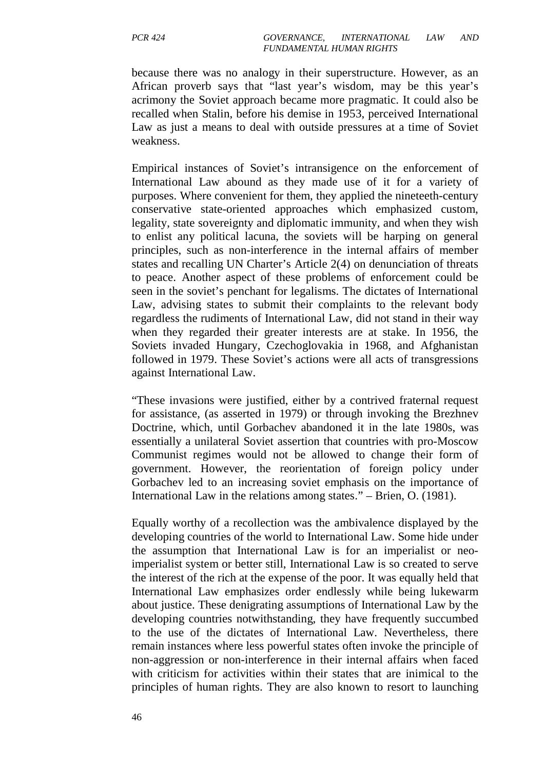because there was no analogy in their superstructure. However, as an African proverb says that "last year's wisdom, may be this year's acrimony the Soviet approach became more pragmatic. It could also be recalled when Stalin, before his demise in 1953, perceived International Law as just a means to deal with outside pressures at a time of Soviet weakness.

Empirical instances of Soviet's intransigence on the enforcement of International Law abound as they made use of it for a variety of purposes. Where convenient for them, they applied the nineteeth-century conservative state-oriented approaches which emphasized custom, legality, state sovereignty and diplomatic immunity, and when they wish to enlist any political lacuna, the soviets will be harping on general principles, such as non-interference in the internal affairs of member states and recalling UN Charter's Article 2(4) on denunciation of threats to peace. Another aspect of these problems of enforcement could be seen in the soviet's penchant for legalisms. The dictates of International Law, advising states to submit their complaints to the relevant body regardless the rudiments of International Law, did not stand in their way when they regarded their greater interests are at stake. In 1956, the Soviets invaded Hungary, Czechoglovakia in 1968, and Afghanistan followed in 1979. These Soviet's actions were all acts of transgressions against International Law.

"These invasions were justified, either by a contrived fraternal request for assistance, (as asserted in 1979) or through invoking the Brezhnev Doctrine, which, until Gorbachev abandoned it in the late 1980s, was essentially a unilateral Soviet assertion that countries with pro-Moscow Communist regimes would not be allowed to change their form of government. However, the reorientation of foreign policy under Gorbachev led to an increasing soviet emphasis on the importance of International Law in the relations among states." – Brien, O. (1981).

Equally worthy of a recollection was the ambivalence displayed by the developing countries of the world to International Law. Some hide under the assumption that International Law is for an imperialist or neoimperialist system or better still, International Law is so created to serve the interest of the rich at the expense of the poor. It was equally held that International Law emphasizes order endlessly while being lukewarm about justice. These denigrating assumptions of International Law by the developing countries notwithstanding, they have frequently succumbed to the use of the dictates of International Law. Nevertheless, there remain instances where less powerful states often invoke the principle of non-aggression or non-interference in their internal affairs when faced with criticism for activities within their states that are inimical to the principles of human rights. They are also known to resort to launching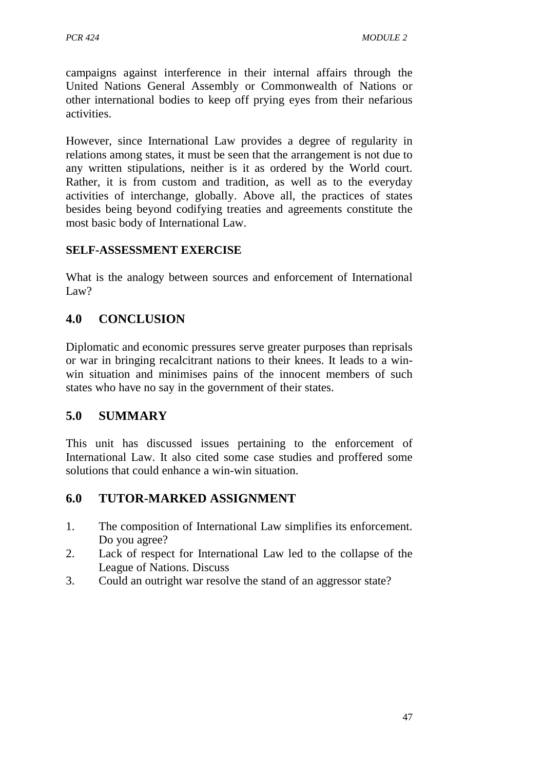campaigns against interference in their internal affairs through the United Nations General Assembly or Commonwealth of Nations or other international bodies to keep off prying eyes from their nefarious activities.

However, since International Law provides a degree of regularity in relations among states, it must be seen that the arrangement is not due to any written stipulations, neither is it as ordered by the World court. Rather, it is from custom and tradition, as well as to the everyday activities of interchange, globally. Above all, the practices of states besides being beyond codifying treaties and agreements constitute the most basic body of International Law.

### **SELF-ASSESSMENT EXERCISE**

What is the analogy between sources and enforcement of International Law?

## **4.0 CONCLUSION**

Diplomatic and economic pressures serve greater purposes than reprisals or war in bringing recalcitrant nations to their knees. It leads to a winwin situation and minimises pains of the innocent members of such states who have no say in the government of their states.

### **5.0 SUMMARY**

This unit has discussed issues pertaining to the enforcement of International Law. It also cited some case studies and proffered some solutions that could enhance a win-win situation.

### **6.0 TUTOR-MARKED ASSIGNMENT**

- 1. The composition of International Law simplifies its enforcement. Do you agree?
- 2. Lack of respect for International Law led to the collapse of the League of Nations. Discuss
- 3. Could an outright war resolve the stand of an aggressor state?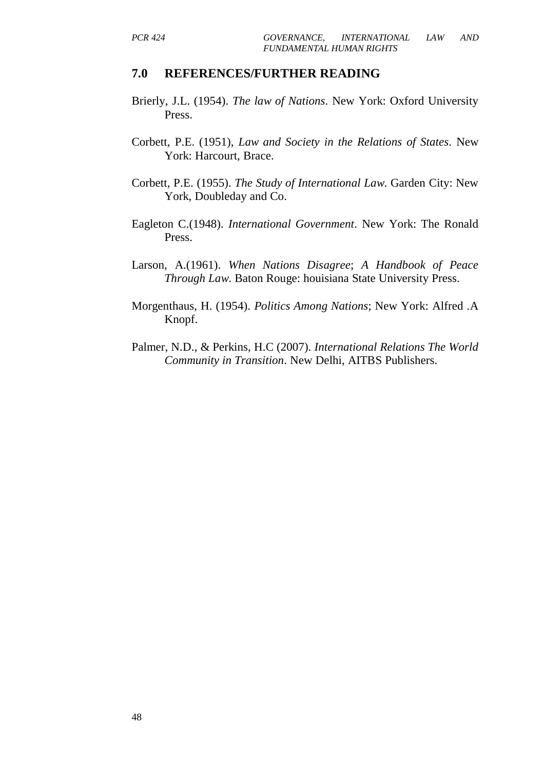- Brierly, J.L. (1954). *The law of Nations*. New York: Oxford University Press.
- Corbett, P.E. (1951), *Law and Society in the Relations of States*. New York: Harcourt, Brace.
- Corbett, P.E. (1955). *The Study of International Law*. Garden City: New York, Doubleday and Co.
- Eagleton C.(1948). *International Government*. New York: The Ronald Press.
- Larson, A.(1961). *When Nations Disagree*; *A Handbook of Peace Through Law*. Baton Rouge: houisiana State University Press.
- Morgenthaus, H. (1954). *Politics Among Nations*; New York: Alfred .A Knopf.
- Palmer, N.D., & Perkins, H.C (2007). *International Relations The World Community in Transition*. New Delhi, AITBS Publishers.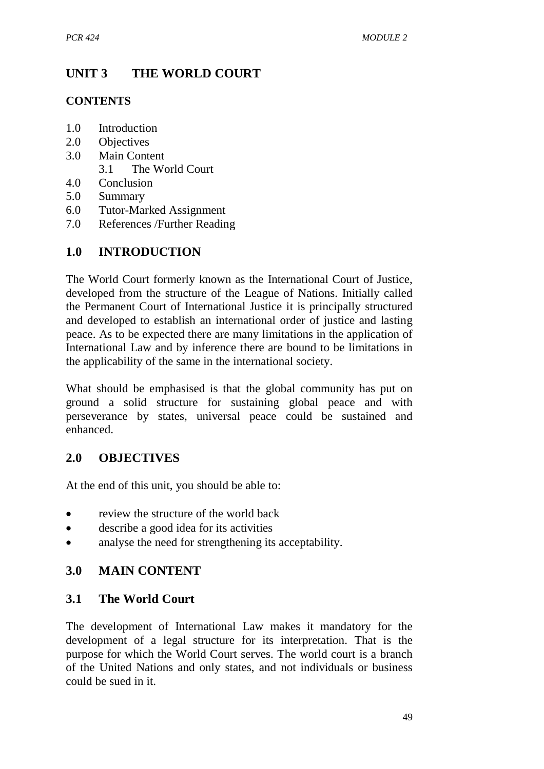# **UNIT 3 THE WORLD COURT**

### **CONTENTS**

- 1.0 Introduction
- 2.0 Objectives
- 3.0 Main Content
	- 3.1 The World Court
- 4.0 Conclusion
- 5.0 Summary
- 6.0 Tutor-Marked Assignment
- 7.0 References /Further Reading

# **1.0 INTRODUCTION**

The World Court formerly known as the International Court of Justice, developed from the structure of the League of Nations. Initially called the Permanent Court of International Justice it is principally structured and developed to establish an international order of justice and lasting peace. As to be expected there are many limitations in the application of International Law and by inference there are bound to be limitations in the applicability of the same in the international society.

What should be emphasised is that the global community has put on ground a solid structure for sustaining global peace and with perseverance by states, universal peace could be sustained and enhanced.

### **2.0 OBJECTIVES**

At the end of this unit, you should be able to:

- review the structure of the world back
- describe a good idea for its activities
- analyse the need for strengthening its acceptability.

### **3.0 MAIN CONTENT**

### **3.1 The World Court**

The development of International Law makes it mandatory for the development of a legal structure for its interpretation. That is the purpose for which the World Court serves. The world court is a branch of the United Nations and only states, and not individuals or business could be sued in it.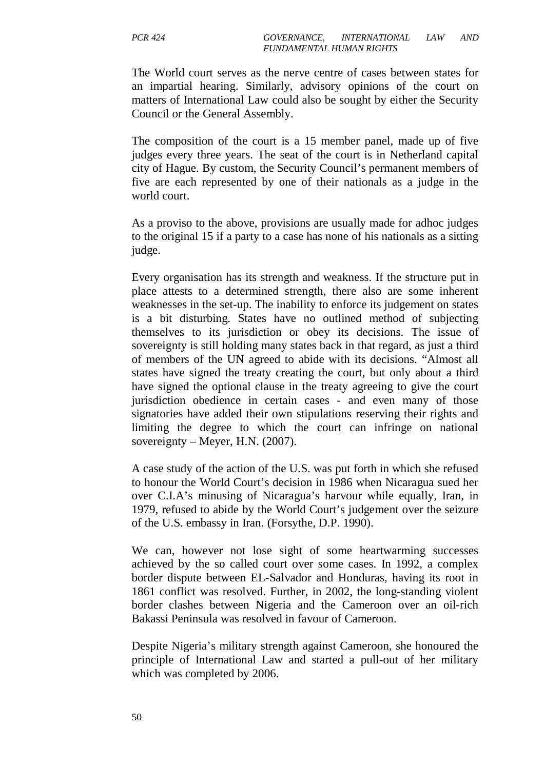The World court serves as the nerve centre of cases between states for an impartial hearing. Similarly, advisory opinions of the court on matters of International Law could also be sought by either the Security Council or the General Assembly.

The composition of the court is a 15 member panel, made up of five judges every three years. The seat of the court is in Netherland capital city of Hague. By custom, the Security Council's permanent members of five are each represented by one of their nationals as a judge in the world court.

As a proviso to the above, provisions are usually made for adhoc judges to the original 15 if a party to a case has none of his nationals as a sitting judge.

Every organisation has its strength and weakness. If the structure put in place attests to a determined strength, there also are some inherent weaknesses in the set-up. The inability to enforce its judgement on states is a bit disturbing. States have no outlined method of subjecting themselves to its jurisdiction or obey its decisions. The issue of sovereignty is still holding many states back in that regard, as just a third of members of the UN agreed to abide with its decisions. "Almost all states have signed the treaty creating the court, but only about a third have signed the optional clause in the treaty agreeing to give the court jurisdiction obedience in certain cases - and even many of those signatories have added their own stipulations reserving their rights and limiting the degree to which the court can infringe on national sovereignty – Meyer, H.N. (2007).

A case study of the action of the U.S. was put forth in which she refused to honour the World Court's decision in 1986 when Nicaragua sued her over C.I.A's minusing of Nicaragua's harvour while equally, Iran, in 1979, refused to abide by the World Court's judgement over the seizure of the U.S. embassy in Iran. (Forsythe, D.P. 1990).

We can, however not lose sight of some heartwarming successes achieved by the so called court over some cases. In 1992, a complex border dispute between EL-Salvador and Honduras, having its root in 1861 conflict was resolved. Further, in 2002, the long-standing violent border clashes between Nigeria and the Cameroon over an oil-rich Bakassi Peninsula was resolved in favour of Cameroon.

Despite Nigeria's military strength against Cameroon, she honoured the principle of International Law and started a pull-out of her military which was completed by 2006.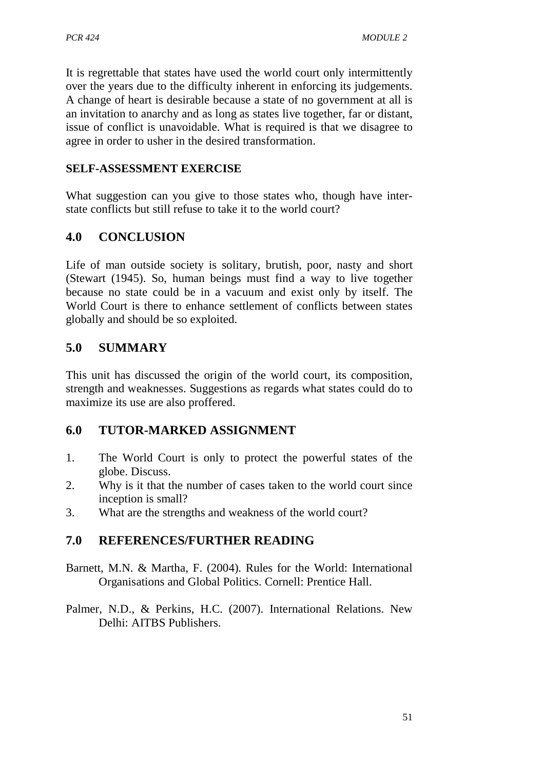It is regrettable that states have used the world court only intermittently over the years due to the difficulty inherent in enforcing its judgements. A change of heart is desirable because a state of no government at all is an invitation to anarchy and as long as states live together, far or distant, issue of conflict is unavoidable. What is required is that we disagree to agree in order to usher in the desired transformation.

#### **SELF-ASSESSMENT EXERCISE**

What suggestion can you give to those states who, though have interstate conflicts but still refuse to take it to the world court?

## **4.0 CONCLUSION**

Life of man outside society is solitary, brutish, poor, nasty and short (Stewart (1945). So, human beings must find a way to live together because no state could be in a vacuum and exist only by itself. The World Court is there to enhance settlement of conflicts between states globally and should be so exploited.

## **5.0 SUMMARY**

This unit has discussed the origin of the world court, its composition, strength and weaknesses. Suggestions as regards what states could do to maximize its use are also proffered.

### **6.0 TUTOR-MARKED ASSIGNMENT**

- 1. The World Court is only to protect the powerful states of the globe. Discuss.
- 2. Why is it that the number of cases taken to the world court since inception is small?
- 3. What are the strengths and weakness of the world court?

- Barnett, M.N. & Martha, F. (2004). Rules for the World: International Organisations and Global Politics. Cornell: Prentice Hall.
- Palmer, N.D., & Perkins, H.C. (2007). International Relations. New Delhi: AITBS Publishers.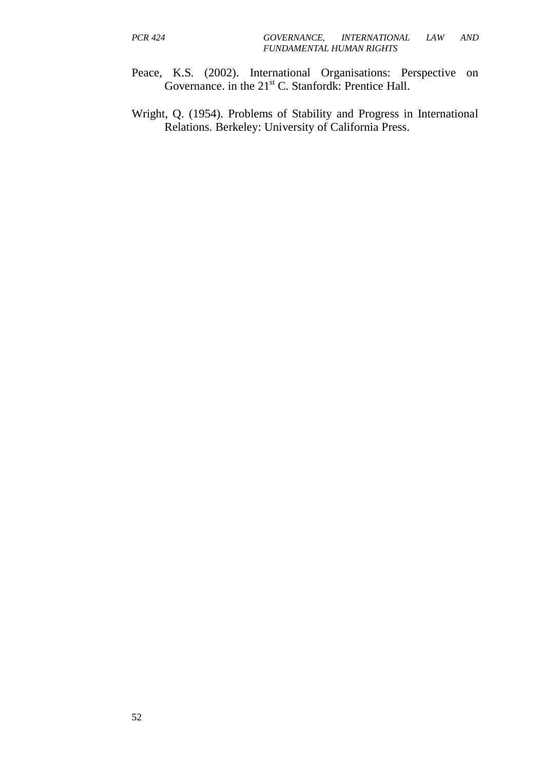- Peace, K.S. (2002). International Organisations: Perspective on Governance. in the  $21<sup>st</sup>$  C. Stanfordk: Prentice Hall.
- Wright, Q. (1954). Problems of Stability and Progress in International Relations. Berkeley: University of California Press.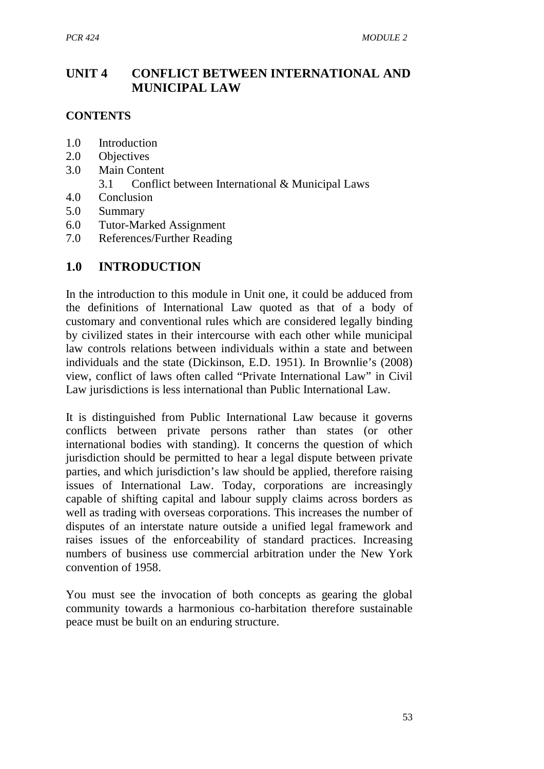## **UNIT 4 CONFLICT BETWEEN INTERNATIONAL AND MUNICIPAL LAW**

#### **CONTENTS**

- 1.0 Introduction
- 2.0 Objectives
- 3.0 Main Content
	- 3.1 Conflict between International & Municipal Laws
- 4.0 Conclusion
- 5.0 Summary
- 6.0 Tutor-Marked Assignment
- 7.0 References/Further Reading

# **1.0 INTRODUCTION**

In the introduction to this module in Unit one, it could be adduced from the definitions of International Law quoted as that of a body of customary and conventional rules which are considered legally binding by civilized states in their intercourse with each other while municipal law controls relations between individuals within a state and between individuals and the state (Dickinson, E.D. 1951). In Brownlie's (2008) view, conflict of laws often called "Private International Law" in Civil Law jurisdictions is less international than Public International Law.

It is distinguished from Public International Law because it governs conflicts between private persons rather than states (or other international bodies with standing). It concerns the question of which jurisdiction should be permitted to hear a legal dispute between private parties, and which jurisdiction's law should be applied, therefore raising issues of International Law. Today, corporations are increasingly capable of shifting capital and labour supply claims across borders as well as trading with overseas corporations. This increases the number of disputes of an interstate nature outside a unified legal framework and raises issues of the enforceability of standard practices. Increasing numbers of business use commercial arbitration under the New York convention of 1958.

You must see the invocation of both concepts as gearing the global community towards a harmonious co-harbitation therefore sustainable peace must be built on an enduring structure.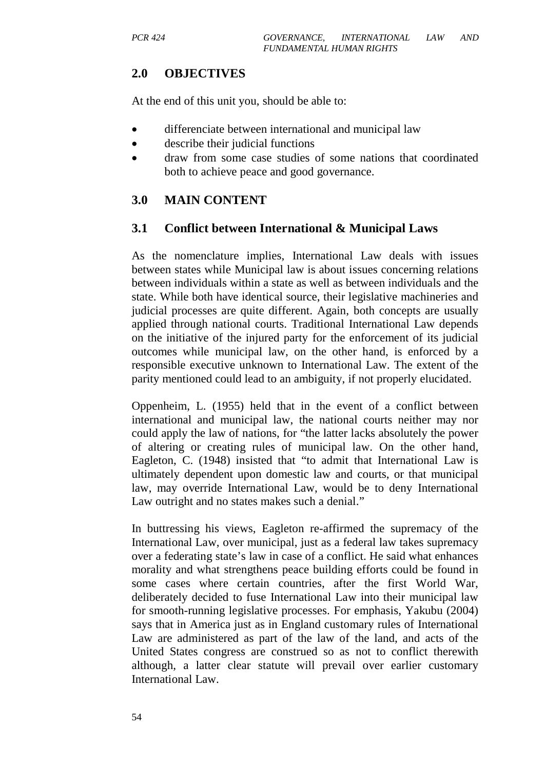### **2.0 OBJECTIVES**

At the end of this unit you, should be able to:

- differenciate between international and municipal law
- describe their judicial functions
- draw from some case studies of some nations that coordinated both to achieve peace and good governance.

## **3.0 MAIN CONTENT**

#### **3.1 Conflict between International & Municipal Laws**

As the nomenclature implies, International Law deals with issues between states while Municipal law is about issues concerning relations between individuals within a state as well as between individuals and the state. While both have identical source, their legislative machineries and judicial processes are quite different. Again, both concepts are usually applied through national courts. Traditional International Law depends on the initiative of the injured party for the enforcement of its judicial outcomes while municipal law, on the other hand, is enforced by a responsible executive unknown to International Law. The extent of the parity mentioned could lead to an ambiguity, if not properly elucidated.

Oppenheim, L. (1955) held that in the event of a conflict between international and municipal law, the national courts neither may nor could apply the law of nations, for "the latter lacks absolutely the power of altering or creating rules of municipal law. On the other hand, Eagleton, C. (1948) insisted that "to admit that International Law is ultimately dependent upon domestic law and courts, or that municipal law, may override International Law, would be to deny International Law outright and no states makes such a denial."

In buttressing his views, Eagleton re-affirmed the supremacy of the International Law, over municipal, just as a federal law takes supremacy over a federating state's law in case of a conflict. He said what enhances morality and what strengthens peace building efforts could be found in some cases where certain countries, after the first World War, deliberately decided to fuse International Law into their municipal law for smooth-running legislative processes. For emphasis, Yakubu (2004) says that in America just as in England customary rules of International Law are administered as part of the law of the land, and acts of the United States congress are construed so as not to conflict therewith although, a latter clear statute will prevail over earlier customary International Law.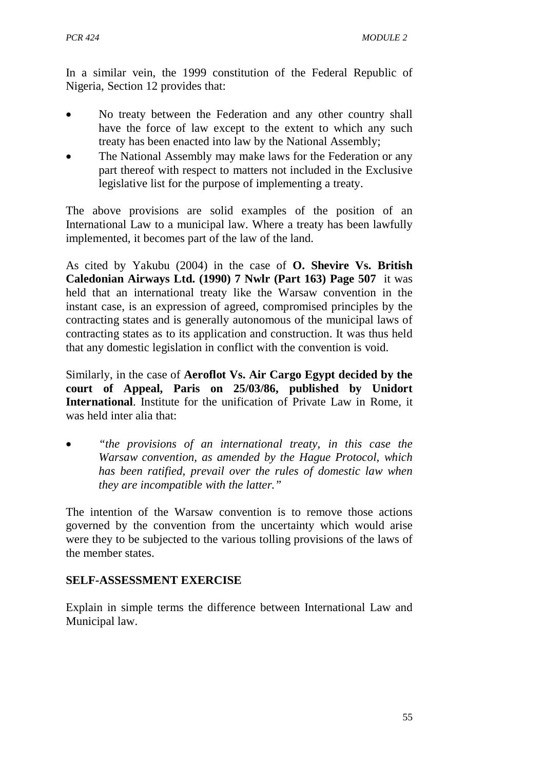In a similar vein, the 1999 constitution of the Federal Republic of Nigeria, Section 12 provides that:

- No treaty between the Federation and any other country shall have the force of law except to the extent to which any such treaty has been enacted into law by the National Assembly;
- The National Assembly may make laws for the Federation or any part thereof with respect to matters not included in the Exclusive legislative list for the purpose of implementing a treaty.

The above provisions are solid examples of the position of an International Law to a municipal law. Where a treaty has been lawfully implemented, it becomes part of the law of the land.

As cited by Yakubu (2004) in the case of **O. Shevire Vs. British Caledonian Airways Ltd. (1990) 7 Nwlr (Part 163) Page 507** it was held that an international treaty like the Warsaw convention in the instant case, is an expression of agreed, compromised principles by the contracting states and is generally autonomous of the municipal laws of contracting states as to its application and construction. It was thus held that any domestic legislation in conflict with the convention is void.

Similarly, in the case of **Aeroflot Vs. Air Cargo Egypt decided by the court of Appeal, Paris on 25/03/86, published by Unidort International**. Institute for the unification of Private Law in Rome, it was held inter alia that:

• *"the provisions of an international treaty, in this case the Warsaw convention, as amended by the Hague Protocol, which has been ratified, prevail over the rules of domestic law when they are incompatible with the latter."* 

The intention of the Warsaw convention is to remove those actions governed by the convention from the uncertainty which would arise were they to be subjected to the various tolling provisions of the laws of the member states.

### **SELF-ASSESSMENT EXERCISE**

Explain in simple terms the difference between International Law and Municipal law.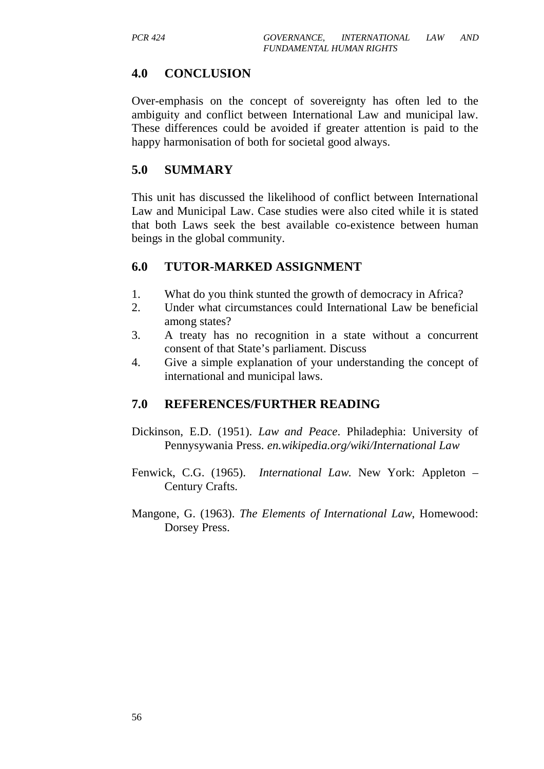### **4.0 CONCLUSION**

Over-emphasis on the concept of sovereignty has often led to the ambiguity and conflict between International Law and municipal law. These differences could be avoided if greater attention is paid to the happy harmonisation of both for societal good always.

#### **5.0 SUMMARY**

This unit has discussed the likelihood of conflict between International Law and Municipal Law. Case studies were also cited while it is stated that both Laws seek the best available co-existence between human beings in the global community.

#### **6.0 TUTOR-MARKED ASSIGNMENT**

- 1. What do you think stunted the growth of democracy in Africa?
- 2. Under what circumstances could International Law be beneficial among states?
- 3. A treaty has no recognition in a state without a concurrent consent of that State's parliament. Discuss
- 4. Give a simple explanation of your understanding the concept of international and municipal laws.

- Dickinson, E.D. (1951). *Law and Peace*. Philadephia: University of Pennysywania Press. *en.wikipedia.org/wiki/International Law*
- Fenwick, C.G. (1965). *International Law*. New York: Appleton Century Crafts.
- Mangone, G. (1963). *The Elements of International Law*, Homewood: Dorsey Press.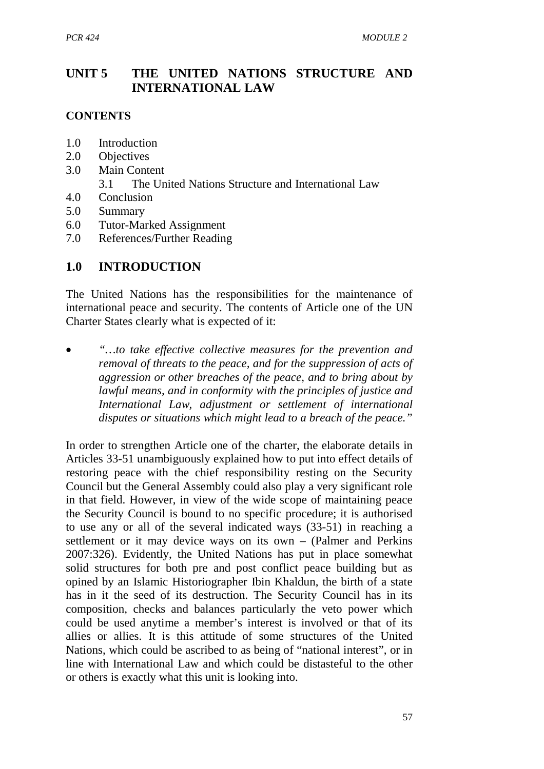### **UNIT 5 THE UNITED NATIONS STRUCTURE AND INTERNATIONAL LAW**

#### **CONTENTS**

- 1.0 Introduction
- 2.0 Objectives
- 3.0 Main Content
	- 3.1 The United Nations Structure and International Law
- 4.0 Conclusion
- 5.0 Summary
- 6.0 Tutor-Marked Assignment
- 7.0 References/Further Reading

### **1.0 INTRODUCTION**

The United Nations has the responsibilities for the maintenance of international peace and security. The contents of Article one of the UN Charter States clearly what is expected of it:

• *"…to take effective collective measures for the prevention and removal of threats to the peace, and for the suppression of acts of aggression or other breaches of the peace, and to bring about by lawful means, and in conformity with the principles of justice and International Law, adjustment or settlement of international disputes or situations which might lead to a breach of the peace."* 

In order to strengthen Article one of the charter, the elaborate details in Articles 33-51 unambiguously explained how to put into effect details of restoring peace with the chief responsibility resting on the Security Council but the General Assembly could also play a very significant role in that field. However, in view of the wide scope of maintaining peace the Security Council is bound to no specific procedure; it is authorised to use any or all of the several indicated ways (33-51) in reaching a settlement or it may device ways on its own – (Palmer and Perkins 2007:326). Evidently, the United Nations has put in place somewhat solid structures for both pre and post conflict peace building but as opined by an Islamic Historiographer Ibin Khaldun, the birth of a state has in it the seed of its destruction. The Security Council has in its composition, checks and balances particularly the veto power which could be used anytime a member's interest is involved or that of its allies or allies. It is this attitude of some structures of the United Nations, which could be ascribed to as being of "national interest", or in line with International Law and which could be distasteful to the other or others is exactly what this unit is looking into.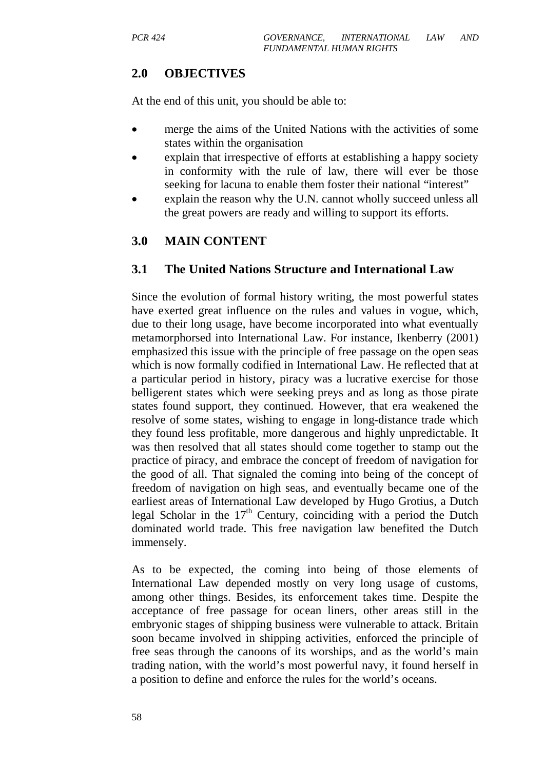### **2.0 OBJECTIVES**

At the end of this unit, you should be able to:

- merge the aims of the United Nations with the activities of some states within the organisation
- explain that irrespective of efforts at establishing a happy society in conformity with the rule of law, there will ever be those seeking for lacuna to enable them foster their national "interest"
- explain the reason why the U.N. cannot wholly succeed unless all the great powers are ready and willing to support its efforts.

# **3.0 MAIN CONTENT**

#### **3.1 The United Nations Structure and International Law**

Since the evolution of formal history writing, the most powerful states have exerted great influence on the rules and values in vogue, which, due to their long usage, have become incorporated into what eventually metamorphorsed into International Law. For instance, Ikenberry (2001) emphasized this issue with the principle of free passage on the open seas which is now formally codified in International Law. He reflected that at a particular period in history, piracy was a lucrative exercise for those belligerent states which were seeking preys and as long as those pirate states found support, they continued. However, that era weakened the resolve of some states, wishing to engage in long-distance trade which they found less profitable, more dangerous and highly unpredictable. It was then resolved that all states should come together to stamp out the practice of piracy, and embrace the concept of freedom of navigation for the good of all. That signaled the coming into being of the concept of freedom of navigation on high seas, and eventually became one of the earliest areas of International Law developed by Hugo Grotius, a Dutch legal Scholar in the  $17<sup>th</sup>$  Century, coinciding with a period the Dutch dominated world trade. This free navigation law benefited the Dutch immensely.

As to be expected, the coming into being of those elements of International Law depended mostly on very long usage of customs, among other things. Besides, its enforcement takes time. Despite the acceptance of free passage for ocean liners, other areas still in the embryonic stages of shipping business were vulnerable to attack. Britain soon became involved in shipping activities, enforced the principle of free seas through the canoons of its worships, and as the world's main trading nation, with the world's most powerful navy, it found herself in a position to define and enforce the rules for the world's oceans.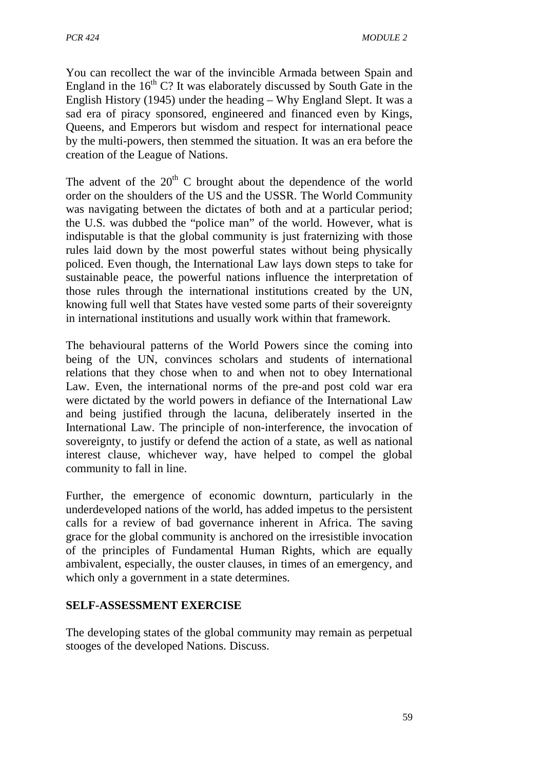You can recollect the war of the invincible Armada between Spain and England in the  $16<sup>th</sup>$  C? It was elaborately discussed by South Gate in the English History (1945) under the heading – Why England Slept. It was a sad era of piracy sponsored, engineered and financed even by Kings, Queens, and Emperors but wisdom and respect for international peace by the multi-powers, then stemmed the situation. It was an era before the creation of the League of Nations.

The advent of the  $20<sup>th</sup>$  C brought about the dependence of the world order on the shoulders of the US and the USSR. The World Community was navigating between the dictates of both and at a particular period; the U.S. was dubbed the "police man" of the world. However, what is indisputable is that the global community is just fraternizing with those rules laid down by the most powerful states without being physically policed. Even though, the International Law lays down steps to take for sustainable peace, the powerful nations influence the interpretation of those rules through the international institutions created by the UN, knowing full well that States have vested some parts of their sovereignty in international institutions and usually work within that framework.

The behavioural patterns of the World Powers since the coming into being of the UN, convinces scholars and students of international relations that they chose when to and when not to obey International Law. Even, the international norms of the pre-and post cold war era were dictated by the world powers in defiance of the International Law and being justified through the lacuna, deliberately inserted in the International Law. The principle of non-interference, the invocation of sovereignty, to justify or defend the action of a state, as well as national interest clause, whichever way, have helped to compel the global community to fall in line.

Further, the emergence of economic downturn, particularly in the underdeveloped nations of the world, has added impetus to the persistent calls for a review of bad governance inherent in Africa. The saving grace for the global community is anchored on the irresistible invocation of the principles of Fundamental Human Rights, which are equally ambivalent, especially, the ouster clauses, in times of an emergency, and which only a government in a state determines.

### **SELF-ASSESSMENT EXERCISE**

The developing states of the global community may remain as perpetual stooges of the developed Nations. Discuss.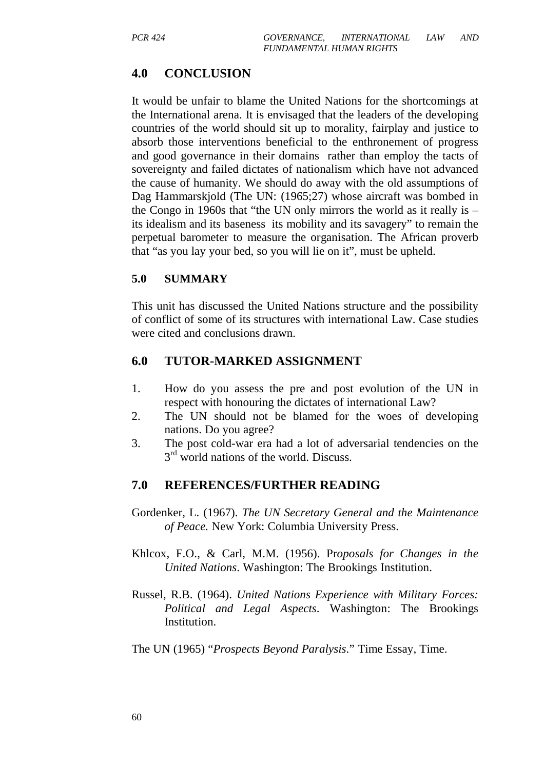### **4.0 CONCLUSION**

It would be unfair to blame the United Nations for the shortcomings at the International arena. It is envisaged that the leaders of the developing countries of the world should sit up to morality, fairplay and justice to absorb those interventions beneficial to the enthronement of progress and good governance in their domains rather than employ the tacts of sovereignty and failed dictates of nationalism which have not advanced the cause of humanity. We should do away with the old assumptions of Dag Hammarskjold (The UN: (1965;27) whose aircraft was bombed in the Congo in 1960s that "the UN only mirrors the world as it really is – its idealism and its baseness its mobility and its savagery" to remain the perpetual barometer to measure the organisation. The African proverb that "as you lay your bed, so you will lie on it", must be upheld.

#### **5.0 SUMMARY**

This unit has discussed the United Nations structure and the possibility of conflict of some of its structures with international Law. Case studies were cited and conclusions drawn.

#### **6.0 TUTOR-MARKED ASSIGNMENT**

- 1. How do you assess the pre and post evolution of the UN in respect with honouring the dictates of international Law?
- 2. The UN should not be blamed for the woes of developing nations. Do you agree?
- 3. The post cold-war era had a lot of adversarial tendencies on the 3<sup>rd</sup> world nations of the world. Discuss.

- Gordenker, L. (1967). *The UN Secretary General and the Maintenance of Peace.* New York: Columbia University Press.
- Khlcox, F.O., & Carl, M.M. (1956). Pr*oposals for Changes in the United Nations*. Washington: The Brookings Institution.
- Russel, R.B. (1964). *United Nations Experience with Military Forces: Political and Legal Aspects*. Washington: The Brookings Institution.
- The UN (1965) "*Prospects Beyond Paralysis*." Time Essay, Time.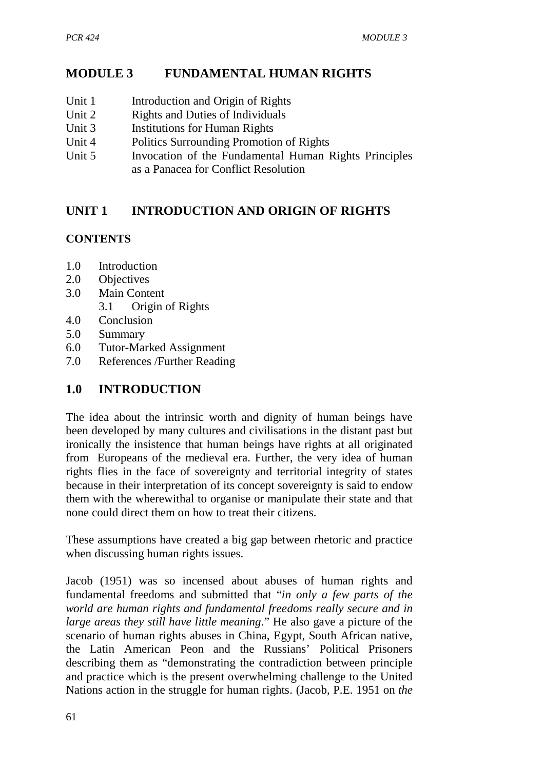# **MODULE 3 FUNDAMENTAL HUMAN RIGHTS**

- Unit 1 Introduction and Origin of Rights
- Unit 2 Rights and Duties of Individuals
- Unit 3 Institutions for Human Rights
- Unit 4 Politics Surrounding Promotion of Rights
- Unit 5 Invocation of the Fundamental Human Rights Principles as a Panacea for Conflict Resolution

# **UNIT 1 INTRODUCTION AND ORIGIN OF RIGHTS**

### **CONTENTS**

- 1.0 Introduction
- 2.0 Objectives
- 3.0 Main Content
	- 3.1 Origin of Rights
- 4.0 Conclusion
- 5.0 Summary
- 6.0 Tutor-Marked Assignment
- 7.0 References /Further Reading

## **1.0 INTRODUCTION**

The idea about the intrinsic worth and dignity of human beings have been developed by many cultures and civilisations in the distant past but ironically the insistence that human beings have rights at all originated from Europeans of the medieval era. Further, the very idea of human rights flies in the face of sovereignty and territorial integrity of states because in their interpretation of its concept sovereignty is said to endow them with the wherewithal to organise or manipulate their state and that none could direct them on how to treat their citizens.

These assumptions have created a big gap between rhetoric and practice when discussing human rights issues.

Jacob (1951) was so incensed about abuses of human rights and fundamental freedoms and submitted that "*in only a few parts of the world are human rights and fundamental freedoms really secure and in large areas they still have little meaning*." He also gave a picture of the scenario of human rights abuses in China, Egypt, South African native, the Latin American Peon and the Russians' Political Prisoners describing them as "demonstrating the contradiction between principle and practice which is the present overwhelming challenge to the United Nations action in the struggle for human rights. (Jacob, P.E. 1951 on *the*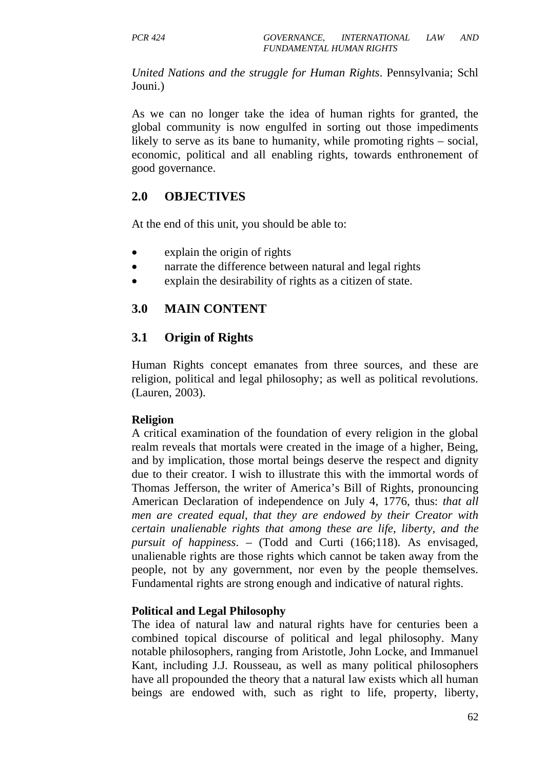*United Nations and the struggle for Human Rights*. Pennsylvania; Schl Jouni.)

As we can no longer take the idea of human rights for granted, the global community is now engulfed in sorting out those impediments likely to serve as its bane to humanity, while promoting rights – social, economic, political and all enabling rights, towards enthronement of good governance.

### **2.0 OBJECTIVES**

At the end of this unit, you should be able to:

- explain the origin of rights
- narrate the difference between natural and legal rights
- explain the desirability of rights as a citizen of state.

### **3.0 MAIN CONTENT**

### **3.1 Origin of Rights**

Human Rights concept emanates from three sources, and these are religion, political and legal philosophy; as well as political revolutions. (Lauren, 2003).

#### **Religion**

A critical examination of the foundation of every religion in the global realm reveals that mortals were created in the image of a higher, Being, and by implication, those mortal beings deserve the respect and dignity due to their creator. I wish to illustrate this with the immortal words of Thomas Jefferson, the writer of America's Bill of Rights, pronouncing American Declaration of independence on July 4, 1776, thus: *that all men are created equal, that they are endowed by their Creator with certain unalienable rights that among these are life, liberty, and the pursuit of happiness*. – (Todd and Curti (166;118). As envisaged, unalienable rights are those rights which cannot be taken away from the people, not by any government, nor even by the people themselves. Fundamental rights are strong enough and indicative of natural rights.

#### **Political and Legal Philosophy**

The idea of natural law and natural rights have for centuries been a combined topical discourse of political and legal philosophy. Many notable philosophers, ranging from Aristotle, John Locke, and Immanuel Kant, including J.J. Rousseau, as well as many political philosophers have all propounded the theory that a natural law exists which all human beings are endowed with, such as right to life, property, liberty,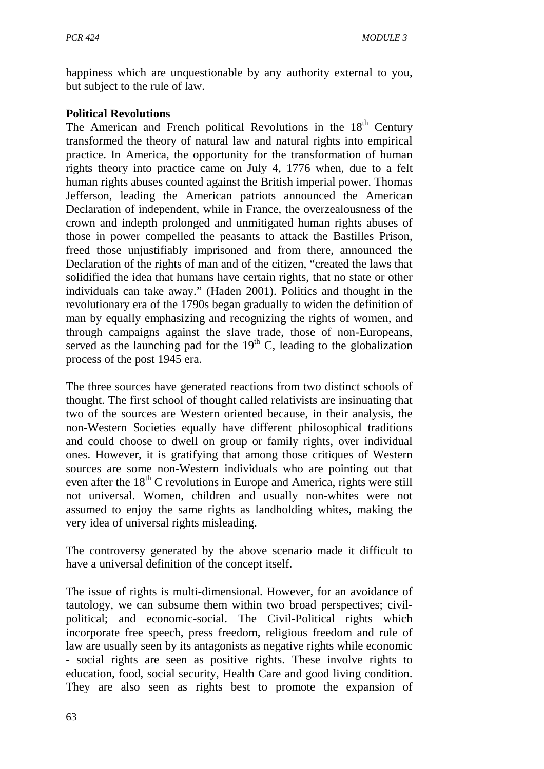happiness which are unquestionable by any authority external to you, but subject to the rule of law.

#### **Political Revolutions**

The American and French political Revolutions in the  $18<sup>th</sup>$  Century transformed the theory of natural law and natural rights into empirical practice. In America, the opportunity for the transformation of human rights theory into practice came on July 4, 1776 when, due to a felt human rights abuses counted against the British imperial power. Thomas Jefferson, leading the American patriots announced the American Declaration of independent, while in France, the overzealousness of the crown and indepth prolonged and unmitigated human rights abuses of those in power compelled the peasants to attack the Bastilles Prison, freed those unjustifiably imprisoned and from there, announced the Declaration of the rights of man and of the citizen, "created the laws that solidified the idea that humans have certain rights, that no state or other individuals can take away." (Haden 2001). Politics and thought in the revolutionary era of the 1790s began gradually to widen the definition of man by equally emphasizing and recognizing the rights of women, and through campaigns against the slave trade, those of non-Europeans, served as the launching pad for the  $19<sup>th</sup>$  C, leading to the globalization process of the post 1945 era.

The three sources have generated reactions from two distinct schools of thought. The first school of thought called relativists are insinuating that two of the sources are Western oriented because, in their analysis, the non-Western Societies equally have different philosophical traditions and could choose to dwell on group or family rights, over individual ones. However, it is gratifying that among those critiques of Western sources are some non-Western individuals who are pointing out that even after the  $18<sup>th</sup>$  C revolutions in Europe and America, rights were still not universal. Women, children and usually non-whites were not assumed to enjoy the same rights as landholding whites, making the very idea of universal rights misleading.

The controversy generated by the above scenario made it difficult to have a universal definition of the concept itself.

The issue of rights is multi-dimensional. However, for an avoidance of tautology, we can subsume them within two broad perspectives; civilpolitical; and economic-social. The Civil-Political rights which incorporate free speech, press freedom, religious freedom and rule of law are usually seen by its antagonists as negative rights while economic - social rights are seen as positive rights. These involve rights to education, food, social security, Health Care and good living condition. They are also seen as rights best to promote the expansion of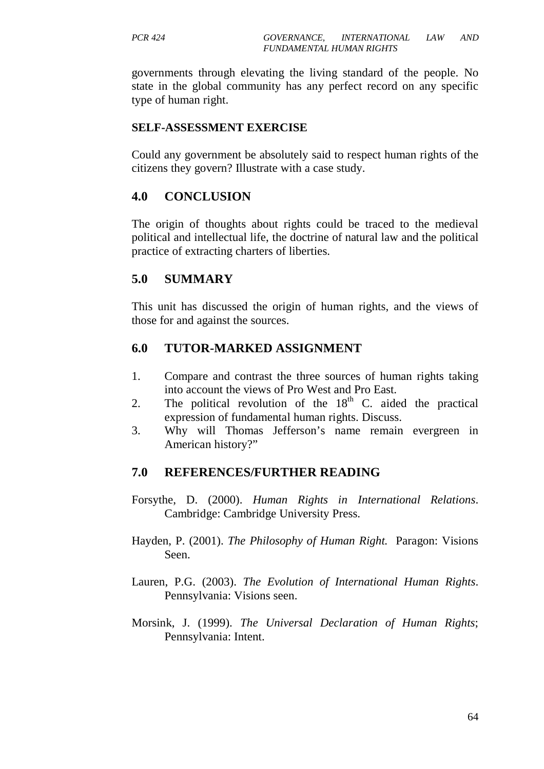governments through elevating the living standard of the people. No state in the global community has any perfect record on any specific type of human right.

#### **SELF-ASSESSMENT EXERCISE**

Could any government be absolutely said to respect human rights of the citizens they govern? Illustrate with a case study.

#### **4.0 CONCLUSION**

The origin of thoughts about rights could be traced to the medieval political and intellectual life, the doctrine of natural law and the political practice of extracting charters of liberties.

#### **5.0 SUMMARY**

This unit has discussed the origin of human rights, and the views of those for and against the sources.

#### **6.0 TUTOR-MARKED ASSIGNMENT**

- 1. Compare and contrast the three sources of human rights taking into account the views of Pro West and Pro East.
- 2. The political revolution of the  $18<sup>th</sup>$  C. aided the practical expression of fundamental human rights. Discuss.
- 3. Why will Thomas Jefferson's name remain evergreen in American history?"

- Forsythe, D. (2000). *Human Rights in International Relations*. Cambridge: Cambridge University Press.
- Hayden, P. (2001). *The Philosophy of Human Right.* Paragon: Visions Seen.
- Lauren, P.G. (2003). *The Evolution of International Human Rights*. Pennsylvania: Visions seen.
- Morsink, J. (1999). *The Universal Declaration of Human Rights*; Pennsylvania: Intent.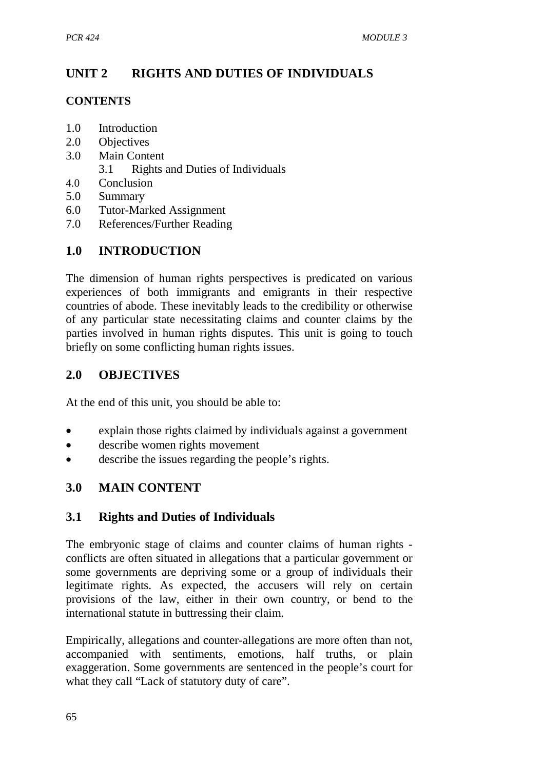# **UNIT 2 RIGHTS AND DUTIES OF INDIVIDUALS**

## **CONTENTS**

- 1.0 Introduction
- 2.0 Objectives
- 3.0 Main Content
	- 3.1 Rights and Duties of Individuals
- 4.0 Conclusion
- 5.0 Summary
- 6.0 Tutor-Marked Assignment
- 7.0 References/Further Reading

# **1.0 INTRODUCTION**

The dimension of human rights perspectives is predicated on various experiences of both immigrants and emigrants in their respective countries of abode. These inevitably leads to the credibility or otherwise of any particular state necessitating claims and counter claims by the parties involved in human rights disputes. This unit is going to touch briefly on some conflicting human rights issues.

# **2.0 OBJECTIVES**

At the end of this unit, you should be able to:

- explain those rights claimed by individuals against a government
- describe women rights movement
- describe the issues regarding the people's rights.

# **3.0 MAIN CONTENT**

# **3.1 Rights and Duties of Individuals**

The embryonic stage of claims and counter claims of human rights conflicts are often situated in allegations that a particular government or some governments are depriving some or a group of individuals their legitimate rights. As expected, the accusers will rely on certain provisions of the law, either in their own country, or bend to the international statute in buttressing their claim.

Empirically, allegations and counter-allegations are more often than not, accompanied with sentiments, emotions, half truths, or plain exaggeration. Some governments are sentenced in the people's court for what they call "Lack of statutory duty of care".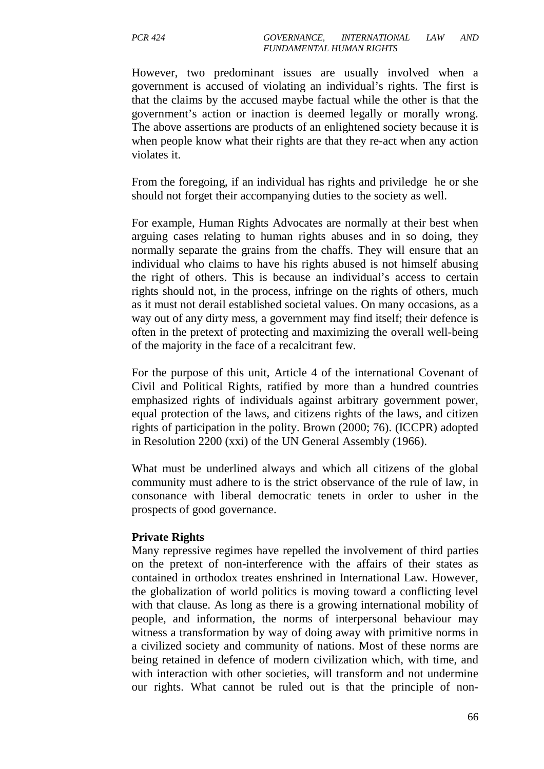However, two predominant issues are usually involved when a government is accused of violating an individual's rights. The first is that the claims by the accused maybe factual while the other is that the government's action or inaction is deemed legally or morally wrong. The above assertions are products of an enlightened society because it is when people know what their rights are that they re-act when any action violates it.

From the foregoing, if an individual has rights and priviledge he or she should not forget their accompanying duties to the society as well.

For example, Human Rights Advocates are normally at their best when arguing cases relating to human rights abuses and in so doing, they normally separate the grains from the chaffs. They will ensure that an individual who claims to have his rights abused is not himself abusing the right of others. This is because an individual's access to certain rights should not, in the process, infringe on the rights of others, much as it must not derail established societal values. On many occasions, as a way out of any dirty mess, a government may find itself; their defence is often in the pretext of protecting and maximizing the overall well-being of the majority in the face of a recalcitrant few.

For the purpose of this unit, Article 4 of the international Covenant of Civil and Political Rights, ratified by more than a hundred countries emphasized rights of individuals against arbitrary government power, equal protection of the laws, and citizens rights of the laws, and citizen rights of participation in the polity. Brown (2000; 76). (ICCPR) adopted in Resolution 2200 (xxi) of the UN General Assembly (1966).

What must be underlined always and which all citizens of the global community must adhere to is the strict observance of the rule of law, in consonance with liberal democratic tenets in order to usher in the prospects of good governance.

#### **Private Rights**

Many repressive regimes have repelled the involvement of third parties on the pretext of non-interference with the affairs of their states as contained in orthodox treates enshrined in International Law. However, the globalization of world politics is moving toward a conflicting level with that clause. As long as there is a growing international mobility of people, and information, the norms of interpersonal behaviour may witness a transformation by way of doing away with primitive norms in a civilized society and community of nations. Most of these norms are being retained in defence of modern civilization which, with time, and with interaction with other societies, will transform and not undermine our rights. What cannot be ruled out is that the principle of non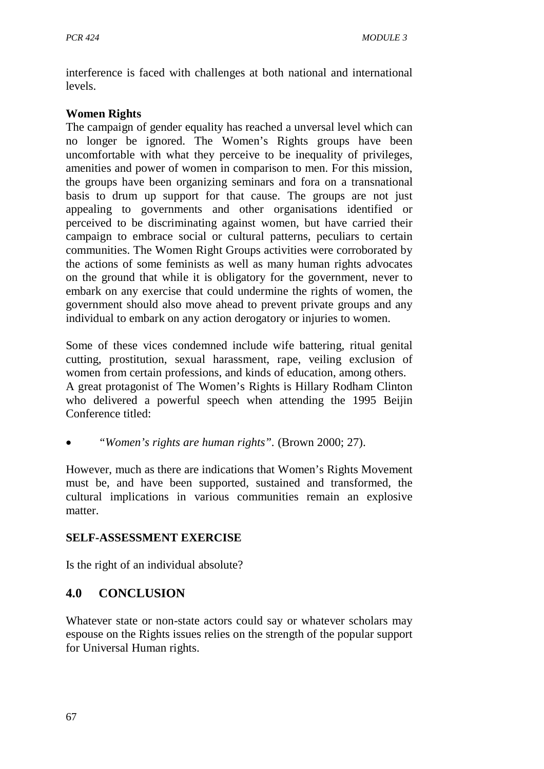interference is faced with challenges at both national and international levels.

#### **Women Rights**

The campaign of gender equality has reached a unversal level which can no longer be ignored. The Women's Rights groups have been uncomfortable with what they perceive to be inequality of privileges, amenities and power of women in comparison to men. For this mission, the groups have been organizing seminars and fora on a transnational basis to drum up support for that cause. The groups are not just appealing to governments and other organisations identified or perceived to be discriminating against women, but have carried their campaign to embrace social or cultural patterns, peculiars to certain communities. The Women Right Groups activities were corroborated by the actions of some feminists as well as many human rights advocates on the ground that while it is obligatory for the government, never to embark on any exercise that could undermine the rights of women, the government should also move ahead to prevent private groups and any individual to embark on any action derogatory or injuries to women.

Some of these vices condemned include wife battering, ritual genital cutting, prostitution, sexual harassment, rape, veiling exclusion of women from certain professions, and kinds of education, among others. A great protagonist of The Women's Rights is Hillary Rodham Clinton who delivered a powerful speech when attending the 1995 Beijin Conference titled:

• *"Women's rights are human rights".* (Brown 2000; 27).

However, much as there are indications that Women's Rights Movement must be, and have been supported, sustained and transformed, the cultural implications in various communities remain an explosive matter.

#### **SELF-ASSESSMENT EXERCISE**

Is the right of an individual absolute?

# **4.0 CONCLUSION**

Whatever state or non-state actors could say or whatever scholars may espouse on the Rights issues relies on the strength of the popular support for Universal Human rights.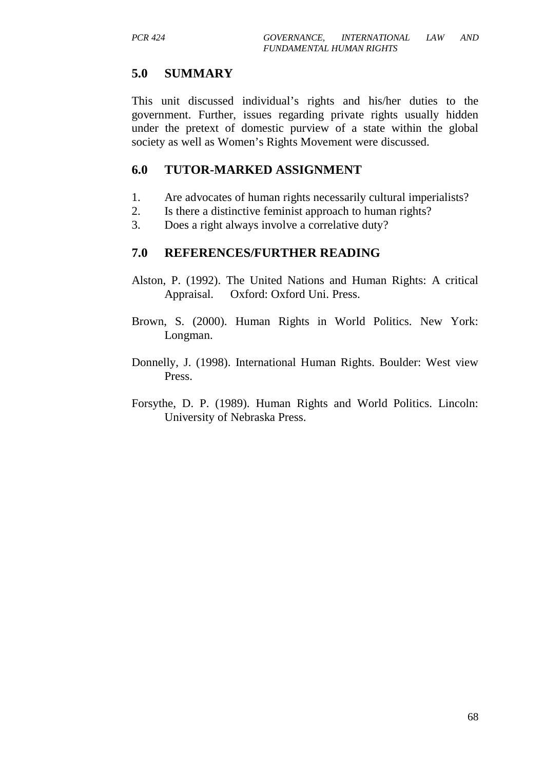### **5.0 SUMMARY**

This unit discussed individual's rights and his/her duties to the government. Further, issues regarding private rights usually hidden under the pretext of domestic purview of a state within the global society as well as Women's Rights Movement were discussed.

#### **6.0 TUTOR-MARKED ASSIGNMENT**

- 1. Are advocates of human rights necessarily cultural imperialists?
- 2. Is there a distinctive feminist approach to human rights?
- 3. Does a right always involve a correlative duty?

- Alston, P. (1992). The United Nations and Human Rights: A critical Appraisal. Oxford: Oxford Uni. Press.
- Brown, S. (2000). Human Rights in World Politics. New York: Longman.
- Donnelly, J. (1998). International Human Rights. Boulder: West view Press.
- Forsythe, D. P. (1989). Human Rights and World Politics. Lincoln: University of Nebraska Press.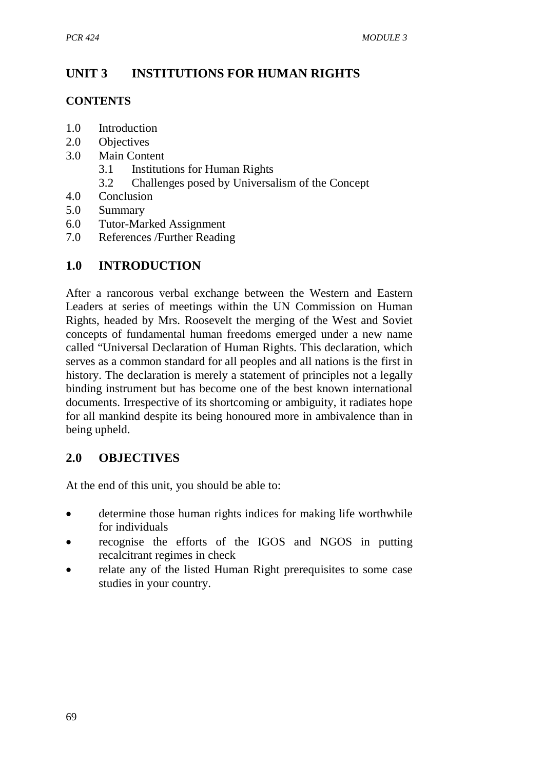# **UNIT 3 INSTITUTIONS FOR HUMAN RIGHTS**

#### **CONTENTS**

- 1.0 Introduction
- 2.0 Objectives
- 3.0 Main Content
	- 3.1 Institutions for Human Rights
	- 3.2 Challenges posed by Universalism of the Concept
- 4.0 Conclusion
- 5.0 Summary
- 6.0 Tutor-Marked Assignment
- 7.0 References /Further Reading

## **1.0 INTRODUCTION**

After a rancorous verbal exchange between the Western and Eastern Leaders at series of meetings within the UN Commission on Human Rights, headed by Mrs. Roosevelt the merging of the West and Soviet concepts of fundamental human freedoms emerged under a new name called "Universal Declaration of Human Rights. This declaration, which serves as a common standard for all peoples and all nations is the first in history. The declaration is merely a statement of principles not a legally binding instrument but has become one of the best known international documents. Irrespective of its shortcoming or ambiguity, it radiates hope for all mankind despite its being honoured more in ambivalence than in being upheld.

### **2.0 OBJECTIVES**

At the end of this unit, you should be able to:

- determine those human rights indices for making life worthwhile for individuals
- recognise the efforts of the IGOS and NGOS in putting recalcitrant regimes in check
- relate any of the listed Human Right prerequisites to some case studies in your country.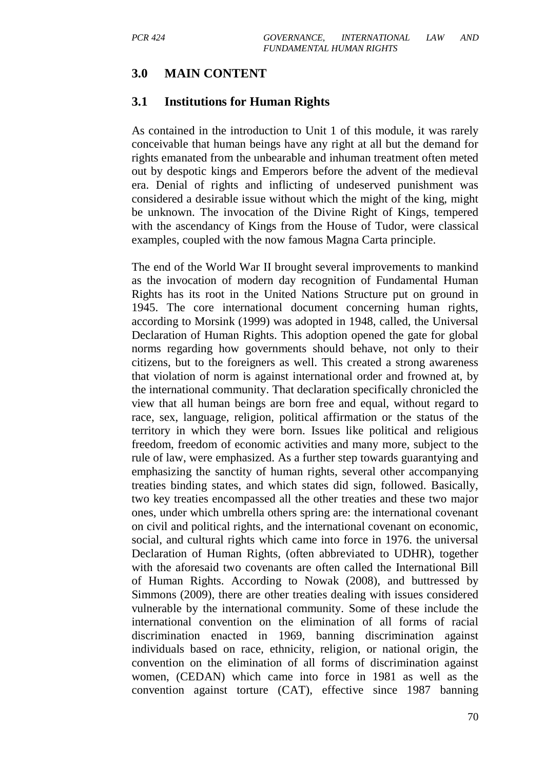## **3.0 MAIN CONTENT**

#### **3.1 Institutions for Human Rights**

As contained in the introduction to Unit 1 of this module, it was rarely conceivable that human beings have any right at all but the demand for rights emanated from the unbearable and inhuman treatment often meted out by despotic kings and Emperors before the advent of the medieval era. Denial of rights and inflicting of undeserved punishment was considered a desirable issue without which the might of the king, might be unknown. The invocation of the Divine Right of Kings, tempered with the ascendancy of Kings from the House of Tudor, were classical examples, coupled with the now famous Magna Carta principle.

The end of the World War II brought several improvements to mankind as the invocation of modern day recognition of Fundamental Human Rights has its root in the United Nations Structure put on ground in 1945. The core international document concerning human rights, according to Morsink (1999) was adopted in 1948, called, the Universal Declaration of Human Rights. This adoption opened the gate for global norms regarding how governments should behave, not only to their citizens, but to the foreigners as well. This created a strong awareness that violation of norm is against international order and frowned at, by the international community. That declaration specifically chronicled the view that all human beings are born free and equal, without regard to race, sex, language, religion, political affirmation or the status of the territory in which they were born. Issues like political and religious freedom, freedom of economic activities and many more, subject to the rule of law, were emphasized. As a further step towards guarantying and emphasizing the sanctity of human rights, several other accompanying treaties binding states, and which states did sign, followed. Basically, two key treaties encompassed all the other treaties and these two major ones, under which umbrella others spring are: the international covenant on civil and political rights, and the international covenant on economic, social, and cultural rights which came into force in 1976. the universal Declaration of Human Rights, (often abbreviated to UDHR), together with the aforesaid two covenants are often called the International Bill of Human Rights. According to Nowak (2008), and buttressed by Simmons (2009), there are other treaties dealing with issues considered vulnerable by the international community. Some of these include the international convention on the elimination of all forms of racial discrimination enacted in 1969, banning discrimination against individuals based on race, ethnicity, religion, or national origin, the convention on the elimination of all forms of discrimination against women, (CEDAN) which came into force in 1981 as well as the convention against torture (CAT), effective since 1987 banning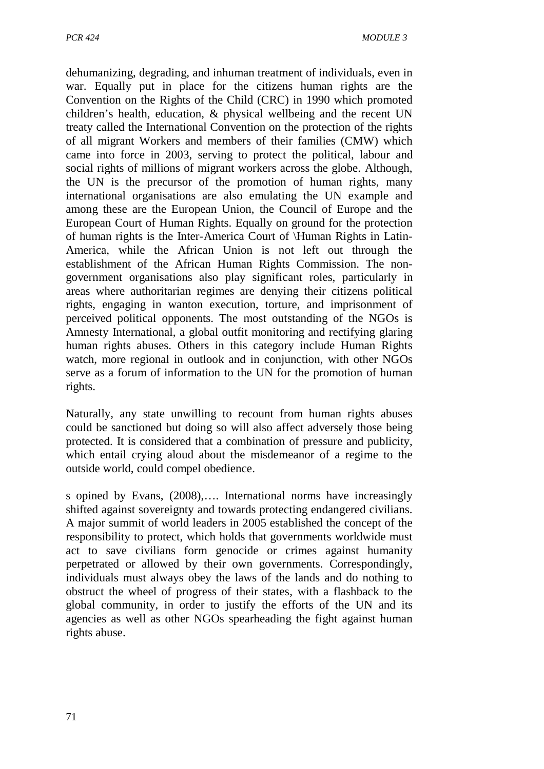dehumanizing, degrading, and inhuman treatment of individuals, even in war. Equally put in place for the citizens human rights are the Convention on the Rights of the Child (CRC) in 1990 which promoted children's health, education, & physical wellbeing and the recent UN treaty called the International Convention on the protection of the rights of all migrant Workers and members of their families (CMW) which came into force in 2003, serving to protect the political, labour and social rights of millions of migrant workers across the globe. Although, the UN is the precursor of the promotion of human rights, many international organisations are also emulating the UN example and among these are the European Union, the Council of Europe and the European Court of Human Rights. Equally on ground for the protection of human rights is the Inter-America Court of \Human Rights in Latin-America, while the African Union is not left out through the establishment of the African Human Rights Commission. The nongovernment organisations also play significant roles, particularly in areas where authoritarian regimes are denying their citizens political rights, engaging in wanton execution, torture, and imprisonment of perceived political opponents. The most outstanding of the NGOs is Amnesty International, a global outfit monitoring and rectifying glaring human rights abuses. Others in this category include Human Rights watch, more regional in outlook and in conjunction, with other NGOs serve as a forum of information to the UN for the promotion of human rights.

Naturally, any state unwilling to recount from human rights abuses could be sanctioned but doing so will also affect adversely those being protected. It is considered that a combination of pressure and publicity, which entail crying aloud about the misdemeanor of a regime to the outside world, could compel obedience.

s opined by Evans, (2008),…. International norms have increasingly shifted against sovereignty and towards protecting endangered civilians. A major summit of world leaders in 2005 established the concept of the responsibility to protect, which holds that governments worldwide must act to save civilians form genocide or crimes against humanity perpetrated or allowed by their own governments. Correspondingly, individuals must always obey the laws of the lands and do nothing to obstruct the wheel of progress of their states, with a flashback to the global community, in order to justify the efforts of the UN and its agencies as well as other NGOs spearheading the fight against human rights abuse.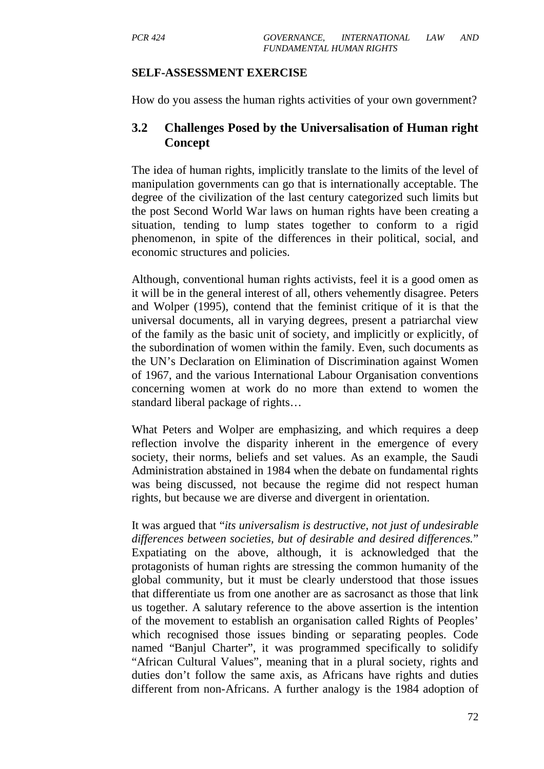#### **SELF-ASSESSMENT EXERCISE**

How do you assess the human rights activities of your own government?

#### **3.2 Challenges Posed by the Universalisation of Human right Concept**

The idea of human rights, implicitly translate to the limits of the level of manipulation governments can go that is internationally acceptable. The degree of the civilization of the last century categorized such limits but the post Second World War laws on human rights have been creating a situation, tending to lump states together to conform to a rigid phenomenon, in spite of the differences in their political, social, and economic structures and policies.

Although, conventional human rights activists, feel it is a good omen as it will be in the general interest of all, others vehemently disagree. Peters and Wolper (1995), contend that the feminist critique of it is that the universal documents, all in varying degrees, present a patriarchal view of the family as the basic unit of society, and implicitly or explicitly, of the subordination of women within the family. Even, such documents as the UN's Declaration on Elimination of Discrimination against Women of 1967, and the various International Labour Organisation conventions concerning women at work do no more than extend to women the standard liberal package of rights…

What Peters and Wolper are emphasizing, and which requires a deep reflection involve the disparity inherent in the emergence of every society, their norms, beliefs and set values. As an example, the Saudi Administration abstained in 1984 when the debate on fundamental rights was being discussed, not because the regime did not respect human rights, but because we are diverse and divergent in orientation.

It was argued that "*its universalism is destructive, not just of undesirable differences between societies, but of desirable and desired differences.*" Expatiating on the above, although, it is acknowledged that the protagonists of human rights are stressing the common humanity of the global community, but it must be clearly understood that those issues that differentiate us from one another are as sacrosanct as those that link us together. A salutary reference to the above assertion is the intention of the movement to establish an organisation called Rights of Peoples' which recognised those issues binding or separating peoples. Code named "Banjul Charter", it was programmed specifically to solidify "African Cultural Values", meaning that in a plural society, rights and duties don't follow the same axis, as Africans have rights and duties different from non-Africans. A further analogy is the 1984 adoption of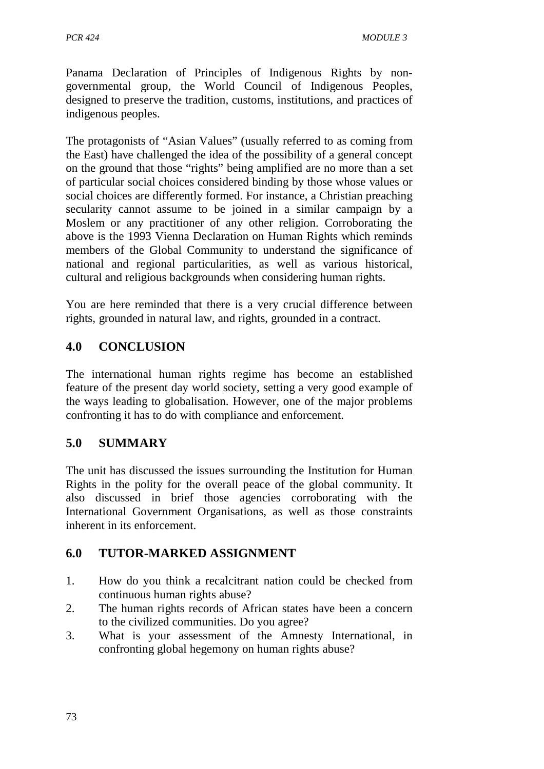Panama Declaration of Principles of Indigenous Rights by nongovernmental group, the World Council of Indigenous Peoples, designed to preserve the tradition, customs, institutions, and practices of indigenous peoples.

The protagonists of "Asian Values" (usually referred to as coming from the East) have challenged the idea of the possibility of a general concept on the ground that those "rights" being amplified are no more than a set of particular social choices considered binding by those whose values or social choices are differently formed. For instance, a Christian preaching secularity cannot assume to be joined in a similar campaign by a Moslem or any practitioner of any other religion. Corroborating the above is the 1993 Vienna Declaration on Human Rights which reminds members of the Global Community to understand the significance of national and regional particularities, as well as various historical, cultural and religious backgrounds when considering human rights.

You are here reminded that there is a very crucial difference between rights, grounded in natural law, and rights, grounded in a contract.

# **4.0 CONCLUSION**

The international human rights regime has become an established feature of the present day world society, setting a very good example of the ways leading to globalisation. However, one of the major problems confronting it has to do with compliance and enforcement.

# **5.0 SUMMARY**

The unit has discussed the issues surrounding the Institution for Human Rights in the polity for the overall peace of the global community. It also discussed in brief those agencies corroborating with the International Government Organisations, as well as those constraints inherent in its enforcement.

# **6.0 TUTOR-MARKED ASSIGNMENT**

- 1. How do you think a recalcitrant nation could be checked from continuous human rights abuse?
- 2. The human rights records of African states have been a concern to the civilized communities. Do you agree?
- 3. What is your assessment of the Amnesty International, in confronting global hegemony on human rights abuse?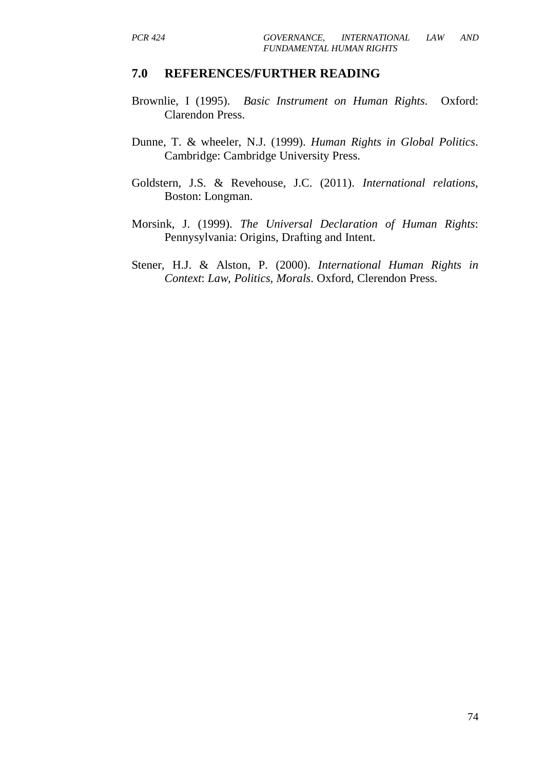#### **7.0 REFERENCES/FURTHER READING**

- Brownlie, I (1995). *Basic Instrument on Human Rights*. Oxford: Clarendon Press.
- Dunne, T. & wheeler, N.J. (1999). *Human Rights in Global Politics*. Cambridge: Cambridge University Press.
- Goldstern, J.S. & Revehouse, J.C. (2011). *International relations*, Boston: Longman.
- Morsink, J. (1999). *The Universal Declaration of Human Rights*: Pennysylvania: Origins, Drafting and Intent.
- Stener, H.J. & Alston, P. (2000). *International Human Rights in Context*: *Law, Politics, Morals*. Oxford, Clerendon Press.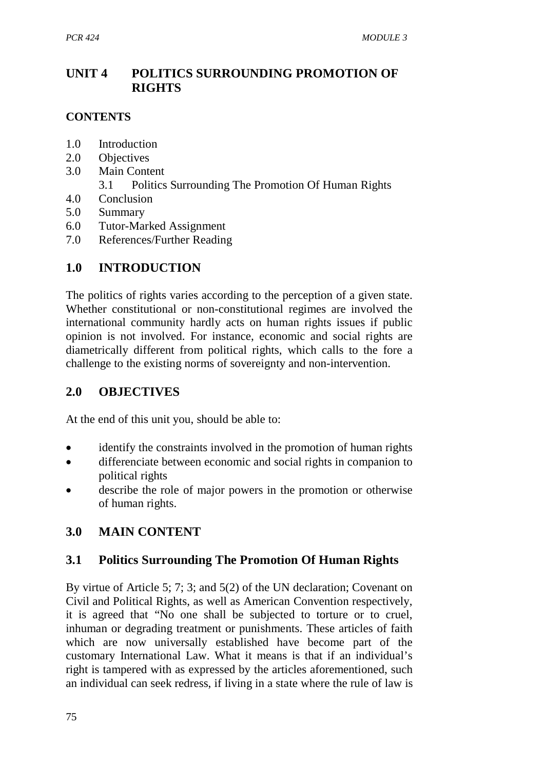# **UNIT 4 POLITICS SURROUNDING PROMOTION OF RIGHTS**

## **CONTENTS**

- 1.0 Introduction
- 2.0 Objectives
- 3.0 Main Content
	- 3.1 Politics Surrounding The Promotion Of Human Rights
- 4.0 Conclusion
- 5.0 Summary
- 6.0 Tutor-Marked Assignment
- 7.0 References/Further Reading

# **1.0 INTRODUCTION**

The politics of rights varies according to the perception of a given state. Whether constitutional or non-constitutional regimes are involved the international community hardly acts on human rights issues if public opinion is not involved. For instance, economic and social rights are diametrically different from political rights, which calls to the fore a challenge to the existing norms of sovereignty and non-intervention.

## **2.0 OBJECTIVES**

At the end of this unit you, should be able to:

- identify the constraints involved in the promotion of human rights
- differenciate between economic and social rights in companion to political rights
- describe the role of major powers in the promotion or otherwise of human rights.

# **3.0 MAIN CONTENT**

## **3.1 Politics Surrounding The Promotion Of Human Rights**

By virtue of Article 5; 7; 3; and 5(2) of the UN declaration; Covenant on Civil and Political Rights, as well as American Convention respectively, it is agreed that "No one shall be subjected to torture or to cruel, inhuman or degrading treatment or punishments. These articles of faith which are now universally established have become part of the customary International Law. What it means is that if an individual's right is tampered with as expressed by the articles aforementioned, such an individual can seek redress, if living in a state where the rule of law is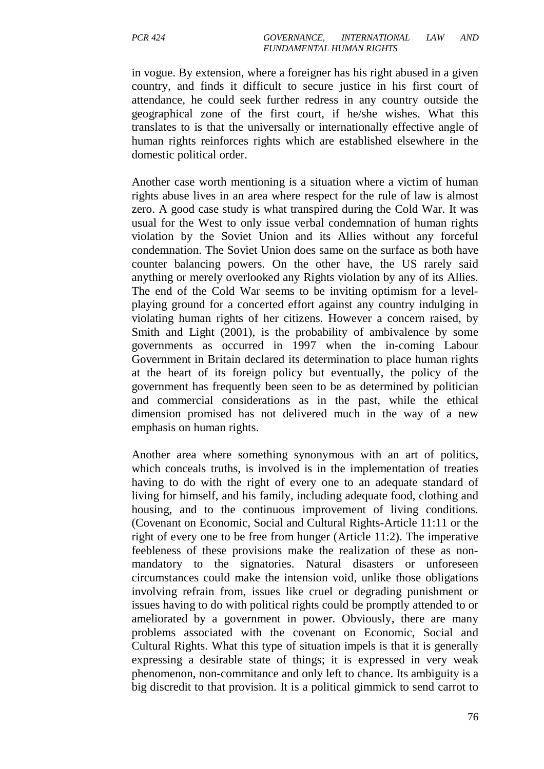in vogue. By extension, where a foreigner has his right abused in a given country, and finds it difficult to secure justice in his first court of attendance, he could seek further redress in any country outside the geographical zone of the first court, if he/she wishes. What this translates to is that the universally or internationally effective angle of human rights reinforces rights which are established elsewhere in the domestic political order.

Another case worth mentioning is a situation where a victim of human rights abuse lives in an area where respect for the rule of law is almost zero. A good case study is what transpired during the Cold War. It was usual for the West to only issue verbal condemnation of human rights violation by the Soviet Union and its Allies without any forceful condemnation. The Soviet Union does same on the surface as both have counter balancing powers. On the other have, the US rarely said anything or merely overlooked any Rights violation by any of its Allies. The end of the Cold War seems to be inviting optimism for a levelplaying ground for a concerted effort against any country indulging in violating human rights of her citizens. However a concern raised, by Smith and Light (2001), is the probability of ambivalence by some governments as occurred in 1997 when the in-coming Labour Government in Britain declared its determination to place human rights at the heart of its foreign policy but eventually, the policy of the government has frequently been seen to be as determined by politician and commercial considerations as in the past, while the ethical dimension promised has not delivered much in the way of a new emphasis on human rights.

Another area where something synonymous with an art of politics, which conceals truths, is involved is in the implementation of treaties having to do with the right of every one to an adequate standard of living for himself, and his family, including adequate food, clothing and housing, and to the continuous improvement of living conditions. (Covenant on Economic, Social and Cultural Rights-Article 11:11 or the right of every one to be free from hunger (Article 11:2). The imperative feebleness of these provisions make the realization of these as nonmandatory to the signatories. Natural disasters or unforeseen circumstances could make the intension void, unlike those obligations involving refrain from, issues like cruel or degrading punishment or issues having to do with political rights could be promptly attended to or ameliorated by a government in power. Obviously, there are many problems associated with the covenant on Economic, Social and Cultural Rights. What this type of situation impels is that it is generally expressing a desirable state of things; it is expressed in very weak phenomenon, non-commitance and only left to chance. Its ambiguity is a big discredit to that provision. It is a political gimmick to send carrot to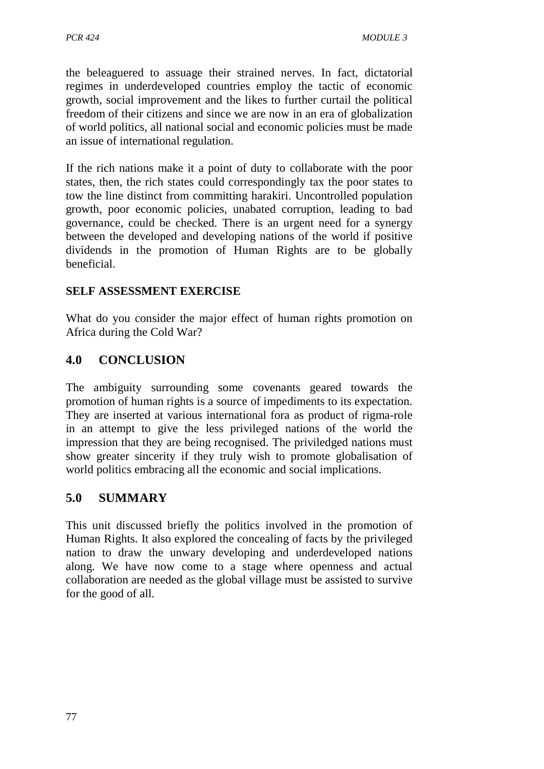the beleaguered to assuage their strained nerves. In fact, dictatorial regimes in underdeveloped countries employ the tactic of economic growth, social improvement and the likes to further curtail the political freedom of their citizens and since we are now in an era of globalization of world politics, all national social and economic policies must be made an issue of international regulation.

If the rich nations make it a point of duty to collaborate with the poor states, then, the rich states could correspondingly tax the poor states to tow the line distinct from committing harakiri. Uncontrolled population growth, poor economic policies, unabated corruption, leading to bad governance, could be checked. There is an urgent need for a synergy between the developed and developing nations of the world if positive dividends in the promotion of Human Rights are to be globally beneficial.

## **SELF ASSESSMENT EXERCISE**

What do you consider the major effect of human rights promotion on Africa during the Cold War?

# **4.0 CONCLUSION**

The ambiguity surrounding some covenants geared towards the promotion of human rights is a source of impediments to its expectation. They are inserted at various international fora as product of rigma-role in an attempt to give the less privileged nations of the world the impression that they are being recognised. The priviledged nations must show greater sincerity if they truly wish to promote globalisation of world politics embracing all the economic and social implications.

## **5.0 SUMMARY**

This unit discussed briefly the politics involved in the promotion of Human Rights. It also explored the concealing of facts by the privileged nation to draw the unwary developing and underdeveloped nations along. We have now come to a stage where openness and actual collaboration are needed as the global village must be assisted to survive for the good of all.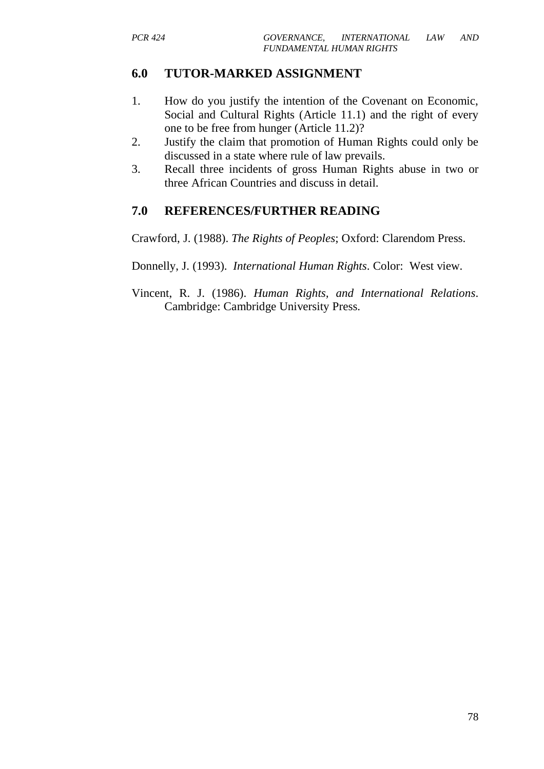# **6.0 TUTOR-MARKED ASSIGNMENT**

- 1. How do you justify the intention of the Covenant on Economic, Social and Cultural Rights (Article 11.1) and the right of every one to be free from hunger (Article 11.2)?
- 2. Justify the claim that promotion of Human Rights could only be discussed in a state where rule of law prevails.
- 3. Recall three incidents of gross Human Rights abuse in two or three African Countries and discuss in detail.

# **7.0 REFERENCES/FURTHER READING**

Crawford, J. (1988). *The Rights of Peoples*; Oxford: Clarendom Press.

- Donnelly, J. (1993). *International Human Rights*. Color: West view.
- Vincent, R. J. (1986). *Human Rights, and International Relations*. Cambridge: Cambridge University Press.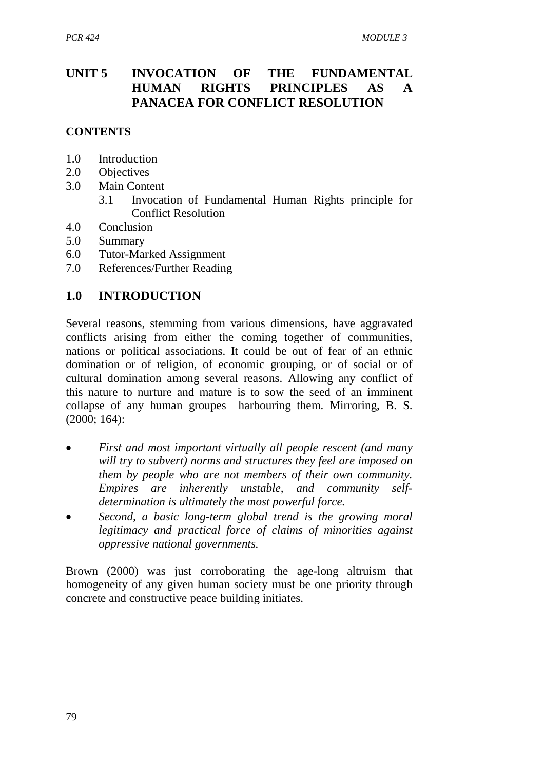# **UNIT 5 INVOCATION OF THE FUNDAMENTAL HUMAN RIGHTS PRINCIPLES AS A PANACEA FOR CONFLICT RESOLUTION**

#### **CONTENTS**

- 1.0 Introduction
- 2.0 Objectives
- 3.0 Main Content
	- 3.1 Invocation of Fundamental Human Rights principle for Conflict Resolution
- 4.0 Conclusion
- 5.0 Summary
- 6.0 Tutor-Marked Assignment
- 7.0 References/Further Reading

# **1.0 INTRODUCTION**

Several reasons, stemming from various dimensions, have aggravated conflicts arising from either the coming together of communities, nations or political associations. It could be out of fear of an ethnic domination or of religion, of economic grouping, or of social or of cultural domination among several reasons. Allowing any conflict of this nature to nurture and mature is to sow the seed of an imminent collapse of any human groupes harbouring them. Mirroring, B. S. (2000; 164):

- *First and most important virtually all people rescent (and many will try to subvert) norms and structures they feel are imposed on them by people who are not members of their own community. Empires are inherently unstable, and community selfdetermination is ultimately the most powerful force.*
- *Second, a basic long-term global trend is the growing moral legitimacy and practical force of claims of minorities against oppressive national governments.*

Brown (2000) was just corroborating the age-long altruism that homogeneity of any given human society must be one priority through concrete and constructive peace building initiates.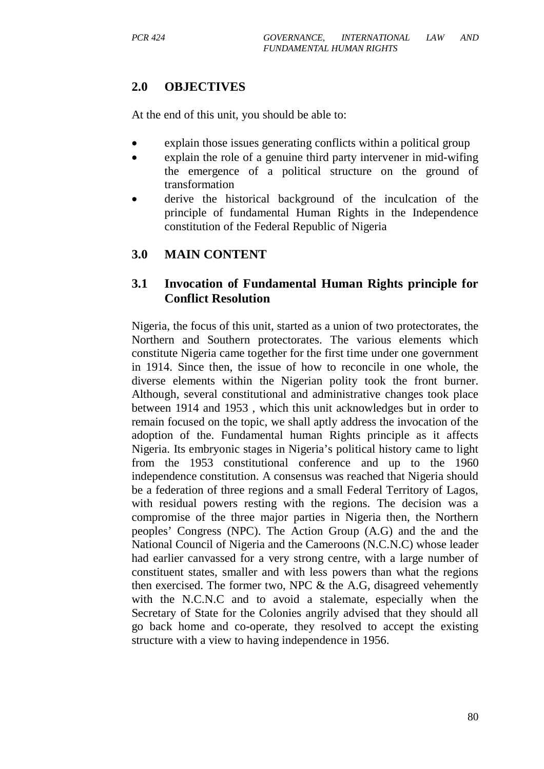## **2.0 OBJECTIVES**

At the end of this unit, you should be able to:

- explain those issues generating conflicts within a political group
- explain the role of a genuine third party intervener in mid-wifing the emergence of a political structure on the ground of transformation
- derive the historical background of the inculcation of the principle of fundamental Human Rights in the Independence constitution of the Federal Republic of Nigeria

# **3.0 MAIN CONTENT**

## **3.1 Invocation of Fundamental Human Rights principle for Conflict Resolution**

Nigeria, the focus of this unit, started as a union of two protectorates, the Northern and Southern protectorates. The various elements which constitute Nigeria came together for the first time under one government in 1914. Since then, the issue of how to reconcile in one whole, the diverse elements within the Nigerian polity took the front burner. Although, several constitutional and administrative changes took place between 1914 and 1953 , which this unit acknowledges but in order to remain focused on the topic, we shall aptly address the invocation of the adoption of the. Fundamental human Rights principle as it affects Nigeria. Its embryonic stages in Nigeria's political history came to light from the 1953 constitutional conference and up to the 1960 independence constitution. A consensus was reached that Nigeria should be a federation of three regions and a small Federal Territory of Lagos, with residual powers resting with the regions. The decision was a compromise of the three major parties in Nigeria then, the Northern peoples' Congress (NPC). The Action Group (A.G) and the and the National Council of Nigeria and the Cameroons (N.C.N.C) whose leader had earlier canvassed for a very strong centre, with a large number of constituent states, smaller and with less powers than what the regions then exercised. The former two, NPC  $\&$  the A.G, disagreed vehemently with the N.C.N.C and to avoid a stalemate, especially when the Secretary of State for the Colonies angrily advised that they should all go back home and co-operate, they resolved to accept the existing structure with a view to having independence in 1956.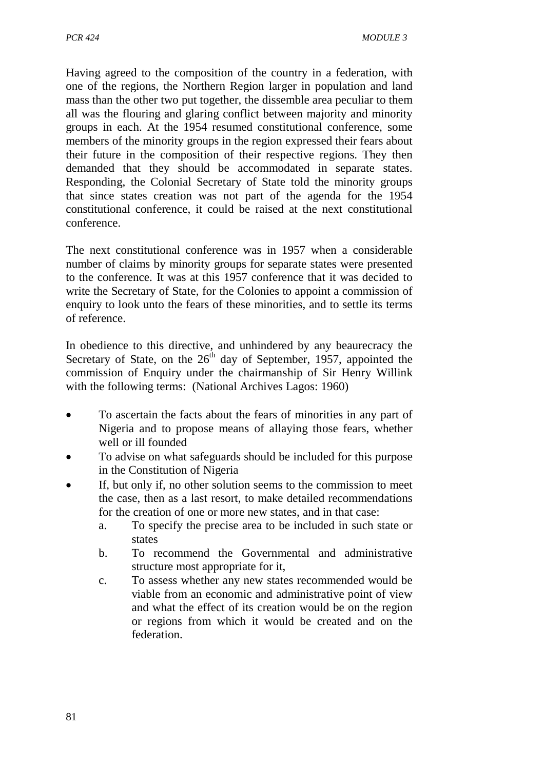Having agreed to the composition of the country in a federation, with one of the regions, the Northern Region larger in population and land mass than the other two put together, the dissemble area peculiar to them all was the flouring and glaring conflict between majority and minority groups in each. At the 1954 resumed constitutional conference, some members of the minority groups in the region expressed their fears about their future in the composition of their respective regions. They then demanded that they should be accommodated in separate states. Responding, the Colonial Secretary of State told the minority groups that since states creation was not part of the agenda for the 1954 constitutional conference, it could be raised at the next constitutional conference.

The next constitutional conference was in 1957 when a considerable number of claims by minority groups for separate states were presented to the conference. It was at this 1957 conference that it was decided to write the Secretary of State, for the Colonies to appoint a commission of enquiry to look unto the fears of these minorities, and to settle its terms of reference.

In obedience to this directive, and unhindered by any beaurecracy the Secretary of State, on the  $26<sup>th</sup>$  day of September, 1957, appointed the commission of Enquiry under the chairmanship of Sir Henry Willink with the following terms: (National Archives Lagos: 1960)

- To ascertain the facts about the fears of minorities in any part of Nigeria and to propose means of allaying those fears, whether well or ill founded
- To advise on what safeguards should be included for this purpose in the Constitution of Nigeria
- If, but only if, no other solution seems to the commission to meet the case, then as a last resort, to make detailed recommendations for the creation of one or more new states, and in that case:
	- a. To specify the precise area to be included in such state or states
	- b. To recommend the Governmental and administrative structure most appropriate for it,
	- c. To assess whether any new states recommended would be viable from an economic and administrative point of view and what the effect of its creation would be on the region or regions from which it would be created and on the federation.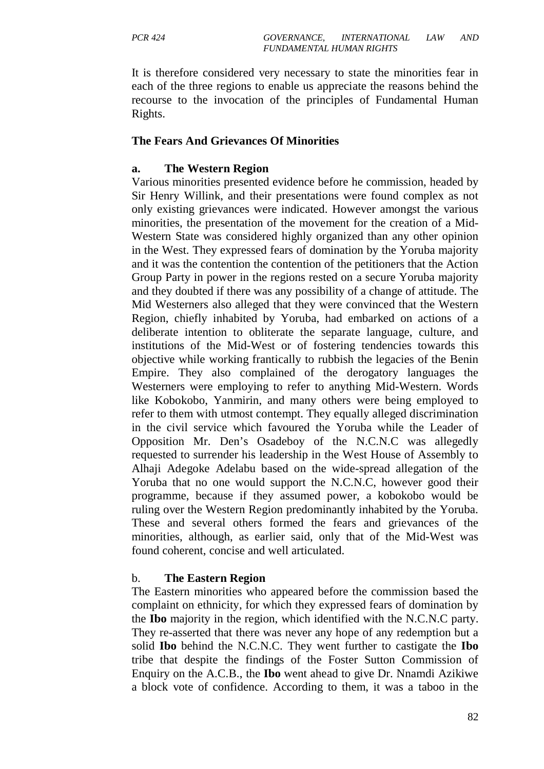It is therefore considered very necessary to state the minorities fear in each of the three regions to enable us appreciate the reasons behind the recourse to the invocation of the principles of Fundamental Human Rights.

#### **The Fears And Grievances Of Minorities**

#### **a. The Western Region**

Various minorities presented evidence before he commission, headed by Sir Henry Willink, and their presentations were found complex as not only existing grievances were indicated. However amongst the various minorities, the presentation of the movement for the creation of a Mid-Western State was considered highly organized than any other opinion in the West. They expressed fears of domination by the Yoruba majority and it was the contention the contention of the petitioners that the Action Group Party in power in the regions rested on a secure Yoruba majority and they doubted if there was any possibility of a change of attitude. The Mid Westerners also alleged that they were convinced that the Western Region, chiefly inhabited by Yoruba, had embarked on actions of a deliberate intention to obliterate the separate language, culture, and institutions of the Mid-West or of fostering tendencies towards this objective while working frantically to rubbish the legacies of the Benin Empire. They also complained of the derogatory languages the Westerners were employing to refer to anything Mid-Western. Words like Kobokobo, Yanmirin, and many others were being employed to refer to them with utmost contempt. They equally alleged discrimination in the civil service which favoured the Yoruba while the Leader of Opposition Mr. Den's Osadeboy of the N.C.N.C was allegedly requested to surrender his leadership in the West House of Assembly to Alhaji Adegoke Adelabu based on the wide-spread allegation of the Yoruba that no one would support the N.C.N.C, however good their programme, because if they assumed power, a kobokobo would be ruling over the Western Region predominantly inhabited by the Yoruba. These and several others formed the fears and grievances of the minorities, although, as earlier said, only that of the Mid-West was found coherent, concise and well articulated.

#### b. **The Eastern Region**

The Eastern minorities who appeared before the commission based the complaint on ethnicity, for which they expressed fears of domination by the **Ibo** majority in the region, which identified with the N.C.N.C party. They re-asserted that there was never any hope of any redemption but a solid **Ibo** behind the N.C.N.C. They went further to castigate the **Ibo**  tribe that despite the findings of the Foster Sutton Commission of Enquiry on the A.C.B., the **Ibo** went ahead to give Dr. Nnamdi Azikiwe a block vote of confidence. According to them, it was a taboo in the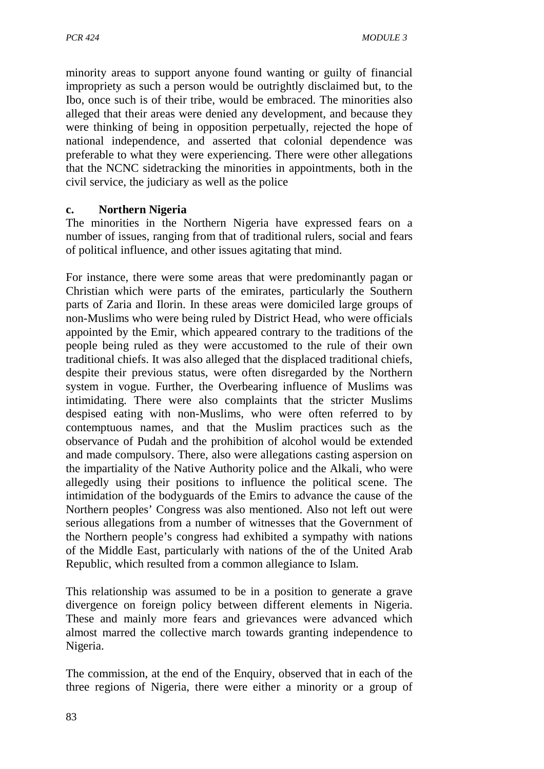minority areas to support anyone found wanting or guilty of financial impropriety as such a person would be outrightly disclaimed but, to the Ibo, once such is of their tribe, would be embraced. The minorities also alleged that their areas were denied any development, and because they were thinking of being in opposition perpetually, rejected the hope of national independence, and asserted that colonial dependence was preferable to what they were experiencing. There were other allegations that the NCNC sidetracking the minorities in appointments, both in the civil service, the judiciary as well as the police

#### **c. Northern Nigeria**

The minorities in the Northern Nigeria have expressed fears on a number of issues, ranging from that of traditional rulers, social and fears of political influence, and other issues agitating that mind.

For instance, there were some areas that were predominantly pagan or Christian which were parts of the emirates, particularly the Southern parts of Zaria and Ilorin. In these areas were domiciled large groups of non-Muslims who were being ruled by District Head, who were officials appointed by the Emir, which appeared contrary to the traditions of the people being ruled as they were accustomed to the rule of their own traditional chiefs. It was also alleged that the displaced traditional chiefs, despite their previous status, were often disregarded by the Northern system in vogue. Further, the Overbearing influence of Muslims was intimidating. There were also complaints that the stricter Muslims despised eating with non-Muslims, who were often referred to by contemptuous names, and that the Muslim practices such as the observance of Pudah and the prohibition of alcohol would be extended and made compulsory. There, also were allegations casting aspersion on the impartiality of the Native Authority police and the Alkali, who were allegedly using their positions to influence the political scene. The intimidation of the bodyguards of the Emirs to advance the cause of the Northern peoples' Congress was also mentioned. Also not left out were serious allegations from a number of witnesses that the Government of the Northern people's congress had exhibited a sympathy with nations of the Middle East, particularly with nations of the of the United Arab Republic, which resulted from a common allegiance to Islam.

This relationship was assumed to be in a position to generate a grave divergence on foreign policy between different elements in Nigeria. These and mainly more fears and grievances were advanced which almost marred the collective march towards granting independence to Nigeria.

The commission, at the end of the Enquiry, observed that in each of the three regions of Nigeria, there were either a minority or a group of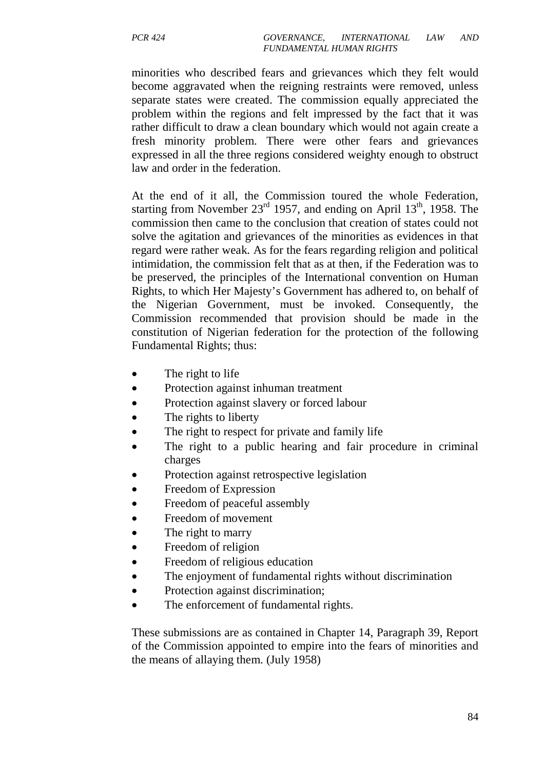minorities who described fears and grievances which they felt would become aggravated when the reigning restraints were removed, unless separate states were created. The commission equally appreciated the problem within the regions and felt impressed by the fact that it was rather difficult to draw a clean boundary which would not again create a fresh minority problem. There were other fears and grievances expressed in all the three regions considered weighty enough to obstruct law and order in the federation.

At the end of it all, the Commission toured the whole Federation, starting from November  $23<sup>rd</sup>$  1957, and ending on April 13<sup>th</sup>, 1958. The commission then came to the conclusion that creation of states could not solve the agitation and grievances of the minorities as evidences in that regard were rather weak. As for the fears regarding religion and political intimidation, the commission felt that as at then, if the Federation was to be preserved, the principles of the International convention on Human Rights, to which Her Majesty's Government has adhered to, on behalf of the Nigerian Government, must be invoked. Consequently, the Commission recommended that provision should be made in the constitution of Nigerian federation for the protection of the following Fundamental Rights; thus:

- The right to life
- Protection against inhuman treatment
- Protection against slavery or forced labour
- The rights to liberty
- The right to respect for private and family life
- The right to a public hearing and fair procedure in criminal charges
- Protection against retrospective legislation
- Freedom of Expression
- Freedom of peaceful assembly
- Freedom of movement
- The right to marry
- Freedom of religion
- Freedom of religious education
- The enjoyment of fundamental rights without discrimination
- Protection against discrimination;
- The enforcement of fundamental rights.

These submissions are as contained in Chapter 14, Paragraph 39, Report of the Commission appointed to empire into the fears of minorities and the means of allaying them. (July 1958)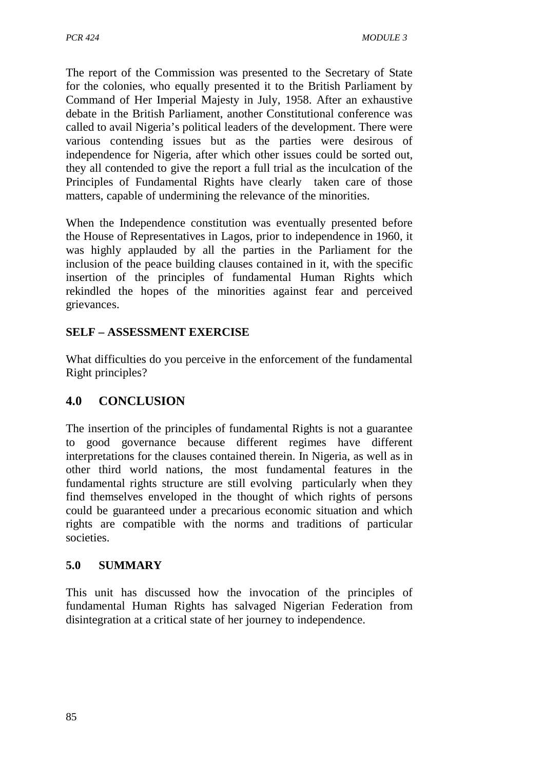The report of the Commission was presented to the Secretary of State for the colonies, who equally presented it to the British Parliament by Command of Her Imperial Majesty in July, 1958. After an exhaustive debate in the British Parliament, another Constitutional conference was called to avail Nigeria's political leaders of the development. There were various contending issues but as the parties were desirous of independence for Nigeria, after which other issues could be sorted out, they all contended to give the report a full trial as the inculcation of the Principles of Fundamental Rights have clearly taken care of those matters, capable of undermining the relevance of the minorities.

When the Independence constitution was eventually presented before the House of Representatives in Lagos, prior to independence in 1960, it was highly applauded by all the parties in the Parliament for the inclusion of the peace building clauses contained in it, with the specific insertion of the principles of fundamental Human Rights which rekindled the hopes of the minorities against fear and perceived grievances.

## **SELF – ASSESSMENT EXERCISE**

What difficulties do you perceive in the enforcement of the fundamental Right principles?

# **4.0 CONCLUSION**

The insertion of the principles of fundamental Rights is not a guarantee to good governance because different regimes have different interpretations for the clauses contained therein. In Nigeria, as well as in other third world nations, the most fundamental features in the fundamental rights structure are still evolving particularly when they find themselves enveloped in the thought of which rights of persons could be guaranteed under a precarious economic situation and which rights are compatible with the norms and traditions of particular societies.

## **5.0 SUMMARY**

This unit has discussed how the invocation of the principles of fundamental Human Rights has salvaged Nigerian Federation from disintegration at a critical state of her journey to independence.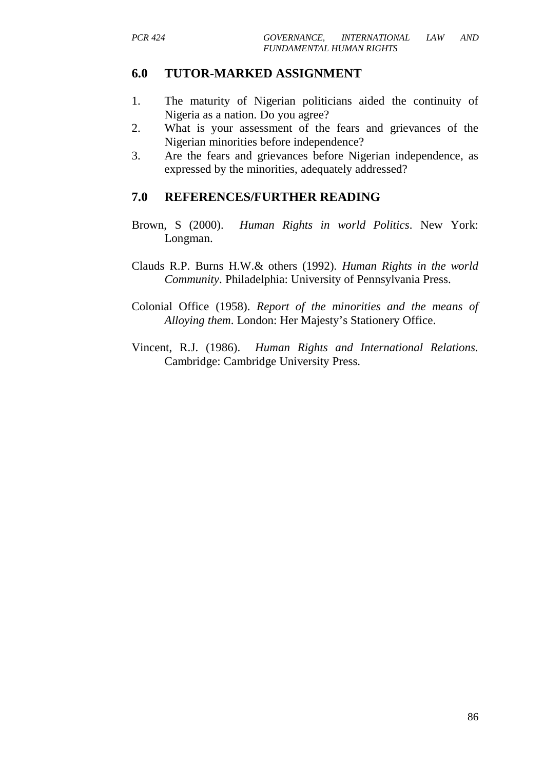#### **6.0 TUTOR-MARKED ASSIGNMENT**

- 1. The maturity of Nigerian politicians aided the continuity of Nigeria as a nation. Do you agree?
- 2. What is your assessment of the fears and grievances of the Nigerian minorities before independence?
- 3. Are the fears and grievances before Nigerian independence, as expressed by the minorities, adequately addressed?

#### **7.0 REFERENCES/FURTHER READING**

- Brown, S (2000). *Human Rights in world Politics*. New York: Longman.
- Clauds R.P. Burns H.W.& others (1992). *Human Rights in the world Community*. Philadelphia: University of Pennsylvania Press.
- Colonial Office (1958). *Report of the minorities and the means of Alloying them*. London: Her Majesty's Stationery Office.
- Vincent, R.J. (1986). *Human Rights and International Relations.*  Cambridge: Cambridge University Press.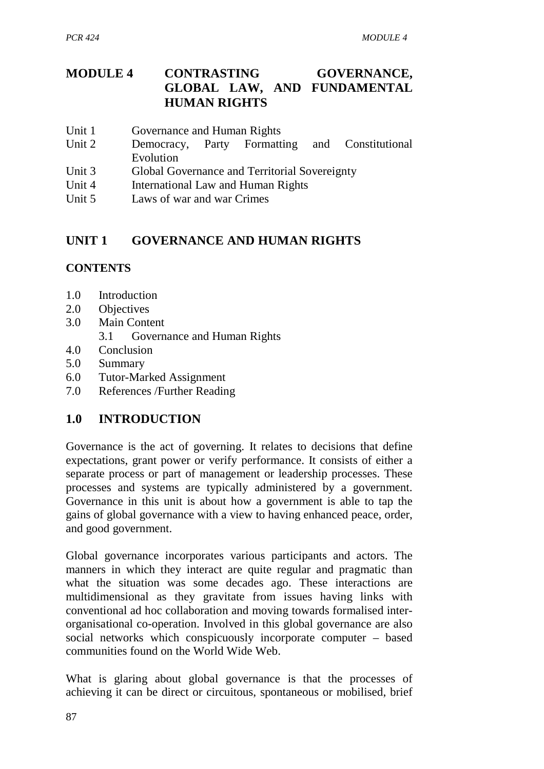# **MODULE 4 CONTRASTING GOVERNANCE, GLOBAL LAW, AND FUNDAMENTAL HUMAN RIGHTS**

- Unit 1 Governance and Human Rights
- Unit 2 Democracy, Party Formatting and Constitutional Evolution
- Unit 3 Global Governance and Territorial Sovereignty
- Unit 4 International Law and Human Rights
- Unit 5 Laws of war and war Crimes

# **UNIT 1 GOVERNANCE AND HUMAN RIGHTS**

#### **CONTENTS**

- 1.0 Introduction
- 2.0 Objectives
- 3.0 Main Content
	- 3.1 Governance and Human Rights
- 4.0 Conclusion
- 5.0 Summary
- 6.0 Tutor-Marked Assignment
- 7.0 References /Further Reading

## **1.0 INTRODUCTION**

Governance is the act of governing. It relates to decisions that define expectations, grant power or verify performance. It consists of either a separate process or part of management or leadership processes. These processes and systems are typically administered by a government. Governance in this unit is about how a government is able to tap the gains of global governance with a view to having enhanced peace, order, and good government.

Global governance incorporates various participants and actors. The manners in which they interact are quite regular and pragmatic than what the situation was some decades ago. These interactions are multidimensional as they gravitate from issues having links with conventional ad hoc collaboration and moving towards formalised interorganisational co-operation. Involved in this global governance are also social networks which conspicuously incorporate computer – based communities found on the World Wide Web.

What is glaring about global governance is that the processes of achieving it can be direct or circuitous, spontaneous or mobilised, brief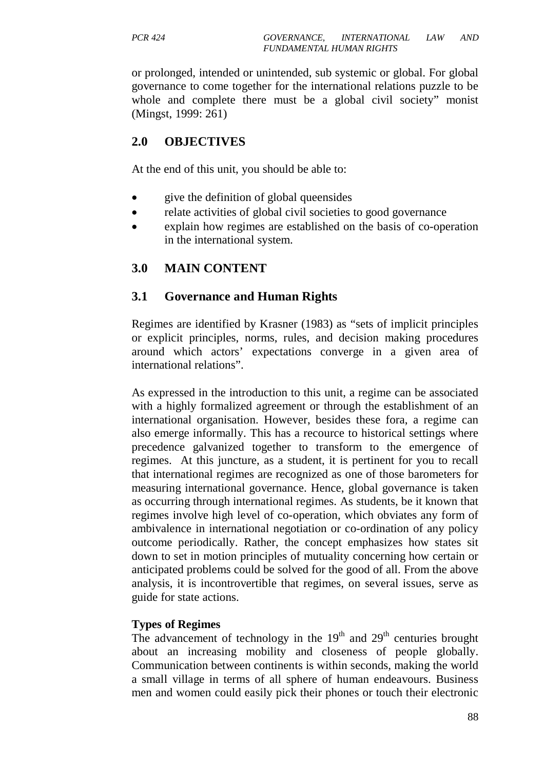or prolonged, intended or unintended, sub systemic or global. For global governance to come together for the international relations puzzle to be whole and complete there must be a global civil society" monist (Mingst, 1999: 261)

## **2.0 OBJECTIVES**

At the end of this unit, you should be able to:

- give the definition of global queensides
- relate activities of global civil societies to good governance
- explain how regimes are established on the basis of co-operation in the international system.

#### **3.0 MAIN CONTENT**

#### **3.1 Governance and Human Rights**

Regimes are identified by Krasner (1983) as "sets of implicit principles or explicit principles, norms, rules, and decision making procedures around which actors' expectations converge in a given area of international relations".

As expressed in the introduction to this unit, a regime can be associated with a highly formalized agreement or through the establishment of an international organisation. However, besides these fora, a regime can also emerge informally. This has a recource to historical settings where precedence galvanized together to transform to the emergence of regimes. At this juncture, as a student, it is pertinent for you to recall that international regimes are recognized as one of those barometers for measuring international governance. Hence, global governance is taken as occurring through international regimes. As students, be it known that regimes involve high level of co-operation, which obviates any form of ambivalence in international negotiation or co-ordination of any policy outcome periodically. Rather, the concept emphasizes how states sit down to set in motion principles of mutuality concerning how certain or anticipated problems could be solved for the good of all. From the above analysis, it is incontrovertible that regimes, on several issues, serve as guide for state actions.

#### **Types of Regimes**

The advancement of technology in the  $19<sup>th</sup>$  and  $29<sup>th</sup>$  centuries brought about an increasing mobility and closeness of people globally. Communication between continents is within seconds, making the world a small village in terms of all sphere of human endeavours. Business men and women could easily pick their phones or touch their electronic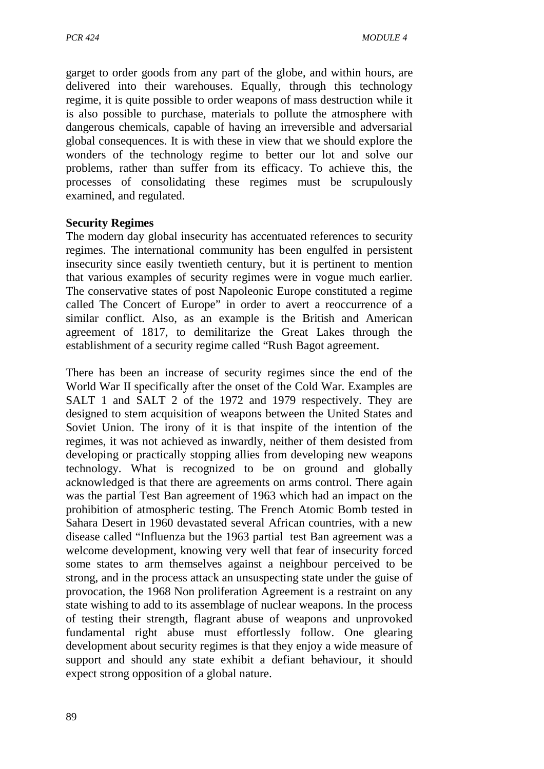garget to order goods from any part of the globe, and within hours, are delivered into their warehouses. Equally, through this technology regime, it is quite possible to order weapons of mass destruction while it is also possible to purchase, materials to pollute the atmosphere with dangerous chemicals, capable of having an irreversible and adversarial global consequences. It is with these in view that we should explore the wonders of the technology regime to better our lot and solve our problems, rather than suffer from its efficacy. To achieve this, the processes of consolidating these regimes must be scrupulously examined, and regulated.

#### **Security Regimes**

The modern day global insecurity has accentuated references to security regimes. The international community has been engulfed in persistent insecurity since easily twentieth century, but it is pertinent to mention that various examples of security regimes were in vogue much earlier. The conservative states of post Napoleonic Europe constituted a regime called The Concert of Europe" in order to avert a reoccurrence of a similar conflict. Also, as an example is the British and American agreement of 1817, to demilitarize the Great Lakes through the establishment of a security regime called "Rush Bagot agreement.

There has been an increase of security regimes since the end of the World War II specifically after the onset of the Cold War. Examples are SALT 1 and SALT 2 of the 1972 and 1979 respectively. They are designed to stem acquisition of weapons between the United States and Soviet Union. The irony of it is that inspite of the intention of the regimes, it was not achieved as inwardly, neither of them desisted from developing or practically stopping allies from developing new weapons technology. What is recognized to be on ground and globally acknowledged is that there are agreements on arms control. There again was the partial Test Ban agreement of 1963 which had an impact on the prohibition of atmospheric testing. The French Atomic Bomb tested in Sahara Desert in 1960 devastated several African countries, with a new disease called "Influenza but the 1963 partial test Ban agreement was a welcome development, knowing very well that fear of insecurity forced some states to arm themselves against a neighbour perceived to be strong, and in the process attack an unsuspecting state under the guise of provocation, the 1968 Non proliferation Agreement is a restraint on any state wishing to add to its assemblage of nuclear weapons. In the process of testing their strength, flagrant abuse of weapons and unprovoked fundamental right abuse must effortlessly follow. One glearing development about security regimes is that they enjoy a wide measure of support and should any state exhibit a defiant behaviour, it should expect strong opposition of a global nature.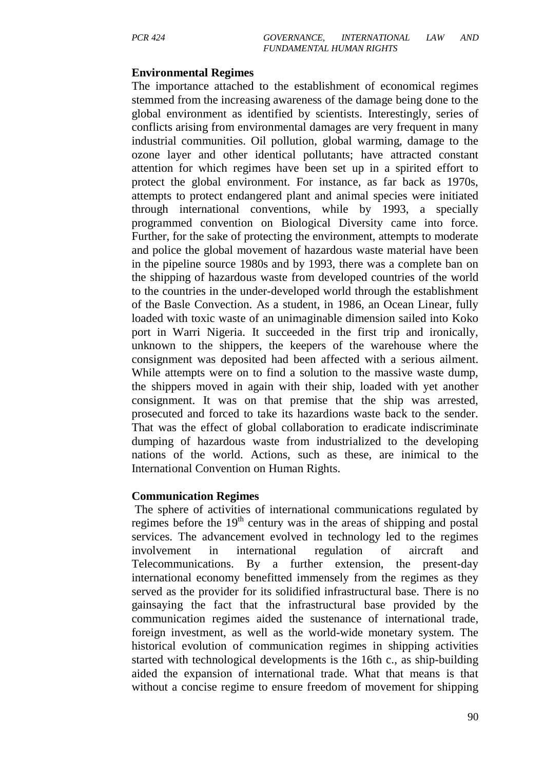#### **Environmental Regimes**

The importance attached to the establishment of economical regimes stemmed from the increasing awareness of the damage being done to the global environment as identified by scientists. Interestingly, series of conflicts arising from environmental damages are very frequent in many industrial communities. Oil pollution, global warming, damage to the ozone layer and other identical pollutants; have attracted constant attention for which regimes have been set up in a spirited effort to protect the global environment. For instance, as far back as 1970s, attempts to protect endangered plant and animal species were initiated through international conventions, while by 1993, a specially programmed convention on Biological Diversity came into force. Further, for the sake of protecting the environment, attempts to moderate and police the global movement of hazardous waste material have been in the pipeline source 1980s and by 1993, there was a complete ban on the shipping of hazardous waste from developed countries of the world to the countries in the under-developed world through the establishment of the Basle Convection. As a student, in 1986, an Ocean Linear, fully loaded with toxic waste of an unimaginable dimension sailed into Koko port in Warri Nigeria. It succeeded in the first trip and ironically, unknown to the shippers, the keepers of the warehouse where the consignment was deposited had been affected with a serious ailment. While attempts were on to find a solution to the massive waste dump, the shippers moved in again with their ship, loaded with yet another consignment. It was on that premise that the ship was arrested, prosecuted and forced to take its hazardions waste back to the sender. That was the effect of global collaboration to eradicate indiscriminate dumping of hazardous waste from industrialized to the developing nations of the world. Actions, such as these, are inimical to the International Convention on Human Rights.

#### **Communication Regimes**

 The sphere of activities of international communications regulated by regimes before the 19<sup>th</sup> century was in the areas of shipping and postal services. The advancement evolved in technology led to the regimes involvement in international regulation of aircraft and Telecommunications. By a further extension, the present-day international economy benefitted immensely from the regimes as they served as the provider for its solidified infrastructural base. There is no gainsaying the fact that the infrastructural base provided by the communication regimes aided the sustenance of international trade, foreign investment, as well as the world-wide monetary system. The historical evolution of communication regimes in shipping activities started with technological developments is the 16th c., as ship-building aided the expansion of international trade. What that means is that without a concise regime to ensure freedom of movement for shipping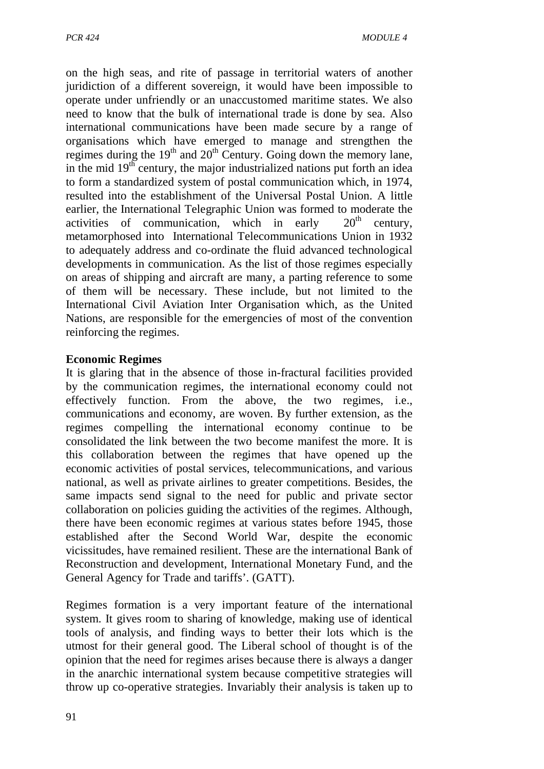on the high seas, and rite of passage in territorial waters of another juridiction of a different sovereign, it would have been impossible to operate under unfriendly or an unaccustomed maritime states. We also need to know that the bulk of international trade is done by sea. Also international communications have been made secure by a range of organisations which have emerged to manage and strengthen the regimes during the  $19<sup>th</sup>$  and  $20<sup>th</sup>$  Century. Going down the memory lane, in the mid  $19<sup>th</sup>$  century, the major industrialized nations put forth an idea to form a standardized system of postal communication which, in 1974, resulted into the establishment of the Universal Postal Union. A little earlier, the International Telegraphic Union was formed to moderate the activities of communication, which in early  $20<sup>th</sup>$  century, metamorphosed into International Telecommunications Union in 1932 to adequately address and co-ordinate the fluid advanced technological developments in communication. As the list of those regimes especially on areas of shipping and aircraft are many, a parting reference to some of them will be necessary. These include, but not limited to the International Civil Aviation Inter Organisation which, as the United Nations, are responsible for the emergencies of most of the convention reinforcing the regimes.

#### **Economic Regimes**

It is glaring that in the absence of those in-fractural facilities provided by the communication regimes, the international economy could not effectively function. From the above, the two regimes, i.e., communications and economy, are woven. By further extension, as the regimes compelling the international economy continue to be consolidated the link between the two become manifest the more. It is this collaboration between the regimes that have opened up the economic activities of postal services, telecommunications, and various national, as well as private airlines to greater competitions. Besides, the same impacts send signal to the need for public and private sector collaboration on policies guiding the activities of the regimes. Although, there have been economic regimes at various states before 1945, those established after the Second World War, despite the economic vicissitudes, have remained resilient. These are the international Bank of Reconstruction and development, International Monetary Fund, and the General Agency for Trade and tariffs'. (GATT).

Regimes formation is a very important feature of the international system. It gives room to sharing of knowledge, making use of identical tools of analysis, and finding ways to better their lots which is the utmost for their general good. The Liberal school of thought is of the opinion that the need for regimes arises because there is always a danger in the anarchic international system because competitive strategies will throw up co-operative strategies. Invariably their analysis is taken up to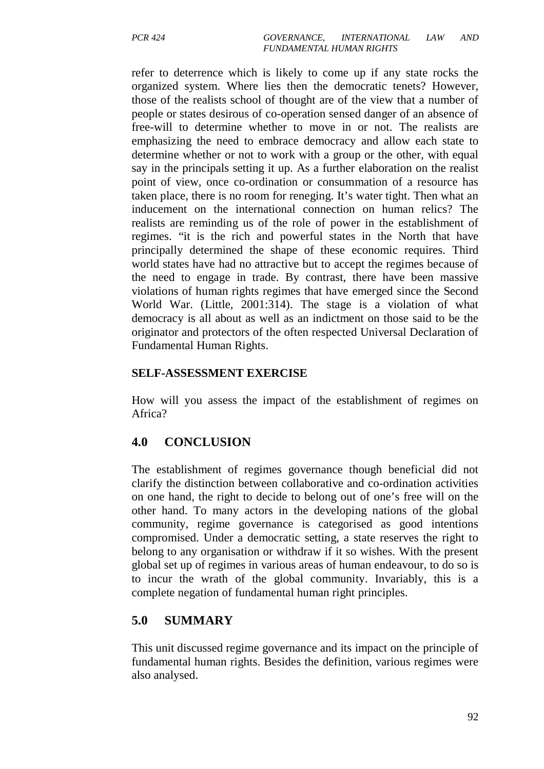refer to deterrence which is likely to come up if any state rocks the organized system. Where lies then the democratic tenets? However, those of the realists school of thought are of the view that a number of people or states desirous of co-operation sensed danger of an absence of free-will to determine whether to move in or not. The realists are emphasizing the need to embrace democracy and allow each state to determine whether or not to work with a group or the other, with equal say in the principals setting it up. As a further elaboration on the realist point of view, once co-ordination or consummation of a resource has taken place, there is no room for reneging. It's water tight. Then what an inducement on the international connection on human relics? The realists are reminding us of the role of power in the establishment of regimes. "it is the rich and powerful states in the North that have principally determined the shape of these economic requires. Third world states have had no attractive but to accept the regimes because of the need to engage in trade. By contrast, there have been massive violations of human rights regimes that have emerged since the Second World War. (Little, 2001:314). The stage is a violation of what democracy is all about as well as an indictment on those said to be the originator and protectors of the often respected Universal Declaration of Fundamental Human Rights.

#### **SELF-ASSESSMENT EXERCISE**

How will you assess the impact of the establishment of regimes on Africa?

## **4.0 CONCLUSION**

The establishment of regimes governance though beneficial did not clarify the distinction between collaborative and co-ordination activities on one hand, the right to decide to belong out of one's free will on the other hand. To many actors in the developing nations of the global community, regime governance is categorised as good intentions compromised. Under a democratic setting, a state reserves the right to belong to any organisation or withdraw if it so wishes. With the present global set up of regimes in various areas of human endeavour, to do so is to incur the wrath of the global community. Invariably, this is a complete negation of fundamental human right principles.

## **5.0 SUMMARY**

This unit discussed regime governance and its impact on the principle of fundamental human rights. Besides the definition, various regimes were also analysed.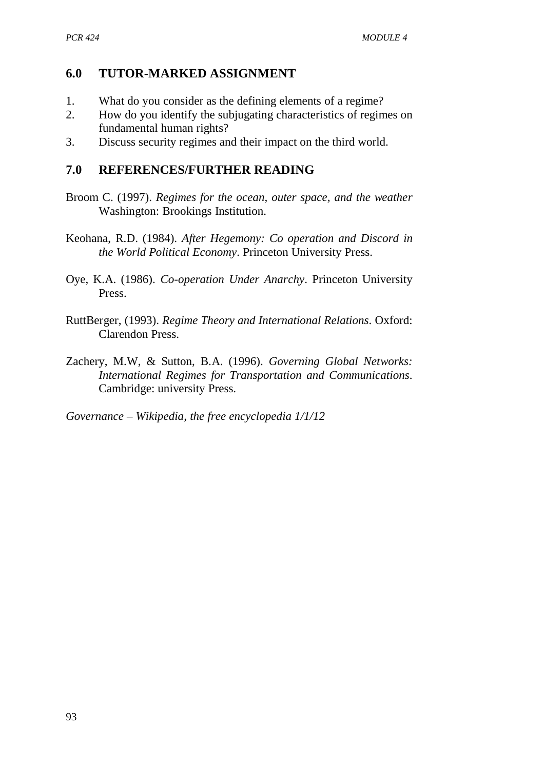## **6.0 TUTOR-MARKED ASSIGNMENT**

- 1. What do you consider as the defining elements of a regime?
- 2. How do you identify the subjugating characteristics of regimes on fundamental human rights?
- 3. Discuss security regimes and their impact on the third world.

## **7.0 REFERENCES/FURTHER READING**

- Broom C. (1997). *Regimes for the ocean, outer space, and the weather* Washington: Brookings Institution.
- Keohana, R.D. (1984). *After Hegemony: Co operation and Discord in the World Political Economy*. Princeton University Press.
- Oye, K.A. (1986). *Co-operation Under Anarchy*. Princeton University Press.
- RuttBerger, (1993). *Regime Theory and International Relations*. Oxford: Clarendon Press.
- Zachery, M.W, & Sutton, B.A. (1996). *Governing Global Networks: International Regimes for Transportation and Communications*. Cambridge: university Press.

*Governance – Wikipedia, the free encyclopedia 1/1/12*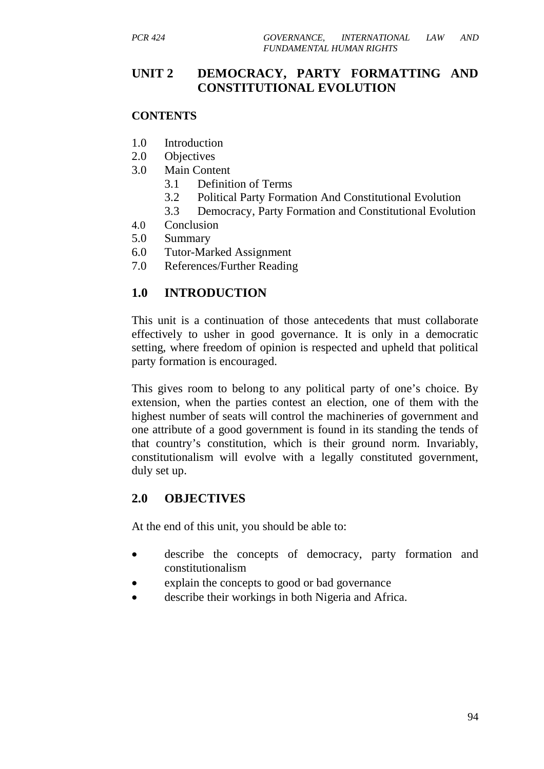## **UNIT 2 DEMOCRACY, PARTY FORMATTING AND CONSTITUTIONAL EVOLUTION**

#### **CONTENTS**

- 1.0 Introduction
- 2.0 Objectives
- 3.0 Main Content
	- 3.1 Definition of Terms
	- 3.2 Political Party Formation And Constitutional Evolution
	- 3.3 Democracy, Party Formation and Constitutional Evolution
- 4.0 Conclusion
- 5.0 Summary
- 6.0 Tutor-Marked Assignment
- 7.0 References/Further Reading

# **1.0 INTRODUCTION**

This unit is a continuation of those antecedents that must collaborate effectively to usher in good governance. It is only in a democratic setting, where freedom of opinion is respected and upheld that political party formation is encouraged.

This gives room to belong to any political party of one's choice. By extension, when the parties contest an election, one of them with the highest number of seats will control the machineries of government and one attribute of a good government is found in its standing the tends of that country's constitution, which is their ground norm. Invariably, constitutionalism will evolve with a legally constituted government, duly set up.

## **2.0 OBJECTIVES**

At the end of this unit, you should be able to:

- describe the concepts of democracy, party formation and constitutionalism
- explain the concepts to good or bad governance
- describe their workings in both Nigeria and Africa.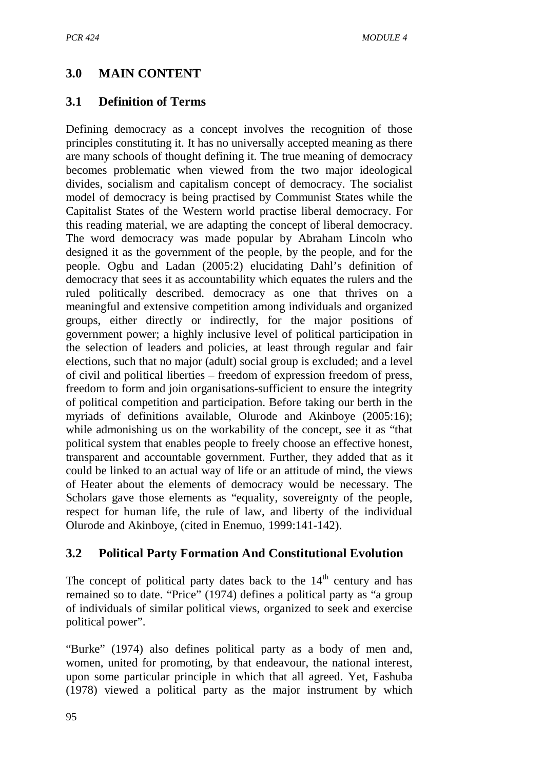# **3.0 MAIN CONTENT**

#### **3.1 Definition of Terms**

Defining democracy as a concept involves the recognition of those principles constituting it. It has no universally accepted meaning as there are many schools of thought defining it. The true meaning of democracy becomes problematic when viewed from the two major ideological divides, socialism and capitalism concept of democracy. The socialist model of democracy is being practised by Communist States while the Capitalist States of the Western world practise liberal democracy. For this reading material, we are adapting the concept of liberal democracy. The word democracy was made popular by Abraham Lincoln who designed it as the government of the people, by the people, and for the people. Ogbu and Ladan (2005:2) elucidating Dahl's definition of democracy that sees it as accountability which equates the rulers and the ruled politically described. democracy as one that thrives on a meaningful and extensive competition among individuals and organized groups, either directly or indirectly, for the major positions of government power; a highly inclusive level of political participation in the selection of leaders and policies, at least through regular and fair elections, such that no major (adult) social group is excluded; and a level of civil and political liberties – freedom of expression freedom of press, freedom to form and join organisations-sufficient to ensure the integrity of political competition and participation. Before taking our berth in the myriads of definitions available, Olurode and Akinboye (2005:16); while admonishing us on the workability of the concept, see it as "that political system that enables people to freely choose an effective honest, transparent and accountable government. Further, they added that as it could be linked to an actual way of life or an attitude of mind, the views of Heater about the elements of democracy would be necessary. The Scholars gave those elements as "equality, sovereignty of the people, respect for human life, the rule of law, and liberty of the individual Olurode and Akinboye, (cited in Enemuo, 1999:141-142).

## **3.2 Political Party Formation And Constitutional Evolution**

The concept of political party dates back to the  $14<sup>th</sup>$  century and has remained so to date. "Price" (1974) defines a political party as "a group of individuals of similar political views, organized to seek and exercise political power".

"Burke" (1974) also defines political party as a body of men and, women, united for promoting, by that endeavour, the national interest, upon some particular principle in which that all agreed. Yet, Fashuba (1978) viewed a political party as the major instrument by which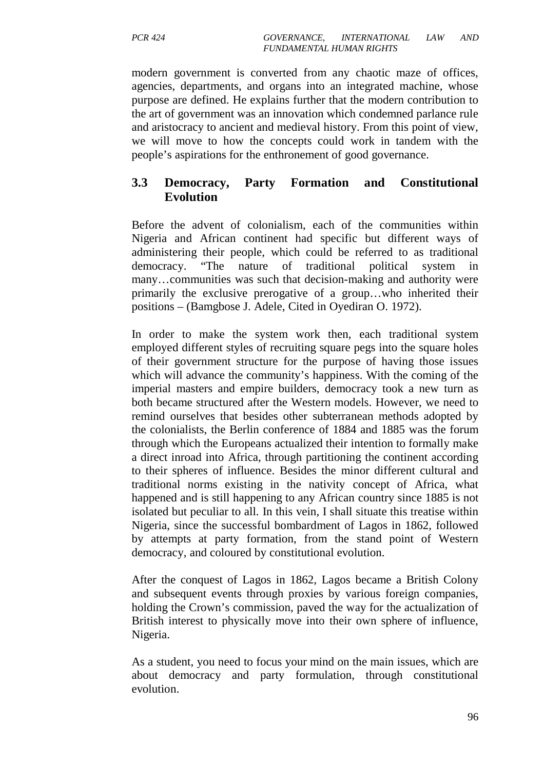modern government is converted from any chaotic maze of offices, agencies, departments, and organs into an integrated machine, whose purpose are defined. He explains further that the modern contribution to the art of government was an innovation which condemned parlance rule and aristocracy to ancient and medieval history. From this point of view, we will move to how the concepts could work in tandem with the people's aspirations for the enthronement of good governance.

## **3.3 Democracy, Party Formation and Constitutional Evolution**

Before the advent of colonialism, each of the communities within Nigeria and African continent had specific but different ways of administering their people, which could be referred to as traditional democracy. "The nature of traditional political system many…communities was such that decision-making and authority were primarily the exclusive prerogative of a group…who inherited their positions – (Bamgbose J. Adele, Cited in Oyediran O. 1972).

In order to make the system work then, each traditional system employed different styles of recruiting square pegs into the square holes of their government structure for the purpose of having those issues which will advance the community's happiness. With the coming of the imperial masters and empire builders, democracy took a new turn as both became structured after the Western models. However, we need to remind ourselves that besides other subterranean methods adopted by the colonialists, the Berlin conference of 1884 and 1885 was the forum through which the Europeans actualized their intention to formally make a direct inroad into Africa, through partitioning the continent according to their spheres of influence. Besides the minor different cultural and traditional norms existing in the nativity concept of Africa, what happened and is still happening to any African country since 1885 is not isolated but peculiar to all. In this vein, I shall situate this treatise within Nigeria, since the successful bombardment of Lagos in 1862, followed by attempts at party formation, from the stand point of Western democracy, and coloured by constitutional evolution.

After the conquest of Lagos in 1862, Lagos became a British Colony and subsequent events through proxies by various foreign companies, holding the Crown's commission, paved the way for the actualization of British interest to physically move into their own sphere of influence, Nigeria.

As a student, you need to focus your mind on the main issues, which are about democracy and party formulation, through constitutional evolution.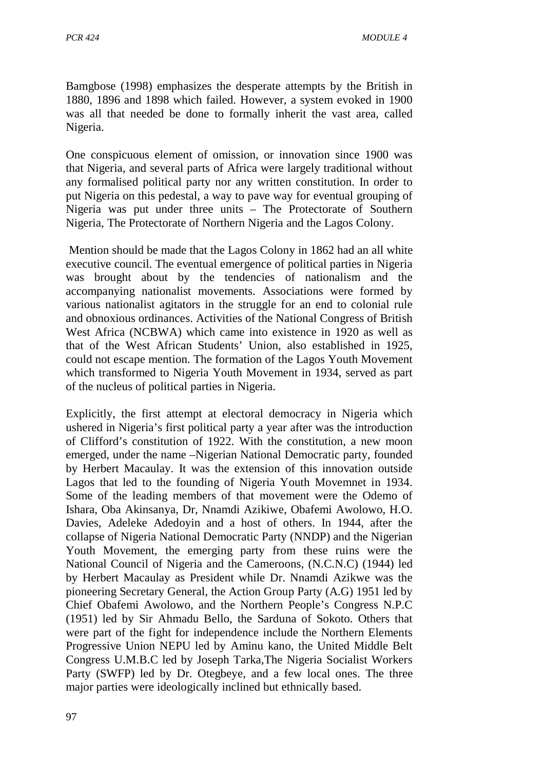Bamgbose (1998) emphasizes the desperate attempts by the British in 1880, 1896 and 1898 which failed. However, a system evoked in 1900 was all that needed be done to formally inherit the vast area, called Nigeria.

One conspicuous element of omission, or innovation since 1900 was that Nigeria, and several parts of Africa were largely traditional without any formalised political party nor any written constitution. In order to put Nigeria on this pedestal, a way to pave way for eventual grouping of Nigeria was put under three units – The Protectorate of Southern Nigeria, The Protectorate of Northern Nigeria and the Lagos Colony.

 Mention should be made that the Lagos Colony in 1862 had an all white executive council. The eventual emergence of political parties in Nigeria was brought about by the tendencies of nationalism and the accompanying nationalist movements. Associations were formed by various nationalist agitators in the struggle for an end to colonial rule and obnoxious ordinances. Activities of the National Congress of British West Africa (NCBWA) which came into existence in 1920 as well as that of the West African Students' Union, also established in 1925, could not escape mention. The formation of the Lagos Youth Movement which transformed to Nigeria Youth Movement in 1934, served as part of the nucleus of political parties in Nigeria.

Explicitly, the first attempt at electoral democracy in Nigeria which ushered in Nigeria's first political party a year after was the introduction of Clifford's constitution of 1922. With the constitution, a new moon emerged, under the name –Nigerian National Democratic party, founded by Herbert Macaulay. It was the extension of this innovation outside Lagos that led to the founding of Nigeria Youth Movemnet in 1934. Some of the leading members of that movement were the Odemo of Ishara, Oba Akinsanya, Dr, Nnamdi Azikiwe, Obafemi Awolowo, H.O. Davies, Adeleke Adedoyin and a host of others. In 1944, after the collapse of Nigeria National Democratic Party (NNDP) and the Nigerian Youth Movement, the emerging party from these ruins were the National Council of Nigeria and the Cameroons, (N.C.N.C) (1944) led by Herbert Macaulay as President while Dr. Nnamdi Azikwe was the pioneering Secretary General, the Action Group Party (A.G) 1951 led by Chief Obafemi Awolowo, and the Northern People's Congress N.P.C (1951) led by Sir Ahmadu Bello, the Sarduna of Sokoto. Others that were part of the fight for independence include the Northern Elements Progressive Union NEPU led by Aminu kano, the United Middle Belt Congress U.M.B.C led by Joseph Tarka,The Nigeria Socialist Workers Party (SWFP) led by Dr. Otegbeye, and a few local ones. The three major parties were ideologically inclined but ethnically based.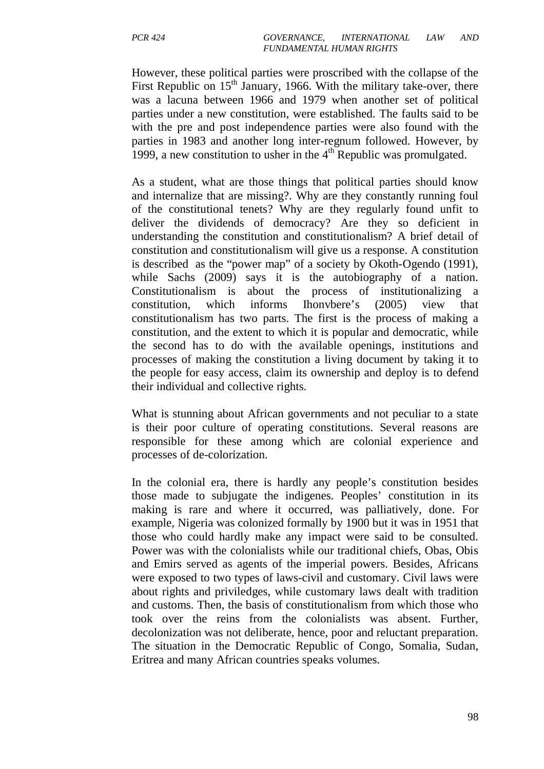However, these political parties were proscribed with the collapse of the First Republic on  $15<sup>th</sup>$  January, 1966. With the military take-over, there was a lacuna between 1966 and 1979 when another set of political parties under a new constitution, were established. The faults said to be with the pre and post independence parties were also found with the parties in 1983 and another long inter-regnum followed. However, by 1999, a new constitution to usher in the  $4<sup>th</sup>$  Republic was promulgated.

As a student, what are those things that political parties should know and internalize that are missing?. Why are they constantly running foul of the constitutional tenets? Why are they regularly found unfit to deliver the dividends of democracy? Are they so deficient in understanding the constitution and constitutionalism? A brief detail of constitution and constitutionalism will give us a response. A constitution is described as the "power map" of a society by Okoth-Ogendo (1991), while Sachs (2009) says it is the autobiography of a nation. Constitutionalism is about the process of institutionalizing constitution, which informs Ihonvbere's (2005) view that constitutionalism has two parts. The first is the process of making a constitution, and the extent to which it is popular and democratic, while the second has to do with the available openings, institutions and processes of making the constitution a living document by taking it to the people for easy access, claim its ownership and deploy is to defend their individual and collective rights.

What is stunning about African governments and not peculiar to a state is their poor culture of operating constitutions. Several reasons are responsible for these among which are colonial experience and processes of de-colorization.

In the colonial era, there is hardly any people's constitution besides those made to subjugate the indigenes. Peoples' constitution in its making is rare and where it occurred, was palliatively, done. For example, Nigeria was colonized formally by 1900 but it was in 1951 that those who could hardly make any impact were said to be consulted. Power was with the colonialists while our traditional chiefs, Obas, Obis and Emirs served as agents of the imperial powers. Besides, Africans were exposed to two types of laws-civil and customary. Civil laws were about rights and priviledges, while customary laws dealt with tradition and customs. Then, the basis of constitutionalism from which those who took over the reins from the colonialists was absent. Further, decolonization was not deliberate, hence, poor and reluctant preparation. The situation in the Democratic Republic of Congo, Somalia, Sudan, Eritrea and many African countries speaks volumes.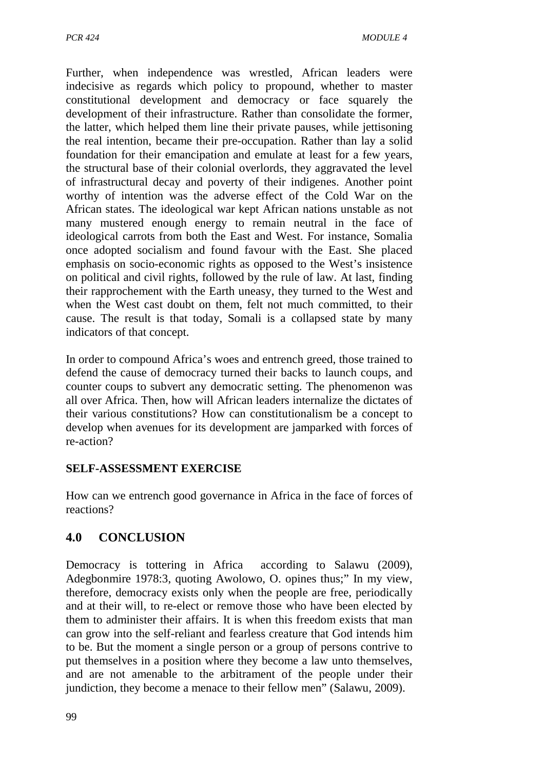Further, when independence was wrestled, African leaders were indecisive as regards which policy to propound, whether to master constitutional development and democracy or face squarely the development of their infrastructure. Rather than consolidate the former, the latter, which helped them line their private pauses, while jettisoning the real intention, became their pre-occupation. Rather than lay a solid foundation for their emancipation and emulate at least for a few years, the structural base of their colonial overlords, they aggravated the level of infrastructural decay and poverty of their indigenes. Another point worthy of intention was the adverse effect of the Cold War on the African states. The ideological war kept African nations unstable as not many mustered enough energy to remain neutral in the face of ideological carrots from both the East and West. For instance, Somalia once adopted socialism and found favour with the East. She placed emphasis on socio-economic rights as opposed to the West's insistence on political and civil rights, followed by the rule of law. At last, finding their rapprochement with the Earth uneasy, they turned to the West and when the West cast doubt on them, felt not much committed, to their cause. The result is that today, Somali is a collapsed state by many indicators of that concept.

In order to compound Africa's woes and entrench greed, those trained to defend the cause of democracy turned their backs to launch coups, and counter coups to subvert any democratic setting. The phenomenon was all over Africa. Then, how will African leaders internalize the dictates of their various constitutions? How can constitutionalism be a concept to develop when avenues for its development are jamparked with forces of re-action?

## **SELF-ASSESSMENT EXERCISE**

How can we entrench good governance in Africa in the face of forces of reactions?

# **4.0 CONCLUSION**

Democracy is tottering in Africa according to Salawu (2009), Adegbonmire 1978:3, quoting Awolowo, O. opines thus;" In my view, therefore, democracy exists only when the people are free, periodically and at their will, to re-elect or remove those who have been elected by them to administer their affairs. It is when this freedom exists that man can grow into the self-reliant and fearless creature that God intends him to be. But the moment a single person or a group of persons contrive to put themselves in a position where they become a law unto themselves, and are not amenable to the arbitrament of the people under their jundiction, they become a menace to their fellow men" (Salawu, 2009).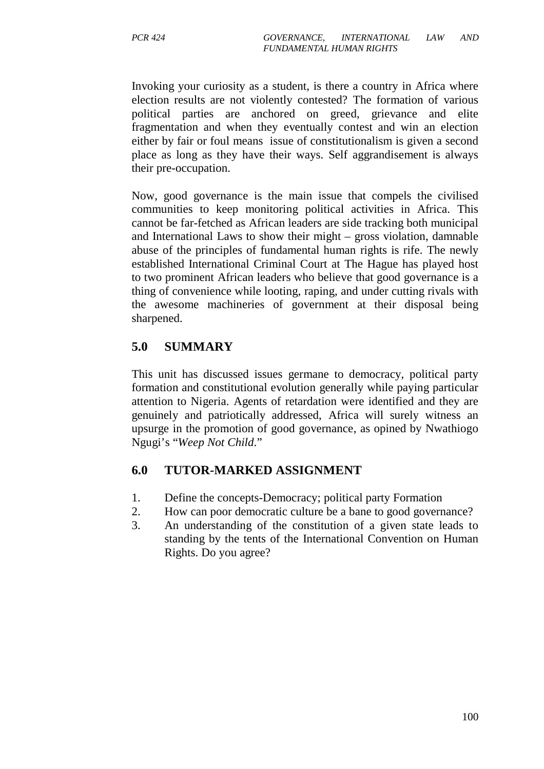Invoking your curiosity as a student, is there a country in Africa where election results are not violently contested? The formation of various political parties are anchored on greed, grievance and elite fragmentation and when they eventually contest and win an election either by fair or foul means issue of constitutionalism is given a second place as long as they have their ways. Self aggrandisement is always their pre-occupation.

Now, good governance is the main issue that compels the civilised communities to keep monitoring political activities in Africa. This cannot be far-fetched as African leaders are side tracking both municipal and International Laws to show their might – gross violation, damnable abuse of the principles of fundamental human rights is rife. The newly established International Criminal Court at The Hague has played host to two prominent African leaders who believe that good governance is a thing of convenience while looting, raping, and under cutting rivals with the awesome machineries of government at their disposal being sharpened.

## **5.0 SUMMARY**

This unit has discussed issues germane to democracy, political party formation and constitutional evolution generally while paying particular attention to Nigeria. Agents of retardation were identified and they are genuinely and patriotically addressed, Africa will surely witness an upsurge in the promotion of good governance, as opined by Nwathiogo Ngugi's "*Weep Not Child*."

## **6.0 TUTOR-MARKED ASSIGNMENT**

- 1. Define the concepts-Democracy; political party Formation
- 2. How can poor democratic culture be a bane to good governance?
- 3. An understanding of the constitution of a given state leads to standing by the tents of the International Convention on Human Rights. Do you agree?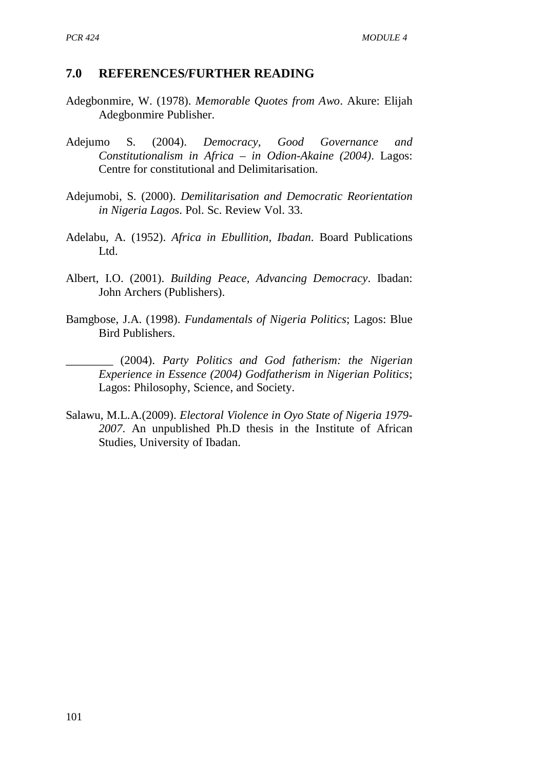#### **7.0 REFERENCES/FURTHER READING**

- Adegbonmire, W. (1978). *Memorable Quotes from Awo*. Akure: Elijah Adegbonmire Publisher.
- Adejumo S. (2004). *Democracy, Good Governance and Constitutionalism in Africa – in Odion-Akaine (2004)*. Lagos: Centre for constitutional and Delimitarisation.
- Adejumobi, S. (2000). *Demilitarisation and Democratic Reorientation in Nigeria Lagos*. Pol. Sc. Review Vol. 33.
- Adelabu, A. (1952). *Africa in Ebullition, Ibadan*. Board Publications Ltd.
- Albert, I.O. (2001). *Building Peace, Advancing Democracy*. Ibadan: John Archers (Publishers).
- Bamgbose, J.A. (1998). *Fundamentals of Nigeria Politics*; Lagos: Blue Bird Publishers.
	- \_\_\_\_\_\_\_\_ (2004). *Party Politics and God fatherism: the Nigerian Experience in Essence (2004) Godfatherism in Nigerian Politics*; Lagos: Philosophy, Science, and Society.
- Salawu, M.L.A.(2009). *Electoral Violence in Oyo State of Nigeria 1979- 2007*. An unpublished Ph.D thesis in the Institute of African Studies, University of Ibadan.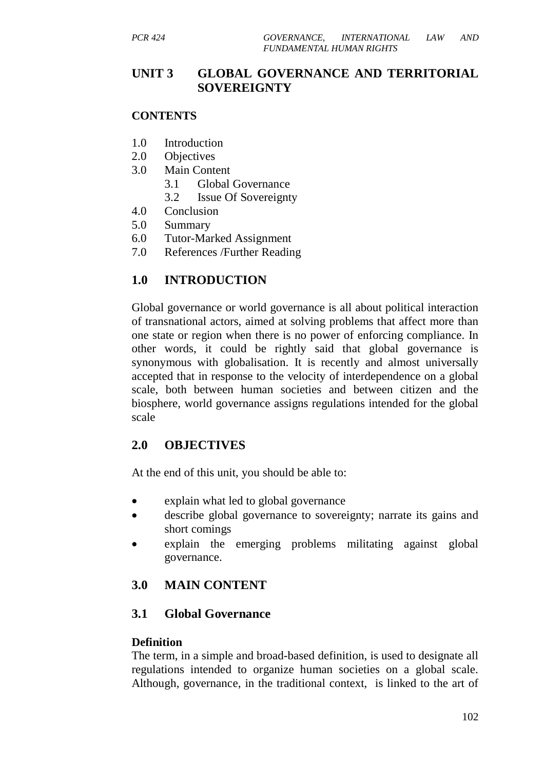# **UNIT 3 GLOBAL GOVERNANCE AND TERRITORIAL SOVEREIGNTY**

#### **CONTENTS**

- 1.0 Introduction
- 2.0 Objectives
- 3.0 Main Content
	- 3.1 Global Governance
	- 3.2 Issue Of Sovereignty
- 4.0 Conclusion
- 5.0 Summary
- 6.0 Tutor-Marked Assignment
- 7.0 References /Further Reading

# **1.0 INTRODUCTION**

Global governance or world governance is all about political interaction of transnational actors, aimed at solving problems that affect more than one state or region when there is no power of enforcing compliance. In other words, it could be rightly said that global governance is synonymous with globalisation. It is recently and almost universally accepted that in response to the velocity of interdependence on a global scale, both between human societies and between citizen and the biosphere, world governance assigns regulations intended for the global scale

## **2.0 OBJECTIVES**

At the end of this unit, you should be able to:

- explain what led to global governance
- describe global governance to sovereignty; narrate its gains and short comings
- explain the emerging problems militating against global governance.

# **3.0 MAIN CONTENT**

## **3.1 Global Governance**

#### **Definition**

The term, in a simple and broad-based definition, is used to designate all regulations intended to organize human societies on a global scale. Although, governance, in the traditional context, is linked to the art of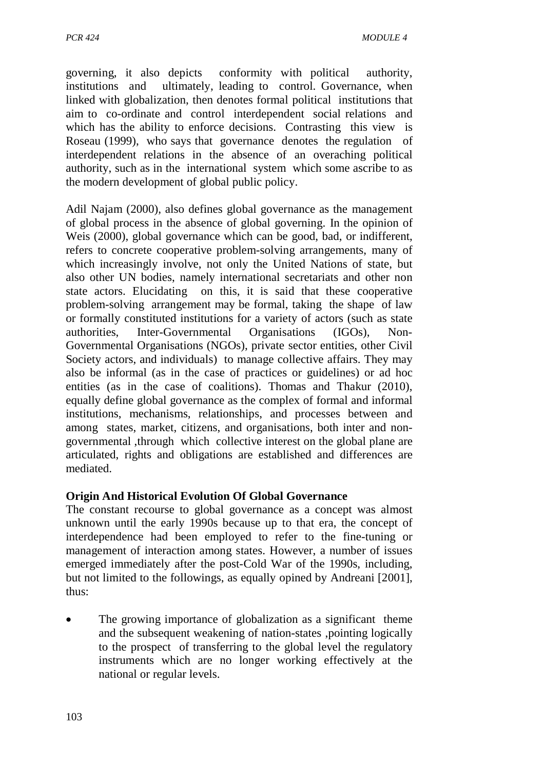governing, it also depicts conformity with political authority, institutions and ultimately, leading to control. Governance, when linked with globalization, then denotes formal political institutions that aim to co-ordinate and control interdependent social relations and which has the ability to enforce decisions. Contrasting this view is Roseau (1999), who says that governance denotes the regulation of interdependent relations in the absence of an overaching political authority, such as in the international system which some ascribe to as the modern development of global public policy.

Adil Najam (2000), also defines global governance as the management of global process in the absence of global governing. In the opinion of Weis (2000), global governance which can be good, bad, or indifferent, refers to concrete cooperative problem-solving arrangements, many of which increasingly involve, not only the United Nations of state, but also other UN bodies, namely international secretariats and other non state actors. Elucidating on this, it is said that these cooperative problem-solving arrangement may be formal, taking the shape of law or formally constituted institutions for a variety of actors (such as state authorities, Inter-Governmental Organisations (IGOs), Non-Governmental Organisations (NGOs), private sector entities, other Civil Society actors, and individuals) to manage collective affairs. They may also be informal (as in the case of practices or guidelines) or ad hoc entities (as in the case of coalitions). Thomas and Thakur (2010), equally define global governance as the complex of formal and informal institutions, mechanisms, relationships, and processes between and among states, market, citizens, and organisations, both inter and nongovernmental ,through which collective interest on the global plane are articulated, rights and obligations are established and differences are mediated.

#### **Origin And Historical Evolution Of Global Governance**

The constant recourse to global governance as a concept was almost unknown until the early 1990s because up to that era, the concept of interdependence had been employed to refer to the fine-tuning or management of interaction among states. However, a number of issues emerged immediately after the post-Cold War of the 1990s, including, but not limited to the followings, as equally opined by Andreani [2001], thus:

The growing importance of globalization as a significant theme and the subsequent weakening of nation-states ,pointing logically to the prospect of transferring to the global level the regulatory instruments which are no longer working effectively at the national or regular levels.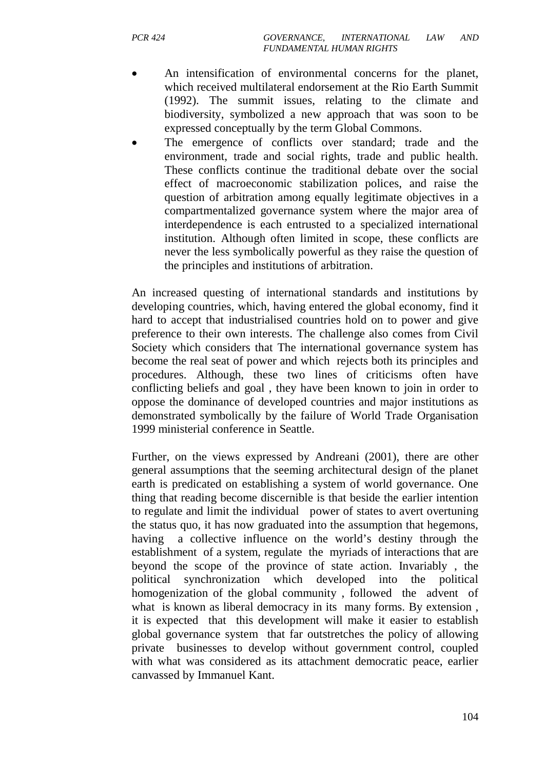- An intensification of environmental concerns for the planet, which received multilateral endorsement at the Rio Earth Summit (1992). The summit issues, relating to the climate and biodiversity, symbolized a new approach that was soon to be expressed conceptually by the term Global Commons.
- The emergence of conflicts over standard; trade and the environment, trade and social rights, trade and public health. These conflicts continue the traditional debate over the social effect of macroeconomic stabilization polices, and raise the question of arbitration among equally legitimate objectives in a compartmentalized governance system where the major area of interdependence is each entrusted to a specialized international institution. Although often limited in scope, these conflicts are never the less symbolically powerful as they raise the question of the principles and institutions of arbitration.

An increased questing of international standards and institutions by developing countries, which, having entered the global economy, find it hard to accept that industrialised countries hold on to power and give preference to their own interests. The challenge also comes from Civil Society which considers that The international governance system has become the real seat of power and which rejects both its principles and procedures. Although, these two lines of criticisms often have conflicting beliefs and goal , they have been known to join in order to oppose the dominance of developed countries and major institutions as demonstrated symbolically by the failure of World Trade Organisation 1999 ministerial conference in Seattle.

Further, on the views expressed by Andreani (2001), there are other general assumptions that the seeming architectural design of the planet earth is predicated on establishing a system of world governance. One thing that reading become discernible is that beside the earlier intention to regulate and limit the individual power of states to avert overtuning the status quo, it has now graduated into the assumption that hegemons, having a collective influence on the world's destiny through the establishment of a system, regulate the myriads of interactions that are beyond the scope of the province of state action. Invariably , the political synchronization which developed into the political homogenization of the global community , followed the advent of what is known as liberal democracy in its many forms. By extension, it is expected that this development will make it easier to establish global governance system that far outstretches the policy of allowing private businesses to develop without government control, coupled with what was considered as its attachment democratic peace, earlier canvassed by Immanuel Kant.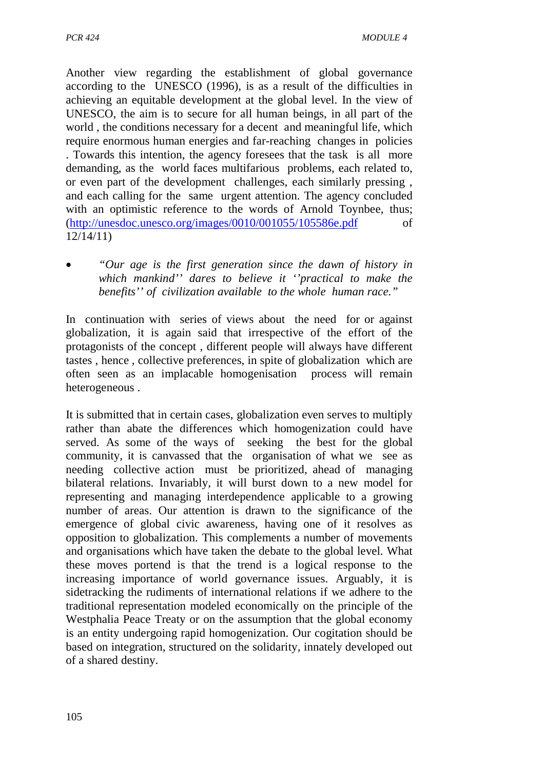Another view regarding the establishment of global governance according to the UNESCO (1996), is as a result of the difficulties in achieving an equitable development at the global level. In the view of UNESCO, the aim is to secure for all human beings, in all part of the world , the conditions necessary for a decent and meaningful life, which require enormous human energies and far-reaching changes in policies . Towards this intention, the agency foresees that the task is all more demanding, as the world faces multifarious problems, each related to, or even part of the development challenges, each similarly pressing , and each calling for the same urgent attention. The agency concluded with an optimistic reference to the words of Arnold Toynbee, thus;  $(\text{http://unesdoc.unesco.org/images}/0010/001055/105586e.pdf$  of 12/14/11)

• *"Our age is the first generation since the dawn of history in which mankind'' dares to believe it ''practical to make the benefits'' of civilization available to the whole human race."* 

In continuation with series of views about the need for or against globalization, it is again said that irrespective of the effort of the protagonists of the concept , different people will always have different tastes , hence , collective preferences, in spite of globalization which are often seen as an implacable homogenisation process will remain heterogeneous .

It is submitted that in certain cases, globalization even serves to multiply rather than abate the differences which homogenization could have served. As some of the ways of seeking the best for the global community, it is canvassed that the organisation of what we see as needing collective action must be prioritized, ahead of managing bilateral relations. Invariably, it will burst down to a new model for representing and managing interdependence applicable to a growing number of areas. Our attention is drawn to the significance of the emergence of global civic awareness, having one of it resolves as opposition to globalization. This complements a number of movements and organisations which have taken the debate to the global level. What these moves portend is that the trend is a logical response to the increasing importance of world governance issues. Arguably, it is sidetracking the rudiments of international relations if we adhere to the traditional representation modeled economically on the principle of the Westphalia Peace Treaty or on the assumption that the global economy is an entity undergoing rapid homogenization. Our cogitation should be based on integration, structured on the solidarity, innately developed out of a shared destiny.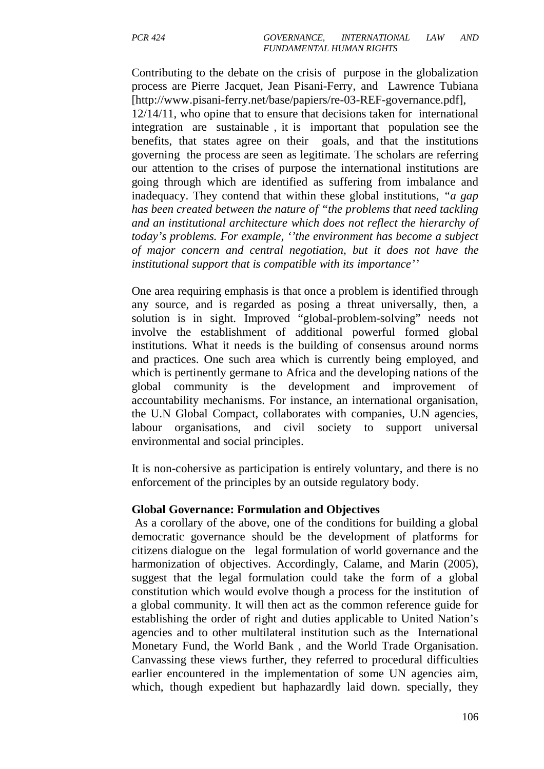Contributing to the debate on the crisis of purpose in the globalization process are Pierre Jacquet, Jean Pisani-Ferry, and Lawrence Tubiana [http://www.pisani-ferry.net/base/papiers/re-03-REF-governance.pdf], 12/14/11, who opine that to ensure that decisions taken for international integration are sustainable , it is important that population see the benefits, that states agree on their goals, and that the institutions governing the process are seen as legitimate. The scholars are referring our attention to the crises of purpose the international institutions are going through which are identified as suffering from imbalance and inadequacy. They contend that within these global institutions, *"a gap has been created between the nature of "the problems that need tackling and an institutional architecture which does not reflect the hierarchy of today's problems. For example, ''the environment has become a subject of major concern and central negotiation, but it does not have the institutional support that is compatible with its importance''*

One area requiring emphasis is that once a problem is identified through any source, and is regarded as posing a threat universally, then, a solution is in sight. Improved "global-problem-solving" needs not involve the establishment of additional powerful formed global institutions. What it needs is the building of consensus around norms and practices. One such area which is currently being employed, and which is pertinently germane to Africa and the developing nations of the global community is the development and improvement of accountability mechanisms. For instance, an international organisation, the U.N Global Compact, collaborates with companies, U.N agencies, labour organisations, and civil society to support universal environmental and social principles.

It is non-cohersive as participation is entirely voluntary, and there is no enforcement of the principles by an outside regulatory body.

### **Global Governance: Formulation and Objectives**

 As a corollary of the above, one of the conditions for building a global democratic governance should be the development of platforms for citizens dialogue on the legal formulation of world governance and the harmonization of objectives. Accordingly, Calame, and Marin (2005), suggest that the legal formulation could take the form of a global constitution which would evolve though a process for the institution of a global community. It will then act as the common reference guide for establishing the order of right and duties applicable to United Nation's agencies and to other multilateral institution such as the International Monetary Fund, the World Bank , and the World Trade Organisation. Canvassing these views further, they referred to procedural difficulties earlier encountered in the implementation of some UN agencies aim, which, though expedient but haphazardly laid down. specially, they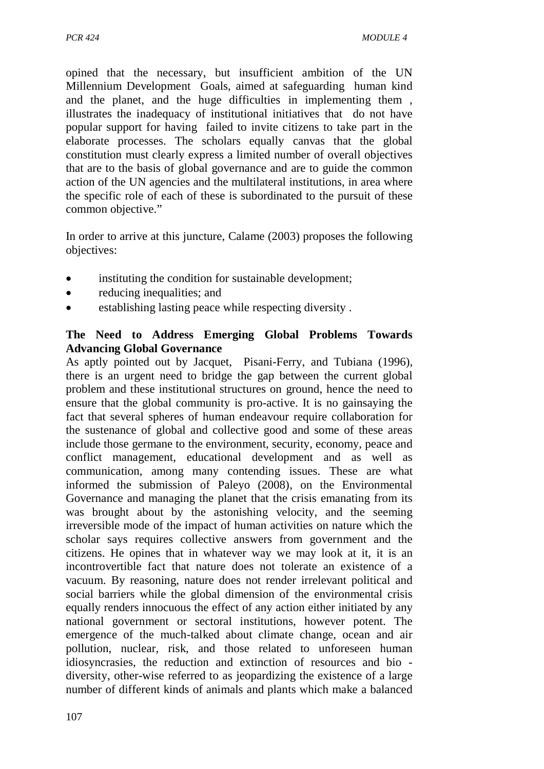opined that the necessary, but insufficient ambition of the UN Millennium Development Goals, aimed at safeguarding human kind and the planet, and the huge difficulties in implementing them , illustrates the inadequacy of institutional initiatives that do not have popular support for having failed to invite citizens to take part in the elaborate processes. The scholars equally canvas that the global constitution must clearly express a limited number of overall objectives that are to the basis of global governance and are to guide the common action of the UN agencies and the multilateral institutions, in area where the specific role of each of these is subordinated to the pursuit of these common objective."

In order to arrive at this juncture, Calame (2003) proposes the following objectives:

- instituting the condition for sustainable development;
- reducing inequalities; and
- establishing lasting peace while respecting diversity.

### **The Need to Address Emerging Global Problems Towards Advancing Global Governance**

As aptly pointed out by Jacquet, Pisani-Ferry, and Tubiana (1996), there is an urgent need to bridge the gap between the current global problem and these institutional structures on ground, hence the need to ensure that the global community is pro-active. It is no gainsaying the fact that several spheres of human endeavour require collaboration for the sustenance of global and collective good and some of these areas include those germane to the environment, security, economy, peace and conflict management, educational development and as well as communication, among many contending issues. These are what informed the submission of Paleyo (2008), on the Environmental Governance and managing the planet that the crisis emanating from its was brought about by the astonishing velocity, and the seeming irreversible mode of the impact of human activities on nature which the scholar says requires collective answers from government and the citizens. He opines that in whatever way we may look at it, it is an incontrovertible fact that nature does not tolerate an existence of a vacuum. By reasoning, nature does not render irrelevant political and social barriers while the global dimension of the environmental crisis equally renders innocuous the effect of any action either initiated by any national government or sectoral institutions, however potent. The emergence of the much-talked about climate change, ocean and air pollution, nuclear, risk, and those related to unforeseen human idiosyncrasies, the reduction and extinction of resources and bio diversity, other-wise referred to as jeopardizing the existence of a large number of different kinds of animals and plants which make a balanced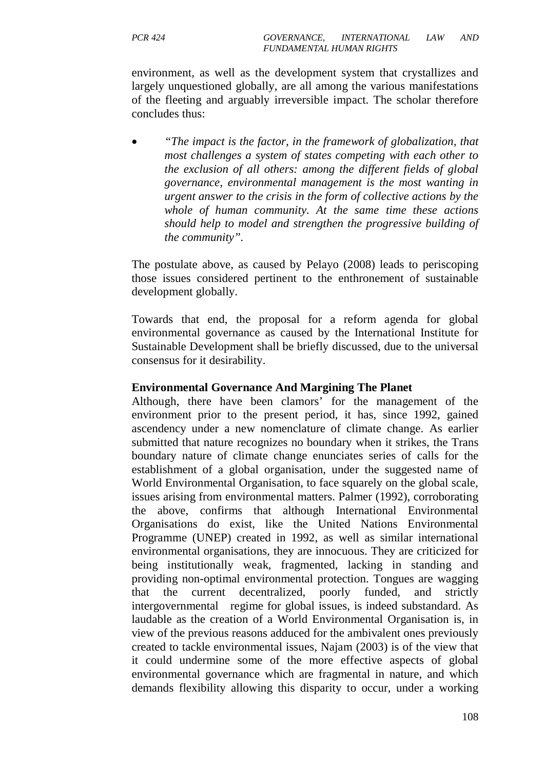environment, as well as the development system that crystallizes and largely unquestioned globally, are all among the various manifestations of the fleeting and arguably irreversible impact. The scholar therefore concludes thus:

• *"The impact is the factor, in the framework of globalization, that most challenges a system of states competing with each other to the exclusion of all others: among the different fields of global governance, environmental management is the most wanting in urgent answer to the crisis in the form of collective actions by the whole of human community. At the same time these actions should help to model and strengthen the progressive building of the community".* 

The postulate above, as caused by Pelayo (2008) leads to periscoping those issues considered pertinent to the enthronement of sustainable development globally.

Towards that end, the proposal for a reform agenda for global environmental governance as caused by the International Institute for Sustainable Development shall be briefly discussed, due to the universal consensus for it desirability.

### **Environmental Governance And Margining The Planet**

Although, there have been clamors' for the management of the environment prior to the present period, it has, since 1992, gained ascendency under a new nomenclature of climate change. As earlier submitted that nature recognizes no boundary when it strikes, the Trans boundary nature of climate change enunciates series of calls for the establishment of a global organisation, under the suggested name of World Environmental Organisation, to face squarely on the global scale, issues arising from environmental matters. Palmer (1992), corroborating the above, confirms that although International Environmental Organisations do exist, like the United Nations Environmental Programme (UNEP) created in 1992, as well as similar international environmental organisations, they are innocuous. They are criticized for being institutionally weak, fragmented, lacking in standing and providing non-optimal environmental protection. Tongues are wagging that the current decentralized, poorly funded, and strictly intergovernmental regime for global issues, is indeed substandard. As laudable as the creation of a World Environmental Organisation is, in view of the previous reasons adduced for the ambivalent ones previously created to tackle environmental issues, Najam (2003) is of the view that it could undermine some of the more effective aspects of global environmental governance which are fragmental in nature, and which demands flexibility allowing this disparity to occur, under a working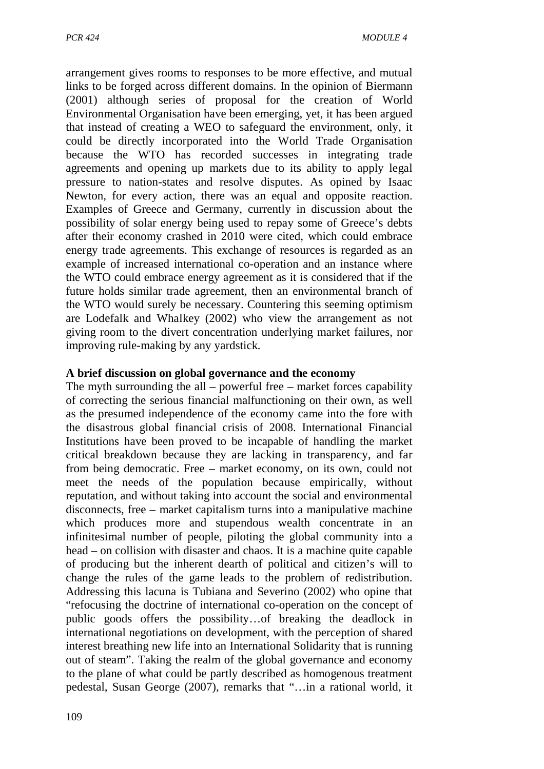arrangement gives rooms to responses to be more effective, and mutual links to be forged across different domains. In the opinion of Biermann (2001) although series of proposal for the creation of World Environmental Organisation have been emerging, yet, it has been argued that instead of creating a WEO to safeguard the environment, only, it could be directly incorporated into the World Trade Organisation because the WTO has recorded successes in integrating trade agreements and opening up markets due to its ability to apply legal pressure to nation-states and resolve disputes. As opined by Isaac Newton, for every action, there was an equal and opposite reaction. Examples of Greece and Germany, currently in discussion about the possibility of solar energy being used to repay some of Greece's debts after their economy crashed in 2010 were cited, which could embrace energy trade agreements. This exchange of resources is regarded as an example of increased international co-operation and an instance where the WTO could embrace energy agreement as it is considered that if the future holds similar trade agreement, then an environmental branch of the WTO would surely be necessary. Countering this seeming optimism are Lodefalk and Whalkey (2002) who view the arrangement as not giving room to the divert concentration underlying market failures, nor improving rule-making by any yardstick.

### **A brief discussion on global governance and the economy**

The myth surrounding the all – powerful free – market forces capability of correcting the serious financial malfunctioning on their own, as well as the presumed independence of the economy came into the fore with the disastrous global financial crisis of 2008. International Financial Institutions have been proved to be incapable of handling the market critical breakdown because they are lacking in transparency, and far from being democratic. Free – market economy, on its own, could not meet the needs of the population because empirically, without reputation, and without taking into account the social and environmental disconnects, free – market capitalism turns into a manipulative machine which produces more and stupendous wealth concentrate in an infinitesimal number of people, piloting the global community into a head – on collision with disaster and chaos. It is a machine quite capable of producing but the inherent dearth of political and citizen's will to change the rules of the game leads to the problem of redistribution. Addressing this lacuna is Tubiana and Severino (2002) who opine that "refocusing the doctrine of international co-operation on the concept of public goods offers the possibility…of breaking the deadlock in international negotiations on development, with the perception of shared interest breathing new life into an International Solidarity that is running out of steam". Taking the realm of the global governance and economy to the plane of what could be partly described as homogenous treatment pedestal, Susan George (2007), remarks that "…in a rational world, it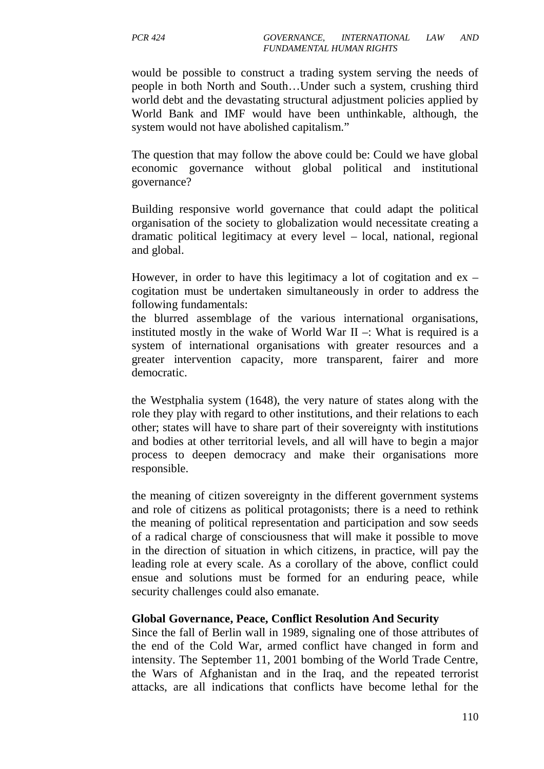would be possible to construct a trading system serving the needs of people in both North and South…Under such a system, crushing third world debt and the devastating structural adjustment policies applied by World Bank and IMF would have been unthinkable, although, the system would not have abolished capitalism."

The question that may follow the above could be: Could we have global economic governance without global political and institutional governance?

Building responsive world governance that could adapt the political organisation of the society to globalization would necessitate creating a dramatic political legitimacy at every level – local, national, regional and global.

However, in order to have this legitimacy a lot of cogitation and  $ex$ cogitation must be undertaken simultaneously in order to address the following fundamentals:

the blurred assemblage of the various international organisations, instituted mostly in the wake of World War  $II -$ : What is required is a system of international organisations with greater resources and a greater intervention capacity, more transparent, fairer and more democratic.

the Westphalia system (1648), the very nature of states along with the role they play with regard to other institutions, and their relations to each other; states will have to share part of their sovereignty with institutions and bodies at other territorial levels, and all will have to begin a major process to deepen democracy and make their organisations more responsible.

the meaning of citizen sovereignty in the different government systems and role of citizens as political protagonists; there is a need to rethink the meaning of political representation and participation and sow seeds of a radical charge of consciousness that will make it possible to move in the direction of situation in which citizens, in practice, will pay the leading role at every scale. As a corollary of the above, conflict could ensue and solutions must be formed for an enduring peace, while security challenges could also emanate.

### **Global Governance, Peace, Conflict Resolution And Security**

Since the fall of Berlin wall in 1989, signaling one of those attributes of the end of the Cold War, armed conflict have changed in form and intensity. The September 11, 2001 bombing of the World Trade Centre, the Wars of Afghanistan and in the Iraq, and the repeated terrorist attacks, are all indications that conflicts have become lethal for the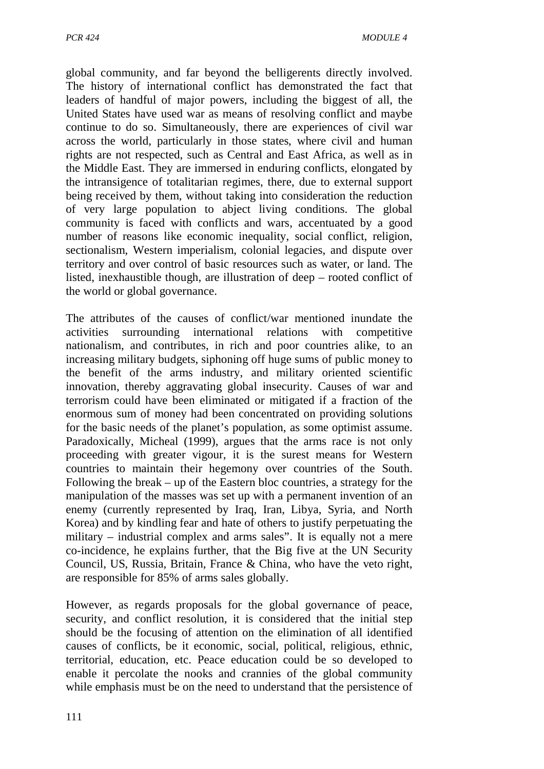global community, and far beyond the belligerents directly involved. The history of international conflict has demonstrated the fact that leaders of handful of major powers, including the biggest of all, the United States have used war as means of resolving conflict and maybe continue to do so. Simultaneously, there are experiences of civil war across the world, particularly in those states, where civil and human rights are not respected, such as Central and East Africa, as well as in the Middle East. They are immersed in enduring conflicts, elongated by the intransigence of totalitarian regimes, there, due to external support being received by them, without taking into consideration the reduction of very large population to abject living conditions. The global community is faced with conflicts and wars, accentuated by a good number of reasons like economic inequality, social conflict, religion, sectionalism, Western imperialism, colonial legacies, and dispute over territory and over control of basic resources such as water, or land. The listed, inexhaustible though, are illustration of deep – rooted conflict of the world or global governance.

The attributes of the causes of conflict/war mentioned inundate the activities surrounding international relations with competitive nationalism, and contributes, in rich and poor countries alike, to an increasing military budgets, siphoning off huge sums of public money to the benefit of the arms industry, and military oriented scientific innovation, thereby aggravating global insecurity. Causes of war and terrorism could have been eliminated or mitigated if a fraction of the enormous sum of money had been concentrated on providing solutions for the basic needs of the planet's population, as some optimist assume. Paradoxically, Micheal (1999), argues that the arms race is not only proceeding with greater vigour, it is the surest means for Western countries to maintain their hegemony over countries of the South. Following the break – up of the Eastern bloc countries, a strategy for the manipulation of the masses was set up with a permanent invention of an enemy (currently represented by Iraq, Iran, Libya, Syria, and North Korea) and by kindling fear and hate of others to justify perpetuating the military – industrial complex and arms sales". It is equally not a mere co-incidence, he explains further, that the Big five at the UN Security Council, US, Russia, Britain, France & China, who have the veto right, are responsible for 85% of arms sales globally.

However, as regards proposals for the global governance of peace, security, and conflict resolution, it is considered that the initial step should be the focusing of attention on the elimination of all identified causes of conflicts, be it economic, social, political, religious, ethnic, territorial, education, etc. Peace education could be so developed to enable it percolate the nooks and crannies of the global community while emphasis must be on the need to understand that the persistence of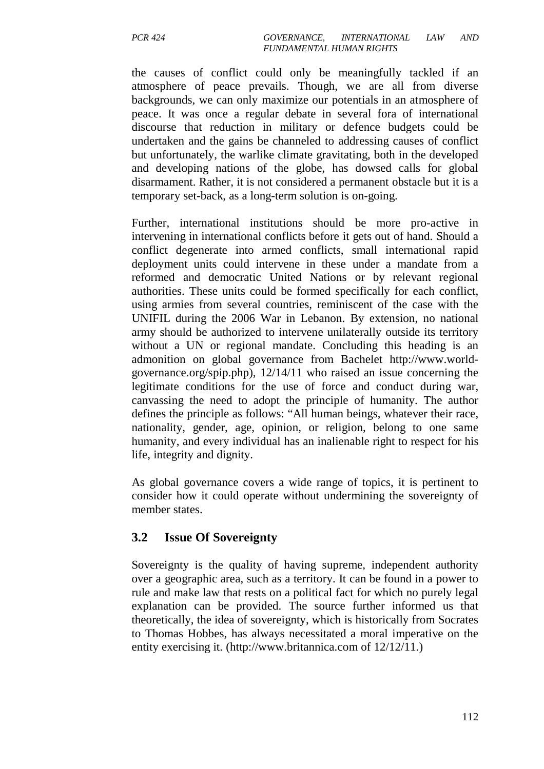the causes of conflict could only be meaningfully tackled if an atmosphere of peace prevails. Though, we are all from diverse backgrounds, we can only maximize our potentials in an atmosphere of peace. It was once a regular debate in several fora of international discourse that reduction in military or defence budgets could be undertaken and the gains be channeled to addressing causes of conflict but unfortunately, the warlike climate gravitating, both in the developed and developing nations of the globe, has dowsed calls for global disarmament. Rather, it is not considered a permanent obstacle but it is a temporary set-back, as a long-term solution is on-going.

Further, international institutions should be more pro-active in intervening in international conflicts before it gets out of hand. Should a conflict degenerate into armed conflicts, small international rapid deployment units could intervene in these under a mandate from a reformed and democratic United Nations or by relevant regional authorities. These units could be formed specifically for each conflict, using armies from several countries, reminiscent of the case with the UNIFIL during the 2006 War in Lebanon. By extension, no national army should be authorized to intervene unilaterally outside its territory without a UN or regional mandate. Concluding this heading is an admonition on global governance from Bachelet http://www.worldgovernance.org/spip.php), 12/14/11 who raised an issue concerning the legitimate conditions for the use of force and conduct during war, canvassing the need to adopt the principle of humanity. The author defines the principle as follows: "All human beings, whatever their race, nationality, gender, age, opinion, or religion, belong to one same humanity, and every individual has an inalienable right to respect for his life, integrity and dignity.

As global governance covers a wide range of topics, it is pertinent to consider how it could operate without undermining the sovereignty of member states.

## **3.2 Issue Of Sovereignty**

Sovereignty is the quality of having supreme, independent authority over a geographic area, such as a territory. It can be found in a power to rule and make law that rests on a political fact for which no purely legal explanation can be provided. The source further informed us that theoretically, the idea of sovereignty, which is historically from Socrates to Thomas Hobbes, has always necessitated a moral imperative on the entity exercising it. (http://www.britannica.com of 12/12/11.)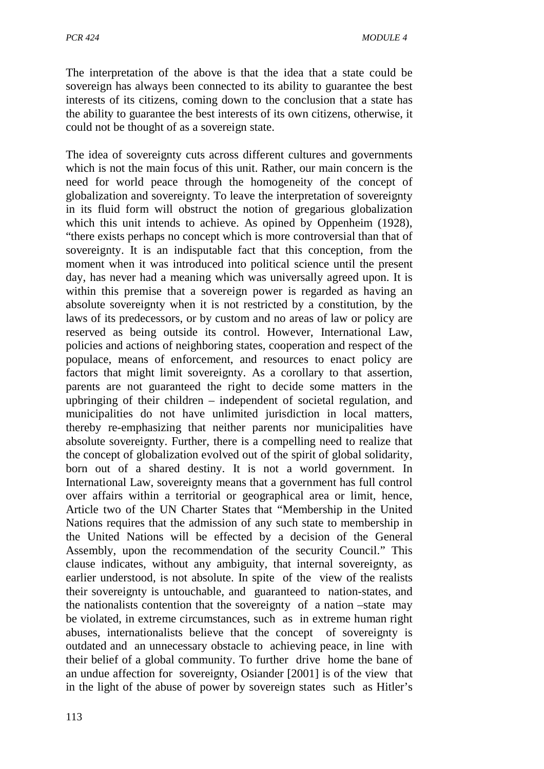The interpretation of the above is that the idea that a state could be sovereign has always been connected to its ability to guarantee the best interests of its citizens, coming down to the conclusion that a state has the ability to guarantee the best interests of its own citizens, otherwise, it could not be thought of as a sovereign state.

The idea of sovereignty cuts across different cultures and governments which is not the main focus of this unit. Rather, our main concern is the need for world peace through the homogeneity of the concept of globalization and sovereignty. To leave the interpretation of sovereignty in its fluid form will obstruct the notion of gregarious globalization which this unit intends to achieve. As opined by Oppenheim (1928), "there exists perhaps no concept which is more controversial than that of sovereignty. It is an indisputable fact that this conception, from the moment when it was introduced into political science until the present day, has never had a meaning which was universally agreed upon. It is within this premise that a sovereign power is regarded as having an absolute sovereignty when it is not restricted by a constitution, by the laws of its predecessors, or by custom and no areas of law or policy are reserved as being outside its control. However, International Law, policies and actions of neighboring states, cooperation and respect of the populace, means of enforcement, and resources to enact policy are factors that might limit sovereignty. As a corollary to that assertion, parents are not guaranteed the right to decide some matters in the upbringing of their children – independent of societal regulation, and municipalities do not have unlimited jurisdiction in local matters, thereby re-emphasizing that neither parents nor municipalities have absolute sovereignty. Further, there is a compelling need to realize that the concept of globalization evolved out of the spirit of global solidarity, born out of a shared destiny. It is not a world government. In International Law, sovereignty means that a government has full control over affairs within a territorial or geographical area or limit, hence, Article two of the UN Charter States that "Membership in the United Nations requires that the admission of any such state to membership in the United Nations will be effected by a decision of the General Assembly, upon the recommendation of the security Council." This clause indicates, without any ambiguity, that internal sovereignty, as earlier understood, is not absolute. In spite of the view of the realists their sovereignty is untouchable, and guaranteed to nation-states, and the nationalists contention that the sovereignty of a nation –state may be violated, in extreme circumstances, such as in extreme human right abuses, internationalists believe that the concept of sovereignty is outdated and an unnecessary obstacle to achieving peace, in line with their belief of a global community. To further drive home the bane of an undue affection for sovereignty, Osiander [2001] is of the view that in the light of the abuse of power by sovereign states such as Hitler's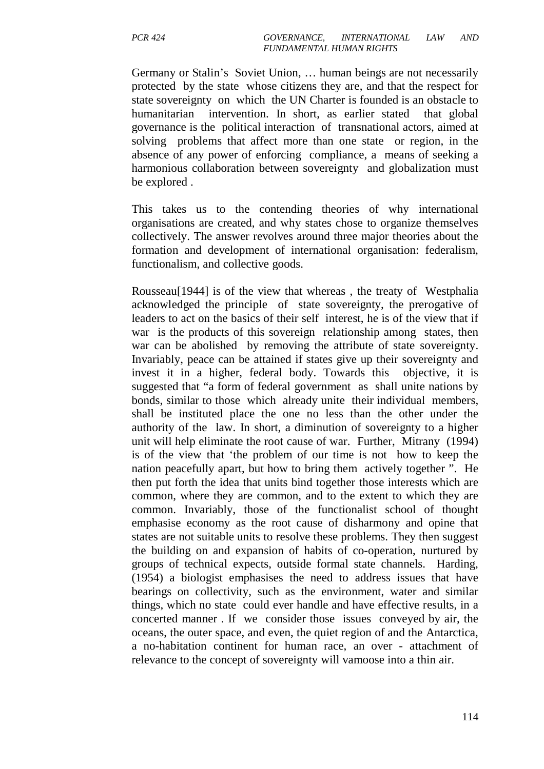Germany or Stalin's Soviet Union, … human beings are not necessarily protected by the state whose citizens they are, and that the respect for state sovereignty on which the UN Charter is founded is an obstacle to humanitarian intervention. In short, as earlier stated that global governance is the political interaction of transnational actors, aimed at solving problems that affect more than one state or region, in the absence of any power of enforcing compliance, a means of seeking a harmonious collaboration between sovereignty and globalization must be explored .

This takes us to the contending theories of why international organisations are created, and why states chose to organize themselves collectively. The answer revolves around three major theories about the formation and development of international organisation: federalism, functionalism, and collective goods.

Rousseau<sup>[1944]</sup> is of the view that whereas, the treaty of Westphalia acknowledged the principle of state sovereignty, the prerogative of leaders to act on the basics of their self interest, he is of the view that if war is the products of this sovereign relationship among states, then war can be abolished by removing the attribute of state sovereignty. Invariably, peace can be attained if states give up their sovereignty and invest it in a higher, federal body. Towards this objective, it is suggested that "a form of federal government as shall unite nations by bonds, similar to those which already unite their individual members, shall be instituted place the one no less than the other under the authority of the law. In short, a diminution of sovereignty to a higher unit will help eliminate the root cause of war. Further, Mitrany (1994) is of the view that 'the problem of our time is not how to keep the nation peacefully apart, but how to bring them actively together ". He then put forth the idea that units bind together those interests which are common, where they are common, and to the extent to which they are common. Invariably, those of the functionalist school of thought emphasise economy as the root cause of disharmony and opine that states are not suitable units to resolve these problems. They then suggest the building on and expansion of habits of co-operation, nurtured by groups of technical expects, outside formal state channels. Harding, (1954) a biologist emphasises the need to address issues that have bearings on collectivity, such as the environment, water and similar things, which no state could ever handle and have effective results, in a concerted manner . If we consider those issues conveyed by air, the oceans, the outer space, and even, the quiet region of and the Antarctica, a no-habitation continent for human race, an over - attachment of relevance to the concept of sovereignty will vamoose into a thin air.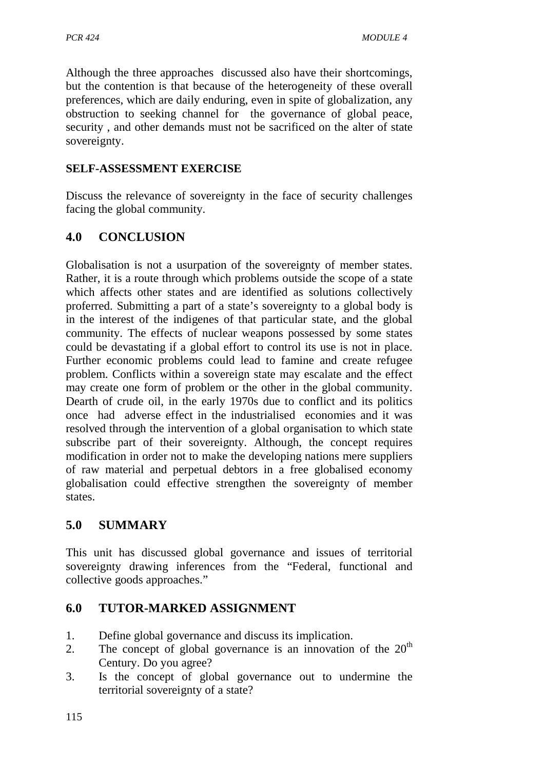Although the three approaches discussed also have their shortcomings, but the contention is that because of the heterogeneity of these overall preferences, which are daily enduring, even in spite of globalization, any obstruction to seeking channel for the governance of global peace, security , and other demands must not be sacrificed on the alter of state sovereignty.

### **SELF-ASSESSMENT EXERCISE**

Discuss the relevance of sovereignty in the face of security challenges facing the global community.

# **4.0 CONCLUSION**

Globalisation is not a usurpation of the sovereignty of member states. Rather, it is a route through which problems outside the scope of a state which affects other states and are identified as solutions collectively proferred. Submitting a part of a state's sovereignty to a global body is in the interest of the indigenes of that particular state, and the global community. The effects of nuclear weapons possessed by some states could be devastating if a global effort to control its use is not in place. Further economic problems could lead to famine and create refugee problem. Conflicts within a sovereign state may escalate and the effect may create one form of problem or the other in the global community. Dearth of crude oil, in the early 1970s due to conflict and its politics once had adverse effect in the industrialised economies and it was resolved through the intervention of a global organisation to which state subscribe part of their sovereignty. Although, the concept requires modification in order not to make the developing nations mere suppliers of raw material and perpetual debtors in a free globalised economy globalisation could effective strengthen the sovereignty of member states.

## **5.0 SUMMARY**

This unit has discussed global governance and issues of territorial sovereignty drawing inferences from the "Federal, functional and collective goods approaches."

## **6.0 TUTOR-MARKED ASSIGNMENT**

- 1. Define global governance and discuss its implication.
- 2. The concept of global governance is an innovation of the  $20<sup>th</sup>$ Century. Do you agree?
- 3. Is the concept of global governance out to undermine the territorial sovereignty of a state?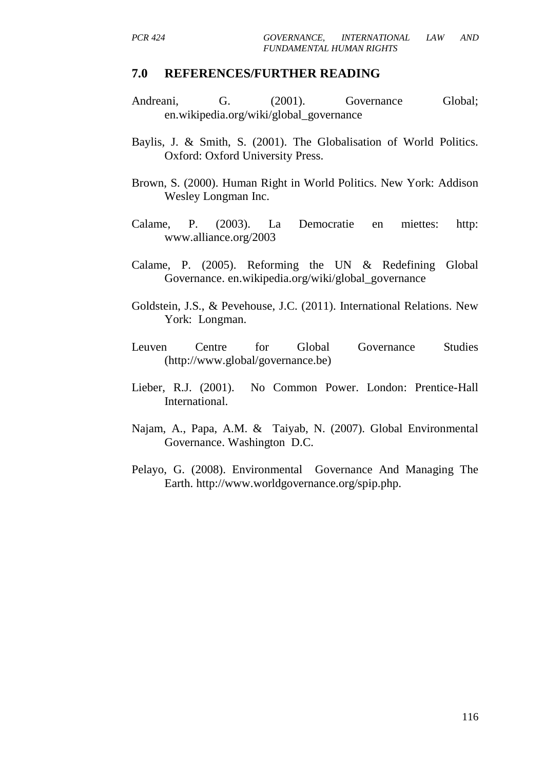### **7.0 REFERENCES/FURTHER READING**

- Andreani, G. (2001). Governance Global; en.wikipedia.org/wiki/global\_governance
- Baylis, J. & Smith, S. (2001). The Globalisation of World Politics. Oxford: Oxford University Press.
- Brown, S. (2000). Human Right in World Politics. New York: Addison Wesley Longman Inc.
- Calame, P. (2003). La Democratie en miettes: http: www.alliance.org/2003
- Calame, P. (2005). Reforming the UN & Redefining Global Governance. en.wikipedia.org/wiki/global\_governance
- Goldstein, J.S., & Pevehouse, J.C. (2011). International Relations. New York: Longman.
- Leuven Centre for Global Governance Studies (http://www.global/governance.be)
- Lieber, R.J. (2001). No Common Power. London: Prentice-Hall International.
- Najam, A., Papa, A.M. & Taiyab, N. (2007). Global Environmental Governance. Washington D.C.
- Pelayo, G. (2008). Environmental Governance And Managing The Earth. http://www.worldgovernance.org/spip.php.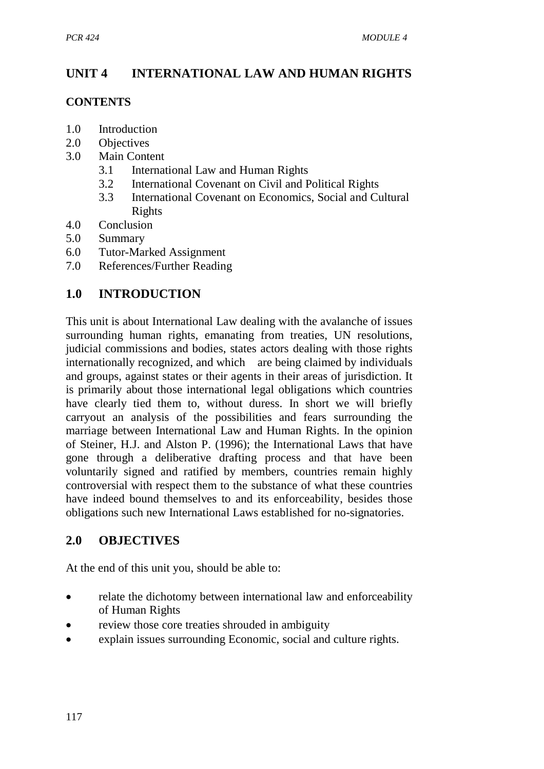# **UNIT 4 INTERNATIONAL LAW AND HUMAN RIGHTS**

### **CONTENTS**

- 1.0 Introduction
- 2.0 Objectives
- 3.0 Main Content
	- 3.1 International Law and Human Rights
	- 3.2 International Covenant on Civil and Political Rights
	- 3.3 International Covenant on Economics, Social and Cultural Rights
- 4.0 Conclusion
- 5.0 Summary
- 6.0 Tutor-Marked Assignment
- 7.0 References/Further Reading

# **1.0 INTRODUCTION**

This unit is about International Law dealing with the avalanche of issues surrounding human rights, emanating from treaties, UN resolutions, judicial commissions and bodies, states actors dealing with those rights internationally recognized, and which are being claimed by individuals and groups, against states or their agents in their areas of jurisdiction. It is primarily about those international legal obligations which countries have clearly tied them to, without duress. In short we will briefly carryout an analysis of the possibilities and fears surrounding the marriage between International Law and Human Rights. In the opinion of Steiner, H.J. and Alston P. (1996); the International Laws that have gone through a deliberative drafting process and that have been voluntarily signed and ratified by members, countries remain highly controversial with respect them to the substance of what these countries have indeed bound themselves to and its enforceability, besides those obligations such new International Laws established for no-signatories.

## **2.0 OBJECTIVES**

At the end of this unit you, should be able to:

- relate the dichotomy between international law and enforceability of Human Rights
- review those core treaties shrouded in ambiguity
- explain issues surrounding Economic, social and culture rights.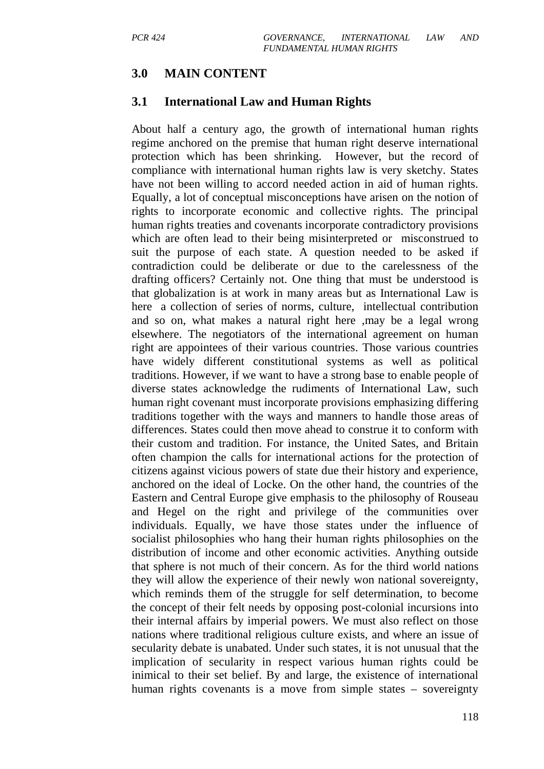### **3.0 MAIN CONTENT**

### **3.1 International Law and Human Rights**

About half a century ago, the growth of international human rights regime anchored on the premise that human right deserve international protection which has been shrinking. However, but the record of compliance with international human rights law is very sketchy. States have not been willing to accord needed action in aid of human rights. Equally, a lot of conceptual misconceptions have arisen on the notion of rights to incorporate economic and collective rights. The principal human rights treaties and covenants incorporate contradictory provisions which are often lead to their being misinterpreted or misconstrued to suit the purpose of each state. A question needed to be asked if contradiction could be deliberate or due to the carelessness of the drafting officers? Certainly not. One thing that must be understood is that globalization is at work in many areas but as International Law is here a collection of series of norms, culture, intellectual contribution and so on, what makes a natural right here ,may be a legal wrong elsewhere. The negotiators of the international agreement on human right are appointees of their various countries. Those various countries have widely different constitutional systems as well as political traditions. However, if we want to have a strong base to enable people of diverse states acknowledge the rudiments of International Law, such human right covenant must incorporate provisions emphasizing differing traditions together with the ways and manners to handle those areas of differences. States could then move ahead to construe it to conform with their custom and tradition. For instance, the United Sates, and Britain often champion the calls for international actions for the protection of citizens against vicious powers of state due their history and experience, anchored on the ideal of Locke. On the other hand, the countries of the Eastern and Central Europe give emphasis to the philosophy of Rouseau and Hegel on the right and privilege of the communities over individuals. Equally, we have those states under the influence of socialist philosophies who hang their human rights philosophies on the distribution of income and other economic activities. Anything outside that sphere is not much of their concern. As for the third world nations they will allow the experience of their newly won national sovereignty, which reminds them of the struggle for self determination, to become the concept of their felt needs by opposing post-colonial incursions into their internal affairs by imperial powers. We must also reflect on those nations where traditional religious culture exists, and where an issue of secularity debate is unabated. Under such states, it is not unusual that the implication of secularity in respect various human rights could be inimical to their set belief. By and large, the existence of international human rights covenants is a move from simple states – sovereignty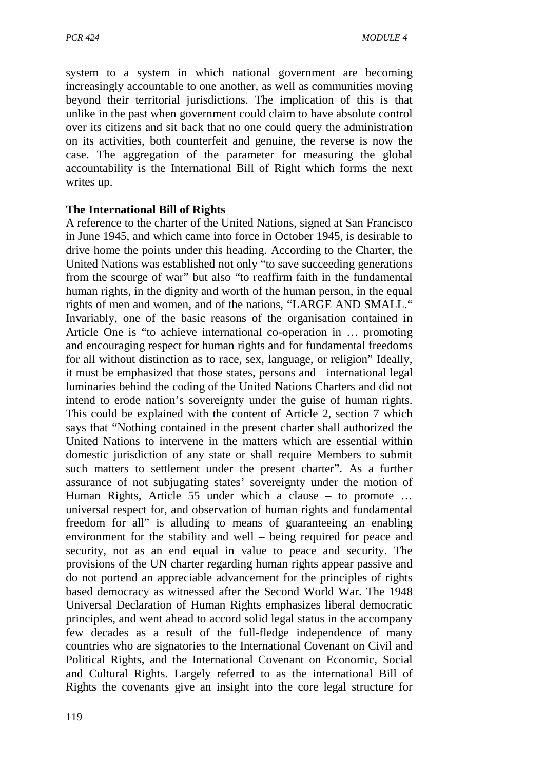system to a system in which national government are becoming increasingly accountable to one another, as well as communities moving beyond their territorial jurisdictions. The implication of this is that unlike in the past when government could claim to have absolute control over its citizens and sit back that no one could query the administration on its activities, both counterfeit and genuine, the reverse is now the case. The aggregation of the parameter for measuring the global accountability is the International Bill of Right which forms the next writes up.

### **The International Bill of Rights**

A reference to the charter of the United Nations, signed at San Francisco in June 1945, and which came into force in October 1945, is desirable to drive home the points under this heading. According to the Charter, the United Nations was established not only "to save succeeding generations from the scourge of war" but also "to reaffirm faith in the fundamental human rights, in the dignity and worth of the human person, in the equal rights of men and women, and of the nations, "LARGE AND SMALL." Invariably, one of the basic reasons of the organisation contained in Article One is "to achieve international co-operation in … promoting and encouraging respect for human rights and for fundamental freedoms for all without distinction as to race, sex, language, or religion" Ideally, it must be emphasized that those states, persons and international legal luminaries behind the coding of the United Nations Charters and did not intend to erode nation's sovereignty under the guise of human rights. This could be explained with the content of Article 2, section 7 which says that "Nothing contained in the present charter shall authorized the United Nations to intervene in the matters which are essential within domestic jurisdiction of any state or shall require Members to submit such matters to settlement under the present charter". As a further assurance of not subjugating states' sovereignty under the motion of Human Rights, Article 55 under which a clause – to promote … universal respect for, and observation of human rights and fundamental freedom for all" is alluding to means of guaranteeing an enabling environment for the stability and well – being required for peace and security, not as an end equal in value to peace and security. The provisions of the UN charter regarding human rights appear passive and do not portend an appreciable advancement for the principles of rights based democracy as witnessed after the Second World War. The 1948 Universal Declaration of Human Rights emphasizes liberal democratic principles, and went ahead to accord solid legal status in the accompany few decades as a result of the full-fledge independence of many countries who are signatories to the International Covenant on Civil and Political Rights, and the International Covenant on Economic, Social and Cultural Rights. Largely referred to as the international Bill of Rights the covenants give an insight into the core legal structure for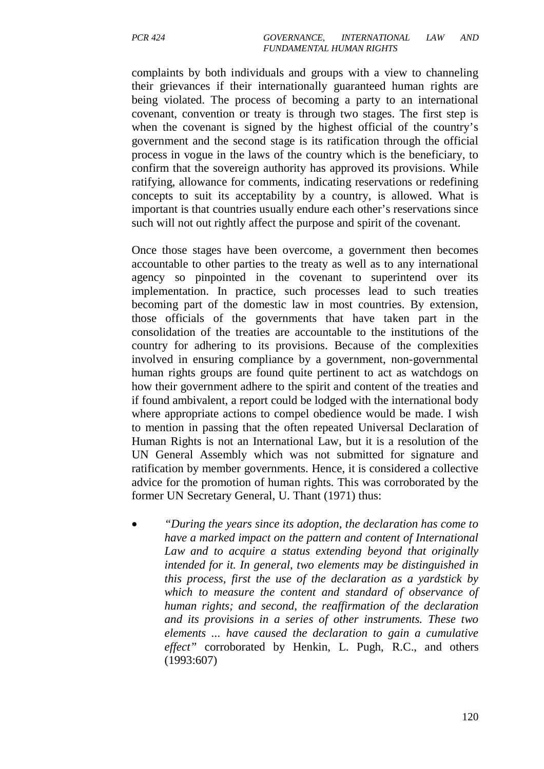complaints by both individuals and groups with a view to channeling their grievances if their internationally guaranteed human rights are being violated. The process of becoming a party to an international covenant, convention or treaty is through two stages. The first step is when the covenant is signed by the highest official of the country's government and the second stage is its ratification through the official process in vogue in the laws of the country which is the beneficiary, to confirm that the sovereign authority has approved its provisions. While ratifying, allowance for comments, indicating reservations or redefining concepts to suit its acceptability by a country, is allowed. What is important is that countries usually endure each other's reservations since such will not out rightly affect the purpose and spirit of the covenant.

Once those stages have been overcome, a government then becomes accountable to other parties to the treaty as well as to any international agency so pinpointed in the covenant to superintend over its implementation. In practice, such processes lead to such treaties becoming part of the domestic law in most countries. By extension, those officials of the governments that have taken part in the consolidation of the treaties are accountable to the institutions of the country for adhering to its provisions. Because of the complexities involved in ensuring compliance by a government, non-governmental human rights groups are found quite pertinent to act as watchdogs on how their government adhere to the spirit and content of the treaties and if found ambivalent, a report could be lodged with the international body where appropriate actions to compel obedience would be made. I wish to mention in passing that the often repeated Universal Declaration of Human Rights is not an International Law, but it is a resolution of the UN General Assembly which was not submitted for signature and ratification by member governments. Hence, it is considered a collective advice for the promotion of human rights. This was corroborated by the former UN Secretary General, U. Thant (1971) thus:

• *"During the years since its adoption, the declaration has come to have a marked impact on the pattern and content of International Law and to acquire a status extending beyond that originally intended for it. In general, two elements may be distinguished in this process, first the use of the declaration as a yardstick by which to measure the content and standard of observance of human rights; and second, the reaffirmation of the declaration and its provisions in a series of other instruments. These two elements ... have caused the declaration to gain a cumulative effect"* corroborated by Henkin, L. Pugh, R.C., and others (1993:607)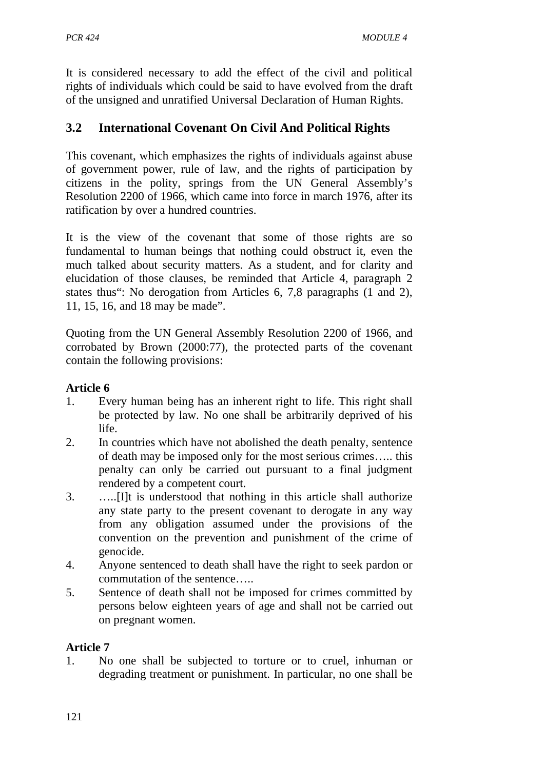It is considered necessary to add the effect of the civil and political rights of individuals which could be said to have evolved from the draft of the unsigned and unratified Universal Declaration of Human Rights.

# **3.2 International Covenant On Civil And Political Rights**

This covenant, which emphasizes the rights of individuals against abuse of government power, rule of law, and the rights of participation by citizens in the polity, springs from the UN General Assembly's Resolution 2200 of 1966, which came into force in march 1976, after its ratification by over a hundred countries.

It is the view of the covenant that some of those rights are so fundamental to human beings that nothing could obstruct it, even the much talked about security matters. As a student, and for clarity and elucidation of those clauses, be reminded that Article 4, paragraph 2 states thus": No derogation from Articles 6, 7,8 paragraphs (1 and 2), 11, 15, 16, and 18 may be made".

Quoting from the UN General Assembly Resolution 2200 of 1966, and corrobated by Brown (2000:77), the protected parts of the covenant contain the following provisions:

### **Article 6**

- 1. Every human being has an inherent right to life. This right shall be protected by law. No one shall be arbitrarily deprived of his life.
- 2. In countries which have not abolished the death penalty, sentence of death may be imposed only for the most serious crimes….. this penalty can only be carried out pursuant to a final judgment rendered by a competent court.
- 3. …..[I]t is understood that nothing in this article shall authorize any state party to the present covenant to derogate in any way from any obligation assumed under the provisions of the convention on the prevention and punishment of the crime of genocide.
- 4. Anyone sentenced to death shall have the right to seek pardon or commutation of the sentence…..
- 5. Sentence of death shall not be imposed for crimes committed by persons below eighteen years of age and shall not be carried out on pregnant women.

### **Article 7**

1. No one shall be subjected to torture or to cruel, inhuman or degrading treatment or punishment. In particular, no one shall be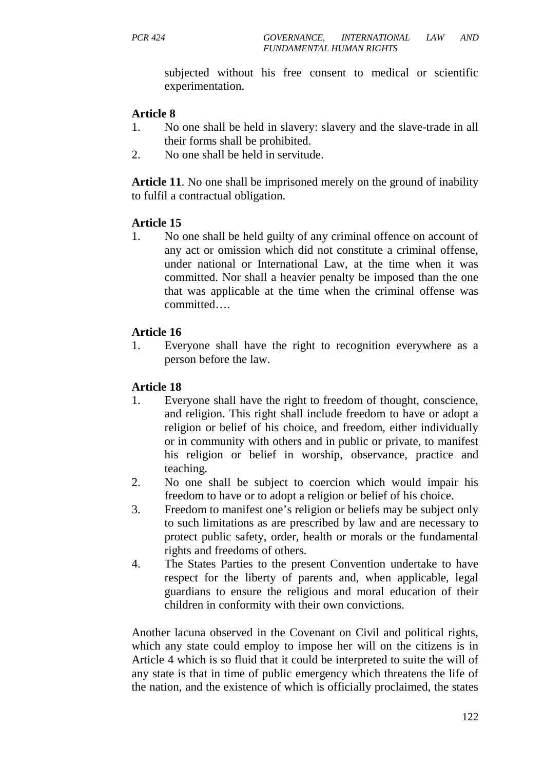subjected without his free consent to medical or scientific experimentation.

### **Article 8**

- 1. No one shall be held in slavery: slavery and the slave-trade in all their forms shall be prohibited.
- 2. No one shall be held in servitude.

**Article 11**. No one shall be imprisoned merely on the ground of inability to fulfil a contractual obligation.

### **Article 15**

1. No one shall be held guilty of any criminal offence on account of any act or omission which did not constitute a criminal offense, under national or International Law, at the time when it was committed. Nor shall a heavier penalty be imposed than the one that was applicable at the time when the criminal offense was committed….

### **Article 16**

1. Everyone shall have the right to recognition everywhere as a person before the law.

### **Article 18**

- 1. Everyone shall have the right to freedom of thought, conscience, and religion. This right shall include freedom to have or adopt a religion or belief of his choice, and freedom, either individually or in community with others and in public or private, to manifest his religion or belief in worship, observance, practice and teaching.
- 2. No one shall be subject to coercion which would impair his freedom to have or to adopt a religion or belief of his choice.
- 3. Freedom to manifest one's religion or beliefs may be subject only to such limitations as are prescribed by law and are necessary to protect public safety, order, health or morals or the fundamental rights and freedoms of others.
- 4. The States Parties to the present Convention undertake to have respect for the liberty of parents and, when applicable, legal guardians to ensure the religious and moral education of their children in conformity with their own convictions.

Another lacuna observed in the Covenant on Civil and political rights, which any state could employ to impose her will on the citizens is in Article 4 which is so fluid that it could be interpreted to suite the will of any state is that in time of public emergency which threatens the life of the nation, and the existence of which is officially proclaimed, the states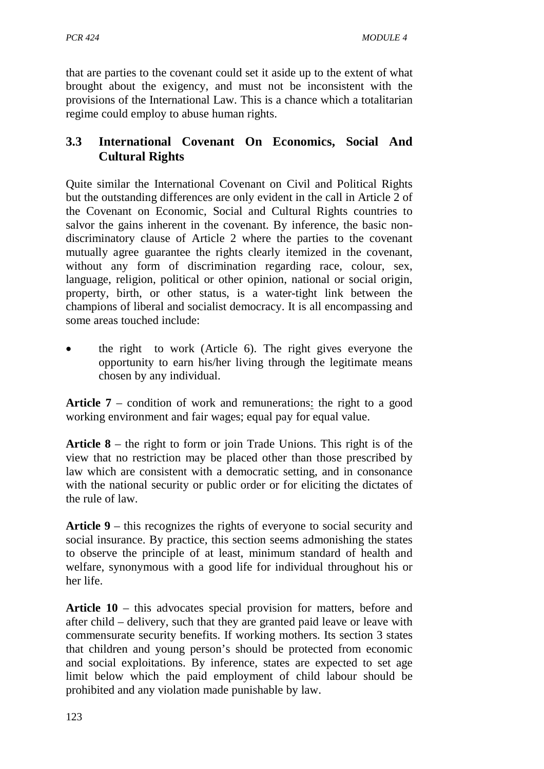that are parties to the covenant could set it aside up to the extent of what brought about the exigency, and must not be inconsistent with the provisions of the International Law. This is a chance which a totalitarian regime could employ to abuse human rights.

# **3.3 International Covenant On Economics, Social And Cultural Rights**

Quite similar the International Covenant on Civil and Political Rights but the outstanding differences are only evident in the call in Article 2 of the Covenant on Economic, Social and Cultural Rights countries to salvor the gains inherent in the covenant. By inference, the basic nondiscriminatory clause of Article 2 where the parties to the covenant mutually agree guarantee the rights clearly itemized in the covenant, without any form of discrimination regarding race, colour, sex, language, religion, political or other opinion, national or social origin, property, birth, or other status, is a water-tight link between the champions of liberal and socialist democracy. It is all encompassing and some areas touched include:

• the right to work (Article 6). The right gives everyone the opportunity to earn his/her living through the legitimate means chosen by any individual.

**Article 7** – condition of work and remunerations: the right to a good working environment and fair wages; equal pay for equal value.

**Article 8** – the right to form or join Trade Unions. This right is of the view that no restriction may be placed other than those prescribed by law which are consistent with a democratic setting, and in consonance with the national security or public order or for eliciting the dictates of the rule of law.

**Article 9** – this recognizes the rights of everyone to social security and social insurance. By practice, this section seems admonishing the states to observe the principle of at least, minimum standard of health and welfare, synonymous with a good life for individual throughout his or her life.

**Article 10** – this advocates special provision for matters, before and after child – delivery, such that they are granted paid leave or leave with commensurate security benefits. If working mothers. Its section 3 states that children and young person's should be protected from economic and social exploitations. By inference, states are expected to set age limit below which the paid employment of child labour should be prohibited and any violation made punishable by law.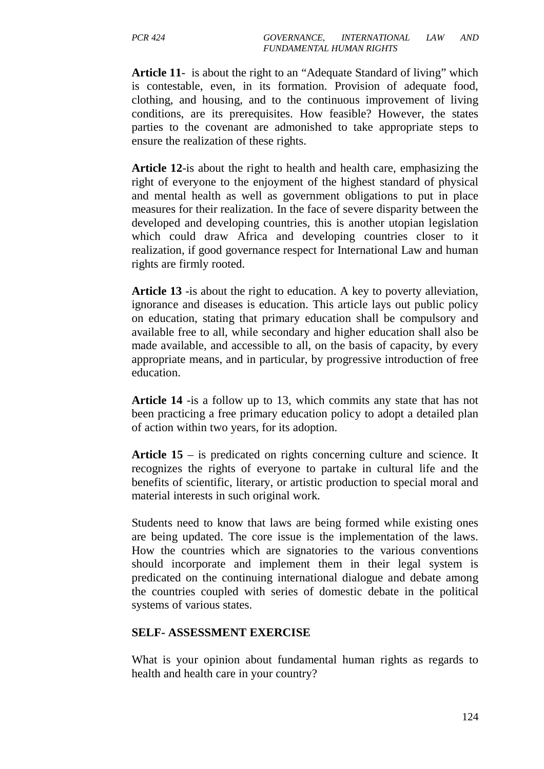**Article 11**- is about the right to an "Adequate Standard of living" which is contestable, even, in its formation. Provision of adequate food, clothing, and housing, and to the continuous improvement of living conditions, are its prerequisites. How feasible? However, the states parties to the covenant are admonished to take appropriate steps to ensure the realization of these rights.

**Article 12**-is about the right to health and health care, emphasizing the right of everyone to the enjoyment of the highest standard of physical and mental health as well as government obligations to put in place measures for their realization. In the face of severe disparity between the developed and developing countries, this is another utopian legislation which could draw Africa and developing countries closer to it realization, if good governance respect for International Law and human rights are firmly rooted.

**Article 13** -is about the right to education. A key to poverty alleviation, ignorance and diseases is education. This article lays out public policy on education, stating that primary education shall be compulsory and available free to all, while secondary and higher education shall also be made available, and accessible to all, on the basis of capacity, by every appropriate means, and in particular, by progressive introduction of free education.

**Article 14** -is a follow up to 13, which commits any state that has not been practicing a free primary education policy to adopt a detailed plan of action within two years, for its adoption.

**Article 15** – is predicated on rights concerning culture and science. It recognizes the rights of everyone to partake in cultural life and the benefits of scientific, literary, or artistic production to special moral and material interests in such original work.

Students need to know that laws are being formed while existing ones are being updated. The core issue is the implementation of the laws. How the countries which are signatories to the various conventions should incorporate and implement them in their legal system is predicated on the continuing international dialogue and debate among the countries coupled with series of domestic debate in the political systems of various states.

### **SELF- ASSESSMENT EXERCISE**

What is your opinion about fundamental human rights as regards to health and health care in your country?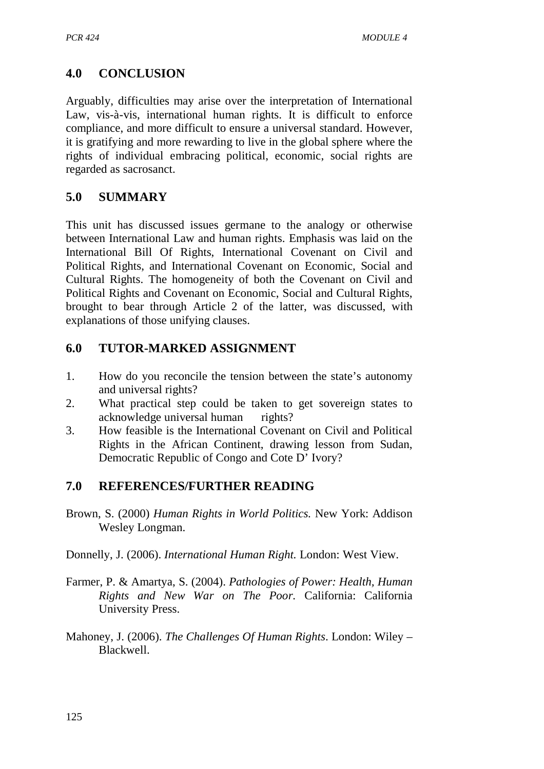# **4.0 CONCLUSION**

Arguably, difficulties may arise over the interpretation of International Law, vis-à-vis, international human rights. It is difficult to enforce compliance, and more difficult to ensure a universal standard. However, it is gratifying and more rewarding to live in the global sphere where the rights of individual embracing political, economic, social rights are regarded as sacrosanct.

# **5.0 SUMMARY**

This unit has discussed issues germane to the analogy or otherwise between International Law and human rights. Emphasis was laid on the International Bill Of Rights, International Covenant on Civil and Political Rights, and International Covenant on Economic, Social and Cultural Rights. The homogeneity of both the Covenant on Civil and Political Rights and Covenant on Economic, Social and Cultural Rights, brought to bear through Article 2 of the latter, was discussed, with explanations of those unifying clauses.

# **6.0 TUTOR-MARKED ASSIGNMENT**

- 1. How do you reconcile the tension between the state's autonomy and universal rights?
- 2. What practical step could be taken to get sovereign states to acknowledge universal human rights?
- 3. How feasible is the International Covenant on Civil and Political Rights in the African Continent, drawing lesson from Sudan, Democratic Republic of Congo and Cote D' Ivory?

# **7.0 REFERENCES/FURTHER READING**

Brown, S. (2000) *Human Rights in World Politics.* New York: Addison Wesley Longman.

Donnelly, J. (2006). *International Human Right.* London: West View.

- Farmer, P. & Amartya, S. (2004). *Pathologies of Power: Health, Human Rights and New War on The Poor.* California: California University Press.
- Mahoney, J. (2006). *The Challenges Of Human Rights*. London: Wiley Blackwell.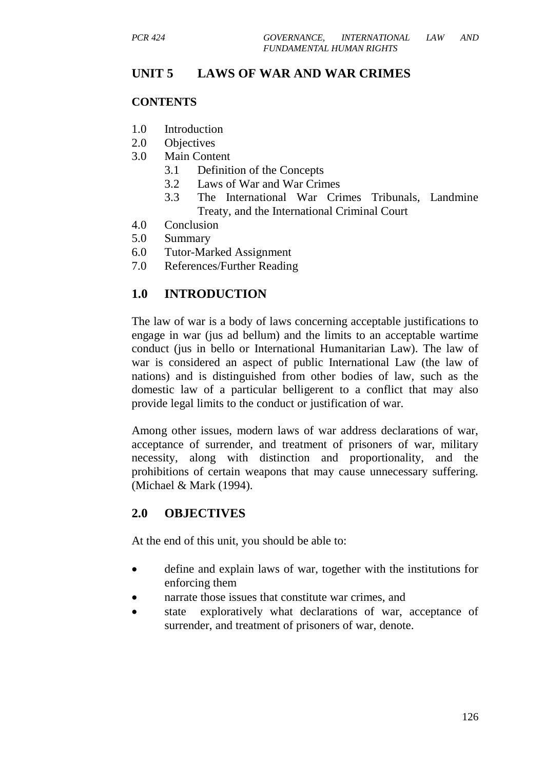## **UNIT 5 LAWS OF WAR AND WAR CRIMES**

### **CONTENTS**

- 1.0 Introduction
- 2.0 Objectives
- 3.0 Main Content
	- 3.1 Definition of the Concepts
	- 3.2 Laws of War and War Crimes
	- 3.3 The International War Crimes Tribunals, Landmine Treaty, and the International Criminal Court
- 4.0 Conclusion
- 5.0 Summary
- 6.0 Tutor-Marked Assignment
- 7.0 References/Further Reading

# **1.0 INTRODUCTION**

The law of war is a body of laws concerning acceptable justifications to engage in war (jus ad bellum) and the limits to an acceptable wartime conduct (jus in bello or International Humanitarian Law). The law of war is considered an aspect of public International Law (the law of nations) and is distinguished from other bodies of law, such as the domestic law of a particular belligerent to a conflict that may also provide legal limits to the conduct or justification of war.

Among other issues, modern laws of war address declarations of war, acceptance of surrender, and treatment of prisoners of war, military necessity, along with distinction and proportionality, and the prohibitions of certain weapons that may cause unnecessary suffering. (Michael & Mark (1994).

## **2.0 OBJECTIVES**

At the end of this unit, you should be able to:

- define and explain laws of war, together with the institutions for enforcing them
- narrate those issues that constitute war crimes, and
- state exploratively what declarations of war, acceptance of surrender, and treatment of prisoners of war, denote.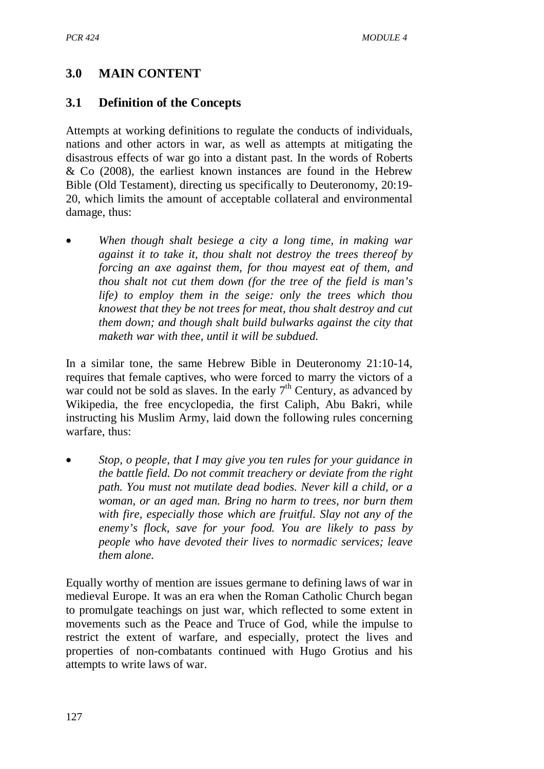# **3.0 MAIN CONTENT**

### **3.1 Definition of the Concepts**

Attempts at working definitions to regulate the conducts of individuals, nations and other actors in war, as well as attempts at mitigating the disastrous effects of war go into a distant past. In the words of Roberts & Co (2008), the earliest known instances are found in the Hebrew Bible (Old Testament), directing us specifically to Deuteronomy, 20:19- 20, which limits the amount of acceptable collateral and environmental damage, thus:

• *When though shalt besiege a city a long time, in making war against it to take it, thou shalt not destroy the trees thereof by forcing an axe against them, for thou mayest eat of them, and thou shalt not cut them down (for the tree of the field is man's life) to employ them in the seige: only the trees which thou knowest that they be not trees for meat, thou shalt destroy and cut them down; and though shalt build bulwarks against the city that maketh war with thee, until it will be subdued.* 

In a similar tone, the same Hebrew Bible in Deuteronomy 21:10-14, requires that female captives, who were forced to marry the victors of a war could not be sold as slaves. In the early  $7<sup>th</sup>$  Century, as advanced by Wikipedia, the free encyclopedia, the first Caliph, Abu Bakri, while instructing his Muslim Army, laid down the following rules concerning warfare, thus:

• *Stop, o people, that I may give you ten rules for your guidance in the battle field. Do not commit treachery or deviate from the right path. You must not mutilate dead bodies. Never kill a child, or a woman, or an aged man. Bring no harm to trees, nor burn them with fire, especially those which are fruitful. Slay not any of the enemy's flock, save for your food. You are likely to pass by people who have devoted their lives to normadic services; leave them alone.* 

Equally worthy of mention are issues germane to defining laws of war in medieval Europe. It was an era when the Roman Catholic Church began to promulgate teachings on just war, which reflected to some extent in movements such as the Peace and Truce of God, while the impulse to restrict the extent of warfare, and especially, protect the lives and properties of non-combatants continued with Hugo Grotius and his attempts to write laws of war.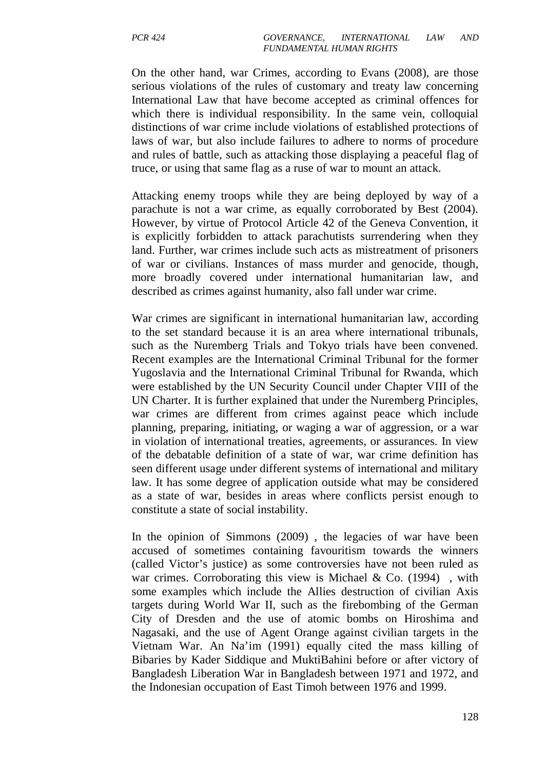On the other hand, war Crimes, according to Evans (2008), are those serious violations of the rules of customary and treaty law concerning International Law that have become accepted as criminal offences for which there is individual responsibility. In the same vein, colloquial distinctions of war crime include violations of established protections of laws of war, but also include failures to adhere to norms of procedure and rules of battle, such as attacking those displaying a peaceful flag of truce, or using that same flag as a ruse of war to mount an attack.

Attacking enemy troops while they are being deployed by way of a parachute is not a war crime, as equally corroborated by Best (2004). However, by virtue of Protocol Article 42 of the Geneva Convention, it is explicitly forbidden to attack parachutists surrendering when they land. Further, war crimes include such acts as mistreatment of prisoners of war or civilians. Instances of mass murder and genocide, though, more broadly covered under international humanitarian law, and described as crimes against humanity, also fall under war crime.

War crimes are significant in international humanitarian law, according to the set standard because it is an area where international tribunals, such as the Nuremberg Trials and Tokyo trials have been convened. Recent examples are the International Criminal Tribunal for the former Yugoslavia and the International Criminal Tribunal for Rwanda, which were established by the UN Security Council under Chapter VIII of the UN Charter. It is further explained that under the Nuremberg Principles, war crimes are different from crimes against peace which include planning, preparing, initiating, or waging a war of aggression, or a war in violation of international treaties, agreements, or assurances. In view of the debatable definition of a state of war, war crime definition has seen different usage under different systems of international and military law. It has some degree of application outside what may be considered as a state of war, besides in areas where conflicts persist enough to constitute a state of social instability.

In the opinion of Simmons (2009) , the legacies of war have been accused of sometimes containing favouritism towards the winners (called Victor's justice) as some controversies have not been ruled as war crimes. Corroborating this view is Michael & Co.  $(1994)$ , with some examples which include the Allies destruction of civilian Axis targets during World War II, such as the firebombing of the German City of Dresden and the use of atomic bombs on Hiroshima and Nagasaki, and the use of Agent Orange against civilian targets in the Vietnam War. An Na'im (1991) equally cited the mass killing of Bibaries by Kader Siddique and MuktiBahini before or after victory of Bangladesh Liberation War in Bangladesh between 1971 and 1972, and the Indonesian occupation of East Timoh between 1976 and 1999.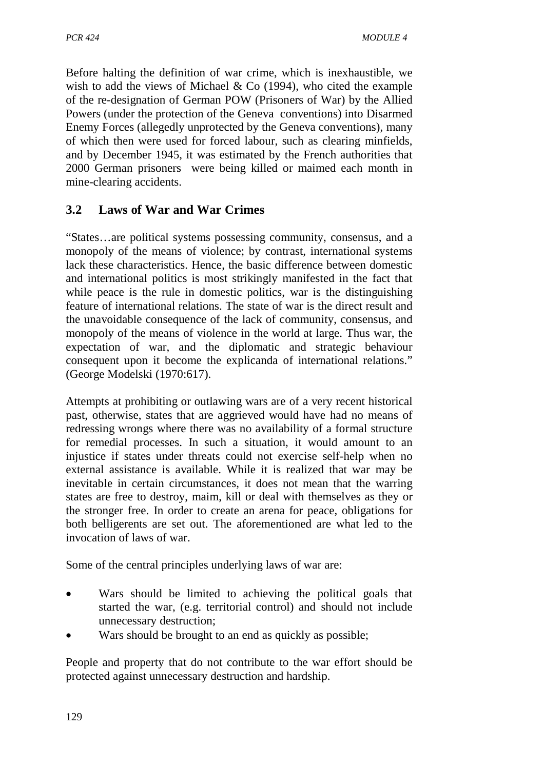Before halting the definition of war crime, which is inexhaustible, we wish to add the views of Michael & Co (1994), who cited the example of the re-designation of German POW (Prisoners of War) by the Allied Powers (under the protection of the Geneva conventions) into Disarmed Enemy Forces (allegedly unprotected by the Geneva conventions), many of which then were used for forced labour, such as clearing minfields, and by December 1945, it was estimated by the French authorities that 2000 German prisoners were being killed or maimed each month in mine-clearing accidents.

# **3.2 Laws of War and War Crimes**

"States…are political systems possessing community, consensus, and a monopoly of the means of violence; by contrast, international systems lack these characteristics. Hence, the basic difference between domestic and international politics is most strikingly manifested in the fact that while peace is the rule in domestic politics, war is the distinguishing feature of international relations. The state of war is the direct result and the unavoidable consequence of the lack of community, consensus, and monopoly of the means of violence in the world at large. Thus war, the expectation of war, and the diplomatic and strategic behaviour consequent upon it become the explicanda of international relations." (George Modelski (1970:617).

Attempts at prohibiting or outlawing wars are of a very recent historical past, otherwise, states that are aggrieved would have had no means of redressing wrongs where there was no availability of a formal structure for remedial processes. In such a situation, it would amount to an injustice if states under threats could not exercise self-help when no external assistance is available. While it is realized that war may be inevitable in certain circumstances, it does not mean that the warring states are free to destroy, maim, kill or deal with themselves as they or the stronger free. In order to create an arena for peace, obligations for both belligerents are set out. The aforementioned are what led to the invocation of laws of war.

Some of the central principles underlying laws of war are:

- Wars should be limited to achieving the political goals that started the war, (e.g. territorial control) and should not include unnecessary destruction;
- Wars should be brought to an end as quickly as possible;

People and property that do not contribute to the war effort should be protected against unnecessary destruction and hardship.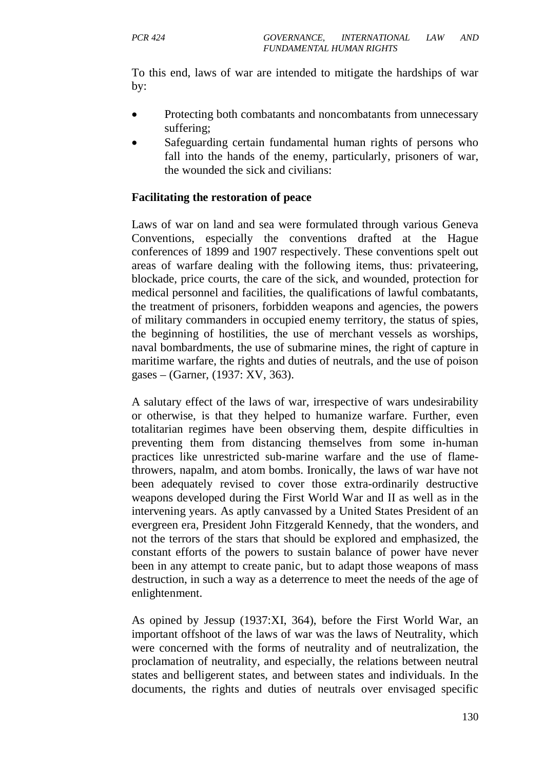To this end, laws of war are intended to mitigate the hardships of war by:

- Protecting both combatants and noncombatants from unnecessary suffering;
- Safeguarding certain fundamental human rights of persons who fall into the hands of the enemy, particularly, prisoners of war, the wounded the sick and civilians:

### **Facilitating the restoration of peace**

Laws of war on land and sea were formulated through various Geneva Conventions, especially the conventions drafted at the Hague conferences of 1899 and 1907 respectively. These conventions spelt out areas of warfare dealing with the following items, thus: privateering, blockade, price courts, the care of the sick, and wounded, protection for medical personnel and facilities, the qualifications of lawful combatants, the treatment of prisoners, forbidden weapons and agencies, the powers of military commanders in occupied enemy territory, the status of spies, the beginning of hostilities, the use of merchant vessels as worships, naval bombardments, the use of submarine mines, the right of capture in maritime warfare, the rights and duties of neutrals, and the use of poison gases – (Garner, (1937: XV, 363).

A salutary effect of the laws of war, irrespective of wars undesirability or otherwise, is that they helped to humanize warfare. Further, even totalitarian regimes have been observing them, despite difficulties in preventing them from distancing themselves from some in-human practices like unrestricted sub-marine warfare and the use of flamethrowers, napalm, and atom bombs. Ironically, the laws of war have not been adequately revised to cover those extra-ordinarily destructive weapons developed during the First World War and II as well as in the intervening years. As aptly canvassed by a United States President of an evergreen era, President John Fitzgerald Kennedy, that the wonders, and not the terrors of the stars that should be explored and emphasized, the constant efforts of the powers to sustain balance of power have never been in any attempt to create panic, but to adapt those weapons of mass destruction, in such a way as a deterrence to meet the needs of the age of enlightenment.

As opined by Jessup (1937:XI, 364), before the First World War, an important offshoot of the laws of war was the laws of Neutrality, which were concerned with the forms of neutrality and of neutralization, the proclamation of neutrality, and especially, the relations between neutral states and belligerent states, and between states and individuals. In the documents, the rights and duties of neutrals over envisaged specific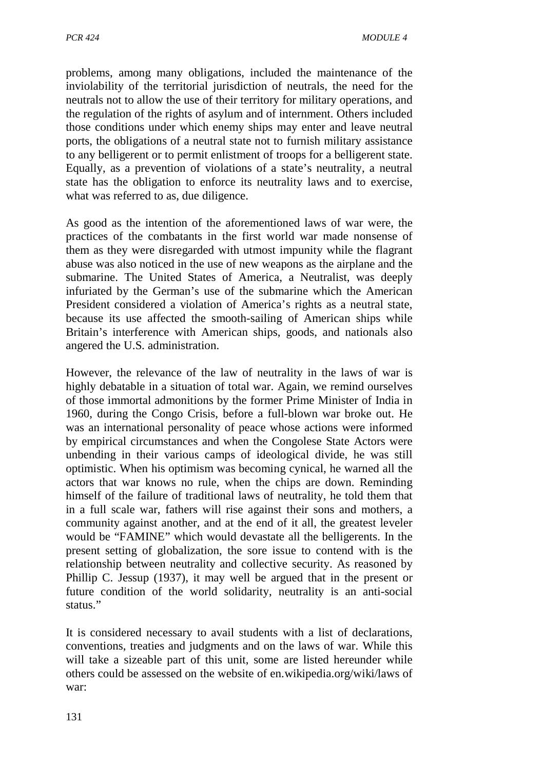problems, among many obligations, included the maintenance of the inviolability of the territorial jurisdiction of neutrals, the need for the neutrals not to allow the use of their territory for military operations, and the regulation of the rights of asylum and of internment. Others included those conditions under which enemy ships may enter and leave neutral ports, the obligations of a neutral state not to furnish military assistance to any belligerent or to permit enlistment of troops for a belligerent state. Equally, as a prevention of violations of a state's neutrality, a neutral state has the obligation to enforce its neutrality laws and to exercise, what was referred to as, due diligence.

As good as the intention of the aforementioned laws of war were, the practices of the combatants in the first world war made nonsense of them as they were disregarded with utmost impunity while the flagrant abuse was also noticed in the use of new weapons as the airplane and the submarine. The United States of America, a Neutralist, was deeply infuriated by the German's use of the submarine which the American President considered a violation of America's rights as a neutral state, because its use affected the smooth-sailing of American ships while Britain's interference with American ships, goods, and nationals also angered the U.S. administration.

However, the relevance of the law of neutrality in the laws of war is highly debatable in a situation of total war. Again, we remind ourselves of those immortal admonitions by the former Prime Minister of India in 1960, during the Congo Crisis, before a full-blown war broke out. He was an international personality of peace whose actions were informed by empirical circumstances and when the Congolese State Actors were unbending in their various camps of ideological divide, he was still optimistic. When his optimism was becoming cynical, he warned all the actors that war knows no rule, when the chips are down. Reminding himself of the failure of traditional laws of neutrality, he told them that in a full scale war, fathers will rise against their sons and mothers, a community against another, and at the end of it all, the greatest leveler would be "FAMINE" which would devastate all the belligerents. In the present setting of globalization, the sore issue to contend with is the relationship between neutrality and collective security. As reasoned by Phillip C. Jessup (1937), it may well be argued that in the present or future condition of the world solidarity, neutrality is an anti-social status."

It is considered necessary to avail students with a list of declarations, conventions, treaties and judgments and on the laws of war. While this will take a sizeable part of this unit, some are listed hereunder while others could be assessed on the website of en.wikipedia.org/wiki/laws of war: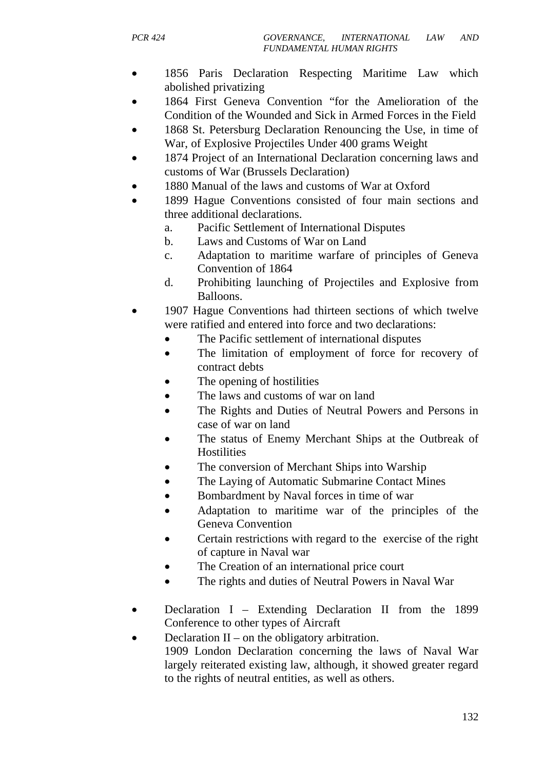- 1856 Paris Declaration Respecting Maritime Law which abolished privatizing
- 1864 First Geneva Convention "for the Amelioration of the Condition of the Wounded and Sick in Armed Forces in the Field
- 1868 St. Petersburg Declaration Renouncing the Use, in time of War, of Explosive Projectiles Under 400 grams Weight
- 1874 Project of an International Declaration concerning laws and customs of War (Brussels Declaration)
- 1880 Manual of the laws and customs of War at Oxford
- 1899 Hague Conventions consisted of four main sections and three additional declarations.
	- a. Pacific Settlement of International Disputes
	- b. Laws and Customs of War on Land
	- c. Adaptation to maritime warfare of principles of Geneva Convention of 1864
	- d. Prohibiting launching of Projectiles and Explosive from Balloons.
- 1907 Hague Conventions had thirteen sections of which twelve were ratified and entered into force and two declarations:
	- The Pacific settlement of international disputes
	- The limitation of employment of force for recovery of contract debts
	- The opening of hostilities
	- The laws and customs of war on land
	- The Rights and Duties of Neutral Powers and Persons in case of war on land
	- The status of Enemy Merchant Ships at the Outbreak of **Hostilities**
	- The conversion of Merchant Ships into Warship
	- The Laying of Automatic Submarine Contact Mines
	- Bombardment by Naval forces in time of war
	- Adaptation to maritime war of the principles of the Geneva Convention
	- Certain restrictions with regard to the exercise of the right of capture in Naval war
	- The Creation of an international price court
	- The rights and duties of Neutral Powers in Naval War
- Declaration I Extending Declaration II from the 1899 Conference to other types of Aircraft
- Declaration  $II$  on the obligatory arbitration.

1909 London Declaration concerning the laws of Naval War largely reiterated existing law, although, it showed greater regard to the rights of neutral entities, as well as others.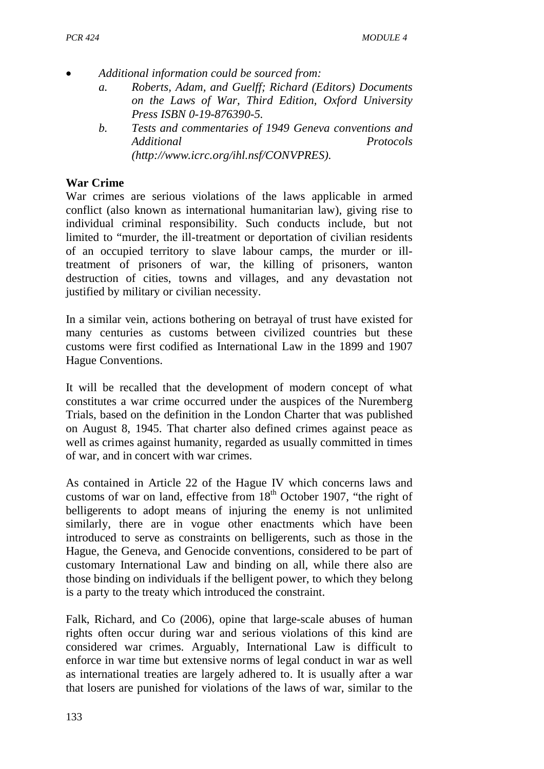- *Additional information could be sourced from:* 
	- *a. Roberts, Adam, and Guelff; Richard (Editors) Documents on the Laws of War, Third Edition, Oxford University Press ISBN 0-19-876390-5.*
	- *b. Tests and commentaries of 1949 Geneva conventions and Additional Protocols (http://www.icrc.org/ihl.nsf/CONVPRES).*

### **War Crime**

War crimes are serious violations of the laws applicable in armed conflict (also known as international humanitarian law), giving rise to individual criminal responsibility. Such conducts include, but not limited to "murder, the ill-treatment or deportation of civilian residents of an occupied territory to slave labour camps, the murder or illtreatment of prisoners of war, the killing of prisoners, wanton destruction of cities, towns and villages, and any devastation not justified by military or civilian necessity.

In a similar vein, actions bothering on betrayal of trust have existed for many centuries as customs between civilized countries but these customs were first codified as International Law in the 1899 and 1907 Hague Conventions.

It will be recalled that the development of modern concept of what constitutes a war crime occurred under the auspices of the Nuremberg Trials, based on the definition in the London Charter that was published on August 8, 1945. That charter also defined crimes against peace as well as crimes against humanity, regarded as usually committed in times of war, and in concert with war crimes.

As contained in Article 22 of the Hague IV which concerns laws and customs of war on land, effective from  $18<sup>th</sup>$  October 1907, "the right of belligerents to adopt means of injuring the enemy is not unlimited similarly, there are in vogue other enactments which have been introduced to serve as constraints on belligerents, such as those in the Hague, the Geneva, and Genocide conventions, considered to be part of customary International Law and binding on all, while there also are those binding on individuals if the belligent power, to which they belong is a party to the treaty which introduced the constraint.

Falk, Richard, and Co (2006), opine that large-scale abuses of human rights often occur during war and serious violations of this kind are considered war crimes. Arguably, International Law is difficult to enforce in war time but extensive norms of legal conduct in war as well as international treaties are largely adhered to. It is usually after a war that losers are punished for violations of the laws of war, similar to the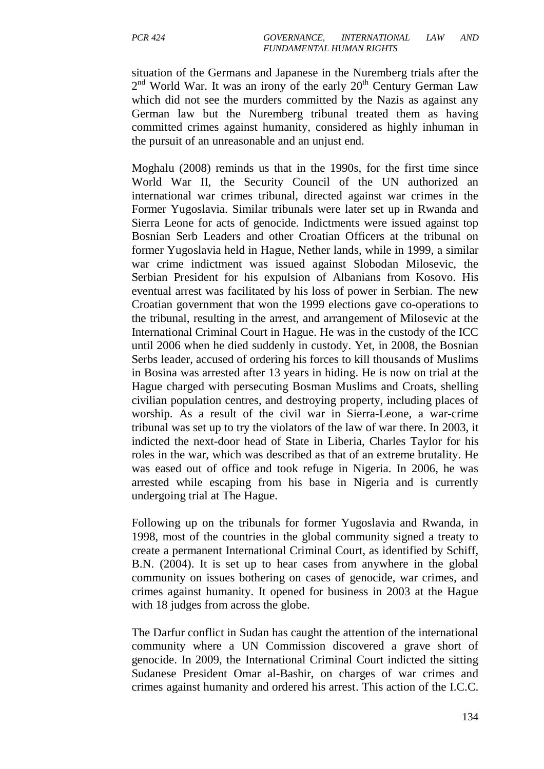situation of the Germans and Japanese in the Nuremberg trials after the 2<sup>nd</sup> World War. It was an irony of the early 20<sup>th</sup> Century German Law which did not see the murders committed by the Nazis as against any German law but the Nuremberg tribunal treated them as having committed crimes against humanity, considered as highly inhuman in the pursuit of an unreasonable and an unjust end.

Moghalu (2008) reminds us that in the 1990s, for the first time since World War II, the Security Council of the UN authorized an international war crimes tribunal, directed against war crimes in the Former Yugoslavia. Similar tribunals were later set up in Rwanda and Sierra Leone for acts of genocide. Indictments were issued against top Bosnian Serb Leaders and other Croatian Officers at the tribunal on former Yugoslavia held in Hague, Nether lands, while in 1999, a similar war crime indictment was issued against Slobodan Milosevic, the Serbian President for his expulsion of Albanians from Kosovo. His eventual arrest was facilitated by his loss of power in Serbian. The new Croatian government that won the 1999 elections gave co-operations to the tribunal, resulting in the arrest, and arrangement of Milosevic at the International Criminal Court in Hague. He was in the custody of the ICC until 2006 when he died suddenly in custody. Yet, in 2008, the Bosnian Serbs leader, accused of ordering his forces to kill thousands of Muslims in Bosina was arrested after 13 years in hiding. He is now on trial at the Hague charged with persecuting Bosman Muslims and Croats, shelling civilian population centres, and destroying property, including places of worship. As a result of the civil war in Sierra-Leone, a war-crime tribunal was set up to try the violators of the law of war there. In 2003, it indicted the next-door head of State in Liberia, Charles Taylor for his roles in the war, which was described as that of an extreme brutality. He was eased out of office and took refuge in Nigeria. In 2006, he was arrested while escaping from his base in Nigeria and is currently undergoing trial at The Hague.

Following up on the tribunals for former Yugoslavia and Rwanda, in 1998, most of the countries in the global community signed a treaty to create a permanent International Criminal Court, as identified by Schiff, B.N. (2004). It is set up to hear cases from anywhere in the global community on issues bothering on cases of genocide, war crimes, and crimes against humanity. It opened for business in 2003 at the Hague with 18 judges from across the globe.

The Darfur conflict in Sudan has caught the attention of the international community where a UN Commission discovered a grave short of genocide. In 2009, the International Criminal Court indicted the sitting Sudanese President Omar al-Bashir, on charges of war crimes and crimes against humanity and ordered his arrest. This action of the I.C.C.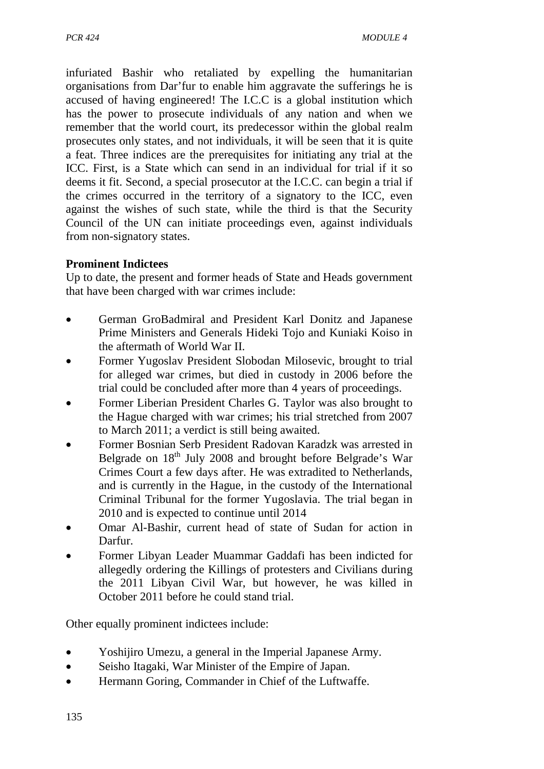infuriated Bashir who retaliated by expelling the humanitarian organisations from Dar'fur to enable him aggravate the sufferings he is accused of having engineered! The I.C.C is a global institution which has the power to prosecute individuals of any nation and when we remember that the world court, its predecessor within the global realm prosecutes only states, and not individuals, it will be seen that it is quite a feat. Three indices are the prerequisites for initiating any trial at the ICC. First, is a State which can send in an individual for trial if it so deems it fit. Second, a special prosecutor at the I.C.C. can begin a trial if the crimes occurred in the territory of a signatory to the ICC, even against the wishes of such state, while the third is that the Security Council of the UN can initiate proceedings even, against individuals from non-signatory states.

### **Prominent Indictees**

Up to date, the present and former heads of State and Heads government that have been charged with war crimes include:

- German GroBadmiral and President Karl Donitz and Japanese Prime Ministers and Generals Hideki Tojo and Kuniaki Koiso in the aftermath of World War II.
- Former Yugoslav President Slobodan Milosevic, brought to trial for alleged war crimes, but died in custody in 2006 before the trial could be concluded after more than 4 years of proceedings.
- Former Liberian President Charles G. Taylor was also brought to the Hague charged with war crimes; his trial stretched from 2007 to March 2011; a verdict is still being awaited.
- Former Bosnian Serb President Radovan Karadzk was arrested in Belgrade on 18<sup>th</sup> July 2008 and brought before Belgrade's War Crimes Court a few days after. He was extradited to Netherlands, and is currently in the Hague, in the custody of the International Criminal Tribunal for the former Yugoslavia. The trial began in 2010 and is expected to continue until 2014
- Omar Al-Bashir, current head of state of Sudan for action in Darfur.
- Former Libyan Leader Muammar Gaddafi has been indicted for allegedly ordering the Killings of protesters and Civilians during the 2011 Libyan Civil War, but however, he was killed in October 2011 before he could stand trial.

Other equally prominent indictees include:

- Yoshijiro Umezu, a general in the Imperial Japanese Army.
- Seisho Itagaki, War Minister of the Empire of Japan.
- Hermann Goring, Commander in Chief of the Luftwaffe.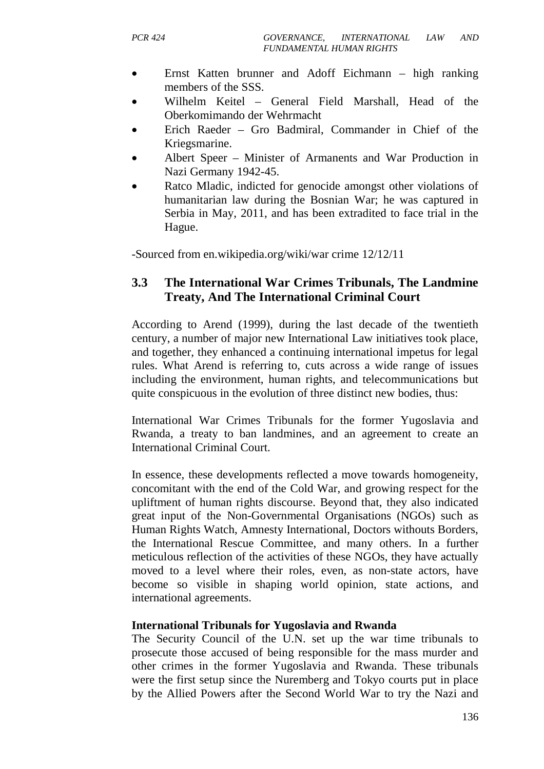- Ernst Katten brunner and Adoff Eichmann high ranking members of the SSS.
- Wilhelm Keitel General Field Marshall, Head of the Oberkomimando der Wehrmacht
- Erich Raeder Gro Badmiral, Commander in Chief of the Kriegsmarine.
- Albert Speer Minister of Armanents and War Production in Nazi Germany 1942-45.
- Ratco Mladic, indicted for genocide amongst other violations of humanitarian law during the Bosnian War; he was captured in Serbia in May, 2011, and has been extradited to face trial in the Hague.

-Sourced from en.wikipedia.org/wiki/war crime 12/12/11

## **3.3 The International War Crimes Tribunals, The Landmine Treaty, And The International Criminal Court**

According to Arend (1999), during the last decade of the twentieth century, a number of major new International Law initiatives took place, and together, they enhanced a continuing international impetus for legal rules. What Arend is referring to, cuts across a wide range of issues including the environment, human rights, and telecommunications but quite conspicuous in the evolution of three distinct new bodies, thus:

International War Crimes Tribunals for the former Yugoslavia and Rwanda, a treaty to ban landmines, and an agreement to create an International Criminal Court.

In essence, these developments reflected a move towards homogeneity, concomitant with the end of the Cold War, and growing respect for the upliftment of human rights discourse. Beyond that, they also indicated great input of the Non-Governmental Organisations (NGOs) such as Human Rights Watch, Amnesty International, Doctors withouts Borders, the International Rescue Committee, and many others. In a further meticulous reflection of the activities of these NGOs, they have actually moved to a level where their roles, even, as non-state actors, have become so visible in shaping world opinion, state actions, and international agreements.

### **International Tribunals for Yugoslavia and Rwanda**

The Security Council of the U.N. set up the war time tribunals to prosecute those accused of being responsible for the mass murder and other crimes in the former Yugoslavia and Rwanda. These tribunals were the first setup since the Nuremberg and Tokyo courts put in place by the Allied Powers after the Second World War to try the Nazi and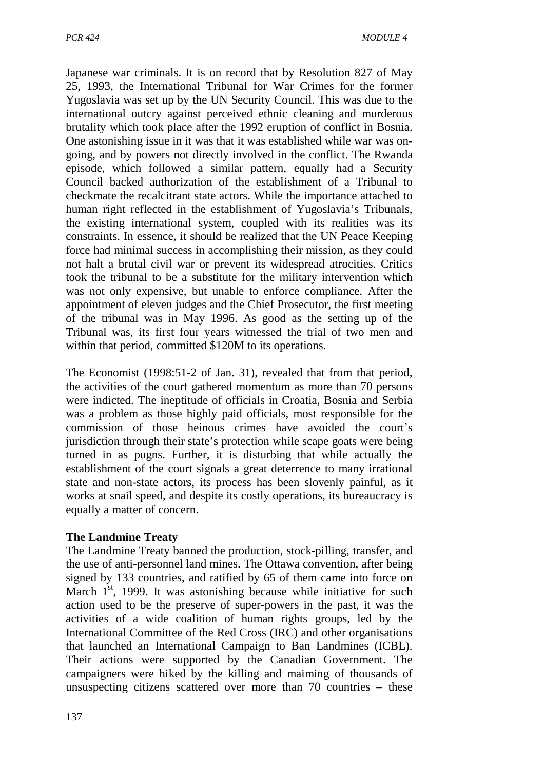Japanese war criminals. It is on record that by Resolution 827 of May 25, 1993, the International Tribunal for War Crimes for the former Yugoslavia was set up by the UN Security Council. This was due to the international outcry against perceived ethnic cleaning and murderous brutality which took place after the 1992 eruption of conflict in Bosnia. One astonishing issue in it was that it was established while war was ongoing, and by powers not directly involved in the conflict. The Rwanda episode, which followed a similar pattern, equally had a Security Council backed authorization of the establishment of a Tribunal to checkmate the recalcitrant state actors. While the importance attached to human right reflected in the establishment of Yugoslavia's Tribunals, the existing international system, coupled with its realities was its constraints. In essence, it should be realized that the UN Peace Keeping force had minimal success in accomplishing their mission, as they could not halt a brutal civil war or prevent its widespread atrocities. Critics took the tribunal to be a substitute for the military intervention which was not only expensive, but unable to enforce compliance. After the appointment of eleven judges and the Chief Prosecutor, the first meeting of the tribunal was in May 1996. As good as the setting up of the Tribunal was, its first four years witnessed the trial of two men and within that period, committed \$120M to its operations.

The Economist (1998:51-2 of Jan. 31), revealed that from that period, the activities of the court gathered momentum as more than 70 persons were indicted. The ineptitude of officials in Croatia, Bosnia and Serbia was a problem as those highly paid officials, most responsible for the commission of those heinous crimes have avoided the court's jurisdiction through their state's protection while scape goats were being turned in as pugns. Further, it is disturbing that while actually the establishment of the court signals a great deterrence to many irrational state and non-state actors, its process has been slovenly painful, as it works at snail speed, and despite its costly operations, its bureaucracy is equally a matter of concern.

### **The Landmine Treaty**

The Landmine Treaty banned the production, stock-pilling, transfer, and the use of anti-personnel land mines. The Ottawa convention, after being signed by 133 countries, and ratified by 65 of them came into force on March  $1<sup>st</sup>$ , 1999. It was astonishing because while initiative for such action used to be the preserve of super-powers in the past, it was the activities of a wide coalition of human rights groups, led by the International Committee of the Red Cross (IRC) and other organisations that launched an International Campaign to Ban Landmines (ICBL). Their actions were supported by the Canadian Government. The campaigners were hiked by the killing and maiming of thousands of unsuspecting citizens scattered over more than 70 countries – these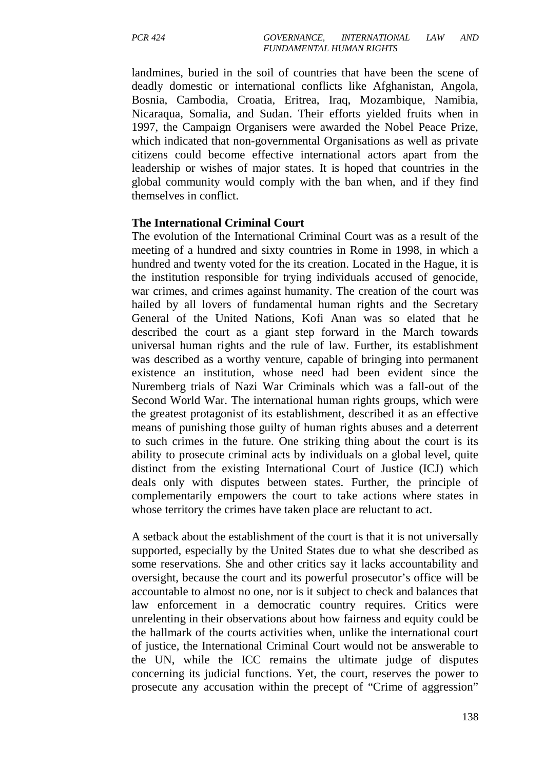landmines, buried in the soil of countries that have been the scene of deadly domestic or international conflicts like Afghanistan, Angola, Bosnia, Cambodia, Croatia, Eritrea, Iraq, Mozambique, Namibia, Nicaraqua, Somalia, and Sudan. Their efforts yielded fruits when in 1997, the Campaign Organisers were awarded the Nobel Peace Prize, which indicated that non-governmental Organisations as well as private citizens could become effective international actors apart from the leadership or wishes of major states. It is hoped that countries in the global community would comply with the ban when, and if they find themselves in conflict.

#### **The International Criminal Court**

The evolution of the International Criminal Court was as a result of the meeting of a hundred and sixty countries in Rome in 1998, in which a hundred and twenty voted for the its creation. Located in the Hague, it is the institution responsible for trying individuals accused of genocide, war crimes, and crimes against humanity. The creation of the court was hailed by all lovers of fundamental human rights and the Secretary General of the United Nations, Kofi Anan was so elated that he described the court as a giant step forward in the March towards universal human rights and the rule of law. Further, its establishment was described as a worthy venture, capable of bringing into permanent existence an institution, whose need had been evident since the Nuremberg trials of Nazi War Criminals which was a fall-out of the Second World War. The international human rights groups, which were the greatest protagonist of its establishment, described it as an effective means of punishing those guilty of human rights abuses and a deterrent to such crimes in the future. One striking thing about the court is its ability to prosecute criminal acts by individuals on a global level, quite distinct from the existing International Court of Justice (ICJ) which deals only with disputes between states. Further, the principle of complementarily empowers the court to take actions where states in whose territory the crimes have taken place are reluctant to act.

A setback about the establishment of the court is that it is not universally supported, especially by the United States due to what she described as some reservations. She and other critics say it lacks accountability and oversight, because the court and its powerful prosecutor's office will be accountable to almost no one, nor is it subject to check and balances that law enforcement in a democratic country requires. Critics were unrelenting in their observations about how fairness and equity could be the hallmark of the courts activities when, unlike the international court of justice, the International Criminal Court would not be answerable to the UN, while the ICC remains the ultimate judge of disputes concerning its judicial functions. Yet, the court, reserves the power to prosecute any accusation within the precept of "Crime of aggression"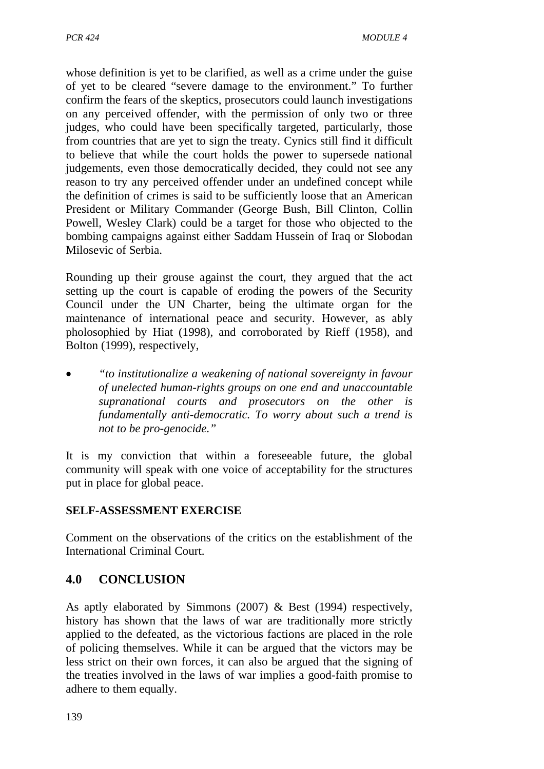whose definition is yet to be clarified, as well as a crime under the guise of yet to be cleared "severe damage to the environment." To further confirm the fears of the skeptics, prosecutors could launch investigations on any perceived offender, with the permission of only two or three judges, who could have been specifically targeted, particularly, those from countries that are yet to sign the treaty. Cynics still find it difficult to believe that while the court holds the power to supersede national judgements, even those democratically decided, they could not see any reason to try any perceived offender under an undefined concept while the definition of crimes is said to be sufficiently loose that an American President or Military Commander (George Bush, Bill Clinton, Collin Powell, Wesley Clark) could be a target for those who objected to the bombing campaigns against either Saddam Hussein of Iraq or Slobodan Milosevic of Serbia.

Rounding up their grouse against the court, they argued that the act setting up the court is capable of eroding the powers of the Security Council under the UN Charter, being the ultimate organ for the maintenance of international peace and security. However, as ably pholosophied by Hiat (1998), and corroborated by Rieff (1958), and Bolton (1999), respectively,

• *"to institutionalize a weakening of national sovereignty in favour of unelected human-rights groups on one end and unaccountable supranational courts and prosecutors on the other is fundamentally anti-democratic. To worry about such a trend is not to be pro-genocide."* 

It is my conviction that within a foreseeable future, the global community will speak with one voice of acceptability for the structures put in place for global peace.

## **SELF-ASSESSMENT EXERCISE**

Comment on the observations of the critics on the establishment of the International Criminal Court.

# **4.0 CONCLUSION**

As aptly elaborated by Simmons (2007) & Best (1994) respectively, history has shown that the laws of war are traditionally more strictly applied to the defeated, as the victorious factions are placed in the role of policing themselves. While it can be argued that the victors may be less strict on their own forces, it can also be argued that the signing of the treaties involved in the laws of war implies a good-faith promise to adhere to them equally.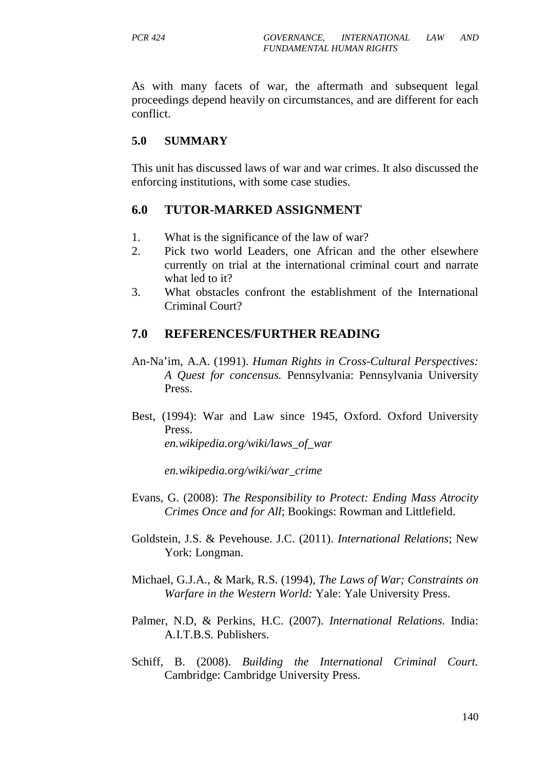As with many facets of war, the aftermath and subsequent legal proceedings depend heavily on circumstances, and are different for each conflict.

### **5.0 SUMMARY**

This unit has discussed laws of war and war crimes. It also discussed the enforcing institutions, with some case studies.

### **6.0 TUTOR-MARKED ASSIGNMENT**

- 1. What is the significance of the law of war?
- 2. Pick two world Leaders, one African and the other elsewhere currently on trial at the international criminal court and narrate what led to it?
- 3. What obstacles confront the establishment of the International Criminal Court?

## **7.0 REFERENCES/FURTHER READING**

- An-Na'im, A.A. (1991). *Human Rights in Cross-Cultural Perspectives: A Quest for concensus.* Pennsylvania: Pennsylvania University Press.
- Best, (1994): War and Law since 1945, Oxford. Oxford University Press. *en.wikipedia.org/wiki/laws\_of\_war*

*en.wikipedia.org/wiki/war\_crime* 

- Evans, G. (2008): *The Responsibility to Protect: Ending Mass Atrocity Crimes Once and for All*; Bookings: Rowman and Littlefield.
- Goldstein, J.S. & Pevehouse. J.C. (2011). *International Relations*; New York: Longman.
- Michael, G.J.A., & Mark, R.S. (1994), *The Laws of War; Constraints on Warfare in the Western World:* Yale: Yale University Press.
- Palmer, N.D, & Perkins, H.C. (2007). *International Relations*. India: A.I.T.B.S. Publishers.
- Schiff, B. (2008). *Building the International Criminal Court.* Cambridge: Cambridge University Press.